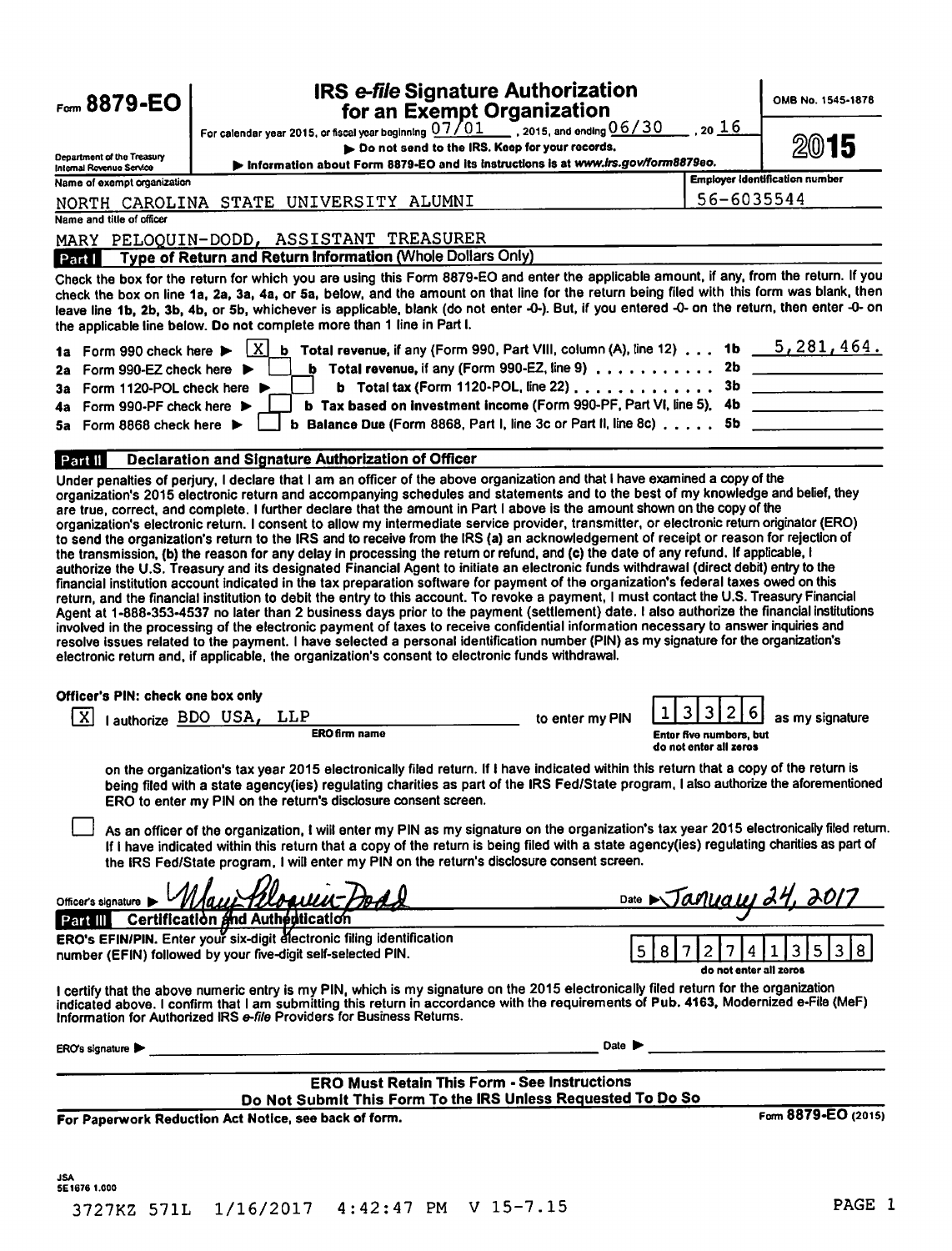| Form 8879-EO                                       | IRS e-file Signature Authorization<br>for an Exempt Organization                                                                                                                                                                                                                                                                                                                                                                                                                                                                                                                                                                                                                                                                                                                                                                                                                                                                                                                                                                                                                                                                                                                                                                                                                                                                                                                                                                                                                                                     |                 |                                                                    | OMB No. 1545-1878                     |
|----------------------------------------------------|----------------------------------------------------------------------------------------------------------------------------------------------------------------------------------------------------------------------------------------------------------------------------------------------------------------------------------------------------------------------------------------------------------------------------------------------------------------------------------------------------------------------------------------------------------------------------------------------------------------------------------------------------------------------------------------------------------------------------------------------------------------------------------------------------------------------------------------------------------------------------------------------------------------------------------------------------------------------------------------------------------------------------------------------------------------------------------------------------------------------------------------------------------------------------------------------------------------------------------------------------------------------------------------------------------------------------------------------------------------------------------------------------------------------------------------------------------------------------------------------------------------------|-----------------|--------------------------------------------------------------------|---------------------------------------|
|                                                    | For calendar year 2015, or fiscal year beginning $\frac{07/01}{2}$ , 2015, and ending $\frac{06/30}{2}$                                                                                                                                                                                                                                                                                                                                                                                                                                                                                                                                                                                                                                                                                                                                                                                                                                                                                                                                                                                                                                                                                                                                                                                                                                                                                                                                                                                                              |                 | <u>, 20 16</u>                                                     |                                       |
| Department of the Treasury                         | Do not send to the IRS. Keep for your records.                                                                                                                                                                                                                                                                                                                                                                                                                                                                                                                                                                                                                                                                                                                                                                                                                                                                                                                                                                                                                                                                                                                                                                                                                                                                                                                                                                                                                                                                       |                 |                                                                    | 20)<br>15                             |
| Internal Rovenue Service                           | Information about Form 8879-EO and its instructions is at www.irs.gov/form8879eo.                                                                                                                                                                                                                                                                                                                                                                                                                                                                                                                                                                                                                                                                                                                                                                                                                                                                                                                                                                                                                                                                                                                                                                                                                                                                                                                                                                                                                                    |                 |                                                                    | <b>Employer Identification number</b> |
| Name of exempt organization                        |                                                                                                                                                                                                                                                                                                                                                                                                                                                                                                                                                                                                                                                                                                                                                                                                                                                                                                                                                                                                                                                                                                                                                                                                                                                                                                                                                                                                                                                                                                                      |                 | 56-6035544                                                         |                                       |
| Name and title of officer                          | NORTH CAROLINA STATE UNIVERSITY ALUMNI                                                                                                                                                                                                                                                                                                                                                                                                                                                                                                                                                                                                                                                                                                                                                                                                                                                                                                                                                                                                                                                                                                                                                                                                                                                                                                                                                                                                                                                                               |                 |                                                                    |                                       |
|                                                    |                                                                                                                                                                                                                                                                                                                                                                                                                                                                                                                                                                                                                                                                                                                                                                                                                                                                                                                                                                                                                                                                                                                                                                                                                                                                                                                                                                                                                                                                                                                      |                 |                                                                    |                                       |
| Part I                                             | MARY PELOQUIN-DODD, ASSISTANT TREASURER<br>Type of Return and Return Information (Whole Dollars Only)                                                                                                                                                                                                                                                                                                                                                                                                                                                                                                                                                                                                                                                                                                                                                                                                                                                                                                                                                                                                                                                                                                                                                                                                                                                                                                                                                                                                                |                 |                                                                    |                                       |
|                                                    | Check the box for the return for which you are using this Form 8879-EO and enter the applicable amount, if any, from the return. If you<br>check the box on line 1a, 2a, 3a, 4a, or 5a, below, and the amount on that line for the return being filed with this form was blank, then<br>leave line 1b, 2b, 3b, 4b, or 5b, whichever is applicable, blank (do not enter -0-). But, if you entered -0- on the return, then enter -0- on<br>the applicable line below. Do not complete more than 1 line in Part I.                                                                                                                                                                                                                                                                                                                                                                                                                                                                                                                                                                                                                                                                                                                                                                                                                                                                                                                                                                                                      |                 |                                                                    |                                       |
| 1a Form 990 check here >                           | <b>b</b> Total revenue, if any (Form 990, Part VIII, column (A), line 12) 1b $\overline{5,281,464}$ .<br>-xI                                                                                                                                                                                                                                                                                                                                                                                                                                                                                                                                                                                                                                                                                                                                                                                                                                                                                                                                                                                                                                                                                                                                                                                                                                                                                                                                                                                                         |                 |                                                                    |                                       |
| Form 990-EZ check here $\blacktriangleright$<br>2a | <b>b</b> Total revenue, if any (Form 990-EZ, line 9) $\ldots$                                                                                                                                                                                                                                                                                                                                                                                                                                                                                                                                                                                                                                                                                                                                                                                                                                                                                                                                                                                                                                                                                                                                                                                                                                                                                                                                                                                                                                                        |                 |                                                                    | 2b                                    |
| Form 1120-POL check here ▶<br>За                   | <b>b</b> Total tax (Form 1120-POL, line 22) $\ldots$ ,,,,,,,,,,,,,                                                                                                                                                                                                                                                                                                                                                                                                                                                                                                                                                                                                                                                                                                                                                                                                                                                                                                                                                                                                                                                                                                                                                                                                                                                                                                                                                                                                                                                   |                 | 3b                                                                 |                                       |
| Form 990-PF check here $\blacktriangleright$<br>4a | b Tax based on investment income (Form 990-PF, Part VI, line 5).                                                                                                                                                                                                                                                                                                                                                                                                                                                                                                                                                                                                                                                                                                                                                                                                                                                                                                                                                                                                                                                                                                                                                                                                                                                                                                                                                                                                                                                     |                 | 4b                                                                 |                                       |
| Form 8868 check here $\blacktriangleright$<br>5а   | <b>b</b> Balance Due (Form 8868, Part I, line 3c or Part II, line 8c) $\ldots$                                                                                                                                                                                                                                                                                                                                                                                                                                                                                                                                                                                                                                                                                                                                                                                                                                                                                                                                                                                                                                                                                                                                                                                                                                                                                                                                                                                                                                       |                 | 5b                                                                 |                                       |
|                                                    |                                                                                                                                                                                                                                                                                                                                                                                                                                                                                                                                                                                                                                                                                                                                                                                                                                                                                                                                                                                                                                                                                                                                                                                                                                                                                                                                                                                                                                                                                                                      |                 |                                                                    |                                       |
|                                                    | are true, correct, and complete. I further declare that the amount in Part I above is the amount shown on the copy of the<br>organization's electronic return. I consent to allow my intermediate service provider, transmitter, or electronic return originator (ERO)<br>to send the organization's return to the IRS and to receive from the IRS (a) an acknowledgement of receipt or reason for rejection of<br>the transmission, (b) the reason for any delay in processing the return or retund, and (c) the date of any refund. If applicable, I<br>authorize the U.S. Treasury and its designated Financial Agent to initiate an electronic funds withdrawal (direct debit) entry to the<br>financial institution account indicated in the tax preparation software for payment of the organization's federal taxes owed on this<br>return, and the financial institution to debit the entry to this account. To revoke a payment, I must contact the U.S. Treasury Financial<br>Agent at 1-888-353-4537 no later than 2 business days prior to the payment (settlement) date. I also authorize the financial institutions<br>involved in the processing of the electronic payment of taxes to receive confidential information necessary to answer inquiries and<br>resolve issues related to the payment. I have selected a personal identification number (PIN) as my signature for the organization's<br>electronic return and, if applicable, the organization's consent to electronic funds withdrawal. |                 |                                                                    |                                       |
| Officer's PIN: check one box only                  |                                                                                                                                                                                                                                                                                                                                                                                                                                                                                                                                                                                                                                                                                                                                                                                                                                                                                                                                                                                                                                                                                                                                                                                                                                                                                                                                                                                                                                                                                                                      |                 | 3                                                                  |                                       |
| x                                                  | I authorize BDO USA, LLP<br>ERO firm name                                                                                                                                                                                                                                                                                                                                                                                                                                                                                                                                                                                                                                                                                                                                                                                                                                                                                                                                                                                                                                                                                                                                                                                                                                                                                                                                                                                                                                                                            | to enter my PIN | 3<br>6<br><b>Entor five numbers, but</b><br>do not enter all zeros | as my signature                       |
|                                                    | on the organization's tax year 2015 electronically filed return. If I have indicated within this return that a copy of the return is<br>being filed with a state agency(ies) regulating charities as part of the IRS Fed/State program, I also authorize the aforementioned<br>ERO to enter my PIN on the return's disclosure consent screen.                                                                                                                                                                                                                                                                                                                                                                                                                                                                                                                                                                                                                                                                                                                                                                                                                                                                                                                                                                                                                                                                                                                                                                        |                 |                                                                    |                                       |
|                                                    | As an officer of the organization, I will enter my PIN as my signature on the organization's tax year 2015 electronically filed return.<br>If I have indicated within this return that a copy of the return is being filed with a state agency(ies) regulating charities as part of<br>the IRS Fed/State program, I will enter my PIN on the return's disclosure consent screen.                                                                                                                                                                                                                                                                                                                                                                                                                                                                                                                                                                                                                                                                                                                                                                                                                                                                                                                                                                                                                                                                                                                                     |                 |                                                                    |                                       |
| Officer's signature >                              | Mau <del>r Monru</del>                                                                                                                                                                                                                                                                                                                                                                                                                                                                                                                                                                                                                                                                                                                                                                                                                                                                                                                                                                                                                                                                                                                                                                                                                                                                                                                                                                                                                                                                                               |                 | Date Manuau 24, 2017                                               |                                       |
|                                                    | Part III Certification and Authentication<br>ERO's EFIN/PIN. Enter your six-digit electronic filing identification                                                                                                                                                                                                                                                                                                                                                                                                                                                                                                                                                                                                                                                                                                                                                                                                                                                                                                                                                                                                                                                                                                                                                                                                                                                                                                                                                                                                   |                 |                                                                    |                                       |
|                                                    | number (EFIN) followed by your five-digit self-selected PIN.                                                                                                                                                                                                                                                                                                                                                                                                                                                                                                                                                                                                                                                                                                                                                                                                                                                                                                                                                                                                                                                                                                                                                                                                                                                                                                                                                                                                                                                         | 5 <sup>1</sup>  | 8<br>2<br>4<br>do not enter all zeros                              | 3<br>3<br>5 <sub>1</sub>              |
|                                                    | I certify that the above numeric entry is my PIN, which is my signature on the 2015 electronically filed return for the organization<br>indicated above. I confirm that I am submitting this return in accordance with the requirements of Pub. 4163, Modernized e-File (MeF)<br>Information for Authorized IRS e-file Providers for Business Returns.                                                                                                                                                                                                                                                                                                                                                                                                                                                                                                                                                                                                                                                                                                                                                                                                                                                                                                                                                                                                                                                                                                                                                               |                 |                                                                    |                                       |
| ERO's signature                                    |                                                                                                                                                                                                                                                                                                                                                                                                                                                                                                                                                                                                                                                                                                                                                                                                                                                                                                                                                                                                                                                                                                                                                                                                                                                                                                                                                                                                                                                                                                                      | Date            |                                                                    |                                       |
|                                                    | <b>ERO Must Retain This Form - See Instructions</b><br>Do Not Submit This Form To the IRS Unless Requested To Do So                                                                                                                                                                                                                                                                                                                                                                                                                                                                                                                                                                                                                                                                                                                                                                                                                                                                                                                                                                                                                                                                                                                                                                                                                                                                                                                                                                                                  |                 |                                                                    |                                       |
|                                                    | For Paperwork Reduction Act Notice, see back of form.                                                                                                                                                                                                                                                                                                                                                                                                                                                                                                                                                                                                                                                                                                                                                                                                                                                                                                                                                                                                                                                                                                                                                                                                                                                                                                                                                                                                                                                                |                 |                                                                    | Form 8879-EO (2015)                   |
|                                                    |                                                                                                                                                                                                                                                                                                                                                                                                                                                                                                                                                                                                                                                                                                                                                                                                                                                                                                                                                                                                                                                                                                                                                                                                                                                                                                                                                                                                                                                                                                                      |                 |                                                                    |                                       |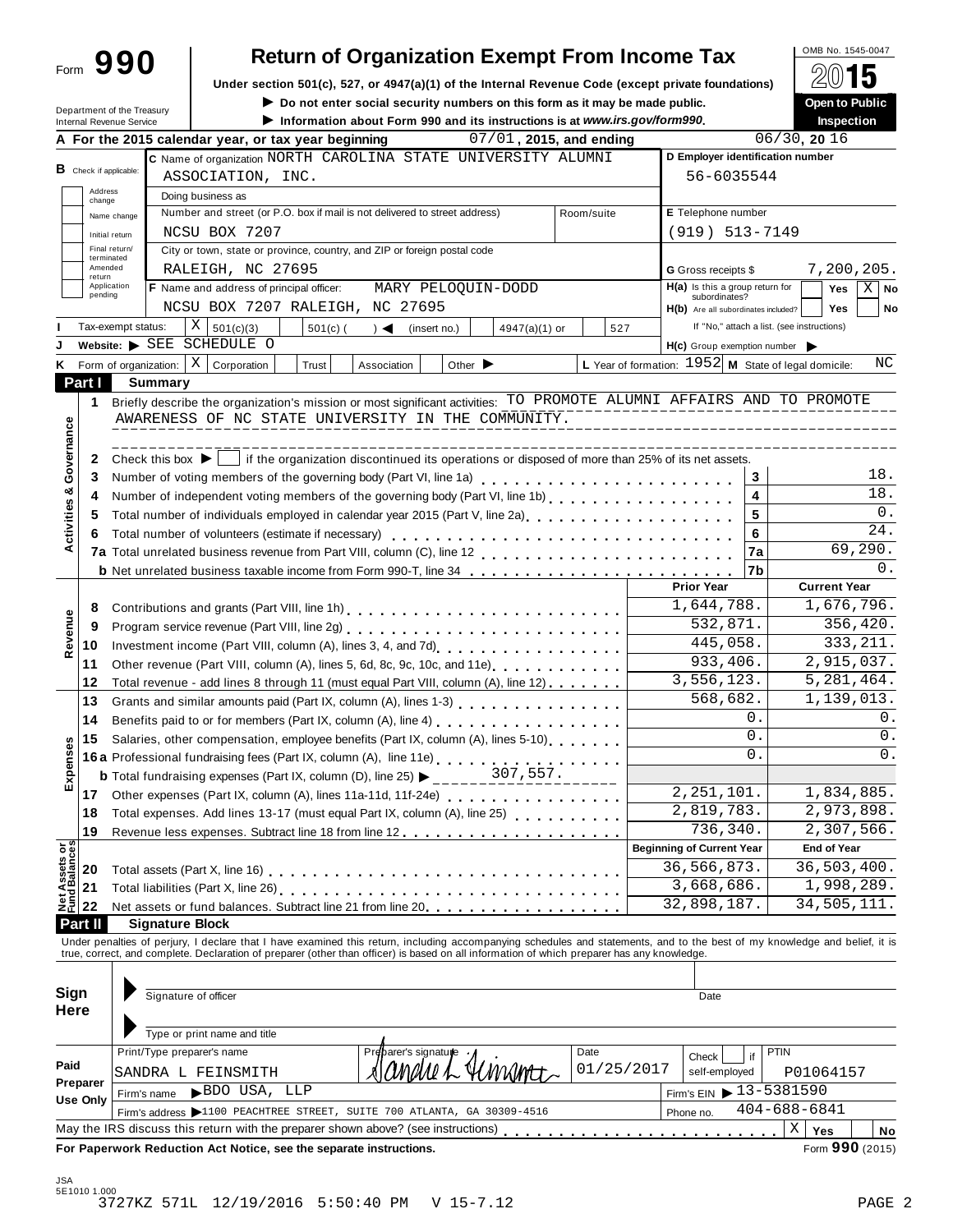| Form | 990 |  |
|------|-----|--|
|      |     |  |

# **Return of Organization Exempt From Income Tax**

**Under section 501(c), 527, or 4947(a)(1) of the Internal Revenue Code (except private foundations)** À¾µ¹

|  | ▶ Do not enter social security numbers on this form as it may be made public.    |  |  |  |
|--|----------------------------------------------------------------------------------|--|--|--|
|  | limit Information about Form 990 and its instructions is at www.irs.gov/form990. |  |  |  |

|                                        |                                                                                                    | Department of the Treasury<br>Internal Revenue Service |                                                                                                                                                               |                                                                                                                                                                                                                                      | $\blacktriangleright$ Do not enter social security numbers on this form as it may be made public.<br>Information about Form 990 and its instructions is at www.irs.gov/form990. |                                                                                   |                      |                                                                                                                                        |               |            |            |                                                        |                |                                            | Open to Public<br><b>Inspection</b> |     |
|----------------------------------------|----------------------------------------------------------------------------------------------------|--------------------------------------------------------|---------------------------------------------------------------------------------------------------------------------------------------------------------------|--------------------------------------------------------------------------------------------------------------------------------------------------------------------------------------------------------------------------------------|---------------------------------------------------------------------------------------------------------------------------------------------------------------------------------|-----------------------------------------------------------------------------------|----------------------|----------------------------------------------------------------------------------------------------------------------------------------|---------------|------------|------------|--------------------------------------------------------|----------------|--------------------------------------------|-------------------------------------|-----|
|                                        |                                                                                                    |                                                        |                                                                                                                                                               | A For the 2015 calendar year, or tax year beginning                                                                                                                                                                                  |                                                                                                                                                                                 |                                                                                   |                      | 07/01, 2015, and ending                                                                                                                |               |            |            |                                                        |                | 06/30, 2016                                |                                     |     |
|                                        |                                                                                                    |                                                        |                                                                                                                                                               | C Name of organization NORTH CAROLINA STATE UNIVERSITY ALUMNI                                                                                                                                                                        |                                                                                                                                                                                 |                                                                                   |                      |                                                                                                                                        |               |            |            | D Employer identification number                       |                |                                            |                                     |     |
|                                        | B Check if applicable:                                                                             |                                                        |                                                                                                                                                               | ASSOCIATION, INC.                                                                                                                                                                                                                    |                                                                                                                                                                                 |                                                                                   |                      |                                                                                                                                        |               |            |            |                                                        | 56-6035544     |                                            |                                     |     |
|                                        | Address<br>change                                                                                  |                                                        | Doing business as                                                                                                                                             |                                                                                                                                                                                                                                      |                                                                                                                                                                                 |                                                                                   |                      |                                                                                                                                        |               |            |            |                                                        |                |                                            |                                     |     |
|                                        |                                                                                                    | Name change                                            |                                                                                                                                                               | Number and street (or P.O. box if mail is not delivered to street address)                                                                                                                                                           |                                                                                                                                                                                 |                                                                                   |                      |                                                                                                                                        |               | Room/suite |            | E Telephone number                                     |                |                                            |                                     |     |
|                                        |                                                                                                    | Initial return                                         |                                                                                                                                                               | NCSU BOX 7207                                                                                                                                                                                                                        |                                                                                                                                                                                 |                                                                                   |                      |                                                                                                                                        |               |            |            | $(919) 513 - 7149$                                     |                |                                            |                                     |     |
|                                        |                                                                                                    | Final return/                                          |                                                                                                                                                               | City or town, state or province, country, and ZIP or foreign postal code                                                                                                                                                             |                                                                                                                                                                                 |                                                                                   |                      |                                                                                                                                        |               |            |            |                                                        |                |                                            |                                     |     |
|                                        | terminated<br>Amended                                                                              |                                                        |                                                                                                                                                               | RALEIGH, NC 27695                                                                                                                                                                                                                    |                                                                                                                                                                                 |                                                                                   |                      |                                                                                                                                        |               |            |            | G Gross receipts \$                                    |                |                                            | 7,200,205.                          |     |
|                                        | return<br>Application                                                                              |                                                        |                                                                                                                                                               | <b>F</b> Name and address of principal officer:                                                                                                                                                                                      |                                                                                                                                                                                 |                                                                                   |                      | MARY PELOQUIN-DODD                                                                                                                     |               |            |            | $H(a)$ is this a group return for                      | Yes            | $X \mid$ No                                |                                     |     |
|                                        | pending<br>subordinates?<br>NCSU BOX 7207 RALEIGH, NC 27695<br>H(b) Are all subordinates included? |                                                        |                                                                                                                                                               |                                                                                                                                                                                                                                      |                                                                                                                                                                                 |                                                                                   |                      |                                                                                                                                        |               |            |            | <b>Yes</b>                                             | No             |                                            |                                     |     |
|                                        |                                                                                                    | Tax-exempt status:                                     |                                                                                                                                                               | X                                                                                                                                                                                                                                    |                                                                                                                                                                                 |                                                                                   |                      |                                                                                                                                        |               |            |            |                                                        |                | If "No," attach a list. (see instructions) |                                     |     |
|                                        |                                                                                                    |                                                        |                                                                                                                                                               | 501(c)(3)<br>Website: SEE SCHEDULE O                                                                                                                                                                                                 | $501(c)$ (                                                                                                                                                                      | $\rightarrow$                                                                     | (insert no.)         | $4947(a)(1)$ or                                                                                                                        |               |            | 527        |                                                        |                |                                            |                                     |     |
|                                        |                                                                                                    |                                                        |                                                                                                                                                               | $\vert$ X                                                                                                                                                                                                                            |                                                                                                                                                                                 |                                                                                   |                      |                                                                                                                                        |               |            |            | H(c) Group exemption number                            |                |                                            |                                     | ΝC  |
| ĸ                                      |                                                                                                    | Form of organization:                                  |                                                                                                                                                               | Corporation                                                                                                                                                                                                                          | Trust                                                                                                                                                                           | Association                                                                       |                      | Other $\blacktriangleright$                                                                                                            |               |            |            | L Year of formation: $1952$ M State of legal domicile: |                |                                            |                                     |     |
|                                        | Part I                                                                                             |                                                        | <b>Summary</b>                                                                                                                                                |                                                                                                                                                                                                                                      |                                                                                                                                                                                 |                                                                                   |                      |                                                                                                                                        |               |            |            |                                                        |                |                                            |                                     |     |
|                                        | 1                                                                                                  |                                                        |                                                                                                                                                               | Briefly describe the organization's mission or most significant activities: TO PROMOTE ALUMNI AFFAIRS AND TO PROMOTE                                                                                                                 |                                                                                                                                                                                 |                                                                                   |                      |                                                                                                                                        |               |            |            |                                                        |                |                                            |                                     |     |
|                                        |                                                                                                    |                                                        |                                                                                                                                                               | AWARENESS OF NC STATE UNIVERSITY IN THE COMMUNITY.                                                                                                                                                                                   |                                                                                                                                                                                 |                                                                                   |                      |                                                                                                                                        |               |            |            |                                                        |                |                                            |                                     |     |
|                                        |                                                                                                    |                                                        |                                                                                                                                                               |                                                                                                                                                                                                                                      |                                                                                                                                                                                 |                                                                                   |                      |                                                                                                                                        | _____________ |            |            |                                                        |                |                                            |                                     |     |
| Governance                             | 2                                                                                                  |                                                        |                                                                                                                                                               | Check this box $\blacktriangleright$   if the organization discontinued its operations or disposed of more than 25% of its net assets.                                                                                               |                                                                                                                                                                                 |                                                                                   |                      |                                                                                                                                        |               |            |            |                                                        |                |                                            |                                     |     |
|                                        | 3                                                                                                  |                                                        |                                                                                                                                                               | Number of voting members of the governing body (Part VI, line 1a)<br>                                                                                                                                                                |                                                                                                                                                                                 |                                                                                   |                      |                                                                                                                                        |               |            |            |                                                        | 3              |                                            |                                     | 18. |
|                                        | 4                                                                                                  |                                                        |                                                                                                                                                               | Number of independent voting members of the governing body (Part VI, line 1b)                                                                                                                                                        |                                                                                                                                                                                 |                                                                                   |                      |                                                                                                                                        |               |            |            |                                                        | 4              |                                            |                                     | 18. |
|                                        | 5                                                                                                  |                                                        |                                                                                                                                                               | Total number of individuals employed in calendar year 2015 (Part V, line 2a)<br>Total number of individuals employed in calendar year 2015 (Part V, line 2a)                                                                         |                                                                                                                                                                                 |                                                                                   |                      |                                                                                                                                        |               |            |            |                                                        | 5              |                                            |                                     | 0.  |
| Activities &                           | 6                                                                                                  |                                                        |                                                                                                                                                               | Total number of volunteers (estimate if necessary)                                                                                                                                                                                   |                                                                                                                                                                                 |                                                                                   |                      |                                                                                                                                        |               |            |            |                                                        | 6              |                                            |                                     | 24. |
|                                        |                                                                                                    |                                                        |                                                                                                                                                               |                                                                                                                                                                                                                                      |                                                                                                                                                                                 |                                                                                   |                      |                                                                                                                                        |               |            |            |                                                        | 7a             |                                            | 69,290.                             |     |
|                                        |                                                                                                    |                                                        |                                                                                                                                                               | <b>b</b> Net unrelated business taxable income from Form 990-T, line 34                                                                                                                                                              |                                                                                                                                                                                 |                                                                                   |                      |                                                                                                                                        |               |            |            |                                                        | 7b             |                                            |                                     | 0.  |
|                                        |                                                                                                    |                                                        |                                                                                                                                                               |                                                                                                                                                                                                                                      |                                                                                                                                                                                 |                                                                                   |                      |                                                                                                                                        |               |            |            | <b>Prior Year</b>                                      |                |                                            | <b>Current Year</b>                 |     |
|                                        | 8                                                                                                  |                                                        |                                                                                                                                                               |                                                                                                                                                                                                                                      |                                                                                                                                                                                 |                                                                                   |                      |                                                                                                                                        |               |            |            | 1,644,788.                                             |                |                                            | 1,676,796.                          |     |
|                                        | 9                                                                                                  |                                                        | Program service revenue (Part VIII, line 2g)<br>                                                                                                              |                                                                                                                                                                                                                                      |                                                                                                                                                                                 |                                                                                   |                      | 532,871.                                                                                                                               |               | 356,420.   |            |                                                        |                |                                            |                                     |     |
| Revenue                                | 10                                                                                                 |                                                        |                                                                                                                                                               |                                                                                                                                                                                                                                      |                                                                                                                                                                                 |                                                                                   |                      |                                                                                                                                        |               | 445,058.   | 333, 211.  |                                                        |                |                                            |                                     |     |
|                                        | 11                                                                                                 |                                                        | Other revenue (Part VIII, column (A), lines 5, 6d, 8c, 9c, 10c, and 11e)                                                                                      |                                                                                                                                                                                                                                      |                                                                                                                                                                                 |                                                                                   |                      |                                                                                                                                        |               |            | 933,406.   |                                                        | 2,915,037.     |                                            |                                     |     |
|                                        | 12                                                                                                 |                                                        |                                                                                                                                                               | Total revenue - add lines 8 through 11 (must equal Part VIII, column (A), line 12)                                                                                                                                                   |                                                                                                                                                                                 |                                                                                   |                      |                                                                                                                                        |               |            |            | 3,556,123.                                             |                |                                            | 5, 281, 464.                        |     |
|                                        | 13                                                                                                 |                                                        |                                                                                                                                                               |                                                                                                                                                                                                                                      |                                                                                                                                                                                 |                                                                                   |                      |                                                                                                                                        |               |            |            |                                                        | 568,682.       |                                            | 1,139,013.                          |     |
|                                        | 14                                                                                                 |                                                        |                                                                                                                                                               |                                                                                                                                                                                                                                      |                                                                                                                                                                                 |                                                                                   |                      |                                                                                                                                        |               |            | 0.         |                                                        |                | 0.                                         |                                     |     |
|                                        | 15                                                                                                 |                                                        |                                                                                                                                                               |                                                                                                                                                                                                                                      |                                                                                                                                                                                 | Salaries, other compensation, employee benefits (Part IX, column (A), lines 5-10) |                      |                                                                                                                                        |               |            |            | $\overline{0}$ .                                       | 0.             |                                            |                                     |     |
| Expenses                               |                                                                                                    |                                                        |                                                                                                                                                               |                                                                                                                                                                                                                                      |                                                                                                                                                                                 |                                                                                   |                      | 16a Professional fundraising fees (Part IX, column (A), line 11e)<br>16a Professional fundraising fees (Part IX, column (A), line 11e) |               |            |            |                                                        | $\mathbf{0}$ . | 0.                                         |                                     |     |
|                                        |                                                                                                    |                                                        |                                                                                                                                                               |                                                                                                                                                                                                                                      |                                                                                                                                                                                 |                                                                                   |                      | 307,557.                                                                                                                               |               |            |            |                                                        |                |                                            |                                     |     |
|                                        | 17                                                                                                 |                                                        | <b>b</b> Total fundraising expenses (Part IX, column (D), line 25) $\blacktriangleright$ ____<br>Other expenses (Part IX, column (A), lines 11a-11d, 11f-24e) |                                                                                                                                                                                                                                      |                                                                                                                                                                                 |                                                                                   |                      |                                                                                                                                        | 2, 251, 101.  |            | 1,834,885. |                                                        |                |                                            |                                     |     |
|                                        | 18                                                                                                 |                                                        |                                                                                                                                                               | Total expenses. Add lines 13-17 (must equal Part IX, column (A), line 25)                                                                                                                                                            |                                                                                                                                                                                 |                                                                                   |                      |                                                                                                                                        |               |            |            | 2,819,783.                                             |                | 2,973,898.                                 |                                     |     |
|                                        | 19                                                                                                 |                                                        |                                                                                                                                                               |                                                                                                                                                                                                                                      |                                                                                                                                                                                 |                                                                                   |                      |                                                                                                                                        |               |            |            |                                                        | 736,340.       | 2,307,566.                                 |                                     |     |
|                                        |                                                                                                    |                                                        |                                                                                                                                                               |                                                                                                                                                                                                                                      |                                                                                                                                                                                 |                                                                                   |                      |                                                                                                                                        |               |            |            | <b>Beginning of Current Year</b>                       |                |                                            | <b>End of Year</b>                  |     |
| <b>Net Assets or<br/>Fund Balances</b> | 20                                                                                                 |                                                        |                                                                                                                                                               |                                                                                                                                                                                                                                      |                                                                                                                                                                                 |                                                                                   |                      |                                                                                                                                        |               |            |            | 36,566,873.                                            |                |                                            | 36,503,400.                         |     |
|                                        | 21                                                                                                 |                                                        |                                                                                                                                                               |                                                                                                                                                                                                                                      |                                                                                                                                                                                 |                                                                                   |                      |                                                                                                                                        |               |            |            | 3,668,686.                                             |                |                                            | 1,998,289.                          |     |
|                                        | 22                                                                                                 |                                                        |                                                                                                                                                               | Net assets or fund balances. Subtract line 21 from line 20 <b>and all and state in the set of the set of the set of the set of the set of the set of the set of the set of the set of the set of the set of the set of the set o</b> |                                                                                                                                                                                 |                                                                                   |                      |                                                                                                                                        |               |            |            | 32,898,187.                                            | 34,505,111.    |                                            |                                     |     |
|                                        | Part II                                                                                            |                                                        |                                                                                                                                                               | <b>Signature Block</b>                                                                                                                                                                                                               |                                                                                                                                                                                 |                                                                                   |                      |                                                                                                                                        |               |            |            |                                                        |                |                                            |                                     |     |
|                                        |                                                                                                    |                                                        |                                                                                                                                                               |                                                                                                                                                                                                                                      |                                                                                                                                                                                 |                                                                                   |                      |                                                                                                                                        |               |            |            |                                                        |                |                                            |                                     |     |
|                                        |                                                                                                    |                                                        |                                                                                                                                                               | Under penalties of perjury, I declare that I have examined this return, including accompanying schedules and statements, and to the best of my knowledge and belief, it is true, correct, and complete. Declaration of prepare       |                                                                                                                                                                                 |                                                                                   |                      |                                                                                                                                        |               |            |            |                                                        |                |                                            |                                     |     |
|                                        |                                                                                                    |                                                        |                                                                                                                                                               |                                                                                                                                                                                                                                      |                                                                                                                                                                                 |                                                                                   |                      |                                                                                                                                        |               |            |            |                                                        |                |                                            |                                     |     |
|                                        | Sign<br>Signature of officer                                                                       |                                                        |                                                                                                                                                               |                                                                                                                                                                                                                                      |                                                                                                                                                                                 |                                                                                   |                      | Date                                                                                                                                   |               |            |            |                                                        |                |                                            |                                     |     |
| Here                                   |                                                                                                    |                                                        |                                                                                                                                                               |                                                                                                                                                                                                                                      |                                                                                                                                                                                 |                                                                                   |                      |                                                                                                                                        |               |            |            |                                                        |                |                                            |                                     |     |
|                                        |                                                                                                    |                                                        |                                                                                                                                                               | Type or print name and title                                                                                                                                                                                                         |                                                                                                                                                                                 |                                                                                   |                      |                                                                                                                                        |               |            |            |                                                        |                |                                            |                                     |     |
|                                        |                                                                                                    |                                                        |                                                                                                                                                               | Print/Type preparer's name                                                                                                                                                                                                           |                                                                                                                                                                                 |                                                                                   | Preparer's signature |                                                                                                                                        |               | Date       |            |                                                        |                | PTIN                                       |                                     |     |
| Paid                                   |                                                                                                    |                                                        |                                                                                                                                                               |                                                                                                                                                                                                                                      |                                                                                                                                                                                 |                                                                                   |                      |                                                                                                                                        |               |            | 01/25/2017 | Check                                                  | if             |                                            |                                     |     |
|                                        | Preparer                                                                                           |                                                        |                                                                                                                                                               | SANDRA L FEINSMITH                                                                                                                                                                                                                   |                                                                                                                                                                                 |                                                                                   |                      |                                                                                                                                        |               |            |            | self-employed                                          |                |                                            | P01064157                           |     |
|                                        | Use Only                                                                                           |                                                        | Firm's name                                                                                                                                                   | BDO USA, LLP                                                                                                                                                                                                                         |                                                                                                                                                                                 |                                                                                   |                      |                                                                                                                                        |               |            |            | Firm's EIN ▶ 13-5381590<br>$404 - 688 - 6841$          |                |                                            |                                     |     |
|                                        |                                                                                                    |                                                        |                                                                                                                                                               | Firm's address >1100 PEACHTREE STREET, SUITE 700 ATLANTA, GA 30309-4516                                                                                                                                                              |                                                                                                                                                                                 |                                                                                   |                      |                                                                                                                                        |               |            |            | Phone no.                                              |                |                                            |                                     |     |
|                                        |                                                                                                    |                                                        |                                                                                                                                                               | May the IRS discuss this return with the preparer shown above? (see instructions)                                                                                                                                                    |                                                                                                                                                                                 |                                                                                   |                      |                                                                                                                                        |               |            |            |                                                        |                | X                                          | Yes                                 | No  |
|                                        |                                                                                                    |                                                        |                                                                                                                                                               | For Paperwork Reduction Act Notice, see the separate instructions.                                                                                                                                                                   |                                                                                                                                                                                 |                                                                                   |                      |                                                                                                                                        |               |            |            |                                                        |                |                                            | Form 990 (2015)                     |     |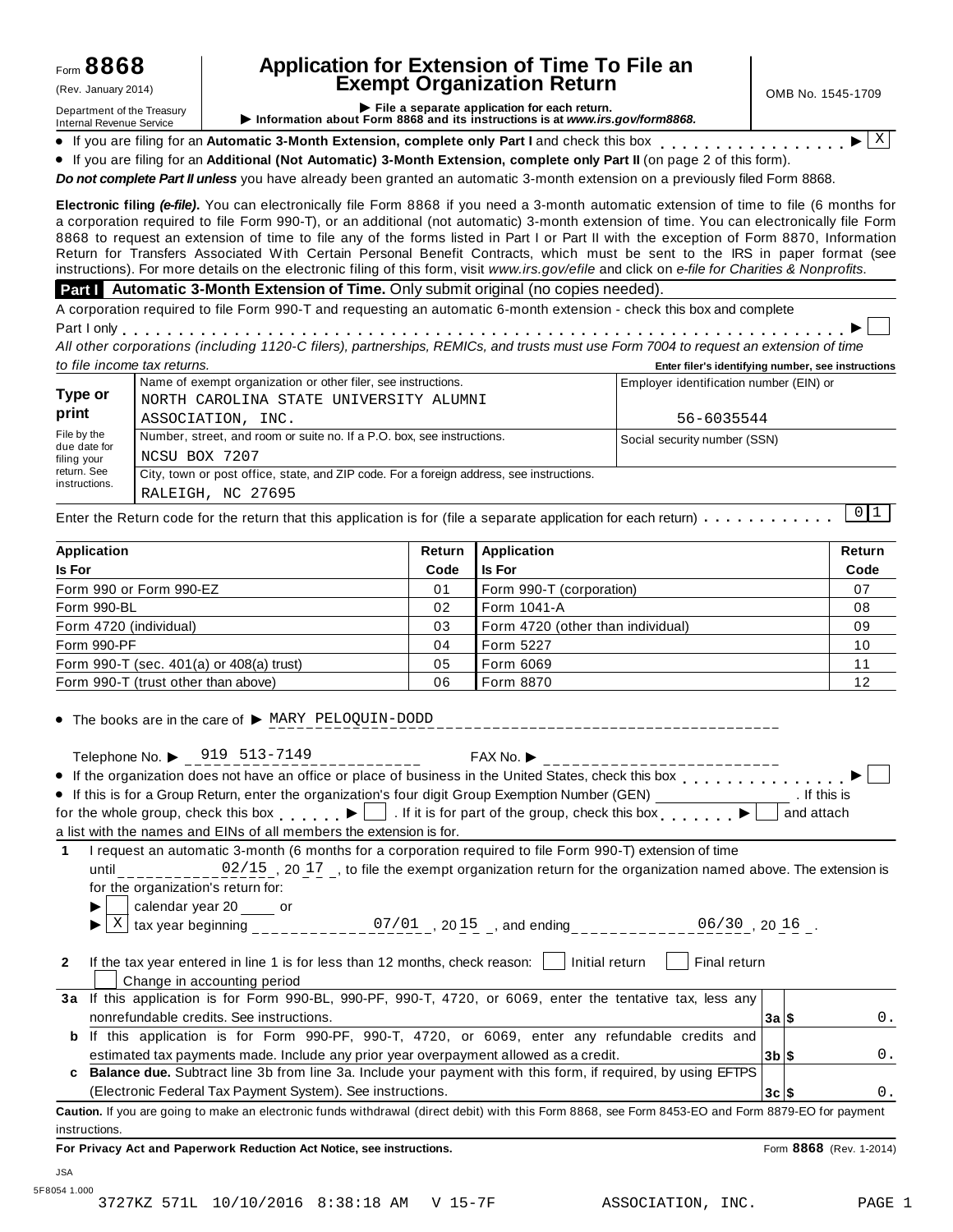### **Application for Extension of Time To File an Exempt Organization Return** (Rev. January 2014) OMB No. 1545-1709

Department of the Treasury<br>Department of the Treasury<br>Internal Revenue Service **CONFICE 1999 File a separate application for each return.**<br>Internal Revenue Service **CONFICE 1999 File a separate application for each return.** If you are filing for an Automatic 3-Month Extension, complete only Part I and check this box  $\frac{1 \times 1}{1 \times 1}$ 

X

% If you are filing for an **Additional (Not Automatic) 3-Month Extension, complete only Part II** (on page 2 of this form). m m m m m m m m m m m m m m m m m

*Do not complete Part II unless* you have already been granted an automatic 3-month extension on a previously filed Form 8868.

**Electronic filing** *(e-file)***.** You can electronically file Form 8868 if you need a 3-month automatic extension of time to file (6 months for a corporation required to file Form 990-T), or an additional (not automatic) 3-month extension of time. You can electronically file Form 8868 to request an extension of time to file any of the forms listed in Part I or Part II with the exception of Form 8870, Information Return for Transfers Associated With Certain Personal Benefit Contracts, which must be sent to the IRS in paper format (see instructions). For more details on the electronic filing of this form, visit *www.irs.gov/efile* and click on *e-file for Charities & Nonprofits*.

#### **Part I Automatic 3-Month Extension of Time.** Only submit original (no copies needed).

A corporation required to file Form 990-T and requesting an automatic 6-month extension - check this box and complete<br>Part I only<br>All ethnology and Corporation Corporation Corporation of Corporation and the Corporation of

All other corporations (including 1120-C filers), partnerships, REMICs, and trusts must use Form 7004 to request an extension of time *to file income tax returns.* **Enter filer's identifying number, see instructions**

|                              | Name of exempt organization or other filer, see instructions.                            | Employer identification number (EIN) or |
|------------------------------|------------------------------------------------------------------------------------------|-----------------------------------------|
| Type or<br>print             | NORTH CAROLINA STATE UNIVERSITY ALUMNI                                                   |                                         |
|                              | ASSOCIATION, INC.                                                                        | 56-6035544                              |
| File by the                  | Number, street, and room or suite no. If a P.O. box, see instructions.                   | Social security number (SSN)            |
| due date for<br>filing your  | NCSU BOX 7207                                                                            |                                         |
| return. See<br>instructions. | City, town or post office, state, and ZIP code. For a foreign address, see instructions. |                                         |
|                              | RALEIGH, NC 27695                                                                        |                                         |

Enter the Return code for the return that this application is for (file a separate application for each return)  $\ldots \ldots \ldots$  $0 1$ 

| Application                              | Return | <b>Application</b>                | Return |
|------------------------------------------|--------|-----------------------------------|--------|
| <b>Is For</b>                            | Code   | Is For                            | Code   |
| Form 990 or Form 990-EZ                  | 01     | Form 990-T (corporation)          | 07     |
| Form 990-BL                              | 02     | Form 1041-A                       | 08     |
| Form 4720 (individual)                   | 03     | Form 4720 (other than individual) | 09     |
| Form 990-PF                              | 04     | Form 5227                         | 10     |
| Form 990-T (sec. 401(a) or 408(a) trust) | 05     | Form 6069                         | 11     |
| Form 990-T (trust other than above)      | 06     | <b>I</b> Form 8870                | 12     |

 $\bullet$  The books are in the care of  $\triangleright$  MARY PELOQUIN-DODD

|  | Telephone No. $\triangleright$ 919 513-7149 | $FAX No.$ $\blacktriangleright$                                                                                                                                                                                                    |
|--|---------------------------------------------|------------------------------------------------------------------------------------------------------------------------------------------------------------------------------------------------------------------------------------|
|  |                                             | $\mathcal{L}$ . The contract of the contract of the contract of the contract of the contract of the contract of the contract of the contract of the contract of the contract of the contract of the contract of the contract of th |

| $i$ elephone No. $\blacktriangleright$<br>フェン リエコー/エコン                                                                                                                                                                         | FAXNO.       |  |
|--------------------------------------------------------------------------------------------------------------------------------------------------------------------------------------------------------------------------------|--------------|--|
| • If the organization does not have an office or place of business in the United States, check this box $\blacksquare$                                                                                                         |              |  |
| • If this is for a Group Return, enter the organization's four digit Group Exemption Number (GEN)                                                                                                                              | . If this is |  |
| for the whole group, check this box $\begin{array}{c} \bullet \end{array}$ . If it is for part of the group, check this box $\begin{array}{c} \bullet \end{array}$                                                             | and attach   |  |
| in the contract of the contract of the contract of the contract of the contract of the contract of the contract of the contract of the contract of the contract of the contract of the contract of the contract of the contrac |              |  |

a list with the names and EINs of all members the extension is for.

**1** I request an automatic 3-month (6 months for a corporation required to file Form 990-T) extension of time until  $02/15$ , 20 17, to file the exempt organization return for the organization named above. The extension is for the organization's return for: I calendar year 20 or

 $\boldsymbol{\mathrm{X}}$  $\mathbb{X}$  tax year beginning that  $\mathbb{S}^{7/01}$  , 20  $^{15}$  , and ending that we are  $06/30$  , 20  $16$  .

**2** If the tax year entered in line 1 is for less than 12 months, check reason: **Initial return Final return** Change in accounting period

- **3a** If this application is for Form 990-BL, 990-PF, 990-T, 4720, or 6069, enter the tentative tax, less any nonrefundable credits. See instructions. **3a \$**
	- **3b \$ b** If this application is for Form 990-PF, 990-T, 4720, or 6069, enter any refundable credits and estimated tax payments made. Include any prior year overpayment allowed as a credit. **c Balance due.** Subtract line 3b from line 3a. Include your payment with this form, if required, by using EFTPS

(Electronic Federal Tax Payment System). See instructions.

**Caution.** If you are going to make an electronic funds withdrawal (direct debit) with this Form 8868, see Form 8453-EO and Form 8879-EO for payment instructions.

**For Privacy Act and Paperwork Reduction Act Notice, see instructions.** Form **8868** (Rev. 1-2014)

**3c \$**

0.

0.

 $\Omega$ .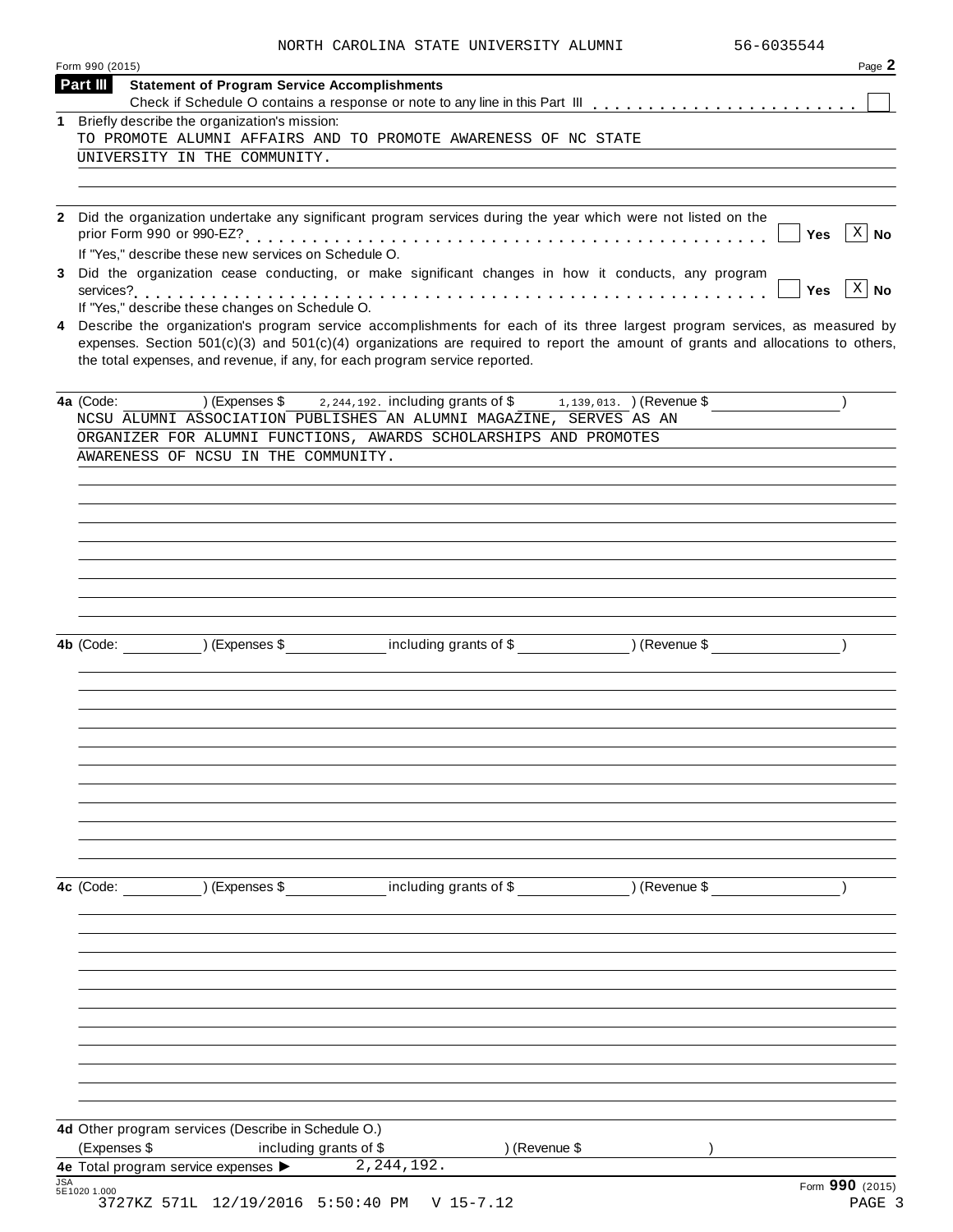|  | NORTH CAROLINA STATE UNIVERSITY ALUMNI | 56-6035544 |
|--|----------------------------------------|------------|
|  |                                        |            |

| Form 990 (2015)                                                                                                                                                                                                                                                                                                                                                                                         | Page 2                             |
|---------------------------------------------------------------------------------------------------------------------------------------------------------------------------------------------------------------------------------------------------------------------------------------------------------------------------------------------------------------------------------------------------------|------------------------------------|
| Part III<br><b>Statement of Program Service Accomplishments</b>                                                                                                                                                                                                                                                                                                                                         |                                    |
| Briefly describe the organization's mission:                                                                                                                                                                                                                                                                                                                                                            |                                    |
| TO PROMOTE ALUMNI AFFAIRS AND TO PROMOTE AWARENESS OF NC STATE                                                                                                                                                                                                                                                                                                                                          |                                    |
| UNIVERSITY IN THE COMMUNITY.                                                                                                                                                                                                                                                                                                                                                                            |                                    |
|                                                                                                                                                                                                                                                                                                                                                                                                         |                                    |
| Did the organization undertake any significant program services during the year which were not listed on the                                                                                                                                                                                                                                                                                            | $ X $ No<br>Yes                    |
| If "Yes," describe these new services on Schedule O.<br>Did the organization cease conducting, or make significant changes in how it conducts, any program                                                                                                                                                                                                                                              | $\lceil x \rceil$ No<br><b>Yes</b> |
| If "Yes," describe these changes on Schedule O.<br>Describe the organization's program service accomplishments for each of its three largest program services, as measured by<br>4<br>expenses. Section $501(c)(3)$ and $501(c)(4)$ organizations are required to report the amount of grants and allocations to others,<br>the total expenses, and revenue, if any, for each program service reported. |                                    |
| 2, 244, 192. including grants of \$1, 139, 013. (Revenue \$<br>4a (Code:<br>) (Expenses \$<br>NCSU ALUMNI ASSOCIATION PUBLISHES AN ALUMNI MAGAZINE, SERVES AS AN                                                                                                                                                                                                                                        |                                    |
| ORGANIZER FOR ALUMNI FUNCTIONS, AWARDS SCHOLARSHIPS AND PROMOTES                                                                                                                                                                                                                                                                                                                                        |                                    |
| AWARENESS OF NCSU IN THE COMMUNITY.                                                                                                                                                                                                                                                                                                                                                                     |                                    |
|                                                                                                                                                                                                                                                                                                                                                                                                         |                                    |
|                                                                                                                                                                                                                                                                                                                                                                                                         |                                    |
|                                                                                                                                                                                                                                                                                                                                                                                                         |                                    |
| including grants of \$ ) (Revenue \$<br>$\overline{\phantom{a}}$ ) (Expenses \$<br>4b (Code:                                                                                                                                                                                                                                                                                                            |                                    |
|                                                                                                                                                                                                                                                                                                                                                                                                         |                                    |
|                                                                                                                                                                                                                                                                                                                                                                                                         |                                    |
|                                                                                                                                                                                                                                                                                                                                                                                                         |                                    |
|                                                                                                                                                                                                                                                                                                                                                                                                         |                                    |
| including grants of \$ (Revenue \$)<br>) (Expenses \$<br>4c (Code:                                                                                                                                                                                                                                                                                                                                      |                                    |
|                                                                                                                                                                                                                                                                                                                                                                                                         |                                    |
|                                                                                                                                                                                                                                                                                                                                                                                                         |                                    |
|                                                                                                                                                                                                                                                                                                                                                                                                         |                                    |
|                                                                                                                                                                                                                                                                                                                                                                                                         |                                    |
| 4d Other program services (Describe in Schedule O.)<br>(Expenses \$<br>including grants of \$<br>) (Revenue \$                                                                                                                                                                                                                                                                                          |                                    |
| 4e Total program service expenses<br>2, 244, 192.                                                                                                                                                                                                                                                                                                                                                       |                                    |
| <b>JSA</b><br>5E1020 1.000<br>3727KZ 571L 12/19/2016 5:50:40 PM V 15-7.12                                                                                                                                                                                                                                                                                                                               | Form 990 (2015)<br>PAGE 3          |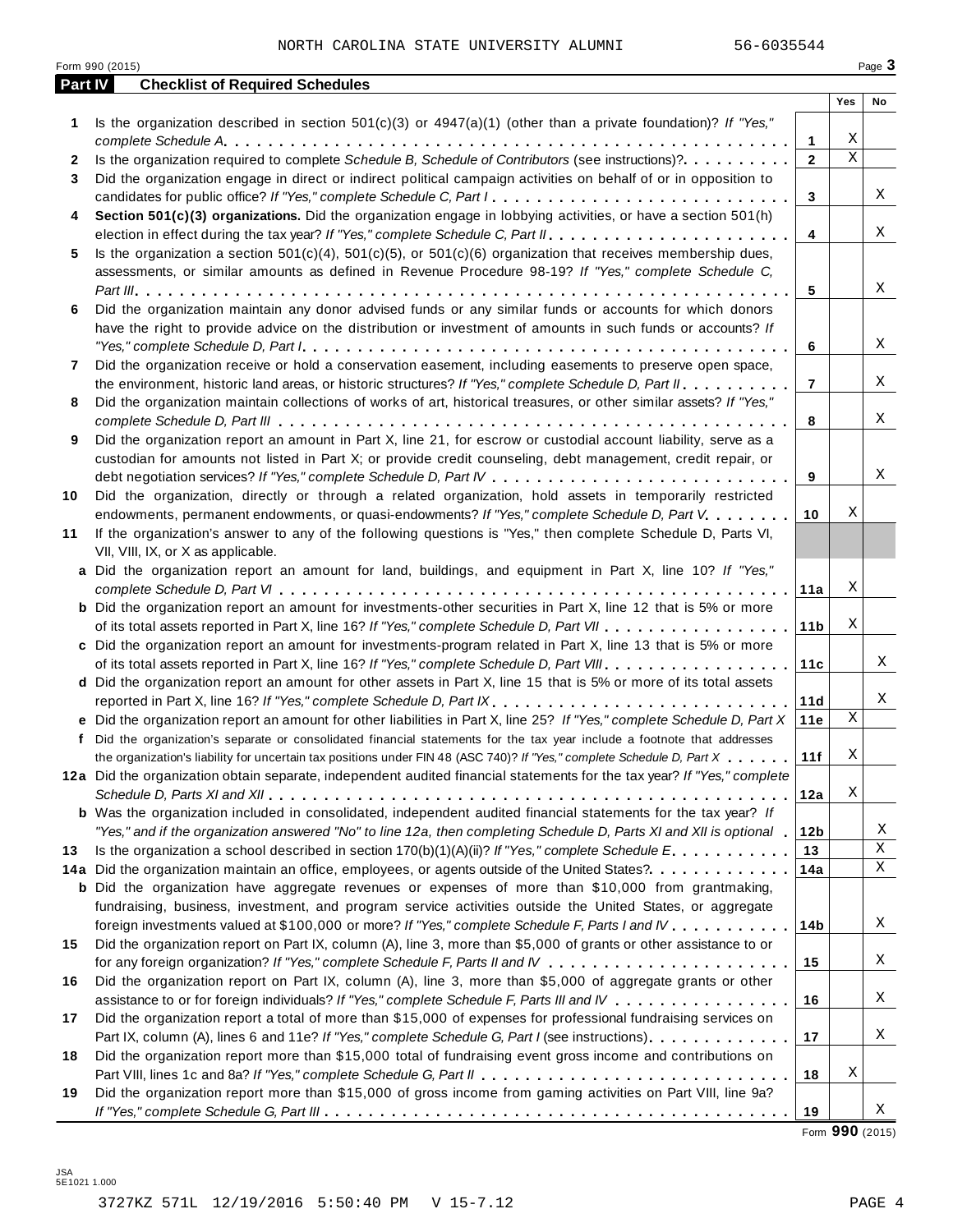|         | Form 990 (2015)                                                                                                                                                                                                                                                                                                                                                                               |                 |             | Page 3 |
|---------|-----------------------------------------------------------------------------------------------------------------------------------------------------------------------------------------------------------------------------------------------------------------------------------------------------------------------------------------------------------------------------------------------|-----------------|-------------|--------|
| Part IV | <b>Checklist of Required Schedules</b>                                                                                                                                                                                                                                                                                                                                                        |                 |             |        |
|         |                                                                                                                                                                                                                                                                                                                                                                                               |                 | Yes         | No     |
| 1       | Is the organization described in section $501(c)(3)$ or $4947(a)(1)$ (other than a private foundation)? If "Yes,"                                                                                                                                                                                                                                                                             |                 |             |        |
|         |                                                                                                                                                                                                                                                                                                                                                                                               | 1               | Χ           |        |
| 2       | Is the organization required to complete Schedule B, Schedule of Contributors (see instructions)?.                                                                                                                                                                                                                                                                                            | $\mathbf{2}$    | $\mathbf X$ |        |
| 3       | Did the organization engage in direct or indirect political campaign activities on behalf of or in opposition to                                                                                                                                                                                                                                                                              |                 |             |        |
|         | candidates for public office? If "Yes," complete Schedule C, Part I.                                                                                                                                                                                                                                                                                                                          | 3               |             | Χ      |
| 4       | Section 501(c)(3) organizations. Did the organization engage in lobbying activities, or have a section 501(h)                                                                                                                                                                                                                                                                                 |                 |             |        |
|         |                                                                                                                                                                                                                                                                                                                                                                                               | $\overline{4}$  |             | Χ      |
| 5       | Is the organization a section $501(c)(4)$ , $501(c)(5)$ , or $501(c)(6)$ organization that receives membership dues,                                                                                                                                                                                                                                                                          |                 |             |        |
|         | assessments, or similar amounts as defined in Revenue Procedure 98-19? If "Yes," complete Schedule C,                                                                                                                                                                                                                                                                                         |                 |             |        |
|         |                                                                                                                                                                                                                                                                                                                                                                                               | 5               |             | Χ      |
| 6       | Did the organization maintain any donor advised funds or any similar funds or accounts for which donors                                                                                                                                                                                                                                                                                       |                 |             |        |
|         | have the right to provide advice on the distribution or investment of amounts in such funds or accounts? If                                                                                                                                                                                                                                                                                   |                 |             |        |
|         | "Yes," complete Schedule D, Part $l_1, \ldots, l_k, \ldots, l_k, \ldots, l_k, \ldots, l_k, \ldots, l_k, \ldots, l_k, \ldots, l_k, \ldots, l_k, \ldots, l_k, \ldots, l_k, \ldots, l_k, \ldots, l_k, \ldots, l_k, \ldots, l_k, \ldots, l_k, \ldots, l_k, \ldots, l_k, \ldots, l_k, \ldots, l_k, \ldots, l_k, \ldots, l_k, \ldots, l_k, \ldots, l_k, \ldots, l_k, \ldots, l_k, \ldots, l_k, \ld$ | 6               |             | Χ      |
| 7       | Did the organization receive or hold a conservation easement, including easements to preserve open space,                                                                                                                                                                                                                                                                                     |                 |             |        |
|         | the environment, historic land areas, or historic structures? If "Yes," complete Schedule D, Part II.                                                                                                                                                                                                                                                                                         | $\overline{7}$  |             | Χ      |
| 8       | Did the organization maintain collections of works of art, historical treasures, or other similar assets? If "Yes,"                                                                                                                                                                                                                                                                           |                 |             | Χ      |
|         |                                                                                                                                                                                                                                                                                                                                                                                               | 8               |             |        |
| 9       | Did the organization report an amount in Part X, line 21, for escrow or custodial account liability, serve as a                                                                                                                                                                                                                                                                               |                 |             |        |
|         | custodian for amounts not listed in Part X; or provide credit counseling, debt management, credit repair, or                                                                                                                                                                                                                                                                                  |                 |             | Χ      |
|         |                                                                                                                                                                                                                                                                                                                                                                                               | 9               |             |        |
| 10      | Did the organization, directly or through a related organization, hold assets in temporarily restricted                                                                                                                                                                                                                                                                                       | 10              | Χ           |        |
|         | endowments, permanent endowments, or quasi-endowments? If "Yes," complete Schedule D, Part V.<br>If the organization's answer to any of the following questions is "Yes," then complete Schedule D, Parts VI,                                                                                                                                                                                 |                 |             |        |
| 11      | VII, VIII, IX, or X as applicable.                                                                                                                                                                                                                                                                                                                                                            |                 |             |        |
|         | a Did the organization report an amount for land, buildings, and equipment in Part X, line 10? If "Yes,"                                                                                                                                                                                                                                                                                      |                 |             |        |
|         |                                                                                                                                                                                                                                                                                                                                                                                               | 11a             | Χ           |        |
|         | <b>b</b> Did the organization report an amount for investments-other securities in Part X, line 12 that is 5% or more                                                                                                                                                                                                                                                                         |                 |             |        |
|         |                                                                                                                                                                                                                                                                                                                                                                                               | 11 <sub>b</sub> | Χ           |        |
|         | c Did the organization report an amount for investments-program related in Part X, line 13 that is 5% or more                                                                                                                                                                                                                                                                                 |                 |             |        |
|         |                                                                                                                                                                                                                                                                                                                                                                                               | 11c             |             | Χ      |
|         | d Did the organization report an amount for other assets in Part X, line 15 that is 5% or more of its total assets                                                                                                                                                                                                                                                                            |                 |             |        |
|         | reported in Part X, line 16? If "Yes," complete Schedule D, Part IX.                                                                                                                                                                                                                                                                                                                          | 11d             |             | Χ      |
|         | e Did the organization report an amount for other liabilities in Part X, line 25? If "Yes," complete Schedule D, Part X                                                                                                                                                                                                                                                                       | 11e             | Χ           |        |
|         | f Did the organization's separate or consolidated financial statements for the tax year include a footnote that addresses                                                                                                                                                                                                                                                                     |                 |             |        |
|         | the organization's liability for uncertain tax positions under FIN 48 (ASC 740)? If "Yes," complete Schedule D, Part X                                                                                                                                                                                                                                                                        | 11f             | $\mathbf X$ |        |
|         | 12a Did the organization obtain separate, independent audited financial statements for the tax year? If "Yes," complete                                                                                                                                                                                                                                                                       |                 |             |        |
|         |                                                                                                                                                                                                                                                                                                                                                                                               | 12a             | Χ           |        |
|         | <b>b</b> Was the organization included in consolidated, independent audited financial statements for the tax year? If                                                                                                                                                                                                                                                                         |                 |             |        |
|         | "Yes," and if the organization answered "No" to line 12a, then completing Schedule D, Parts XI and XII is optional "                                                                                                                                                                                                                                                                          | 12b             |             | Χ      |
| 13      | Is the organization a school described in section $170(b)(1)(A)(ii)?$ If "Yes," complete Schedule E.                                                                                                                                                                                                                                                                                          | 13              |             | Χ      |
|         | 14a Did the organization maintain an office, employees, or agents outside of the United States?.                                                                                                                                                                                                                                                                                              | 14a             |             | X      |
|         | <b>b</b> Did the organization have aggregate revenues or expenses of more than \$10,000 from grantmaking,                                                                                                                                                                                                                                                                                     |                 |             |        |
|         | fundraising, business, investment, and program service activities outside the United States, or aggregate                                                                                                                                                                                                                                                                                     |                 |             |        |
|         | foreign investments valued at \$100,000 or more? If "Yes," complete Schedule F, Parts I and IV                                                                                                                                                                                                                                                                                                | 14 <sub>b</sub> |             | Χ      |
| 15      | Did the organization report on Part IX, column (A), line 3, more than \$5,000 of grants or other assistance to or                                                                                                                                                                                                                                                                             |                 |             |        |
|         |                                                                                                                                                                                                                                                                                                                                                                                               | 15              |             | Χ      |
| 16      | Did the organization report on Part IX, column (A), line 3, more than \$5,000 of aggregate grants or other                                                                                                                                                                                                                                                                                    |                 |             |        |
|         | assistance to or for foreign individuals? If "Yes," complete Schedule F, Parts III and IV                                                                                                                                                                                                                                                                                                     | 16              |             | Χ      |
| 17      | Did the organization report a total of more than \$15,000 of expenses for professional fundraising services on                                                                                                                                                                                                                                                                                |                 |             |        |
|         | Part IX, column (A), lines 6 and 11e? If "Yes," complete Schedule G, Part I (see instructions)                                                                                                                                                                                                                                                                                                | 17              |             | Χ      |
| 18      | Did the organization report more than \$15,000 total of fundraising event gross income and contributions on                                                                                                                                                                                                                                                                                   |                 |             |        |
|         |                                                                                                                                                                                                                                                                                                                                                                                               | 18              | Χ           |        |
| 19      | Did the organization report more than \$15,000 of gross income from gaming activities on Part VIII, line 9a?                                                                                                                                                                                                                                                                                  |                 |             |        |
|         |                                                                                                                                                                                                                                                                                                                                                                                               | 19              |             | Χ      |

Form **990** (2015)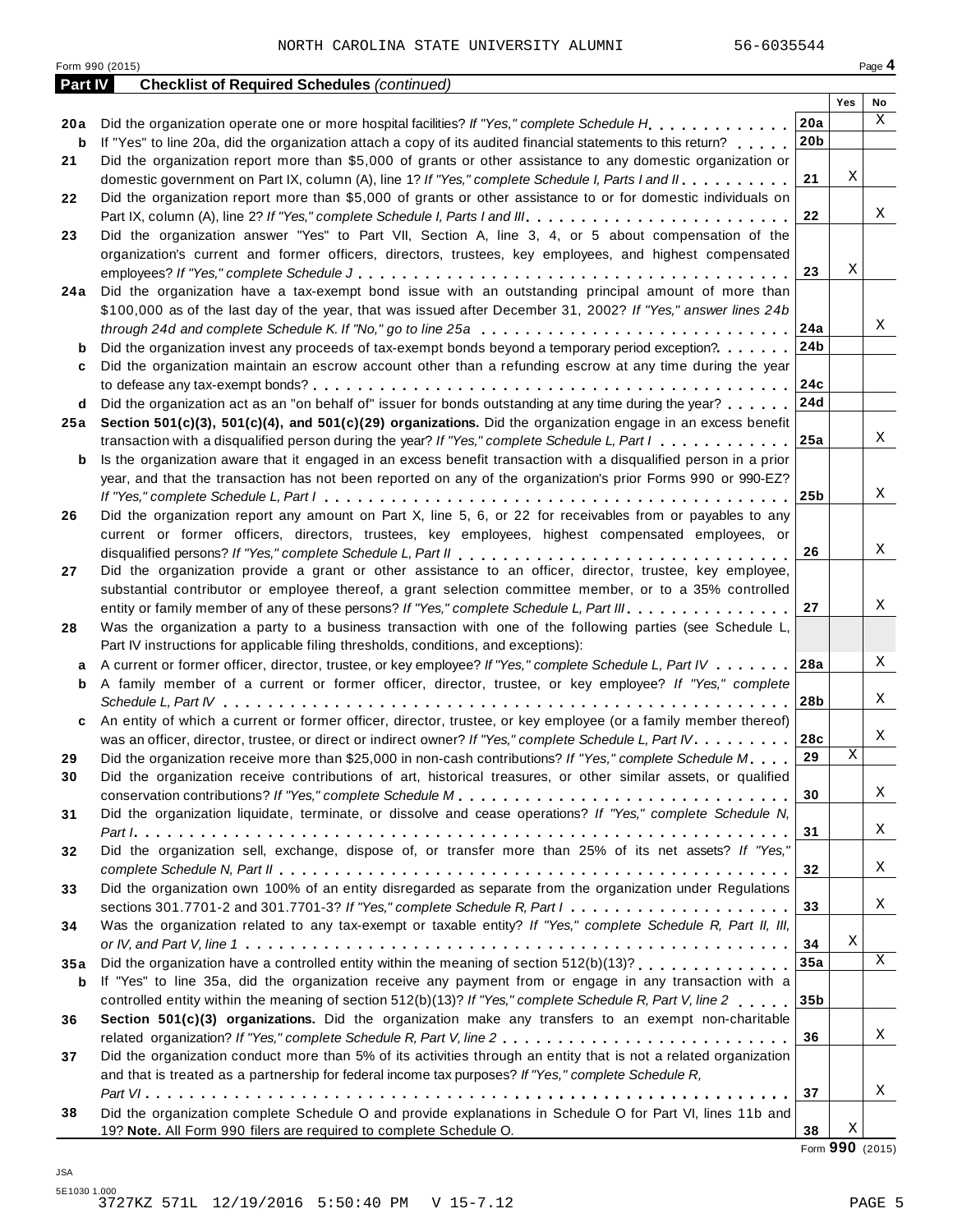Form <sup>990</sup> (2015) Page **4**

| <b>Part IV</b> | <b>Checklist of Required Schedules (continued)</b>                                                                                   |                 |     |    |
|----------------|--------------------------------------------------------------------------------------------------------------------------------------|-----------------|-----|----|
|                |                                                                                                                                      |                 | Yes | No |
| 20 a           | Did the organization operate one or more hospital facilities? If "Yes," complete Schedule H.                                         | 20a             |     | X  |
| b              | If "Yes" to line 20a, did the organization attach a copy of its audited financial statements to this return?                         | 20 <sub>b</sub> |     |    |
| 21             | Did the organization report more than \$5,000 of grants or other assistance to any domestic organization or                          |                 |     |    |
|                | domestic government on Part IX, column (A), line 1? If "Yes," complete Schedule I, Parts I and II.                                   | 21              | Χ   |    |
| 22             | Did the organization report more than \$5,000 of grants or other assistance to or for domestic individuals on                        |                 |     |    |
|                |                                                                                                                                      | 22              |     | X  |
| 23             | Did the organization answer "Yes" to Part VII, Section A, line 3, 4, or 5 about compensation of the                                  |                 |     |    |
|                | organization's current and former officers, directors, trustees, key employees, and highest compensated                              |                 |     |    |
|                |                                                                                                                                      | 23              | Χ   |    |
| 24 a           | Did the organization have a tax-exempt bond issue with an outstanding principal amount of more than                                  |                 |     |    |
|                | \$100,000 as of the last day of the year, that was issued after December 31, 2002? If "Yes," answer lines 24b                        |                 |     |    |
|                | through 24d and complete Schedule K. If "No," go to line 25a $\ldots \ldots \ldots \ldots \ldots \ldots \ldots \ldots \ldots \ldots$ | 24a             |     | Χ  |
| b              | Did the organization invest any proceeds of tax-exempt bonds beyond a temporary period exception?                                    | 24b             |     |    |
| c              | Did the organization maintain an escrow account other than a refunding escrow at any time during the year                            |                 |     |    |
|                |                                                                                                                                      | 24c             |     |    |
| d              | Did the organization act as an "on behalf of" issuer for bonds outstanding at any time during the year?                              | 24d             |     |    |
| 25 a           | Section 501(c)(3), 501(c)(4), and 501(c)(29) organizations. Did the organization engage in an excess benefit                         |                 |     |    |
|                | transaction with a disqualified person during the year? If "Yes," complete Schedule L, Part I                                        | 25a             |     | Χ  |
| b              | Is the organization aware that it engaged in an excess benefit transaction with a disqualified person in a prior                     |                 |     |    |
|                | year, and that the transaction has not been reported on any of the organization's prior Forms 990 or 990-EZ?                         |                 |     |    |
|                |                                                                                                                                      | 25 <sub>b</sub> |     | X  |
| 26             | Did the organization report any amount on Part X, line 5, 6, or 22 for receivables from or payables to any                           |                 |     |    |
|                | current or former officers, directors, trustees, key employees, highest compensated employees, or                                    |                 |     |    |
|                |                                                                                                                                      | 26              |     | X  |
| 27             | Did the organization provide a grant or other assistance to an officer, director, trustee, key employee,                             |                 |     |    |
|                | substantial contributor or employee thereof, a grant selection committee member, or to a 35% controlled                              |                 |     |    |
|                | entity or family member of any of these persons? If "Yes," complete Schedule L, Part III.                                            | 27              |     | Χ  |
| 28             | Was the organization a party to a business transaction with one of the following parties (see Schedule L,                            |                 |     |    |
|                | Part IV instructions for applicable filing thresholds, conditions, and exceptions):                                                  |                 |     |    |
| a              | A current or former officer, director, trustee, or key employee? If "Yes," complete Schedule L, Part IV                              | 28a             |     | Χ  |
| b              | A family member of a current or former officer, director, trustee, or key employee? If "Yes," complete                               |                 |     |    |
|                |                                                                                                                                      | 28b             |     | Χ  |
| c              | An entity of which a current or former officer, director, trustee, or key employee (or a family member thereof)                      |                 |     |    |
|                | was an officer, director, trustee, or direct or indirect owner? If "Yes," complete Schedule L, Part IV.                              | 28c             |     | Χ  |
| 29             | Did the organization receive more than \$25,000 in non-cash contributions? If "Yes," complete Schedule M.                            | 29              | Χ   |    |
| 30             | Did the organization receive contributions of art, historical treasures, or other similar assets, or qualified                       |                 |     |    |
|                |                                                                                                                                      | 30              |     | Χ  |
| 31             | Did the organization liquidate, terminate, or dissolve and cease operations? If "Yes," complete Schedule N,                          |                 |     |    |
|                |                                                                                                                                      | 31              |     | Χ  |
| 32             | Did the organization sell, exchange, dispose of, or transfer more than 25% of its net assets? If "Yes,"                              |                 |     |    |
|                |                                                                                                                                      | 32              |     | Χ  |
| 33             | Did the organization own 100% of an entity disregarded as separate from the organization under Regulations                           |                 |     |    |
|                | sections 301.7701-2 and 301.7701-3? If "Yes," complete Schedule R, Part $l_1, \ldots, l_l, l_l, \ldots, l_l, l_l, \ldots, l_l, l_l$  | 33              |     | Χ  |
| 34             | Was the organization related to any tax-exempt or taxable entity? If "Yes," complete Schedule R, Part II, III,                       |                 |     |    |
|                |                                                                                                                                      | 34              | Χ   |    |
| 35a            |                                                                                                                                      | 35a             |     | X  |
| b              | If "Yes" to line 35a, did the organization receive any payment from or engage in any transaction with a                              |                 |     |    |
|                | controlled entity within the meaning of section 512(b)(13)? If "Yes," complete Schedule R, Part V, line 2                            | 35 <sub>b</sub> |     |    |
| 36             | Section 501(c)(3) organizations. Did the organization make any transfers to an exempt non-charitable                                 |                 |     |    |
|                |                                                                                                                                      | 36              |     | Χ  |
| 37             | Did the organization conduct more than 5% of its activities through an entity that is not a related organization                     |                 |     |    |
|                | and that is treated as a partnership for federal income tax purposes? If "Yes," complete Schedule R,                                 |                 |     |    |
|                |                                                                                                                                      | 37              |     | Χ  |
| 38             | Did the organization complete Schedule O and provide explanations in Schedule O for Part VI, lines 11b and                           |                 |     |    |
|                | 19? Note. All Form 990 filers are required to complete Schedule O.                                                                   | 38              | Χ   |    |

Form **990** (2015)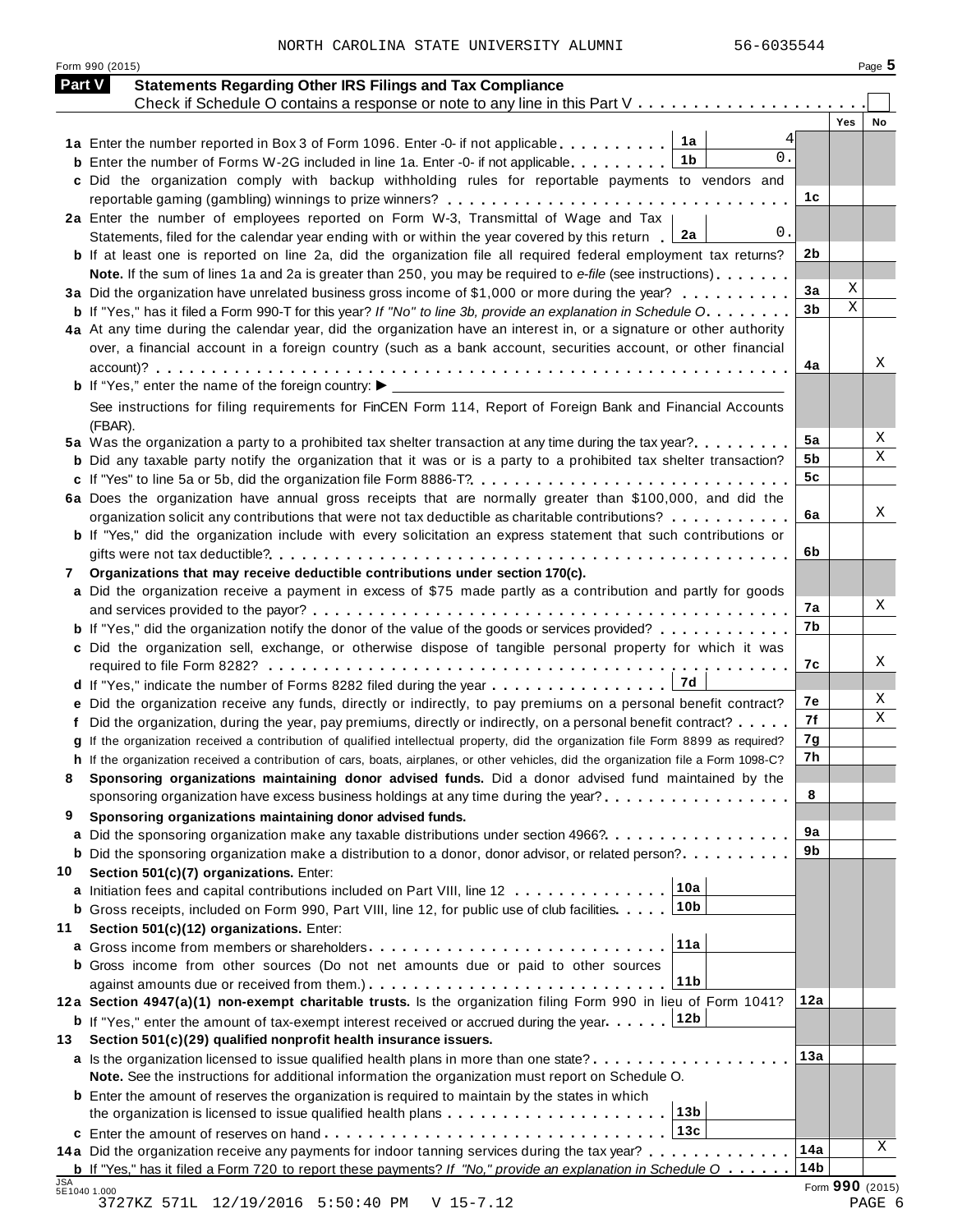NORTH CAROLINA STATE UNIVERSITY ALUMNI 56-6035544

Form <sup>990</sup> (2015) Page **5**

| <b>Part V</b> | <b>Statements Regarding Other IRS Filings and Tax Compliance</b>                                                                     |                 |                 |
|---------------|--------------------------------------------------------------------------------------------------------------------------------------|-----------------|-----------------|
|               | Check if Schedule O contains a response or note to any line in this Part V                                                           |                 | <b>Yes</b>      |
|               | 1a<br>1a Enter the number reported in Box 3 of Form 1096. Enter -0- if not applicable                                                |                 | No              |
|               | 0.<br>1b<br><b>b</b> Enter the number of Forms W-2G included in line 1a. Enter -0- if not applicable                                 |                 |                 |
|               | c Did the organization comply with backup withholding rules for reportable payments to vendors and                                   |                 |                 |
|               |                                                                                                                                      | 1c              |                 |
|               | 2a Enter the number of employees reported on Form W-3, Transmittal of Wage and Tax                                                   |                 |                 |
|               | 0.<br>2a<br>Statements, filed for the calendar year ending with or within the year covered by this return                            |                 |                 |
|               | <b>b</b> If at least one is reported on line 2a, did the organization file all required federal employment tax returns?              | 2b              |                 |
|               | Note. If the sum of lines 1a and 2a is greater than 250, you may be required to e-file (see instructions)                            |                 |                 |
|               | 3a Did the organization have unrelated business gross income of \$1,000 or more during the year?                                     | 3a              | Χ               |
|               | <b>b</b> If "Yes," has it filed a Form 990-T for this year? If "No" to line 3b, provide an explanation in Schedule O.                | 3 <sub>b</sub>  | X               |
|               | 4a At any time during the calendar year, did the organization have an interest in, or a signature or other authority                 |                 |                 |
|               | over, a financial account in a foreign country (such as a bank account, securities account, or other financial                       |                 |                 |
|               |                                                                                                                                      | 4a              | Χ               |
|               |                                                                                                                                      |                 |                 |
|               | See instructions for filing requirements for FinCEN Form 114, Report of Foreign Bank and Financial Accounts                          |                 |                 |
|               | (FBAR).                                                                                                                              |                 |                 |
|               | 5a Was the organization a party to a prohibited tax shelter transaction at any time during the tax year?                             | 5a              | X               |
|               | <b>b</b> Did any taxable party notify the organization that it was or is a party to a prohibited tax shelter transaction?            | 5b              | Χ               |
|               | c If "Yes" to line 5a or 5b, did the organization file Form 8886-T?                                                                  | 5c              |                 |
|               | 6a Does the organization have annual gross receipts that are normally greater than \$100,000, and did the                            |                 |                 |
|               | organization solicit any contributions that were not tax deductible as charitable contributions?                                     | 6a              | Χ               |
|               | <b>b</b> If "Yes," did the organization include with every solicitation an express statement that such contributions or              |                 |                 |
|               |                                                                                                                                      | 6b              |                 |
| 7             | Organizations that may receive deductible contributions under section 170(c).                                                        |                 |                 |
|               | a Did the organization receive a payment in excess of \$75 made partly as a contribution and partly for goods                        |                 |                 |
|               |                                                                                                                                      | 7а              | X               |
|               | <b>b</b> If "Yes," did the organization notify the donor of the value of the goods or services provided?                             | 7b              |                 |
|               | c Did the organization sell, exchange, or otherwise dispose of tangible personal property for which it was                           |                 |                 |
|               |                                                                                                                                      | 7c              | X               |
|               | 7d<br>d If "Yes," indicate the number of Forms 8282 filed during the year                                                            |                 |                 |
|               | e Did the organization receive any funds, directly or indirectly, to pay premiums on a personal benefit contract?                    | 7е              | Χ               |
|               | f Did the organization, during the year, pay premiums, directly or indirectly, on a personal benefit contract?                       | 7f              | X               |
|               | g If the organization received a contribution of qualified intellectual property, did the organization file Form 8899 as required?   | 7g              |                 |
|               | h If the organization received a contribution of cars, boats, airplanes, or other vehicles, did the organization file a Form 1098-C? | 7h              |                 |
|               | Sponsoring organizations maintaining donor advised funds. Did a donor advised fund maintained by the                                 |                 |                 |
|               | sponsoring organization have excess business holdings at any time during the year?                                                   | 8               |                 |
| 9             | Sponsoring organizations maintaining donor advised funds.                                                                            |                 |                 |
|               | a Did the sponsoring organization make any taxable distributions under section 4966?                                                 | 9a<br>9b        |                 |
|               | <b>b</b> Did the sponsoring organization make a distribution to a donor, donor advisor, or related person?                           |                 |                 |
| 10            | Section 501(c)(7) organizations. Enter:<br>10a                                                                                       |                 |                 |
|               | a Initiation fees and capital contributions included on Part VIII, line 12<br>10 <sub>b</sub>                                        |                 |                 |
|               | <b>b</b> Gross receipts, included on Form 990, Part VIII, line 12, for public use of club facilities                                 |                 |                 |
| 11            | Section 501(c)(12) organizations. Enter:<br>11a                                                                                      |                 |                 |
|               | <b>b</b> Gross income from other sources (Do not net amounts due or paid to other sources                                            |                 |                 |
|               | 11b                                                                                                                                  |                 |                 |
|               | 12a Section 4947(a)(1) non-exempt charitable trusts. Is the organization filing Form 990 in lieu of Form 1041?                       | 12a             |                 |
|               | 12b<br><b>b</b> If "Yes," enter the amount of tax-exempt interest received or accrued during the year                                |                 |                 |
| 13            | Section 501(c)(29) qualified nonprofit health insurance issuers.                                                                     |                 |                 |
|               | a Is the organization licensed to issue qualified health plans in more than one state?                                               | 13a             |                 |
|               | Note. See the instructions for additional information the organization must report on Schedule O.                                    |                 |                 |
|               | <b>b</b> Enter the amount of reserves the organization is required to maintain by the states in which                                |                 |                 |
|               | 13 <sub>b</sub>                                                                                                                      |                 |                 |
|               | 13c                                                                                                                                  |                 |                 |
|               | 14a Did the organization receive any payments for indoor tanning services during the tax year?                                       | 14a             | Χ               |
|               | <b>b</b> If "Yes," has it filed a Form 720 to report these payments? If "No," provide an explanation in Schedule $0$                 | 14 <sub>b</sub> |                 |
| JSA           | 5E1040 1.000                                                                                                                         |                 | Form 990 (2015) |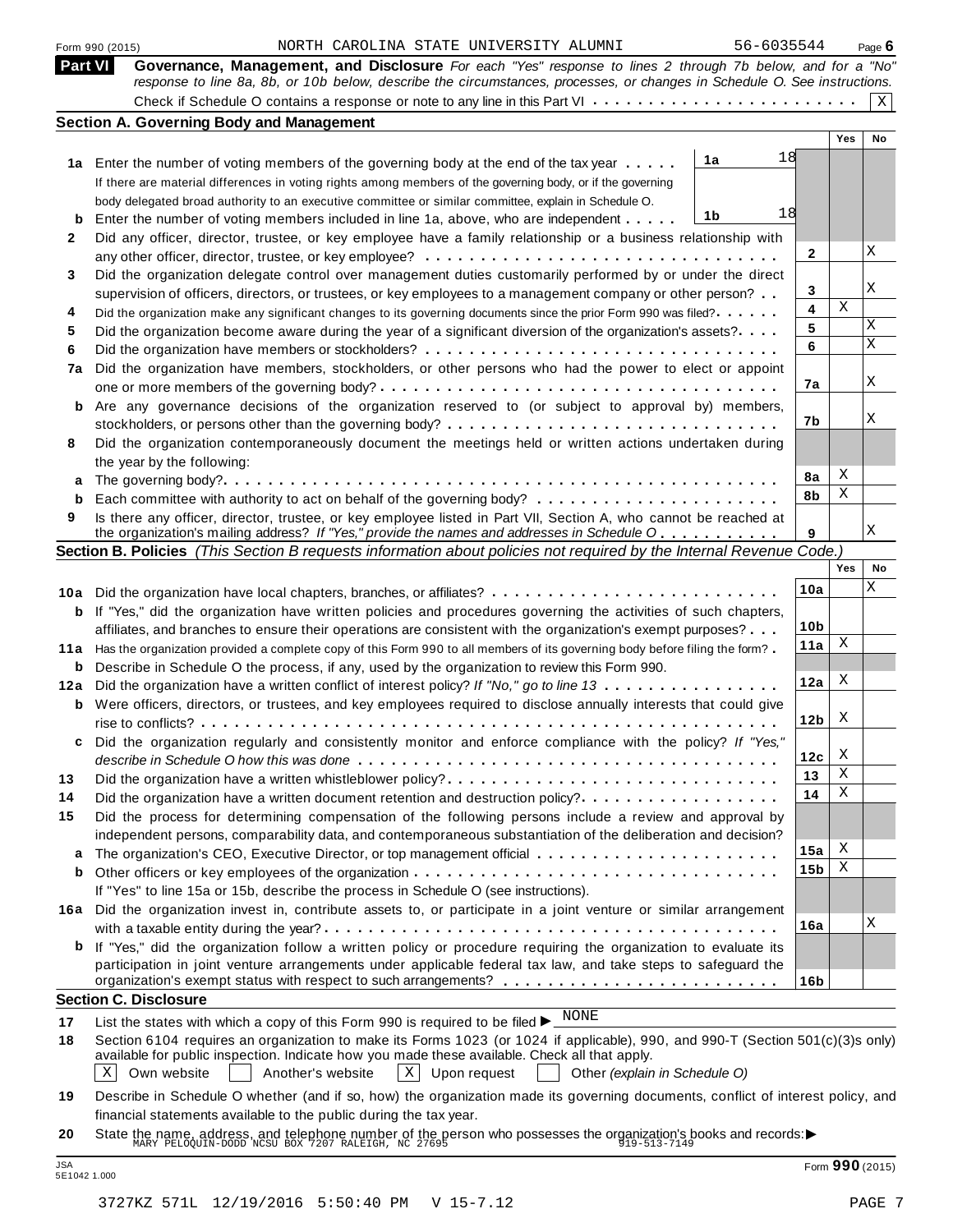|    | 56-6035544<br>NORTH CAROLINA STATE UNIVERSITY ALUMNI<br>Form 990 (2015)                                                                                                                                                                                   |                 |            | Page $6$     |
|----|-----------------------------------------------------------------------------------------------------------------------------------------------------------------------------------------------------------------------------------------------------------|-----------------|------------|--------------|
|    | Governance, Management, and Disclosure For each "Yes" response to lines 2 through 7b below, and for a "No"<br><b>Part VI</b><br>response to line 8a, 8b, or 10b below, describe the circumstances, processes, or changes in Schedule O. See instructions. |                 |            |              |
|    |                                                                                                                                                                                                                                                           |                 |            | $\mathbf{x}$ |
|    | <b>Section A. Governing Body and Management</b>                                                                                                                                                                                                           |                 |            |              |
|    |                                                                                                                                                                                                                                                           |                 | <b>Yes</b> | No           |
|    | 18<br>1a<br>1a Enter the number of voting members of the governing body at the end of the tax year                                                                                                                                                        |                 |            |              |
|    | If there are material differences in voting rights among members of the governing body, or if the governing                                                                                                                                               |                 |            |              |
|    | body delegated broad authority to an executive committee or similar committee, explain in Schedule O.                                                                                                                                                     |                 |            |              |
| b  | 18<br>1b<br>Enter the number of voting members included in line 1a, above, who are independent                                                                                                                                                            |                 |            |              |
| 2  | Did any officer, director, trustee, or key employee have a family relationship or a business relationship with                                                                                                                                            |                 |            |              |
|    |                                                                                                                                                                                                                                                           | 2               |            | X            |
| 3  | Did the organization delegate control over management duties customarily performed by or under the direct                                                                                                                                                 |                 |            |              |
|    | supervision of officers, directors, or trustees, or key employees to a management company or other person?                                                                                                                                                | 3               |            | Χ            |
| 4  | Did the organization make any significant changes to its governing documents since the prior Form 990 was filed?                                                                                                                                          | 4               | X          |              |
| 5  | Did the organization become aware during the year of a significant diversion of the organization's assets?                                                                                                                                                | 5               |            | Χ            |
| 6  |                                                                                                                                                                                                                                                           | 6               |            | Χ            |
| 7a | Did the organization have members, stockholders, or other persons who had the power to elect or appoint                                                                                                                                                   |                 |            |              |
|    |                                                                                                                                                                                                                                                           | 7a              |            | Χ            |
| b  | Are any governance decisions of the organization reserved to (or subject to approval by) members,                                                                                                                                                         |                 |            |              |
|    |                                                                                                                                                                                                                                                           | 7b              |            | Χ            |
| 8  | Did the organization contemporaneously document the meetings held or written actions undertaken during                                                                                                                                                    |                 |            |              |
|    | the year by the following:                                                                                                                                                                                                                                |                 |            |              |
| а  |                                                                                                                                                                                                                                                           | 8a              | Χ          |              |
| b  |                                                                                                                                                                                                                                                           | 8b              | Χ          |              |
| 9  | Is there any officer, director, trustee, or key employee listed in Part VII, Section A, who cannot be reached at                                                                                                                                          |                 |            |              |
|    | the organization's mailing address? If "Yes," provide the names and addresses in Schedule O                                                                                                                                                               | 9               |            | Χ            |
|    | Section B. Policies (This Section B requests information about policies not required by the Internal Revenue Code.)                                                                                                                                       |                 |            |              |
|    |                                                                                                                                                                                                                                                           |                 | Yes        | No           |
|    |                                                                                                                                                                                                                                                           | 10a             |            | Χ            |
| b  | If "Yes," did the organization have written policies and procedures governing the activities of such chapters,                                                                                                                                            |                 |            |              |
|    | affiliates, and branches to ensure their operations are consistent with the organization's exempt purposes?                                                                                                                                               | 10 <sub>b</sub> |            |              |
|    | 11a Has the organization provided a complete copy of this Form 990 to all members of its governing body before filing the form?                                                                                                                           | 11a             | X          |              |
| b  | Describe in Schedule O the process, if any, used by the organization to review this Form 990.                                                                                                                                                             |                 |            |              |
|    | 12a Did the organization have a written conflict of interest policy? If "No," go to line 13                                                                                                                                                               | 12a             | X          |              |
|    | <b>b</b> Were officers, directors, or trustees, and key employees required to disclose annually interests that could give                                                                                                                                 |                 |            |              |
|    |                                                                                                                                                                                                                                                           | 12 <sub>b</sub> | X          |              |
| c  | Did the organization regularly and consistently monitor and enforce compliance with the policy? If "Yes,"                                                                                                                                                 |                 |            |              |
|    |                                                                                                                                                                                                                                                           | 12c             | X          |              |
| 13 |                                                                                                                                                                                                                                                           | 13              | Χ          |              |
| 14 | Did the organization have a written document retention and destruction policy?                                                                                                                                                                            | 14              | Χ          |              |
| 15 | Did the process for determining compensation of the following persons include a review and approval by                                                                                                                                                    |                 |            |              |
|    | independent persons, comparability data, and contemporaneous substantiation of the deliberation and decision?                                                                                                                                             |                 |            |              |
| а  |                                                                                                                                                                                                                                                           | 15a             | X          |              |
| b  |                                                                                                                                                                                                                                                           | 15b             | Χ          |              |
|    | If "Yes" to line 15a or 15b, describe the process in Schedule O (see instructions).                                                                                                                                                                       |                 |            |              |
|    | 16a Did the organization invest in, contribute assets to, or participate in a joint venture or similar arrangement                                                                                                                                        |                 |            |              |
|    |                                                                                                                                                                                                                                                           | 16a             |            | Χ            |
|    |                                                                                                                                                                                                                                                           |                 |            |              |
| b  | If "Yes," did the organization follow a written policy or procedure requiring the organization to evaluate its                                                                                                                                            |                 |            |              |
|    | participation in joint venture arrangements under applicable federal tax law, and take steps to safeguard the                                                                                                                                             |                 |            |              |
|    |                                                                                                                                                                                                                                                           | 16b             |            |              |
|    | <b>Section C. Disclosure</b>                                                                                                                                                                                                                              |                 |            |              |
| 17 |                                                                                                                                                                                                                                                           |                 |            |              |
| 18 | List the states with which a copy of this Form 990 is required to be filed $\blacktriangleright$ NONE<br>Section 6104 requires an organization to make its Forms 1023 (or 1024 if applicable), 990, and 990-T (Section 501(c)(3)s only)                   |                 |            |              |

| 19 Describe in Schedule O whether (and if so, how) the organization made its governing documents, conflict of interest policy, and |  |
|------------------------------------------------------------------------------------------------------------------------------------|--|
| financial statements available to the public during the tax year.                                                                  |  |

**20** nnancial statements available to the public during the tax year.<br>State the name, address, and telephone number of the person who possesses the organization's books and records:<br><sup>MARY PELOQUIN-DODD NCSU BOX 7207 RALEIGH, NC</sup>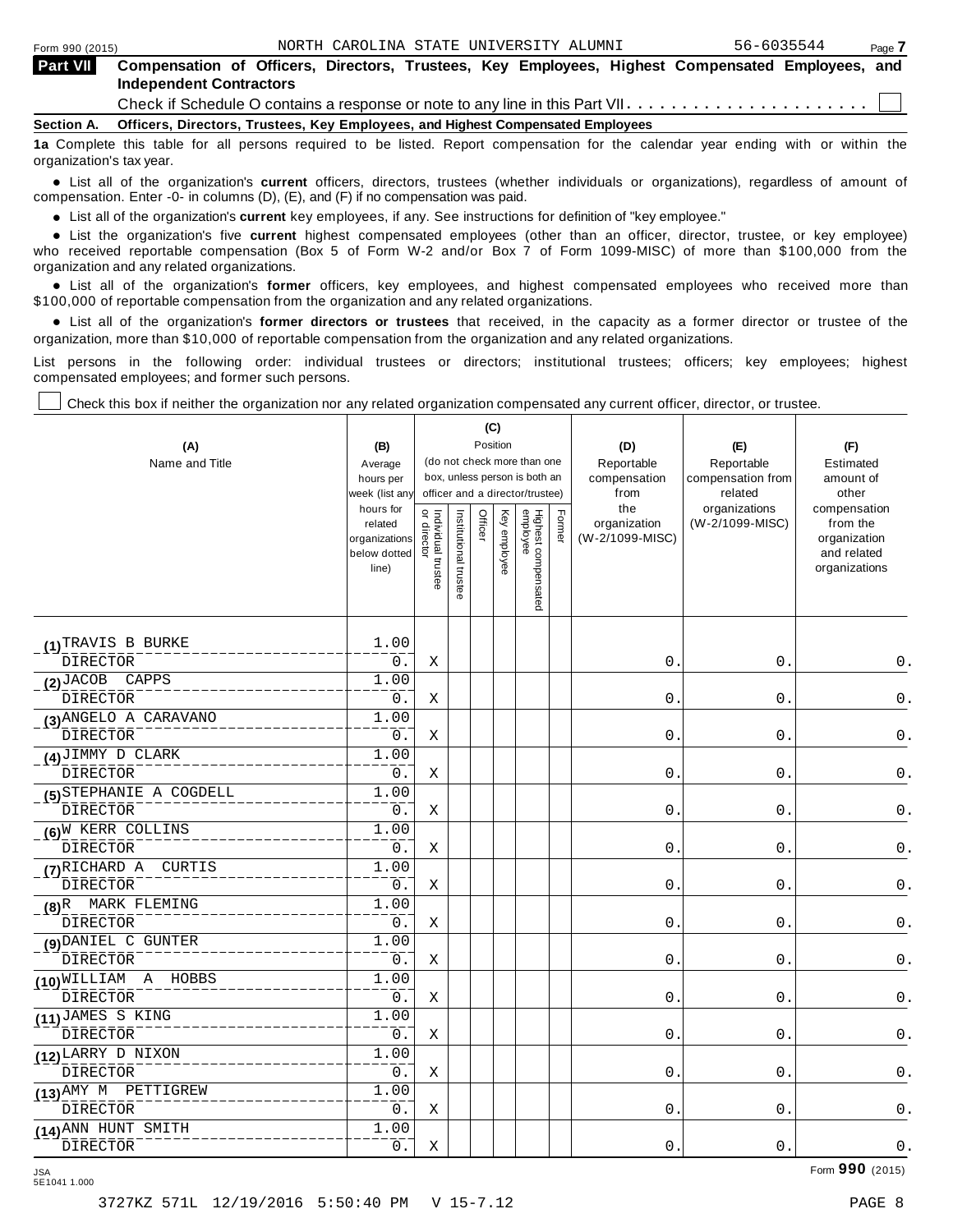| <b>Part VII</b> | Compensation of Officers, Directors, Trustees, Key Employees, Highest Compensated Employees, and<br><b>Independent Contractors</b> |  |  |  |  |  |  |  |  |
|-----------------|------------------------------------------------------------------------------------------------------------------------------------|--|--|--|--|--|--|--|--|
|                 | Check if Schedule O contains a response or note to any line in this Part VII $\dots\dots\dots\dots\dots\dots\dots\dots\dots\Box$   |  |  |  |  |  |  |  |  |
| Section A.      | Officers, Directors, Trustees, Key Employees, and Highest Compensated Employees                                                    |  |  |  |  |  |  |  |  |
|                 | 10 Complete this table for all persons required to be listed. Penert compensation for the colondar wear ending with ar within the  |  |  |  |  |  |  |  |  |

**1a** Complete this table for all persons required to be listed. Report compensation for the calendar year ending with or within the organization's tax year.

anization's lax year.<br>● List all of the organization's **current** officers, directors, trustees (whether individuals or organizations), regardless of amount of<br>nnensation Enter -0- in columns (D) (E) and (E) if no compensa compensation. Enter -0- in columns (D), (E), and (F) if no compensation was paid.

• List all of the organization's **current** key employees, if any. See instructions for definition of "key employee."<br>● List the experientials five expect highest expressed explores (other than an efficer director of

**Example in the organization's current** key employees, if any. See instructions for definition of key employee.<br>• List the organization's five **current** highest compensated employees (other than an officer, director, trust who received reportable compensation (Box 5 of Form W-2 and/or Box 7 of Form 1099-MISC) of more than \$100,000 from the

organization and any related organizations.<br>• List all of the organization's **former** officers, key employees, and highest compensated employees who received more than<br>\$1.00.000 of reportable componention from the erganiza \$100,000 of reportable compensation from the organization and any related organizations.

% List all of the organization's **former directors or trustees** that received, in the capacity as a former director or trustee of the organization, more than \$10,000 of reportable compensation from the organization and any related organizations.

List persons in the following order: individual trustees or directors; institutional trustees; officers; key employees; highest compensated employees; and former such persons.

Check this box if neither the organization nor any related organization compensated any current officer, director, or trustee.

|                                    |                             |                                                                                     |                       | (C)     |              |                                 |        |                      |                              |                              |
|------------------------------------|-----------------------------|-------------------------------------------------------------------------------------|-----------------------|---------|--------------|---------------------------------|--------|----------------------|------------------------------|------------------------------|
| (A)                                | (B)                         | Position<br>(do not check more than one<br>Average<br>box, unless person is both an |                       |         |              |                                 |        | (D)                  | (E)                          | (F)                          |
| Name and Title                     |                             |                                                                                     |                       |         |              |                                 |        | Reportable           | Reportable                   | Estimated                    |
|                                    | hours per<br>week (list any |                                                                                     |                       |         |              | officer and a director/trustee) |        | compensation<br>from | compensation from<br>related | amount of<br>other           |
|                                    | hours for                   |                                                                                     |                       |         |              |                                 |        | the                  | organizations                | compensation                 |
|                                    | related                     | $\vec{\mathsf{d}}$<br>Individual trustee                                            | Institutional trustee | Officer | Key employee |                                 | Former | organization         | (W-2/1099-MISC)              | from the                     |
|                                    | organizations               | director                                                                            |                       |         |              |                                 |        | (W-2/1099-MISC)      |                              | organization                 |
|                                    | below dotted<br>line)       |                                                                                     |                       |         |              |                                 |        |                      |                              | and related<br>organizations |
|                                    |                             |                                                                                     |                       |         |              |                                 |        |                      |                              |                              |
|                                    |                             |                                                                                     |                       |         |              | Highest compensated<br>employee |        |                      |                              |                              |
|                                    |                             |                                                                                     |                       |         |              |                                 |        |                      |                              |                              |
| (1) TRAVIS B BURKE                 | 1.00                        |                                                                                     |                       |         |              |                                 |        |                      |                              |                              |
| <b>DIRECTOR</b>                    | 0.                          | Χ                                                                                   |                       |         |              |                                 |        | 0.                   | $0$ .                        | 0.                           |
| $(2)$ JACOB CAPPS                  | 1.00                        |                                                                                     |                       |         |              |                                 |        |                      |                              |                              |
| <b>DIRECTOR</b>                    | $0$ .                       | Χ                                                                                   |                       |         |              |                                 |        | $0$ .                | 0.                           | 0.                           |
| (3) ANGELO A CARAVANO              | 1.00                        |                                                                                     |                       |         |              |                                 |        |                      |                              |                              |
| <b>DIRECTOR</b>                    | 0.                          | Χ                                                                                   |                       |         |              |                                 |        | 0.                   | 0.                           | 0.                           |
| $(4)$ JIMMY D CLARK                | 1.00                        |                                                                                     |                       |         |              |                                 |        |                      |                              |                              |
| DIRECTOR                           | 0.                          | Χ                                                                                   |                       |         |              |                                 |        | $\mathsf{O}$ .       | $0$ .                        | $\mathsf 0$ .                |
| (5) STEPHANIE A COGDELL            | 1.00                        |                                                                                     |                       |         |              |                                 |        |                      |                              |                              |
| <b>DIRECTOR</b>                    | $0$ .                       | Χ                                                                                   |                       |         |              |                                 |        | 0.                   | 0.                           | $\mathsf 0$ .                |
| $(6)^N$ KERR COLLINS               | 1.00                        |                                                                                     |                       |         |              |                                 |        |                      |                              |                              |
| <b>DIRECTOR</b>                    | 0.                          | Χ                                                                                   |                       |         |              |                                 |        | 0.                   | 0.                           | 0.                           |
| (7) RICHARD A CURTIS               | 1.00                        |                                                                                     |                       |         |              |                                 |        |                      |                              |                              |
| <b>DIRECTOR</b>                    | 0.                          | Χ                                                                                   |                       |         |              |                                 |        | 0.                   | 0.                           | 0.                           |
| $(8)^R$ MARK FLEMING               | 1.00                        |                                                                                     |                       |         |              |                                 |        |                      |                              |                              |
| <b>DIRECTOR</b>                    | 0.                          | Χ                                                                                   |                       |         |              |                                 |        | $\mathsf{O}$ .       | 0.                           | 0.                           |
| (9) DANIEL C GUNTER                | 1.00                        |                                                                                     |                       |         |              |                                 |        |                      |                              |                              |
| <b>DIRECTOR</b>                    | $0$ .                       | Χ                                                                                   |                       |         |              |                                 |        | $0$ .                | $\mathbf 0$ .                | $0$ .                        |
| A HOBBS<br>$(10)^{\text{WILLLIM}}$ | 1.00                        |                                                                                     |                       |         |              |                                 |        |                      |                              |                              |
| <b>DIRECTOR</b>                    | 0.                          | Χ                                                                                   |                       |         |              |                                 |        | 0.                   | 0.                           | 0.                           |
| (11) JAMES S KING                  | 1.00                        |                                                                                     |                       |         |              |                                 |        |                      |                              |                              |
| <b>DIRECTOR</b>                    | $0$ .                       | Χ                                                                                   |                       |         |              |                                 |        | 0.                   | 0.                           | 0.                           |
| (12) LARRY D NIXON                 | 1.00                        |                                                                                     |                       |         |              |                                 |        |                      |                              |                              |
| <b>DIRECTOR</b>                    | $0$ .                       | Χ                                                                                   |                       |         |              |                                 |        | 0.                   | 0.                           | 0.                           |
| (13) AMY M PETTIGREW               | 1.00                        |                                                                                     |                       |         |              |                                 |        |                      |                              |                              |
| <b>DIRECTOR</b>                    | 0.                          | Χ                                                                                   |                       |         |              |                                 |        | 0.                   | $\mathbf 0$ .                | 0.                           |
| (14) ANN HUNT SMITH                | 1.00                        |                                                                                     |                       |         |              |                                 |        |                      |                              |                              |
| <b>DIRECTOR</b>                    | $0$ .                       | Χ                                                                                   |                       |         |              |                                 |        | 0.                   | $0$ .                        | 0.                           |

5E1041 1.000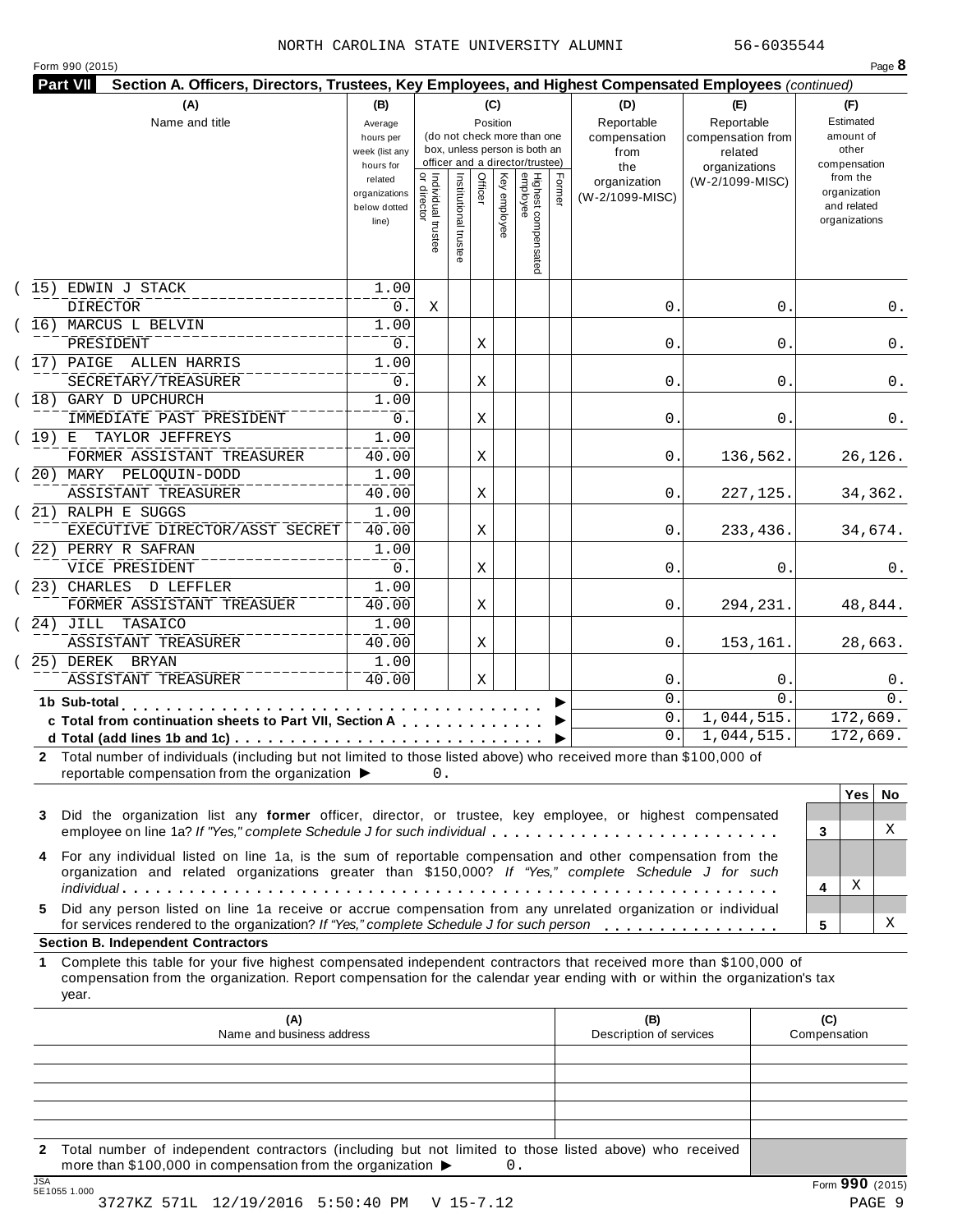#### NORTH CAROLINA STATE UNIVERSITY ALUMNI 56-6035544

|  |  | Form 990 (2015) |
|--|--|-----------------|
|--|--|-----------------|

| (A)                                                                                                                                                                                        | (B)                           |                                          |                       | (C)          |                                                              |        | (D)                  | (E)                          | (F)                         |
|--------------------------------------------------------------------------------------------------------------------------------------------------------------------------------------------|-------------------------------|------------------------------------------|-----------------------|--------------|--------------------------------------------------------------|--------|----------------------|------------------------------|-----------------------------|
| Name and title                                                                                                                                                                             | Average                       |                                          |                       | Position     |                                                              |        | Reportable           | Reportable                   | Estimated                   |
|                                                                                                                                                                                            | hours per<br>week (list any   |                                          |                       |              | (do not check more than one<br>box, unless person is both an |        | compensation<br>from | compensation from<br>related | amount of<br>other          |
|                                                                                                                                                                                            | hours for                     |                                          |                       |              | officer and a director/trustee)                              |        | the                  | organizations                | compensation                |
|                                                                                                                                                                                            | related                       |                                          |                       | Officer      |                                                              | Former | organization         | (W-2/1099-MISC)              | from the                    |
|                                                                                                                                                                                            | organizations<br>below dotted |                                          |                       |              |                                                              |        | (W-2/1099-MISC)      |                              | organization<br>and related |
|                                                                                                                                                                                            | line)                         |                                          |                       | Key employee |                                                              |        |                      |                              | organizations               |
|                                                                                                                                                                                            |                               | Individual trustee<br> <br>  or director | Institutional trustee |              |                                                              |        |                      |                              |                             |
|                                                                                                                                                                                            |                               |                                          |                       |              | Highest compensated<br>employee                              |        |                      |                              |                             |
| (15) EDWIN J STACK                                                                                                                                                                         | 1.00                          |                                          |                       |              |                                                              |        |                      |                              |                             |
| <b>DIRECTOR</b>                                                                                                                                                                            | 0.                            | Χ                                        |                       |              |                                                              |        | 0.                   | 0.                           | 0.                          |
| (16) MARCUS L BELVIN                                                                                                                                                                       | 1.00                          |                                          |                       |              |                                                              |        |                      |                              |                             |
| PRESIDENT                                                                                                                                                                                  | 0.                            |                                          |                       | Χ            |                                                              |        | 0.                   | 0                            | 0.                          |
| (17) PAIGE ALLEN HARRIS                                                                                                                                                                    | 1.00                          |                                          |                       |              |                                                              |        |                      |                              |                             |
| SECRETARY/TREASURER                                                                                                                                                                        | 0.                            |                                          |                       | Χ            |                                                              |        | 0.                   | 0                            | 0.                          |
| (18) GARY D UPCHURCH                                                                                                                                                                       | 1.00                          |                                          |                       |              |                                                              |        |                      |                              |                             |
| IMMEDIATE PAST PRESIDENT<br>(19) E TAYLOR JEFFREYS                                                                                                                                         | $0$ .<br>$\overline{1}$ .00   |                                          |                       | Χ            |                                                              |        | 0.                   | 0                            | 0.                          |
| FORMER ASSISTANT TREASURER                                                                                                                                                                 | 40.00                         |                                          |                       | Χ            |                                                              |        | 0.                   | 136,562.                     | 26,126.                     |
| (20) MARY PELOQUIN-DODD                                                                                                                                                                    | 1.00                          |                                          |                       |              |                                                              |        |                      |                              |                             |
| ASSISTANT TREASURER                                                                                                                                                                        | 40.00                         |                                          |                       | Χ            |                                                              |        | 0.                   | 227, 125.                    | 34,362.                     |
| (21) RALPH E SUGGS                                                                                                                                                                         | 1.00                          |                                          |                       |              |                                                              |        |                      |                              |                             |
| EXECUTIVE DIRECTOR/ASST SECRET                                                                                                                                                             | 40.00                         |                                          |                       | Χ            |                                                              |        | 0.                   | 233,436.                     | 34,674.                     |
| (22) PERRY R SAFRAN                                                                                                                                                                        | 1.00                          |                                          |                       |              |                                                              |        |                      |                              |                             |
| VICE PRESIDENT                                                                                                                                                                             | $0$ .                         |                                          |                       | Χ            |                                                              |        | 0.                   | $\mathbf 0$ .                | 0.                          |
| (23) CHARLES D LEFFLER                                                                                                                                                                     | $\overline{1}$ .00            |                                          |                       |              |                                                              |        |                      |                              |                             |
| FORMER ASSISTANT TREASUER                                                                                                                                                                  | 40.00                         |                                          |                       | Χ            |                                                              |        | 0.                   | 294,231.                     | 48,844.                     |
| (24) JILL TASAICO                                                                                                                                                                          | 1.00                          |                                          |                       |              |                                                              |        |                      |                              |                             |
| ASSISTANT TREASURER                                                                                                                                                                        | 40.00                         |                                          |                       | Χ            |                                                              |        | 0.                   | 153,161.                     | 28,663.                     |
| 25) DEREK BRYAN                                                                                                                                                                            | 1.00                          |                                          |                       |              |                                                              |        |                      |                              |                             |
| ASSISTANT TREASURER                                                                                                                                                                        | 40.00                         |                                          |                       | Χ            |                                                              |        | 0.                   | $\mathbf 0$ .                | 0.                          |
| 1b Sub-total                                                                                                                                                                               |                               |                                          |                       |              |                                                              |        | 0.                   | $\mathbf 0$ .                | 0.                          |
| c Total from continuation sheets to Part VII, Section A                                                                                                                                    |                               |                                          |                       |              |                                                              |        | 0.                   | $\overline{1,044,515}$ .     | 172,669.                    |
|                                                                                                                                                                                            |                               |                                          |                       |              |                                                              | ▶      | 0.                   | 1,044,515.                   | 172,669.                    |
| 2 Total number of individuals (including but not limited to those listed above) who received more than \$100,000 of<br>reportable compensation from the organization $\blacktriangleright$ |                               | 0.                                       |                       |              |                                                              |        |                      |                              |                             |
|                                                                                                                                                                                            |                               |                                          |                       |              |                                                              |        |                      |                              | <b>Yes</b><br>No.           |
| Did the organization list any former officer, director, or trustee, key employee, or highest compensated<br>3                                                                              |                               |                                          |                       |              |                                                              |        |                      |                              |                             |
| employee on line 1a? If "Yes," complete Schedule J for such individual                                                                                                                     |                               |                                          |                       |              |                                                              |        |                      |                              | Χ<br>3                      |

*individual* m m m m m m m m m m m m m m m m m m m m m m m m m m m m m m m m m m m m m m m m m m m m m m m m m m m m m m m m m m m **<sup>4</sup> 5** Did any person listed on line 1a receive or accrue compensation from any unrelated organization or individual for services rendered to the organization? *If"Yes," complete Schedule <sup>J</sup> for such person* mm m m m m m m m m m m m m m m **<sup>5</sup>**

## **Section B. Independent Contractors**

**1** Complete this table for your five highest compensated independent contractors that received more than \$100,000 of compensation from the organization. Report compensation for the calendar year ending with or within the organization's tax year.

|             | (A)<br>Name and business address                                                                                                                                                          | (B)<br>Description of services | (C)<br>Compensation |
|-------------|-------------------------------------------------------------------------------------------------------------------------------------------------------------------------------------------|--------------------------------|---------------------|
|             |                                                                                                                                                                                           |                                |                     |
|             |                                                                                                                                                                                           |                                |                     |
|             |                                                                                                                                                                                           |                                |                     |
|             |                                                                                                                                                                                           |                                |                     |
|             |                                                                                                                                                                                           |                                |                     |
| $2^{\circ}$ | Total number of independent contractors (including but not limited to those listed above) who received<br>more than \$100,000 in compensation from the organization $\blacktriangleright$ |                                |                     |
| ICA         |                                                                                                                                                                                           |                                | $\sim$              |

X

X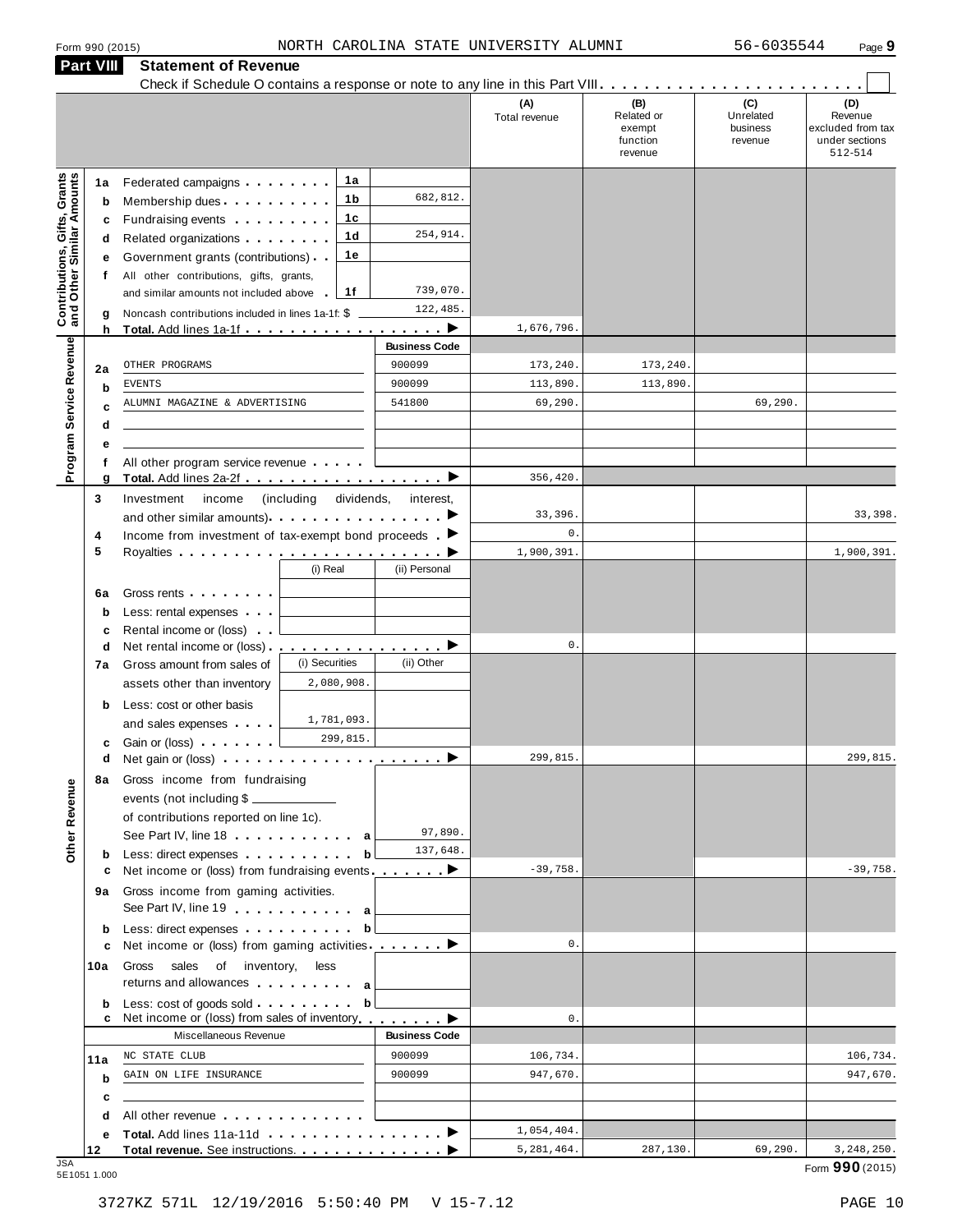**Part VIII Statement of Revenue**

|                                                           | <b>Part VIII</b> | <b>Statement of Revenue</b>                                                                                   |                       |                      |                      |                                                    |                                         |                                                                  |
|-----------------------------------------------------------|------------------|---------------------------------------------------------------------------------------------------------------|-----------------------|----------------------|----------------------|----------------------------------------------------|-----------------------------------------|------------------------------------------------------------------|
|                                                           |                  |                                                                                                               |                       |                      | (A)<br>Total revenue | (B)<br>Related or<br>exempt<br>function<br>revenue | (C)<br>Unrelated<br>business<br>revenue | (D)<br>Revenue<br>excluded from tax<br>under sections<br>512-514 |
|                                                           | 1а               | Federated campaigns                                                                                           | 1a                    |                      |                      |                                                    |                                         |                                                                  |
|                                                           | b                | Membership dues                                                                                               | 1b                    | 682,812.             |                      |                                                    |                                         |                                                                  |
|                                                           | c                | Fundraising events <b>Fundraising</b>                                                                         | 1c                    |                      |                      |                                                    |                                         |                                                                  |
|                                                           | d                | Related organizations <b>contains</b> and <b>Related</b> organizations <b>and relations</b>                   | 1d                    | 254,914.             |                      |                                                    |                                         |                                                                  |
| Contributions, Gifts, Grants<br>and Other Similar Amounts | е                | Government grants (contributions)                                                                             | 1e                    |                      |                      |                                                    |                                         |                                                                  |
|                                                           | f                | All other contributions, gifts, grants,                                                                       |                       |                      |                      |                                                    |                                         |                                                                  |
|                                                           |                  | and similar amounts not included above                                                                        | 1f                    | 739,070.             |                      |                                                    |                                         |                                                                  |
|                                                           | g                | Noncash contributions included in lines 1a-1f: \$                                                             |                       | 122,485.             |                      |                                                    |                                         |                                                                  |
|                                                           | h                | Total. Add lines 1a-1f ▶                                                                                      |                       | <b>Business Code</b> | 1,676,796.           |                                                    |                                         |                                                                  |
|                                                           |                  | OTHER PROGRAMS                                                                                                |                       | 900099               | 173,240.             | 173,240.                                           |                                         |                                                                  |
| Program Service Revenue                                   | 2a               | <b>EVENTS</b>                                                                                                 |                       | 900099               | 113,890.             | 113,890.                                           |                                         |                                                                  |
|                                                           | b                | ALUMNI MAGAZINE & ADVERTISING                                                                                 |                       | 541800               | 69,290.              |                                                    | 69,290.                                 |                                                                  |
|                                                           | c<br>d           |                                                                                                               |                       |                      |                      |                                                    |                                         |                                                                  |
|                                                           | е                |                                                                                                               |                       |                      |                      |                                                    |                                         |                                                                  |
|                                                           | f                | All other program service revenue                                                                             |                       |                      |                      |                                                    |                                         |                                                                  |
|                                                           | g                |                                                                                                               |                       |                      | 356,420.             |                                                    |                                         |                                                                  |
|                                                           | 3                | Investment<br>income                                                                                          | (including dividends, | interest,            |                      |                                                    |                                         |                                                                  |
|                                                           |                  |                                                                                                               |                       |                      | 33,396.              |                                                    |                                         | 33,398.                                                          |
|                                                           | 4                | Income from investment of tax-exempt bond proceeds $\blacksquare$                                             |                       |                      | $\mathbf{0}$ .       |                                                    |                                         |                                                                  |
|                                                           | 5                |                                                                                                               |                       |                      | 1,900,391.           |                                                    |                                         | 1,900,391.                                                       |
|                                                           |                  |                                                                                                               | (i) Real              | (ii) Personal        |                      |                                                    |                                         |                                                                  |
|                                                           | 6a               | Gross rents                                                                                                   |                       |                      |                      |                                                    |                                         |                                                                  |
|                                                           | b                | Less: rental expenses                                                                                         |                       |                      |                      |                                                    |                                         |                                                                  |
|                                                           | c                | Rental income or (loss)                                                                                       |                       |                      |                      |                                                    |                                         |                                                                  |
|                                                           | d                | Net rental income or (loss) . <u>. ▶</u>                                                                      |                       |                      | $0$ .                |                                                    |                                         |                                                                  |
|                                                           | 7а               | Gross amount from sales of                                                                                    | (i) Securities        | (ii) Other           |                      |                                                    |                                         |                                                                  |
|                                                           |                  | assets other than inventory                                                                                   | 2,080,908.            |                      |                      |                                                    |                                         |                                                                  |
|                                                           | b                | Less: cost or other basis                                                                                     | 1,781,093.            |                      |                      |                                                    |                                         |                                                                  |
|                                                           |                  | and sales expenses                                                                                            | 299,815.              |                      |                      |                                                    |                                         |                                                                  |
|                                                           | c                | Gain or (loss) <b>Cain Contains and Containing</b>                                                            |                       |                      | 299,815              |                                                    |                                         | 299,815.                                                         |
|                                                           |                  | d Net gain or (loss) example and not apply the set of Net gain or (loss)                                      |                       |                      |                      |                                                    |                                         |                                                                  |
|                                                           |                  | 8a Gross income from fundraising<br>events (not including \$                                                  |                       |                      |                      |                                                    |                                         |                                                                  |
|                                                           |                  | of contributions reported on line 1c).                                                                        |                       |                      |                      |                                                    |                                         |                                                                  |
|                                                           |                  | See Part IV, line 18 a                                                                                        |                       | 97,890.              |                      |                                                    |                                         |                                                                  |
| Other Revenue                                             | b                | Less: direct expenses                                                                                         | b                     | 137,648.             |                      |                                                    |                                         |                                                                  |
|                                                           | c                | Net income or (loss) from fundraising events ________ ▶                                                       |                       |                      | $-39,758.$           |                                                    |                                         | $-39,758.$                                                       |
|                                                           | 9а               | Gross income from gaming activities.                                                                          |                       |                      |                      |                                                    |                                         |                                                                  |
|                                                           |                  | See Part IV, line 19 a                                                                                        |                       |                      |                      |                                                    |                                         |                                                                  |
|                                                           | b                | Less: direct expenses                                                                                         | b                     |                      |                      |                                                    |                                         |                                                                  |
|                                                           | c                | Net income or (loss) from gaming activities ________                                                          |                       |                      | $\mathbf{0}$ .       |                                                    |                                         |                                                                  |
|                                                           | 10a              | Gross sales of inventory,<br>returns and allowances and allowances                                            | less                  |                      |                      |                                                    |                                         |                                                                  |
|                                                           | b<br>c           | Less: cost of goods sold<br>Net income or (loss) from sales of inventory                                      | b                     |                      | $\mathsf{0}$ .       |                                                    |                                         |                                                                  |
|                                                           |                  | Miscellaneous Revenue                                                                                         |                       | <b>Business Code</b> |                      |                                                    |                                         |                                                                  |
|                                                           | 11a              | NC STATE CLUB                                                                                                 |                       | 900099               | 106,734.             |                                                    |                                         | 106,734.                                                         |
|                                                           | b                | GAIN ON LIFE INSURANCE                                                                                        |                       | 900099               | 947,670.             |                                                    |                                         | 947,670.                                                         |
|                                                           | c                |                                                                                                               |                       |                      |                      |                                                    |                                         |                                                                  |
|                                                           | d                | All other revenue entitled and a series of the series of the series of the series of the series of the series |                       |                      |                      |                                                    |                                         |                                                                  |
|                                                           | е                |                                                                                                               |                       |                      | 1,054,404.           |                                                    |                                         |                                                                  |
| .ISA                                                      | 12               | Total revenue. See instructions.                                                                              |                       |                      | 5,281,464.           | 287,130.                                           | 69,290.                                 | 3, 248, 250.                                                     |

JSA Form **990** (2015) 5E1051 1.000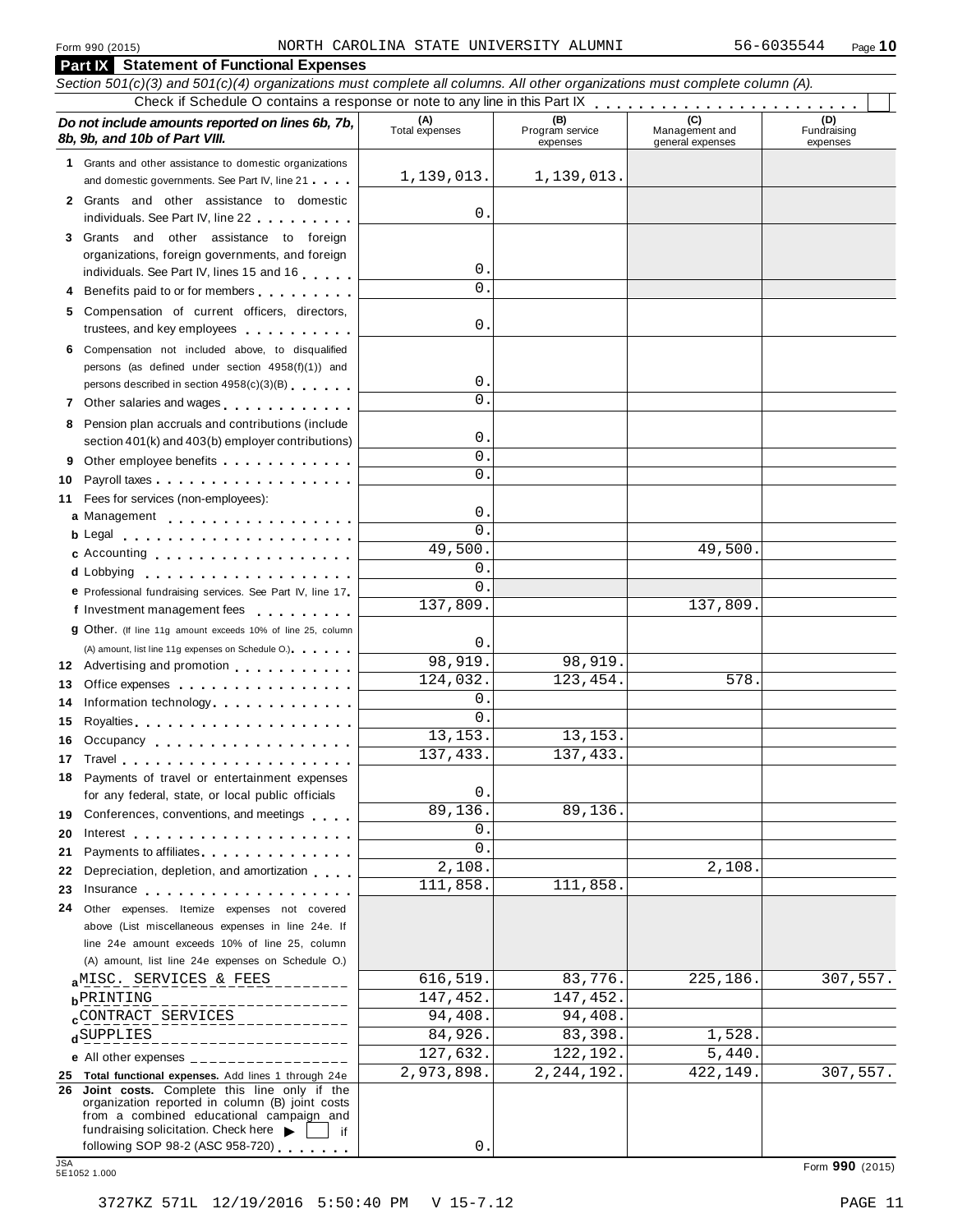|                                                                                                                                                                                                                          | <b>Part IX</b> Statement of Functional Expenses                                                                                                                                                                                |                           |              |          |                 |  |  |  |
|--------------------------------------------------------------------------------------------------------------------------------------------------------------------------------------------------------------------------|--------------------------------------------------------------------------------------------------------------------------------------------------------------------------------------------------------------------------------|---------------------------|--------------|----------|-----------------|--|--|--|
|                                                                                                                                                                                                                          | Section 501(c)(3) and 501(c)(4) organizations must complete all columns. All other organizations must complete column (A).                                                                                                     |                           |              |          |                 |  |  |  |
|                                                                                                                                                                                                                          |                                                                                                                                                                                                                                |                           |              |          |                 |  |  |  |
| (A)<br>(D)<br>(B)<br>Do not include amounts reported on lines 6b, 7b,<br>Management and<br>Total expenses<br>Program service<br>Fundraising<br>8b, 9b, and 10b of Part VIII.<br>expenses<br>general expenses<br>expenses |                                                                                                                                                                                                                                |                           |              |          |                 |  |  |  |
|                                                                                                                                                                                                                          | 1 Grants and other assistance to domestic organizations<br>and domestic governments. See Part IV, line 21                                                                                                                      | 1,139,013.                | 1,139,013.   |          |                 |  |  |  |
|                                                                                                                                                                                                                          |                                                                                                                                                                                                                                |                           |              |          |                 |  |  |  |
|                                                                                                                                                                                                                          | 2 Grants and other assistance to domestic<br>individuals. See Part IV, line 22                                                                                                                                                 | $\mathbf 0$ .             |              |          |                 |  |  |  |
|                                                                                                                                                                                                                          | 3 Grants and other assistance to foreign                                                                                                                                                                                       |                           |              |          |                 |  |  |  |
|                                                                                                                                                                                                                          | organizations, foreign governments, and foreign                                                                                                                                                                                |                           |              |          |                 |  |  |  |
|                                                                                                                                                                                                                          | individuals. See Part IV, lines 15 and 16                                                                                                                                                                                      | $\mathbf 0$ .             |              |          |                 |  |  |  |
|                                                                                                                                                                                                                          | 4 Benefits paid to or for members                                                                                                                                                                                              | $\Omega$                  |              |          |                 |  |  |  |
|                                                                                                                                                                                                                          | 5 Compensation of current officers, directors,<br>trustees, and key employees                                                                                                                                                  | $\mathbf 0$ .             |              |          |                 |  |  |  |
|                                                                                                                                                                                                                          | 6 Compensation not included above, to disqualified                                                                                                                                                                             |                           |              |          |                 |  |  |  |
|                                                                                                                                                                                                                          | persons (as defined under section 4958(f)(1)) and                                                                                                                                                                              |                           |              |          |                 |  |  |  |
|                                                                                                                                                                                                                          | persons described in section 4958(c)(3)(B)                                                                                                                                                                                     | $\mathsf{O}$ .            |              |          |                 |  |  |  |
|                                                                                                                                                                                                                          | 7 Other salaries and wages <b>container and all the salaries</b>                                                                                                                                                               | $\Omega$                  |              |          |                 |  |  |  |
|                                                                                                                                                                                                                          | 8 Pension plan accruals and contributions (include                                                                                                                                                                             |                           |              |          |                 |  |  |  |
|                                                                                                                                                                                                                          | section 401(k) and 403(b) employer contributions)                                                                                                                                                                              | 0.                        |              |          |                 |  |  |  |
|                                                                                                                                                                                                                          |                                                                                                                                                                                                                                | $\mathbf{0}$ .            |              |          |                 |  |  |  |
| 10                                                                                                                                                                                                                       |                                                                                                                                                                                                                                | $\Omega$ .                |              |          |                 |  |  |  |
| 11                                                                                                                                                                                                                       | Fees for services (non-employees):                                                                                                                                                                                             |                           |              |          |                 |  |  |  |
|                                                                                                                                                                                                                          | a Management                                                                                                                                                                                                                   | $\mathsf{O}$ .            |              |          |                 |  |  |  |
|                                                                                                                                                                                                                          | <b>b</b> Legal <b>contained contained contained contained contained <b>contained contained </b></b>                                                                                                                            | 0.<br>49,500.             |              | 49,500.  |                 |  |  |  |
|                                                                                                                                                                                                                          | <b>c</b> Accounting <b>c</b> Accounting                                                                                                                                                                                        | $\mathbf 0$ .             |              |          |                 |  |  |  |
|                                                                                                                                                                                                                          | d Lobbying                                                                                                                                                                                                                     | $\Omega$ .                |              |          |                 |  |  |  |
|                                                                                                                                                                                                                          | e Professional fundraising services. See Part IV, line 17                                                                                                                                                                      | 137,809.                  |              | 137,809. |                 |  |  |  |
|                                                                                                                                                                                                                          | f Investment management fees<br>9 Other. (If line 11g amount exceeds 10% of line 25, column                                                                                                                                    |                           |              |          |                 |  |  |  |
|                                                                                                                                                                                                                          | (A) amount, list line 11g expenses on Schedule O.)                                                                                                                                                                             | 0.                        |              |          |                 |  |  |  |
|                                                                                                                                                                                                                          | 12 Advertising and promotion                                                                                                                                                                                                   | 98,919.                   | 98,919.      |          |                 |  |  |  |
| 13                                                                                                                                                                                                                       | Office expenses extensive and the set of the set of the set of the set of the set of the set of the set of the                                                                                                                 | 124,032.                  | 123,454.     | 578.     |                 |  |  |  |
| 14                                                                                                                                                                                                                       | Information technology                                                                                                                                                                                                         | $\mathbf 0$ .             |              |          |                 |  |  |  |
| 15                                                                                                                                                                                                                       |                                                                                                                                                                                                                                | 0.                        |              |          |                 |  |  |  |
|                                                                                                                                                                                                                          | 16 Occupancy                                                                                                                                                                                                                   | 13,153.                   | 13,153.      |          |                 |  |  |  |
| 17                                                                                                                                                                                                                       |                                                                                                                                                                                                                                | 137, 433.                 | 137, 433.    |          |                 |  |  |  |
|                                                                                                                                                                                                                          | 18 Payments of travel or entertainment expenses                                                                                                                                                                                |                           |              |          |                 |  |  |  |
|                                                                                                                                                                                                                          | for any federal, state, or local public officials                                                                                                                                                                              | $\mathsf{O}$ .<br>89,136. | 89,136.      |          |                 |  |  |  |
|                                                                                                                                                                                                                          | 19 Conferences, conventions, and meetings                                                                                                                                                                                      | 0.                        |              |          |                 |  |  |  |
| 20                                                                                                                                                                                                                       |                                                                                                                                                                                                                                | 0                         |              |          |                 |  |  |  |
| 21<br>22                                                                                                                                                                                                                 | Payments to affiliates expansion of the set of the set of the set of the set of the set of the set of the set o<br>Depreciation, depletion, and amortization                                                                   | 2,108.                    |              | 2,108.   |                 |  |  |  |
| 23                                                                                                                                                                                                                       | Insurance experience and the set of the set of the set of the set of the set of the set of the set of the set of the set of the set of the set of the set of the set of the set of the set of the set of the set of the set of | 111,858.                  | 111,858.     |          |                 |  |  |  |
| 24                                                                                                                                                                                                                       | Other expenses. Itemize expenses not covered                                                                                                                                                                                   |                           |              |          |                 |  |  |  |
|                                                                                                                                                                                                                          | above (List miscellaneous expenses in line 24e. If                                                                                                                                                                             |                           |              |          |                 |  |  |  |
|                                                                                                                                                                                                                          | line 24e amount exceeds 10% of line 25, column                                                                                                                                                                                 |                           |              |          |                 |  |  |  |
|                                                                                                                                                                                                                          | (A) amount, list line 24e expenses on Schedule O.)                                                                                                                                                                             |                           |              |          |                 |  |  |  |
|                                                                                                                                                                                                                          | aMISC. SERVICES & FEES                                                                                                                                                                                                         | 616,519.                  | 83,776.      | 225,186. | 307,557.        |  |  |  |
|                                                                                                                                                                                                                          | <b>b</b> PRINTING<br>___________                                                                                                                                                                                               | 147,452.                  | 147,452.     |          |                 |  |  |  |
|                                                                                                                                                                                                                          | $_{\rm c}$ CONTRACT SERVICES<br><u> 2000 de de 200</u>                                                                                                                                                                         | 94,408.                   | 94,408       |          |                 |  |  |  |
|                                                                                                                                                                                                                          | dSUPPLIES<br>_______________                                                                                                                                                                                                   | 84,926.                   | 83,398       | 1,528.   |                 |  |  |  |
|                                                                                                                                                                                                                          | e All other expenses $\frac{1}{1}$                                                                                                                                                                                             | 127,632.                  | 122,192.     | 5,440.   |                 |  |  |  |
|                                                                                                                                                                                                                          | 25 Total functional expenses. Add lines 1 through 24e<br>26 Joint costs. Complete this line only if the                                                                                                                        | 2,973,898.                | 2, 244, 192. | 422,149. | 307,557.        |  |  |  |
|                                                                                                                                                                                                                          | organization reported in column (B) joint costs                                                                                                                                                                                |                           |              |          |                 |  |  |  |
|                                                                                                                                                                                                                          | from a combined educational campaign and<br>fundraising solicitation. Check here $\blacktriangleright$                                                                                                                         |                           |              |          |                 |  |  |  |
|                                                                                                                                                                                                                          | if.<br>following SOP 98-2 (ASC 958-720)                                                                                                                                                                                        | $\mathbf{0}$              |              |          |                 |  |  |  |
| <b>JSA</b>                                                                                                                                                                                                               | 5E1052 1.000                                                                                                                                                                                                                   |                           |              |          | Form 990 (2015) |  |  |  |
|                                                                                                                                                                                                                          |                                                                                                                                                                                                                                |                           |              |          |                 |  |  |  |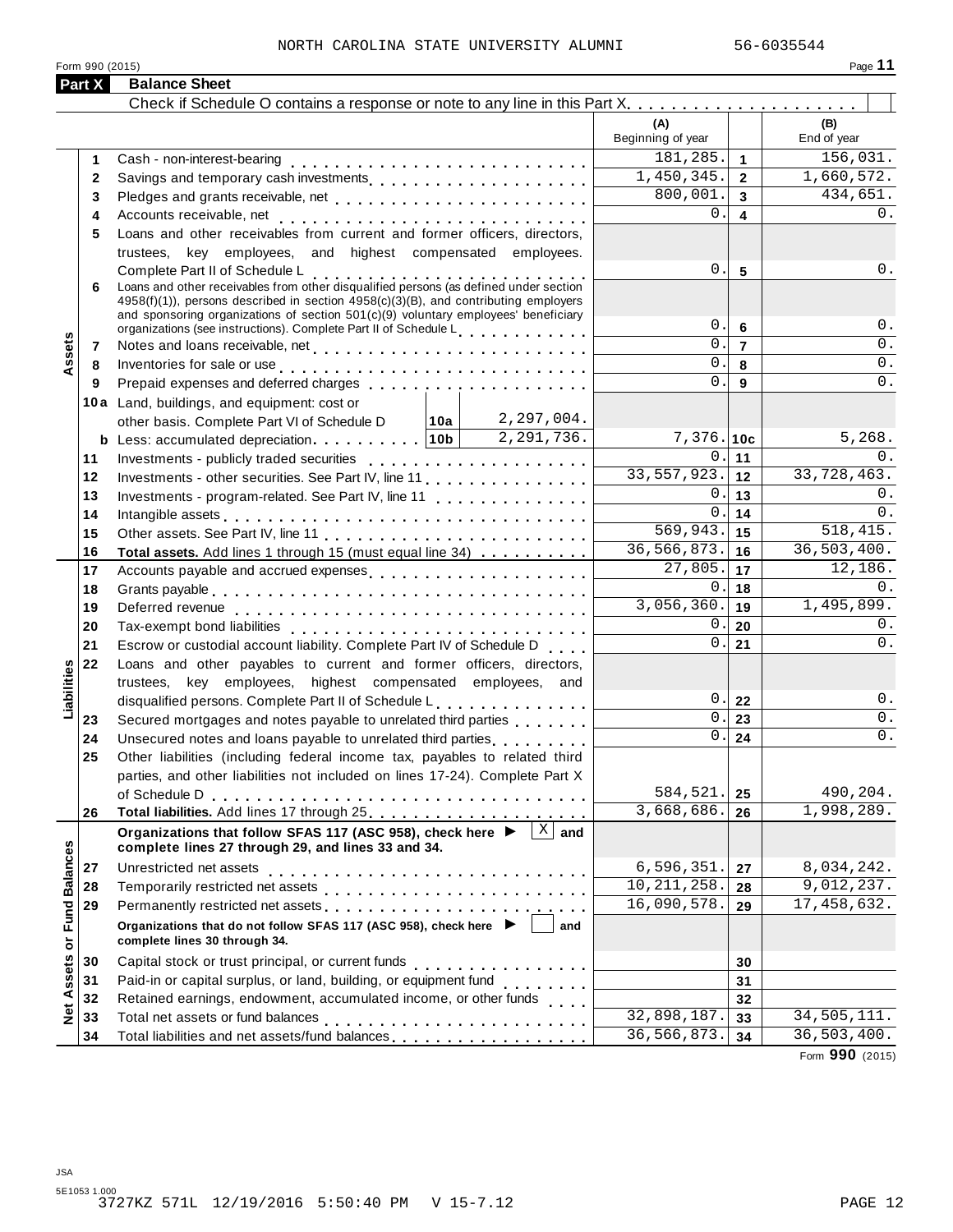#### NORTH CAROLINA STATE UNIVERSITY ALUMNI 56-6035544

Form <sup>990</sup> (2015) Page **11**

| (A)<br>(B)<br>Beginning of year<br>End of year<br>181,285.<br>$\mathbf{1}$<br>1<br>$\overline{1,450,345}$ .<br>$\overline{2}$<br>2<br>800,001.<br>Pledges and grants receivable, net<br>$\overline{3}$<br>3<br>$\Omega$ .<br>0.<br>$\overline{\mathbf{4}}$<br>4<br>Loans and other receivables from current and former officers, directors,<br>5<br>trustees, key employees, and highest compensated employees.<br>0.<br>0.<br>$5\phantom{1}$<br>Complete Part II of Schedule L<br>Loans and other receivables from other disqualified persons (as defined under section<br>6<br>4958(f)(1)), persons described in section 4958(c)(3)(B), and contributing employers<br>and sponsoring organizations of section 501(c)(9) voluntary employees' beneficiary<br>0.<br>$0$ .<br>6<br>organizations (see instructions). Complete Part II of Schedule Letter and Letter Letter Letter<br>ssets<br>$\mathbf 0$ .<br>0.<br>$\overline{7}$<br>Notes and loans receivable, net<br>7<br>$\overline{0}$ .<br>0.<br>8<br>Inventories for sale or use enterpreteral process or a set of the sale or use of the set of the set of the set of the set of the set of the set of the set of the set of the set of the set of the set of the set of the set o<br>8<br>$\mathbf 0$ .<br>0.<br>9<br>9<br>10a Land, buildings, and equipment: cost or<br>other basis. Complete Part VI of Schedule D   10a   2, 297, 004.<br>2,291,736.<br>5,268.<br><b>b</b> Less: accumulated depreciation. 10b<br>$7,376.$ 10c<br>0.<br>0.<br>11<br>11<br>$\overline{33,557,923}.$ 12<br>33,728,463.<br>12<br>Investments - other securities. See Part IV, line 11<br>0.<br>0.<br>13<br>13<br>Investments - program-related. See Part IV, line 11<br>0.<br>$\mathbf 0$<br>14<br>14<br>569,943.<br>518, 415.<br>15<br>15<br>36, 566, 873.<br>36, 503, 400.<br>16<br>16<br>Total assets. Add lines 1 through 15 (must equal line 34)<br>$\overline{27,805}.$<br>12,186.<br>17<br>17<br>Accounts payable and accrued expenses<br>$0$ .<br>$0$ .<br>18<br>18<br>$\overline{3,056,360}.$ 19<br>19<br>0.<br>0.<br>20<br>20<br>0.<br>$0$ .<br>21<br>21<br>Escrow or custodial account liability. Complete Part IV of Schedule D<br>22<br>Loans and other payables to current and former officers, directors,<br>Liabilities<br>trustees, key employees, highest compensated employees, and<br>0.1<br>$0$ .<br>22<br>disqualified persons. Complete Part II of Schedule L.<br>0.<br>0.<br>23<br>Secured mortgages and notes payable to unrelated third parties<br>23<br>0.<br>$0$ .<br>24<br>Unsecured notes and loans payable to unrelated third parties [1, 1, 1, 1, 1, 1]<br>24<br>25<br>Other liabilities (including federal income tax, payables to related third<br>parties, and other liabilities not included on lines 17-24). Complete Part X<br>584,521.<br>490,204.<br>25<br>3,668,686.<br>1,998,289.<br>26<br>26<br>$\overline{X}$ and<br>Organizations that follow SFAS 117 (ASC 958), check here ▶<br>Net Assets or Fund Balances<br>complete lines 27 through 29, and lines 33 and 34.<br>6, 596, 351.<br>8,034,242.<br>Unrestricted net assets<br>27<br>27<br>10, 211, 258.<br>9,012,237.<br>28<br>28<br>16,090,578.<br>17,458,632.<br>29<br>29<br>Organizations that do not follow SFAS 117 (ASC 958), check here ▶<br>and<br>complete lines 30 through 34.<br>30<br>30<br>Paid-in or capital surplus, or land, building, or equipment fund<br><br>31<br>31<br>Retained earnings, endowment, accumulated income, or other funds<br>32<br>32<br>32,898,187.<br>33<br>33<br>36,566,873.<br>36,503,400.<br>Total liabilities and net assets/fund balances [1] [1] [1] Total liabilities and net assets/fund balances<br>34<br>34 | Part X | <b>Balance Sheet</b> |  |             |
|------------------------------------------------------------------------------------------------------------------------------------------------------------------------------------------------------------------------------------------------------------------------------------------------------------------------------------------------------------------------------------------------------------------------------------------------------------------------------------------------------------------------------------------------------------------------------------------------------------------------------------------------------------------------------------------------------------------------------------------------------------------------------------------------------------------------------------------------------------------------------------------------------------------------------------------------------------------------------------------------------------------------------------------------------------------------------------------------------------------------------------------------------------------------------------------------------------------------------------------------------------------------------------------------------------------------------------------------------------------------------------------------------------------------------------------------------------------------------------------------------------------------------------------------------------------------------------------------------------------------------------------------------------------------------------------------------------------------------------------------------------------------------------------------------------------------------------------------------------------------------------------------------------------------------------------------------------------------------------------------------------------------------------------------------------------------------------------------------------------------------------------------------------------------------------------------------------------------------------------------------------------------------------------------------------------------------------------------------------------------------------------------------------------------------------------------------------------------------------------------------------------------------------------------------------------------------------------------------------------------------------------------------------------------------------------------------------------------------------------------------------------------------------------------------------------------------------------------------------------------------------------------------------------------------------------------------------------------------------------------------------------------------------------------------------------------------------------------------------------------------------------------------------------------------------------------------------------------------------------------------------------------------------------------------------------------------------------------------------------------------------------------------------------------------------------------------------------------------------------------------------------------------------------------------------------------------------------------------------------------------------------------------------------------------------------------------|--------|----------------------|--|-------------|
|                                                                                                                                                                                                                                                                                                                                                                                                                                                                                                                                                                                                                                                                                                                                                                                                                                                                                                                                                                                                                                                                                                                                                                                                                                                                                                                                                                                                                                                                                                                                                                                                                                                                                                                                                                                                                                                                                                                                                                                                                                                                                                                                                                                                                                                                                                                                                                                                                                                                                                                                                                                                                                                                                                                                                                                                                                                                                                                                                                                                                                                                                                                                                                                                                                                                                                                                                                                                                                                                                                                                                                                                                                                                                                      |        |                      |  |             |
|                                                                                                                                                                                                                                                                                                                                                                                                                                                                                                                                                                                                                                                                                                                                                                                                                                                                                                                                                                                                                                                                                                                                                                                                                                                                                                                                                                                                                                                                                                                                                                                                                                                                                                                                                                                                                                                                                                                                                                                                                                                                                                                                                                                                                                                                                                                                                                                                                                                                                                                                                                                                                                                                                                                                                                                                                                                                                                                                                                                                                                                                                                                                                                                                                                                                                                                                                                                                                                                                                                                                                                                                                                                                                                      |        |                      |  |             |
|                                                                                                                                                                                                                                                                                                                                                                                                                                                                                                                                                                                                                                                                                                                                                                                                                                                                                                                                                                                                                                                                                                                                                                                                                                                                                                                                                                                                                                                                                                                                                                                                                                                                                                                                                                                                                                                                                                                                                                                                                                                                                                                                                                                                                                                                                                                                                                                                                                                                                                                                                                                                                                                                                                                                                                                                                                                                                                                                                                                                                                                                                                                                                                                                                                                                                                                                                                                                                                                                                                                                                                                                                                                                                                      |        |                      |  | 156,031.    |
|                                                                                                                                                                                                                                                                                                                                                                                                                                                                                                                                                                                                                                                                                                                                                                                                                                                                                                                                                                                                                                                                                                                                                                                                                                                                                                                                                                                                                                                                                                                                                                                                                                                                                                                                                                                                                                                                                                                                                                                                                                                                                                                                                                                                                                                                                                                                                                                                                                                                                                                                                                                                                                                                                                                                                                                                                                                                                                                                                                                                                                                                                                                                                                                                                                                                                                                                                                                                                                                                                                                                                                                                                                                                                                      |        |                      |  | 1,660,572.  |
|                                                                                                                                                                                                                                                                                                                                                                                                                                                                                                                                                                                                                                                                                                                                                                                                                                                                                                                                                                                                                                                                                                                                                                                                                                                                                                                                                                                                                                                                                                                                                                                                                                                                                                                                                                                                                                                                                                                                                                                                                                                                                                                                                                                                                                                                                                                                                                                                                                                                                                                                                                                                                                                                                                                                                                                                                                                                                                                                                                                                                                                                                                                                                                                                                                                                                                                                                                                                                                                                                                                                                                                                                                                                                                      |        |                      |  | 434,651.    |
|                                                                                                                                                                                                                                                                                                                                                                                                                                                                                                                                                                                                                                                                                                                                                                                                                                                                                                                                                                                                                                                                                                                                                                                                                                                                                                                                                                                                                                                                                                                                                                                                                                                                                                                                                                                                                                                                                                                                                                                                                                                                                                                                                                                                                                                                                                                                                                                                                                                                                                                                                                                                                                                                                                                                                                                                                                                                                                                                                                                                                                                                                                                                                                                                                                                                                                                                                                                                                                                                                                                                                                                                                                                                                                      |        |                      |  |             |
|                                                                                                                                                                                                                                                                                                                                                                                                                                                                                                                                                                                                                                                                                                                                                                                                                                                                                                                                                                                                                                                                                                                                                                                                                                                                                                                                                                                                                                                                                                                                                                                                                                                                                                                                                                                                                                                                                                                                                                                                                                                                                                                                                                                                                                                                                                                                                                                                                                                                                                                                                                                                                                                                                                                                                                                                                                                                                                                                                                                                                                                                                                                                                                                                                                                                                                                                                                                                                                                                                                                                                                                                                                                                                                      |        |                      |  |             |
|                                                                                                                                                                                                                                                                                                                                                                                                                                                                                                                                                                                                                                                                                                                                                                                                                                                                                                                                                                                                                                                                                                                                                                                                                                                                                                                                                                                                                                                                                                                                                                                                                                                                                                                                                                                                                                                                                                                                                                                                                                                                                                                                                                                                                                                                                                                                                                                                                                                                                                                                                                                                                                                                                                                                                                                                                                                                                                                                                                                                                                                                                                                                                                                                                                                                                                                                                                                                                                                                                                                                                                                                                                                                                                      |        |                      |  |             |
|                                                                                                                                                                                                                                                                                                                                                                                                                                                                                                                                                                                                                                                                                                                                                                                                                                                                                                                                                                                                                                                                                                                                                                                                                                                                                                                                                                                                                                                                                                                                                                                                                                                                                                                                                                                                                                                                                                                                                                                                                                                                                                                                                                                                                                                                                                                                                                                                                                                                                                                                                                                                                                                                                                                                                                                                                                                                                                                                                                                                                                                                                                                                                                                                                                                                                                                                                                                                                                                                                                                                                                                                                                                                                                      |        |                      |  |             |
|                                                                                                                                                                                                                                                                                                                                                                                                                                                                                                                                                                                                                                                                                                                                                                                                                                                                                                                                                                                                                                                                                                                                                                                                                                                                                                                                                                                                                                                                                                                                                                                                                                                                                                                                                                                                                                                                                                                                                                                                                                                                                                                                                                                                                                                                                                                                                                                                                                                                                                                                                                                                                                                                                                                                                                                                                                                                                                                                                                                                                                                                                                                                                                                                                                                                                                                                                                                                                                                                                                                                                                                                                                                                                                      |        |                      |  |             |
|                                                                                                                                                                                                                                                                                                                                                                                                                                                                                                                                                                                                                                                                                                                                                                                                                                                                                                                                                                                                                                                                                                                                                                                                                                                                                                                                                                                                                                                                                                                                                                                                                                                                                                                                                                                                                                                                                                                                                                                                                                                                                                                                                                                                                                                                                                                                                                                                                                                                                                                                                                                                                                                                                                                                                                                                                                                                                                                                                                                                                                                                                                                                                                                                                                                                                                                                                                                                                                                                                                                                                                                                                                                                                                      |        |                      |  |             |
|                                                                                                                                                                                                                                                                                                                                                                                                                                                                                                                                                                                                                                                                                                                                                                                                                                                                                                                                                                                                                                                                                                                                                                                                                                                                                                                                                                                                                                                                                                                                                                                                                                                                                                                                                                                                                                                                                                                                                                                                                                                                                                                                                                                                                                                                                                                                                                                                                                                                                                                                                                                                                                                                                                                                                                                                                                                                                                                                                                                                                                                                                                                                                                                                                                                                                                                                                                                                                                                                                                                                                                                                                                                                                                      |        |                      |  |             |
|                                                                                                                                                                                                                                                                                                                                                                                                                                                                                                                                                                                                                                                                                                                                                                                                                                                                                                                                                                                                                                                                                                                                                                                                                                                                                                                                                                                                                                                                                                                                                                                                                                                                                                                                                                                                                                                                                                                                                                                                                                                                                                                                                                                                                                                                                                                                                                                                                                                                                                                                                                                                                                                                                                                                                                                                                                                                                                                                                                                                                                                                                                                                                                                                                                                                                                                                                                                                                                                                                                                                                                                                                                                                                                      |        |                      |  |             |
|                                                                                                                                                                                                                                                                                                                                                                                                                                                                                                                                                                                                                                                                                                                                                                                                                                                                                                                                                                                                                                                                                                                                                                                                                                                                                                                                                                                                                                                                                                                                                                                                                                                                                                                                                                                                                                                                                                                                                                                                                                                                                                                                                                                                                                                                                                                                                                                                                                                                                                                                                                                                                                                                                                                                                                                                                                                                                                                                                                                                                                                                                                                                                                                                                                                                                                                                                                                                                                                                                                                                                                                                                                                                                                      |        |                      |  |             |
|                                                                                                                                                                                                                                                                                                                                                                                                                                                                                                                                                                                                                                                                                                                                                                                                                                                                                                                                                                                                                                                                                                                                                                                                                                                                                                                                                                                                                                                                                                                                                                                                                                                                                                                                                                                                                                                                                                                                                                                                                                                                                                                                                                                                                                                                                                                                                                                                                                                                                                                                                                                                                                                                                                                                                                                                                                                                                                                                                                                                                                                                                                                                                                                                                                                                                                                                                                                                                                                                                                                                                                                                                                                                                                      |        |                      |  |             |
|                                                                                                                                                                                                                                                                                                                                                                                                                                                                                                                                                                                                                                                                                                                                                                                                                                                                                                                                                                                                                                                                                                                                                                                                                                                                                                                                                                                                                                                                                                                                                                                                                                                                                                                                                                                                                                                                                                                                                                                                                                                                                                                                                                                                                                                                                                                                                                                                                                                                                                                                                                                                                                                                                                                                                                                                                                                                                                                                                                                                                                                                                                                                                                                                                                                                                                                                                                                                                                                                                                                                                                                                                                                                                                      |        |                      |  |             |
|                                                                                                                                                                                                                                                                                                                                                                                                                                                                                                                                                                                                                                                                                                                                                                                                                                                                                                                                                                                                                                                                                                                                                                                                                                                                                                                                                                                                                                                                                                                                                                                                                                                                                                                                                                                                                                                                                                                                                                                                                                                                                                                                                                                                                                                                                                                                                                                                                                                                                                                                                                                                                                                                                                                                                                                                                                                                                                                                                                                                                                                                                                                                                                                                                                                                                                                                                                                                                                                                                                                                                                                                                                                                                                      |        |                      |  |             |
|                                                                                                                                                                                                                                                                                                                                                                                                                                                                                                                                                                                                                                                                                                                                                                                                                                                                                                                                                                                                                                                                                                                                                                                                                                                                                                                                                                                                                                                                                                                                                                                                                                                                                                                                                                                                                                                                                                                                                                                                                                                                                                                                                                                                                                                                                                                                                                                                                                                                                                                                                                                                                                                                                                                                                                                                                                                                                                                                                                                                                                                                                                                                                                                                                                                                                                                                                                                                                                                                                                                                                                                                                                                                                                      |        |                      |  |             |
|                                                                                                                                                                                                                                                                                                                                                                                                                                                                                                                                                                                                                                                                                                                                                                                                                                                                                                                                                                                                                                                                                                                                                                                                                                                                                                                                                                                                                                                                                                                                                                                                                                                                                                                                                                                                                                                                                                                                                                                                                                                                                                                                                                                                                                                                                                                                                                                                                                                                                                                                                                                                                                                                                                                                                                                                                                                                                                                                                                                                                                                                                                                                                                                                                                                                                                                                                                                                                                                                                                                                                                                                                                                                                                      |        |                      |  |             |
|                                                                                                                                                                                                                                                                                                                                                                                                                                                                                                                                                                                                                                                                                                                                                                                                                                                                                                                                                                                                                                                                                                                                                                                                                                                                                                                                                                                                                                                                                                                                                                                                                                                                                                                                                                                                                                                                                                                                                                                                                                                                                                                                                                                                                                                                                                                                                                                                                                                                                                                                                                                                                                                                                                                                                                                                                                                                                                                                                                                                                                                                                                                                                                                                                                                                                                                                                                                                                                                                                                                                                                                                                                                                                                      |        |                      |  |             |
|                                                                                                                                                                                                                                                                                                                                                                                                                                                                                                                                                                                                                                                                                                                                                                                                                                                                                                                                                                                                                                                                                                                                                                                                                                                                                                                                                                                                                                                                                                                                                                                                                                                                                                                                                                                                                                                                                                                                                                                                                                                                                                                                                                                                                                                                                                                                                                                                                                                                                                                                                                                                                                                                                                                                                                                                                                                                                                                                                                                                                                                                                                                                                                                                                                                                                                                                                                                                                                                                                                                                                                                                                                                                                                      |        |                      |  |             |
|                                                                                                                                                                                                                                                                                                                                                                                                                                                                                                                                                                                                                                                                                                                                                                                                                                                                                                                                                                                                                                                                                                                                                                                                                                                                                                                                                                                                                                                                                                                                                                                                                                                                                                                                                                                                                                                                                                                                                                                                                                                                                                                                                                                                                                                                                                                                                                                                                                                                                                                                                                                                                                                                                                                                                                                                                                                                                                                                                                                                                                                                                                                                                                                                                                                                                                                                                                                                                                                                                                                                                                                                                                                                                                      |        |                      |  |             |
|                                                                                                                                                                                                                                                                                                                                                                                                                                                                                                                                                                                                                                                                                                                                                                                                                                                                                                                                                                                                                                                                                                                                                                                                                                                                                                                                                                                                                                                                                                                                                                                                                                                                                                                                                                                                                                                                                                                                                                                                                                                                                                                                                                                                                                                                                                                                                                                                                                                                                                                                                                                                                                                                                                                                                                                                                                                                                                                                                                                                                                                                                                                                                                                                                                                                                                                                                                                                                                                                                                                                                                                                                                                                                                      |        |                      |  |             |
|                                                                                                                                                                                                                                                                                                                                                                                                                                                                                                                                                                                                                                                                                                                                                                                                                                                                                                                                                                                                                                                                                                                                                                                                                                                                                                                                                                                                                                                                                                                                                                                                                                                                                                                                                                                                                                                                                                                                                                                                                                                                                                                                                                                                                                                                                                                                                                                                                                                                                                                                                                                                                                                                                                                                                                                                                                                                                                                                                                                                                                                                                                                                                                                                                                                                                                                                                                                                                                                                                                                                                                                                                                                                                                      |        |                      |  |             |
|                                                                                                                                                                                                                                                                                                                                                                                                                                                                                                                                                                                                                                                                                                                                                                                                                                                                                                                                                                                                                                                                                                                                                                                                                                                                                                                                                                                                                                                                                                                                                                                                                                                                                                                                                                                                                                                                                                                                                                                                                                                                                                                                                                                                                                                                                                                                                                                                                                                                                                                                                                                                                                                                                                                                                                                                                                                                                                                                                                                                                                                                                                                                                                                                                                                                                                                                                                                                                                                                                                                                                                                                                                                                                                      |        |                      |  | 1,495,899.  |
|                                                                                                                                                                                                                                                                                                                                                                                                                                                                                                                                                                                                                                                                                                                                                                                                                                                                                                                                                                                                                                                                                                                                                                                                                                                                                                                                                                                                                                                                                                                                                                                                                                                                                                                                                                                                                                                                                                                                                                                                                                                                                                                                                                                                                                                                                                                                                                                                                                                                                                                                                                                                                                                                                                                                                                                                                                                                                                                                                                                                                                                                                                                                                                                                                                                                                                                                                                                                                                                                                                                                                                                                                                                                                                      |        |                      |  |             |
|                                                                                                                                                                                                                                                                                                                                                                                                                                                                                                                                                                                                                                                                                                                                                                                                                                                                                                                                                                                                                                                                                                                                                                                                                                                                                                                                                                                                                                                                                                                                                                                                                                                                                                                                                                                                                                                                                                                                                                                                                                                                                                                                                                                                                                                                                                                                                                                                                                                                                                                                                                                                                                                                                                                                                                                                                                                                                                                                                                                                                                                                                                                                                                                                                                                                                                                                                                                                                                                                                                                                                                                                                                                                                                      |        |                      |  |             |
|                                                                                                                                                                                                                                                                                                                                                                                                                                                                                                                                                                                                                                                                                                                                                                                                                                                                                                                                                                                                                                                                                                                                                                                                                                                                                                                                                                                                                                                                                                                                                                                                                                                                                                                                                                                                                                                                                                                                                                                                                                                                                                                                                                                                                                                                                                                                                                                                                                                                                                                                                                                                                                                                                                                                                                                                                                                                                                                                                                                                                                                                                                                                                                                                                                                                                                                                                                                                                                                                                                                                                                                                                                                                                                      |        |                      |  |             |
|                                                                                                                                                                                                                                                                                                                                                                                                                                                                                                                                                                                                                                                                                                                                                                                                                                                                                                                                                                                                                                                                                                                                                                                                                                                                                                                                                                                                                                                                                                                                                                                                                                                                                                                                                                                                                                                                                                                                                                                                                                                                                                                                                                                                                                                                                                                                                                                                                                                                                                                                                                                                                                                                                                                                                                                                                                                                                                                                                                                                                                                                                                                                                                                                                                                                                                                                                                                                                                                                                                                                                                                                                                                                                                      |        |                      |  |             |
|                                                                                                                                                                                                                                                                                                                                                                                                                                                                                                                                                                                                                                                                                                                                                                                                                                                                                                                                                                                                                                                                                                                                                                                                                                                                                                                                                                                                                                                                                                                                                                                                                                                                                                                                                                                                                                                                                                                                                                                                                                                                                                                                                                                                                                                                                                                                                                                                                                                                                                                                                                                                                                                                                                                                                                                                                                                                                                                                                                                                                                                                                                                                                                                                                                                                                                                                                                                                                                                                                                                                                                                                                                                                                                      |        |                      |  |             |
|                                                                                                                                                                                                                                                                                                                                                                                                                                                                                                                                                                                                                                                                                                                                                                                                                                                                                                                                                                                                                                                                                                                                                                                                                                                                                                                                                                                                                                                                                                                                                                                                                                                                                                                                                                                                                                                                                                                                                                                                                                                                                                                                                                                                                                                                                                                                                                                                                                                                                                                                                                                                                                                                                                                                                                                                                                                                                                                                                                                                                                                                                                                                                                                                                                                                                                                                                                                                                                                                                                                                                                                                                                                                                                      |        |                      |  |             |
|                                                                                                                                                                                                                                                                                                                                                                                                                                                                                                                                                                                                                                                                                                                                                                                                                                                                                                                                                                                                                                                                                                                                                                                                                                                                                                                                                                                                                                                                                                                                                                                                                                                                                                                                                                                                                                                                                                                                                                                                                                                                                                                                                                                                                                                                                                                                                                                                                                                                                                                                                                                                                                                                                                                                                                                                                                                                                                                                                                                                                                                                                                                                                                                                                                                                                                                                                                                                                                                                                                                                                                                                                                                                                                      |        |                      |  |             |
|                                                                                                                                                                                                                                                                                                                                                                                                                                                                                                                                                                                                                                                                                                                                                                                                                                                                                                                                                                                                                                                                                                                                                                                                                                                                                                                                                                                                                                                                                                                                                                                                                                                                                                                                                                                                                                                                                                                                                                                                                                                                                                                                                                                                                                                                                                                                                                                                                                                                                                                                                                                                                                                                                                                                                                                                                                                                                                                                                                                                                                                                                                                                                                                                                                                                                                                                                                                                                                                                                                                                                                                                                                                                                                      |        |                      |  |             |
|                                                                                                                                                                                                                                                                                                                                                                                                                                                                                                                                                                                                                                                                                                                                                                                                                                                                                                                                                                                                                                                                                                                                                                                                                                                                                                                                                                                                                                                                                                                                                                                                                                                                                                                                                                                                                                                                                                                                                                                                                                                                                                                                                                                                                                                                                                                                                                                                                                                                                                                                                                                                                                                                                                                                                                                                                                                                                                                                                                                                                                                                                                                                                                                                                                                                                                                                                                                                                                                                                                                                                                                                                                                                                                      |        |                      |  |             |
|                                                                                                                                                                                                                                                                                                                                                                                                                                                                                                                                                                                                                                                                                                                                                                                                                                                                                                                                                                                                                                                                                                                                                                                                                                                                                                                                                                                                                                                                                                                                                                                                                                                                                                                                                                                                                                                                                                                                                                                                                                                                                                                                                                                                                                                                                                                                                                                                                                                                                                                                                                                                                                                                                                                                                                                                                                                                                                                                                                                                                                                                                                                                                                                                                                                                                                                                                                                                                                                                                                                                                                                                                                                                                                      |        |                      |  |             |
|                                                                                                                                                                                                                                                                                                                                                                                                                                                                                                                                                                                                                                                                                                                                                                                                                                                                                                                                                                                                                                                                                                                                                                                                                                                                                                                                                                                                                                                                                                                                                                                                                                                                                                                                                                                                                                                                                                                                                                                                                                                                                                                                                                                                                                                                                                                                                                                                                                                                                                                                                                                                                                                                                                                                                                                                                                                                                                                                                                                                                                                                                                                                                                                                                                                                                                                                                                                                                                                                                                                                                                                                                                                                                                      |        |                      |  |             |
|                                                                                                                                                                                                                                                                                                                                                                                                                                                                                                                                                                                                                                                                                                                                                                                                                                                                                                                                                                                                                                                                                                                                                                                                                                                                                                                                                                                                                                                                                                                                                                                                                                                                                                                                                                                                                                                                                                                                                                                                                                                                                                                                                                                                                                                                                                                                                                                                                                                                                                                                                                                                                                                                                                                                                                                                                                                                                                                                                                                                                                                                                                                                                                                                                                                                                                                                                                                                                                                                                                                                                                                                                                                                                                      |        |                      |  |             |
|                                                                                                                                                                                                                                                                                                                                                                                                                                                                                                                                                                                                                                                                                                                                                                                                                                                                                                                                                                                                                                                                                                                                                                                                                                                                                                                                                                                                                                                                                                                                                                                                                                                                                                                                                                                                                                                                                                                                                                                                                                                                                                                                                                                                                                                                                                                                                                                                                                                                                                                                                                                                                                                                                                                                                                                                                                                                                                                                                                                                                                                                                                                                                                                                                                                                                                                                                                                                                                                                                                                                                                                                                                                                                                      |        |                      |  |             |
|                                                                                                                                                                                                                                                                                                                                                                                                                                                                                                                                                                                                                                                                                                                                                                                                                                                                                                                                                                                                                                                                                                                                                                                                                                                                                                                                                                                                                                                                                                                                                                                                                                                                                                                                                                                                                                                                                                                                                                                                                                                                                                                                                                                                                                                                                                                                                                                                                                                                                                                                                                                                                                                                                                                                                                                                                                                                                                                                                                                                                                                                                                                                                                                                                                                                                                                                                                                                                                                                                                                                                                                                                                                                                                      |        |                      |  |             |
|                                                                                                                                                                                                                                                                                                                                                                                                                                                                                                                                                                                                                                                                                                                                                                                                                                                                                                                                                                                                                                                                                                                                                                                                                                                                                                                                                                                                                                                                                                                                                                                                                                                                                                                                                                                                                                                                                                                                                                                                                                                                                                                                                                                                                                                                                                                                                                                                                                                                                                                                                                                                                                                                                                                                                                                                                                                                                                                                                                                                                                                                                                                                                                                                                                                                                                                                                                                                                                                                                                                                                                                                                                                                                                      |        |                      |  |             |
|                                                                                                                                                                                                                                                                                                                                                                                                                                                                                                                                                                                                                                                                                                                                                                                                                                                                                                                                                                                                                                                                                                                                                                                                                                                                                                                                                                                                                                                                                                                                                                                                                                                                                                                                                                                                                                                                                                                                                                                                                                                                                                                                                                                                                                                                                                                                                                                                                                                                                                                                                                                                                                                                                                                                                                                                                                                                                                                                                                                                                                                                                                                                                                                                                                                                                                                                                                                                                                                                                                                                                                                                                                                                                                      |        |                      |  |             |
|                                                                                                                                                                                                                                                                                                                                                                                                                                                                                                                                                                                                                                                                                                                                                                                                                                                                                                                                                                                                                                                                                                                                                                                                                                                                                                                                                                                                                                                                                                                                                                                                                                                                                                                                                                                                                                                                                                                                                                                                                                                                                                                                                                                                                                                                                                                                                                                                                                                                                                                                                                                                                                                                                                                                                                                                                                                                                                                                                                                                                                                                                                                                                                                                                                                                                                                                                                                                                                                                                                                                                                                                                                                                                                      |        |                      |  |             |
|                                                                                                                                                                                                                                                                                                                                                                                                                                                                                                                                                                                                                                                                                                                                                                                                                                                                                                                                                                                                                                                                                                                                                                                                                                                                                                                                                                                                                                                                                                                                                                                                                                                                                                                                                                                                                                                                                                                                                                                                                                                                                                                                                                                                                                                                                                                                                                                                                                                                                                                                                                                                                                                                                                                                                                                                                                                                                                                                                                                                                                                                                                                                                                                                                                                                                                                                                                                                                                                                                                                                                                                                                                                                                                      |        |                      |  |             |
|                                                                                                                                                                                                                                                                                                                                                                                                                                                                                                                                                                                                                                                                                                                                                                                                                                                                                                                                                                                                                                                                                                                                                                                                                                                                                                                                                                                                                                                                                                                                                                                                                                                                                                                                                                                                                                                                                                                                                                                                                                                                                                                                                                                                                                                                                                                                                                                                                                                                                                                                                                                                                                                                                                                                                                                                                                                                                                                                                                                                                                                                                                                                                                                                                                                                                                                                                                                                                                                                                                                                                                                                                                                                                                      |        |                      |  |             |
|                                                                                                                                                                                                                                                                                                                                                                                                                                                                                                                                                                                                                                                                                                                                                                                                                                                                                                                                                                                                                                                                                                                                                                                                                                                                                                                                                                                                                                                                                                                                                                                                                                                                                                                                                                                                                                                                                                                                                                                                                                                                                                                                                                                                                                                                                                                                                                                                                                                                                                                                                                                                                                                                                                                                                                                                                                                                                                                                                                                                                                                                                                                                                                                                                                                                                                                                                                                                                                                                                                                                                                                                                                                                                                      |        |                      |  | 34,505,111. |
|                                                                                                                                                                                                                                                                                                                                                                                                                                                                                                                                                                                                                                                                                                                                                                                                                                                                                                                                                                                                                                                                                                                                                                                                                                                                                                                                                                                                                                                                                                                                                                                                                                                                                                                                                                                                                                                                                                                                                                                                                                                                                                                                                                                                                                                                                                                                                                                                                                                                                                                                                                                                                                                                                                                                                                                                                                                                                                                                                                                                                                                                                                                                                                                                                                                                                                                                                                                                                                                                                                                                                                                                                                                                                                      |        |                      |  |             |

Form **990** (2015)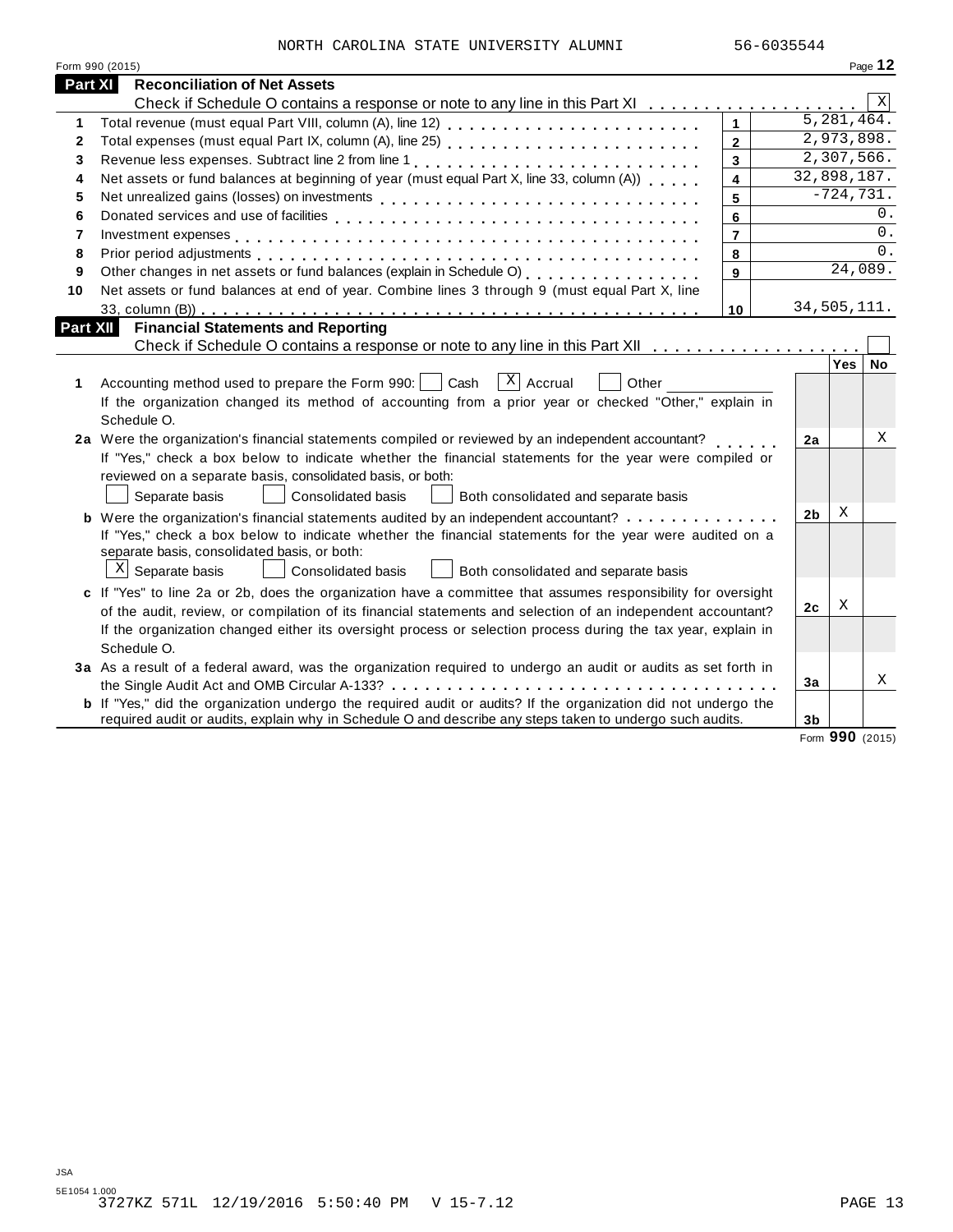|  | NORTH CAROLINA STATE UNIVERSITY ALUMNI | 56-6035544 |
|--|----------------------------------------|------------|
|  |                                        |            |

|                 | Form 990 (2015)                                                                                                       |                         |                |              | Page 12         |
|-----------------|-----------------------------------------------------------------------------------------------------------------------|-------------------------|----------------|--------------|-----------------|
| <b>Part XI</b>  | <b>Reconciliation of Net Assets</b>                                                                                   |                         |                |              |                 |
|                 | Check if Schedule O contains a response or note to any line in this Part XI                                           |                         |                |              | Χ               |
| 1               |                                                                                                                       | $\mathbf{1}$            |                | 5, 281, 464. |                 |
| $\mathbf{2}$    |                                                                                                                       | $\overline{2}$          |                | 2,973,898.   |                 |
| 3               | Revenue less expenses. Subtract line 2 from line 1                                                                    | 3                       |                | 2,307,566.   |                 |
| 4               | Net assets or fund balances at beginning of year (must equal Part X, line 33, column (A))                             | 4                       |                | 32,898,187.  |                 |
| 5               |                                                                                                                       | 5                       |                | $-724, 731.$ |                 |
| 6               |                                                                                                                       | 6                       |                |              | 0.              |
| $\overline{7}$  |                                                                                                                       | $\overline{\mathbf{r}}$ |                |              | 0.              |
| 8               |                                                                                                                       | 8                       |                |              | 0.              |
| 9               | Other changes in net assets or fund balances (explain in Schedule O)<br>[2005]                                        | $\mathbf{9}$            |                |              | 24,089.         |
| 10              | Net assets or fund balances at end of year. Combine lines 3 through 9 (must equal Part X, line                        |                         |                |              |                 |
|                 |                                                                                                                       | 10                      |                | 34,505,111.  |                 |
| <b>Part XII</b> | <b>Financial Statements and Reporting</b>                                                                             |                         |                |              |                 |
|                 | Check if Schedule O contains a response or note to any line in this Part XII                                          |                         |                |              |                 |
|                 |                                                                                                                       |                         |                | Yes          | No              |
| 1.              | $ X $ Accrual<br>Accounting method used to prepare the Form 990:     Cash<br>Other                                    |                         |                |              |                 |
|                 | If the organization changed its method of accounting from a prior year or checked "Other," explain in                 |                         |                |              |                 |
|                 | Schedule O.                                                                                                           |                         |                |              |                 |
|                 | 2a Were the organization's financial statements compiled or reviewed by an independent accountant?                    |                         | 2a             |              | Χ               |
|                 | If "Yes," check a box below to indicate whether the financial statements for the year were compiled or                |                         |                |              |                 |
|                 | reviewed on a separate basis, consolidated basis, or both:                                                            |                         |                |              |                 |
|                 | Consolidated basis<br>Separate basis<br>Both consolidated and separate basis                                          |                         |                |              |                 |
|                 | <b>b</b> Were the organization's financial statements audited by an independent accountant?                           |                         | 2 <sub>b</sub> | X            |                 |
|                 | If "Yes," check a box below to indicate whether the financial statements for the year were audited on a               |                         |                |              |                 |
|                 | separate basis, consolidated basis, or both:                                                                          |                         |                |              |                 |
|                 | $X$ Separate basis<br>Consolidated basis<br>Both consolidated and separate basis                                      |                         |                |              |                 |
|                 | c If "Yes" to line 2a or 2b, does the organization have a committee that assumes responsibility for oversight         |                         |                |              |                 |
|                 | of the audit, review, or compilation of its financial statements and selection of an independent accountant?          |                         | 2c             | Χ            |                 |
|                 | If the organization changed either its oversight process or selection process during the tax year, explain in         |                         |                |              |                 |
|                 | Schedule O.                                                                                                           |                         |                |              |                 |
|                 | 3a As a result of a federal award, was the organization required to undergo an audit or audits as set forth in        |                         |                |              |                 |
|                 |                                                                                                                       |                         | 3a             |              | X               |
|                 | <b>b</b> If "Yes," did the organization undergo the required audit or audits? If the organization did not undergo the |                         |                |              |                 |
|                 | required audit or audits, explain why in Schedule O and describe any steps taken to undergo such audits.              |                         | 3 <sub>b</sub> |              |                 |
|                 |                                                                                                                       |                         |                |              | Form 990 (2015) |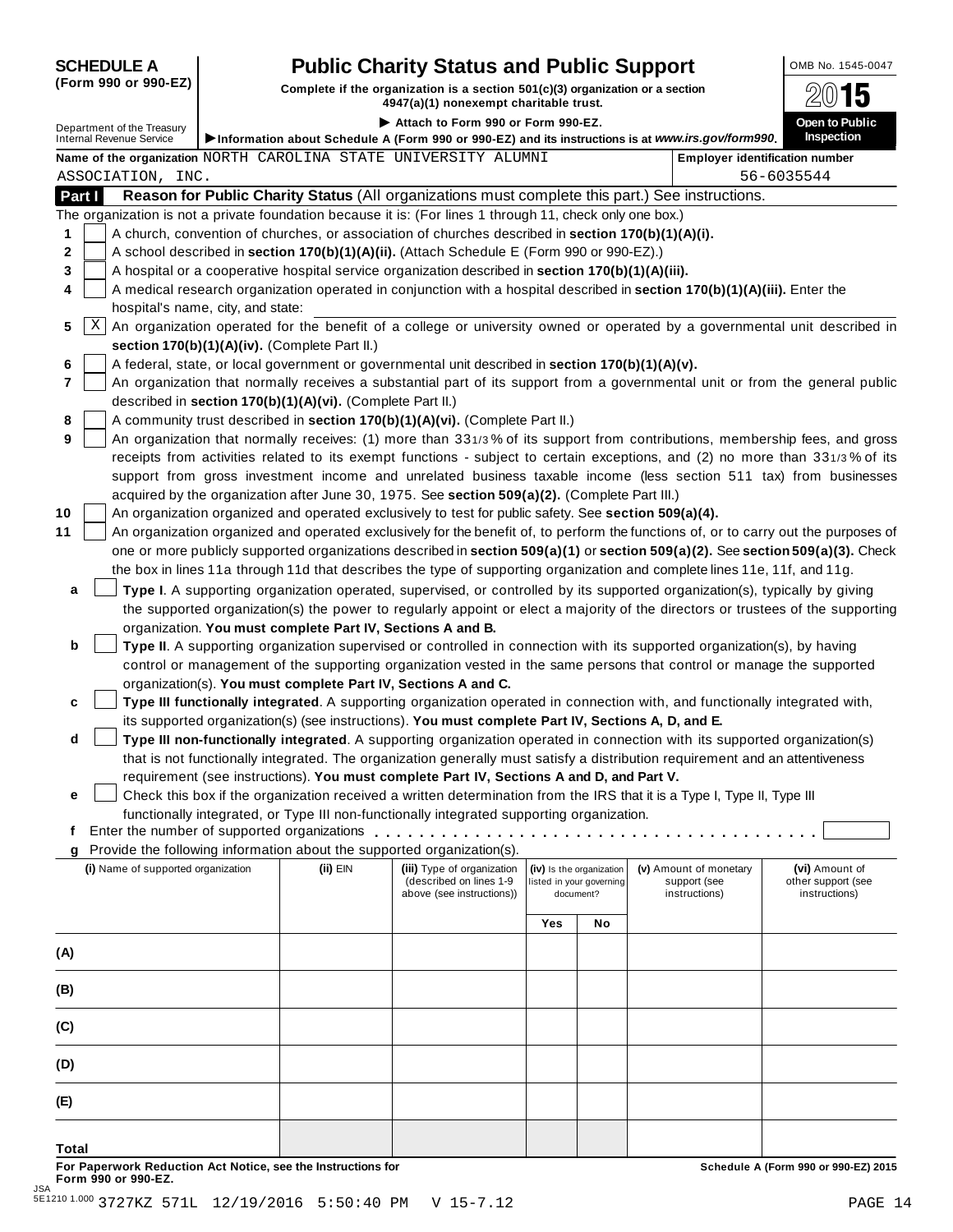# **SCHEDULE A Pub** OMB No. 1545-0047 **lic Charity Status and Public Support**

(Form 990 or 990-EZ) Complete if the organization is a section 501(c)(3) organization or a section  $4947(a)(1)$  nonexempt charitable trust.

|                                                        |                                                            | 4947 (a) (1) Honexempt chantable trust.                                                                   |     |                          |                                                                                                                                     |                                                                                                                                 |
|--------------------------------------------------------|------------------------------------------------------------|-----------------------------------------------------------------------------------------------------------|-----|--------------------------|-------------------------------------------------------------------------------------------------------------------------------------|---------------------------------------------------------------------------------------------------------------------------------|
| Department of the Treasury<br>Internal Revenue Service |                                                            | Attach to Form 990 or Form 990-EZ.                                                                        |     |                          |                                                                                                                                     | Open to Public                                                                                                                  |
|                                                        |                                                            |                                                                                                           |     |                          | Information about Schedule A (Form 990 or 990-EZ) and its instructions is at www.irs.gov/form990.                                   | <b>Inspection</b>                                                                                                               |
|                                                        |                                                            | Name of the organization NORTH CAROLINA STATE UNIVERSITY ALUMNI                                           |     |                          |                                                                                                                                     | <b>Employer identification number</b>                                                                                           |
| ASSOCIATION, INC.                                      |                                                            |                                                                                                           |     |                          |                                                                                                                                     | 56-6035544                                                                                                                      |
| Part I                                                 |                                                            |                                                                                                           |     |                          | Reason for Public Charity Status (All organizations must complete this part.) See instructions.                                     |                                                                                                                                 |
|                                                        |                                                            | The organization is not a private foundation because it is: (For lines 1 through 11, check only one box.) |     |                          |                                                                                                                                     |                                                                                                                                 |
| 1                                                      |                                                            | A church, convention of churches, or association of churches described in section 170(b)(1)(A)(i).        |     |                          |                                                                                                                                     |                                                                                                                                 |
| 2                                                      |                                                            | A school described in section 170(b)(1)(A)(ii). (Attach Schedule E (Form 990 or 990-EZ).)                 |     |                          |                                                                                                                                     |                                                                                                                                 |
| 3                                                      |                                                            | A hospital or a cooperative hospital service organization described in section 170(b)(1)(A)(iii).         |     |                          |                                                                                                                                     |                                                                                                                                 |
| 4                                                      |                                                            |                                                                                                           |     |                          | A medical research organization operated in conjunction with a hospital described in section 170(b)(1)(A)(iii). Enter the           |                                                                                                                                 |
| hospital's name, city, and state:                      |                                                            |                                                                                                           |     |                          |                                                                                                                                     |                                                                                                                                 |
| Χ<br>5                                                 |                                                            |                                                                                                           |     |                          | An organization operated for the benefit of a college or university owned or operated by a governmental unit described in           |                                                                                                                                 |
|                                                        | section 170(b)(1)(A)(iv). (Complete Part II.)              |                                                                                                           |     |                          |                                                                                                                                     |                                                                                                                                 |
| 6                                                      |                                                            | A federal, state, or local government or governmental unit described in section 170(b)(1)(A)(v).          |     |                          |                                                                                                                                     |                                                                                                                                 |
| $\overline{7}$                                         |                                                            |                                                                                                           |     |                          |                                                                                                                                     | An organization that normally receives a substantial part of its support from a governmental unit or from the general public    |
|                                                        | described in section 170(b)(1)(A)(vi). (Complete Part II.) |                                                                                                           |     |                          |                                                                                                                                     |                                                                                                                                 |
| 8<br>9                                                 |                                                            | A community trust described in section 170(b)(1)(A)(vi). (Complete Part II.)                              |     |                          |                                                                                                                                     |                                                                                                                                 |
|                                                        |                                                            |                                                                                                           |     |                          |                                                                                                                                     | An organization that normally receives: (1) more than 331/3% of its support from contributions, membership fees, and gross      |
|                                                        |                                                            |                                                                                                           |     |                          |                                                                                                                                     | receipts from activities related to its exempt functions - subject to certain exceptions, and (2) no more than 331/3% of its    |
|                                                        |                                                            | acquired by the organization after June 30, 1975. See section 509(a)(2). (Complete Part III.)             |     |                          |                                                                                                                                     | support from gross investment income and unrelated business taxable income (less section 511 tax) from businesses               |
| 10                                                     |                                                            | An organization organized and operated exclusively to test for public safety. See section 509(a)(4).      |     |                          |                                                                                                                                     |                                                                                                                                 |
| 11                                                     |                                                            |                                                                                                           |     |                          | An organization organized and operated exclusively for the benefit of, to perform the functions of, or to carry out the purposes of |                                                                                                                                 |
|                                                        |                                                            |                                                                                                           |     |                          | one or more publicly supported organizations described in section 509(a)(1) or section 509(a)(2). See section 509(a)(3). Check      |                                                                                                                                 |
|                                                        |                                                            |                                                                                                           |     |                          | the box in lines 11a through 11d that describes the type of supporting organization and complete lines 11e, 11f, and 11g.           |                                                                                                                                 |
|                                                        |                                                            |                                                                                                           |     |                          |                                                                                                                                     |                                                                                                                                 |
| a                                                      |                                                            |                                                                                                           |     |                          | Type I. A supporting organization operated, supervised, or controlled by its supported organization(s), typically by giving         |                                                                                                                                 |
|                                                        | organization. You must complete Part IV, Sections A and B. |                                                                                                           |     |                          |                                                                                                                                     | the supported organization(s) the power to regularly appoint or elect a majority of the directors or trustees of the supporting |
| b                                                      |                                                            |                                                                                                           |     |                          | Type II. A supporting organization supervised or controlled in connection with its supported organization(s), by having             |                                                                                                                                 |
|                                                        |                                                            |                                                                                                           |     |                          | control or management of the supporting organization vested in the same persons that control or manage the supported                |                                                                                                                                 |
|                                                        |                                                            | organization(s). You must complete Part IV, Sections A and C.                                             |     |                          |                                                                                                                                     |                                                                                                                                 |
| c                                                      |                                                            |                                                                                                           |     |                          | Type III functionally integrated. A supporting organization operated in connection with, and functionally integrated with,          |                                                                                                                                 |
|                                                        |                                                            | its supported organization(s) (see instructions). You must complete Part IV, Sections A, D, and E.        |     |                          |                                                                                                                                     |                                                                                                                                 |
| d                                                      |                                                            |                                                                                                           |     |                          | Type III non-functionally integrated. A supporting organization operated in connection with its supported organization(s)           |                                                                                                                                 |
|                                                        |                                                            |                                                                                                           |     |                          | that is not functionally integrated. The organization generally must satisfy a distribution requirement and an attentiveness        |                                                                                                                                 |
|                                                        |                                                            | requirement (see instructions). You must complete Part IV, Sections A and D, and Part V.                  |     |                          |                                                                                                                                     |                                                                                                                                 |
| е                                                      |                                                            |                                                                                                           |     |                          | Check this box if the organization received a written determination from the IRS that it is a Type I, Type II, Type III             |                                                                                                                                 |
|                                                        |                                                            | functionally integrated, or Type III non-functionally integrated supporting organization.                 |     |                          |                                                                                                                                     |                                                                                                                                 |
| Ť.                                                     |                                                            |                                                                                                           |     |                          |                                                                                                                                     |                                                                                                                                 |
| g                                                      |                                                            | Provide the following information about the supported organization(s).                                    |     |                          |                                                                                                                                     |                                                                                                                                 |
| (i) Name of supported organization                     | $(ii)$ EIN                                                 | (iii) Type of organization                                                                                |     | (iv) Is the organization | (v) Amount of monetary                                                                                                              | (vi) Amount of                                                                                                                  |
|                                                        |                                                            | (described on lines 1-9<br>above (see instructions))                                                      |     | listed in your governing | support (see<br>instructions)                                                                                                       | other support (see<br>instructions)                                                                                             |
|                                                        |                                                            |                                                                                                           |     | document?                |                                                                                                                                     |                                                                                                                                 |
|                                                        |                                                            |                                                                                                           | Yes | No                       |                                                                                                                                     |                                                                                                                                 |
|                                                        |                                                            |                                                                                                           |     |                          |                                                                                                                                     |                                                                                                                                 |
| (A)                                                    |                                                            |                                                                                                           |     |                          |                                                                                                                                     |                                                                                                                                 |
|                                                        |                                                            |                                                                                                           |     |                          |                                                                                                                                     |                                                                                                                                 |
| (B)                                                    |                                                            |                                                                                                           |     |                          |                                                                                                                                     |                                                                                                                                 |
| (C)                                                    |                                                            |                                                                                                           |     |                          |                                                                                                                                     |                                                                                                                                 |
| (D)                                                    |                                                            |                                                                                                           |     |                          |                                                                                                                                     |                                                                                                                                 |
|                                                        |                                                            |                                                                                                           |     |                          |                                                                                                                                     |                                                                                                                                 |
| (E)                                                    |                                                            |                                                                                                           |     |                          |                                                                                                                                     |                                                                                                                                 |

For Paperwork Reduction Act Notice, see the Instructions for the controlled and the controlled a Schedule A (Form 990 or 990-EZ) 2015<br>Form 990 or 990-EZ.

**Total**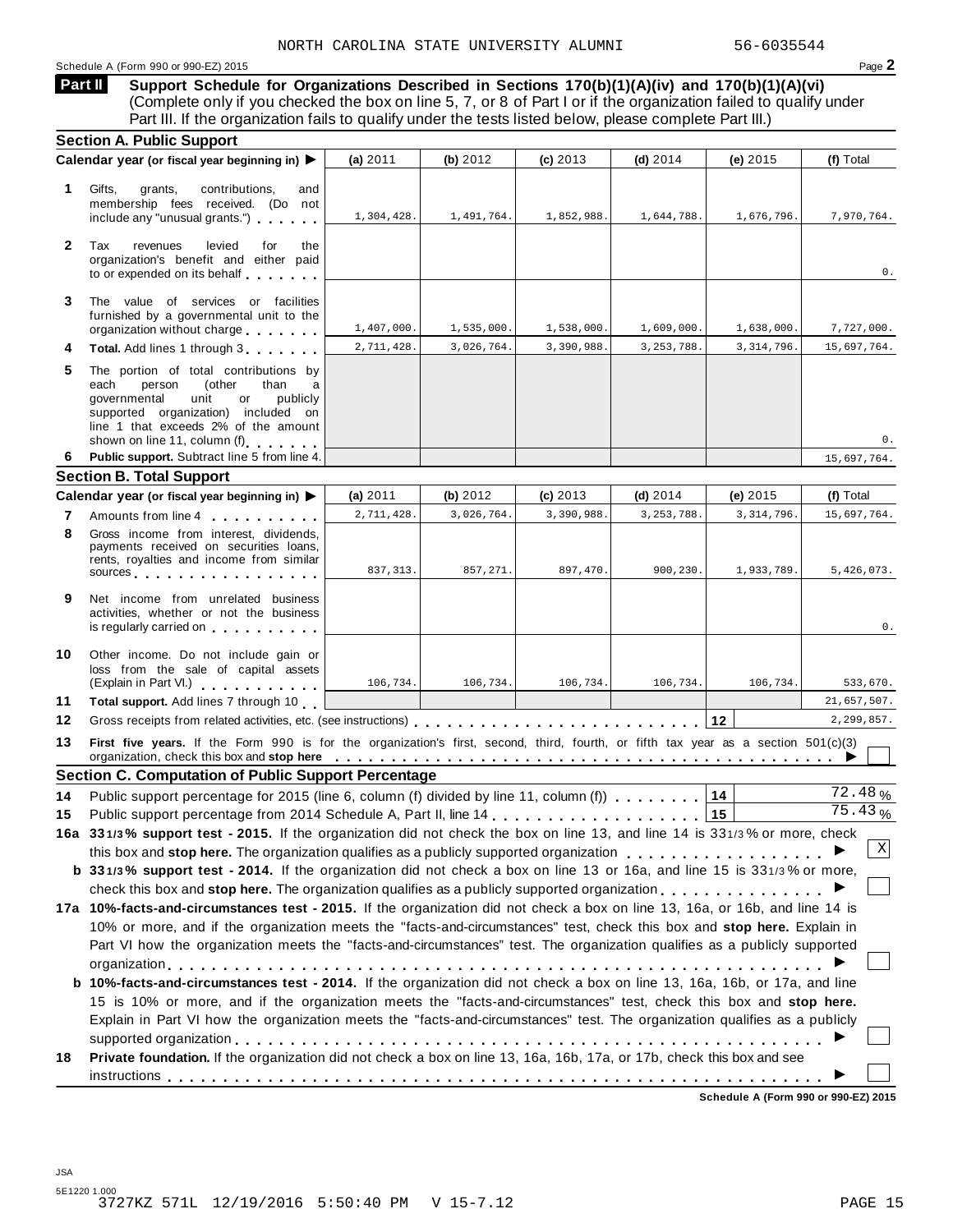#### Schedule <sup>A</sup> (Form <sup>990</sup> or 990-EZ) <sup>2015</sup> Page **2**

**Support Schedule for Organizations Described in Sections 170(b)(1)(A)(iv) and 170(b)(1)(A)(vi)** (Complete only if you checked the box on line 5, 7, or 8 of Part I or if the organization failed to qualify under Part III. If the organization fails to qualify under the tests listed below, please complete Part III.) **Part II**

|              | <b>Section A. Public Support</b>                                                                                                                                                                                                                                                                                                                                     |            |            |            |              |              |                      |
|--------------|----------------------------------------------------------------------------------------------------------------------------------------------------------------------------------------------------------------------------------------------------------------------------------------------------------------------------------------------------------------------|------------|------------|------------|--------------|--------------|----------------------|
|              | Calendar year (or fiscal year beginning in) ▶                                                                                                                                                                                                                                                                                                                        | (a) $2011$ | (b) $2012$ | $(c)$ 2013 | (d) $2014$   | (e) 2015     | (f) Total            |
| 1.           | Gifts,<br>grants,<br>contributions,<br>and<br>membership fees received. (Do not<br>include any "unusual grants.")                                                                                                                                                                                                                                                    | 1,304,428. | 1,491,764. | 1,852,988. | 1,644,788.   | 1,676,796.   | 7,970,764.           |
| $\mathbf{2}$ | Tax<br>revenues<br>levied<br>for<br>the<br>organization's benefit and either paid<br>to or expended on its behalf                                                                                                                                                                                                                                                    |            |            |            |              |              | 0.                   |
| 3            | The value of services or facilities<br>furnished by a governmental unit to the<br>organization without charge                                                                                                                                                                                                                                                        | 1,407,000. | 1,535,000. | 1,538,000. | 1,609,000.   | 1,638,000.   | 7,727,000.           |
| 4            | Total. Add lines 1 through 3                                                                                                                                                                                                                                                                                                                                         | 2,711,428. | 3,026,764. | 3,390,988. | 3, 253, 788. | 3, 314, 796. | 15,697,764.          |
| 5            | The portion of total contributions by<br>(other<br>each<br>person<br>than<br>a<br>governmental<br>unit<br>or<br>publicly<br>supported organization) included on<br>line 1 that exceeds 2% of the amount<br>shown on line 11, column (f)                                                                                                                              |            |            |            |              |              | 0.                   |
| 6.           | Public support. Subtract line 5 from line 4.                                                                                                                                                                                                                                                                                                                         |            |            |            |              |              | 15,697,764.          |
|              | <b>Section B. Total Support</b>                                                                                                                                                                                                                                                                                                                                      |            |            |            |              |              |                      |
|              | Calendar year (or fiscal year beginning in) ▶                                                                                                                                                                                                                                                                                                                        | (a) 2011   | (b) $2012$ | $(c)$ 2013 | (d) $2014$   | (e) $2015$   | (f) Total            |
| 7            | Amounts from line 4                                                                                                                                                                                                                                                                                                                                                  | 2,711,428. | 3,026,764. | 3,390,988. | 3, 253, 788. | 3, 314, 796. | 15,697,764.          |
| 8            | Gross income from interest, dividends,<br>payments received on securities loans.<br>rents, royalties and income from similar<br>sources and the set of the set of the set of the set of the set of the set of the set of the set of the set of                                                                                                                       | 837, 313.  | 857,271.   | 897,470.   | 900,230.     | 1,933,789.   | 5,426,073.           |
| 9            | Net income from unrelated business<br>activities, whether or not the business<br>is regularly carried on <b>the contract of the contract of the contract of the contract of the contract of the contract of the contract of the contract of the contract of the contract of the contract of the contract of the c</b>                                                |            |            |            |              |              | 0.                   |
| 10           | Other income. Do not include gain or<br>loss from the sale of capital assets<br>(Explain in Part VI.) <b>All Accords</b>                                                                                                                                                                                                                                             | 106,734.   | 106,734.   | 106,734.   | 106,734.     | 106,734.     | 533,670.             |
| 11           | Total support. Add lines 7 through 10                                                                                                                                                                                                                                                                                                                                |            |            |            |              |              | 21,657,507.          |
| 12           |                                                                                                                                                                                                                                                                                                                                                                      |            |            |            |              | 12           | 2,299,857.           |
| 13           | First five years. If the Form 990 is for the organization's first, second, third, fourth, or fifth tax year as a section 501(c)(3)<br>organization, check this box and stop here entirely respect to the state of the state of the state of the state of the state of the state of the state of the state of the state of the state of the state of the state of the |            |            |            |              |              |                      |
|              | <b>Section C. Computation of Public Support Percentage</b>                                                                                                                                                                                                                                                                                                           |            |            |            |              |              |                      |
| 14           | Public support percentage for 2015 (line 6, column (f) divided by line 11, column (f) $\ldots$ ,,,,,,                                                                                                                                                                                                                                                                |            |            |            |              | 14           | 72.48%               |
| 15           |                                                                                                                                                                                                                                                                                                                                                                      |            |            |            |              | 15           | $\overline{7}5.43\%$ |
|              | 16a 331/3% support test - 2015. If the organization did not check the box on line 13, and line 14 is 331/3% or more, check                                                                                                                                                                                                                                           |            |            |            |              |              |                      |
|              | this box and stop here. The organization qualifies as a publicly supported organization                                                                                                                                                                                                                                                                              |            |            |            |              |              | X                    |
|              | b 331/3% support test - 2014. If the organization did not check a box on line 13 or 16a, and line 15 is 331/3% or more,                                                                                                                                                                                                                                              |            |            |            |              |              |                      |
|              |                                                                                                                                                                                                                                                                                                                                                                      |            |            |            |              |              |                      |
|              | 17a 10%-facts-and-circumstances test - 2015. If the organization did not check a box on line 13, 16a, or 16b, and line 14 is                                                                                                                                                                                                                                         |            |            |            |              |              |                      |
|              | 10% or more, and if the organization meets the "facts-and-circumstances" test, check this box and stop here. Explain in                                                                                                                                                                                                                                              |            |            |            |              |              |                      |
|              | Part VI how the organization meets the "facts-and-circumstances" test. The organization qualifies as a publicly supported                                                                                                                                                                                                                                            |            |            |            |              |              |                      |
|              | <b>b 10%-facts-and-circumstances test - 2014.</b> If the organization did not check a box on line 13, 16a, 16b, or 17a, and line                                                                                                                                                                                                                                     |            |            |            |              |              |                      |
|              | 15 is 10% or more, and if the organization meets the "facts-and-circumstances" test, check this box and stop here.                                                                                                                                                                                                                                                   |            |            |            |              |              |                      |
|              | Explain in Part VI how the organization meets the "facts-and-circumstances" test. The organization qualifies as a publicly<br>Private foundation. If the organization did not check a box on line 13, 16a, 16b, 17a, or 17b, check this box and see                                                                                                                  |            |            |            |              |              |                      |
| 18           |                                                                                                                                                                                                                                                                                                                                                                      |            |            |            |              |              |                      |
|              |                                                                                                                                                                                                                                                                                                                                                                      |            |            |            |              |              |                      |

**Schedule A (Form 990 or 990-EZ) 2015**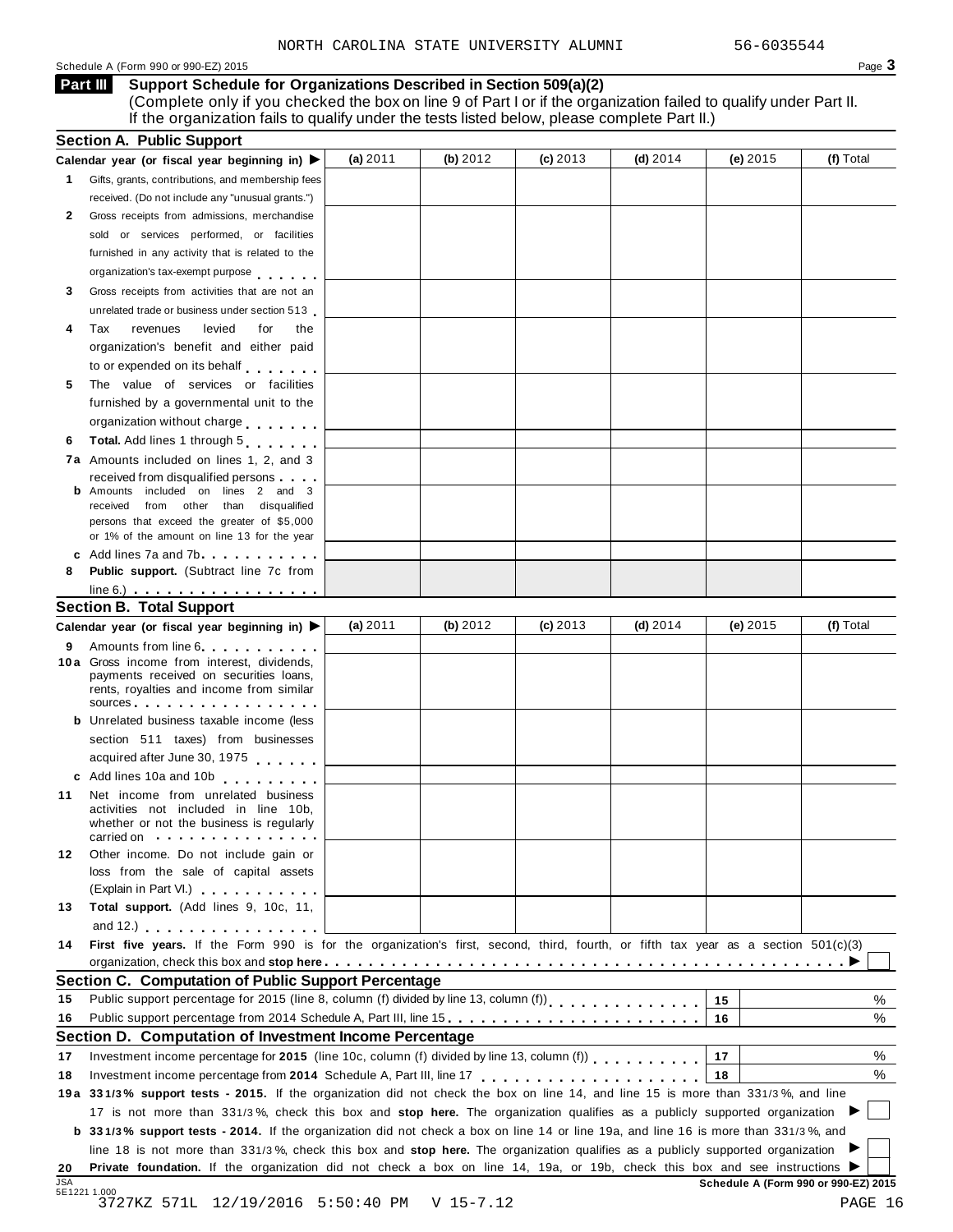#### Schedule A (Form 990 or 990-EZ) 2015 Page 3

#### **Support Schedule for Organizations Described in Section 509(a)(2) Part III**

(Complete only if you checked the box on line 9 of Part I or if the organization failed to qualify under Part II. If the organization fails to qualify under the tests listed below, please complete Part II.)

|                            | <b>Section A. Public Support</b>                                                                                                                                                                                                                                                                                                          |            |            |            |            |          |           |
|----------------------------|-------------------------------------------------------------------------------------------------------------------------------------------------------------------------------------------------------------------------------------------------------------------------------------------------------------------------------------------|------------|------------|------------|------------|----------|-----------|
|                            | Calendar year (or fiscal year beginning in) ▶                                                                                                                                                                                                                                                                                             | (a) $2011$ | (b) $2012$ | $(c)$ 2013 | (d) $2014$ | (e) 2015 | (f) Total |
| 1.                         | Gifts, grants, contributions, and membership fees                                                                                                                                                                                                                                                                                         |            |            |            |            |          |           |
|                            | received. (Do not include any "unusual grants.")                                                                                                                                                                                                                                                                                          |            |            |            |            |          |           |
| 2                          | Gross receipts from admissions, merchandise                                                                                                                                                                                                                                                                                               |            |            |            |            |          |           |
|                            | sold or services performed, or facilities                                                                                                                                                                                                                                                                                                 |            |            |            |            |          |           |
|                            | furnished in any activity that is related to the                                                                                                                                                                                                                                                                                          |            |            |            |            |          |           |
|                            | organization's tax-exempt purpose                                                                                                                                                                                                                                                                                                         |            |            |            |            |          |           |
| 3                          | Gross receipts from activities that are not an                                                                                                                                                                                                                                                                                            |            |            |            |            |          |           |
|                            | unrelated trade or business under section 513                                                                                                                                                                                                                                                                                             |            |            |            |            |          |           |
| 4                          | levied<br>Tax<br>revenues<br>for<br>the                                                                                                                                                                                                                                                                                                   |            |            |            |            |          |           |
|                            | organization's benefit and either paid                                                                                                                                                                                                                                                                                                    |            |            |            |            |          |           |
|                            | to or expended on its behalf                                                                                                                                                                                                                                                                                                              |            |            |            |            |          |           |
| 5                          | The value of services or facilities                                                                                                                                                                                                                                                                                                       |            |            |            |            |          |           |
|                            | furnished by a governmental unit to the                                                                                                                                                                                                                                                                                                   |            |            |            |            |          |           |
|                            | organization without charge                                                                                                                                                                                                                                                                                                               |            |            |            |            |          |           |
| 6                          | Total. Add lines 1 through 5                                                                                                                                                                                                                                                                                                              |            |            |            |            |          |           |
|                            | <b>7a</b> Amounts included on lines 1, 2, and 3                                                                                                                                                                                                                                                                                           |            |            |            |            |          |           |
|                            | received from disqualified persons                                                                                                                                                                                                                                                                                                        |            |            |            |            |          |           |
|                            | <b>b</b> Amounts included on lines 2 and 3                                                                                                                                                                                                                                                                                                |            |            |            |            |          |           |
|                            | from other than disqualified<br>received                                                                                                                                                                                                                                                                                                  |            |            |            |            |          |           |
|                            | persons that exceed the greater of \$5,000                                                                                                                                                                                                                                                                                                |            |            |            |            |          |           |
|                            | or 1% of the amount on line 13 for the year                                                                                                                                                                                                                                                                                               |            |            |            |            |          |           |
|                            | c Add lines 7a and 7b.                                                                                                                                                                                                                                                                                                                    |            |            |            |            |          |           |
| 8                          | Public support. (Subtract line 7c from                                                                                                                                                                                                                                                                                                    |            |            |            |            |          |           |
|                            | $line 6.)$<br><b>Section B. Total Support</b>                                                                                                                                                                                                                                                                                             |            |            |            |            |          |           |
|                            |                                                                                                                                                                                                                                                                                                                                           | (a) $2011$ | (b) $2012$ | $(c)$ 2013 | (d) $2014$ | (e) 2015 | (f) Total |
|                            | Calendar year (or fiscal year beginning in) ▶                                                                                                                                                                                                                                                                                             |            |            |            |            |          |           |
| 9                          | Amounts from line 6<br>10 a Gross income from interest, dividends,                                                                                                                                                                                                                                                                        |            |            |            |            |          |           |
|                            | payments received on securities loans,                                                                                                                                                                                                                                                                                                    |            |            |            |            |          |           |
|                            | rents, royalties and income from similar                                                                                                                                                                                                                                                                                                  |            |            |            |            |          |           |
|                            | sources                                                                                                                                                                                                                                                                                                                                   |            |            |            |            |          |           |
|                            | <b>b</b> Unrelated business taxable income (less                                                                                                                                                                                                                                                                                          |            |            |            |            |          |           |
|                            | section 511 taxes) from businesses                                                                                                                                                                                                                                                                                                        |            |            |            |            |          |           |
|                            | acquired after June 30, 1975                                                                                                                                                                                                                                                                                                              |            |            |            |            |          |           |
|                            | c Add lines 10a and 10b                                                                                                                                                                                                                                                                                                                   |            |            |            |            |          |           |
| 11                         | Net income from unrelated business                                                                                                                                                                                                                                                                                                        |            |            |            |            |          |           |
|                            | activities not included in line 10b,<br>whether or not the business is regularly                                                                                                                                                                                                                                                          |            |            |            |            |          |           |
|                            | carried on the carried on the contract of the care of the contract of the contract of the contract of the contract of the contract of the contract of the contract of the contract of the contract of the contract of the cont                                                                                                            |            |            |            |            |          |           |
| 12                         | Other income. Do not include gain or                                                                                                                                                                                                                                                                                                      |            |            |            |            |          |           |
|                            | loss from the sale of capital assets                                                                                                                                                                                                                                                                                                      |            |            |            |            |          |           |
|                            | (Explain in Part VI.) <b>CONTEXER</b>                                                                                                                                                                                                                                                                                                     |            |            |            |            |          |           |
| 13                         | Total support. (Add lines 9, 10c, 11,                                                                                                                                                                                                                                                                                                     |            |            |            |            |          |           |
|                            | and $12$ .) $\qquad \qquad$ $\qquad$ $\qquad$ $\qquad$ $\qquad$ $\qquad$ $\qquad$ $\qquad$ $\qquad$ $\qquad$ $\qquad$ $\qquad$ $\qquad$ $\qquad$ $\qquad$ $\qquad$ $\qquad$ $\qquad$ $\qquad$ $\qquad$ $\qquad$ $\qquad$ $\qquad$ $\qquad$ $\qquad$ $\qquad$ $\qquad$ $\qquad$ $\qquad$ $\qquad$ $\qquad$ $\qquad$ $\qquad$ $\qquad$ $\q$ |            |            |            |            |          |           |
| 14                         | First five years. If the Form 990 is for the organization's first, second, third, fourth, or fifth tax year as a section 501(c)(3)                                                                                                                                                                                                        |            |            |            |            |          |           |
|                            |                                                                                                                                                                                                                                                                                                                                           |            |            |            |            |          |           |
|                            |                                                                                                                                                                                                                                                                                                                                           |            |            |            |            |          |           |
|                            | Section C. Computation of Public Support Percentage                                                                                                                                                                                                                                                                                       |            |            |            |            |          |           |
|                            | Public support percentage for 2015 (line 8, column (f) divided by line 13, column (f))<br>[11]                                                                                                                                                                                                                                            |            |            |            |            | 15       | ℅         |
|                            | Public support percentage from 2014 Schedule A, Part III, line 15.                                                                                                                                                                                                                                                                        |            |            |            |            | 16       | %         |
|                            |                                                                                                                                                                                                                                                                                                                                           |            |            |            |            |          |           |
|                            | Section D. Computation of Investment Income Percentage                                                                                                                                                                                                                                                                                    |            |            |            |            | 17       | %         |
|                            |                                                                                                                                                                                                                                                                                                                                           |            |            |            |            | 18       | $\%$      |
|                            |                                                                                                                                                                                                                                                                                                                                           |            |            |            |            |          |           |
|                            | 19a 331/3% support tests - 2015. If the organization did not check the box on line 14, and line 15 is more than 331/3%, and line                                                                                                                                                                                                          |            |            |            |            |          |           |
|                            | 17 is not more than 331/3%, check this box and stop here. The organization qualifies as a publicly supported organization                                                                                                                                                                                                                 |            |            |            |            |          |           |
|                            | <b>b</b> 331/3% support tests - 2014. If the organization did not check a box on line 14 or line 19a, and line 16 is more than 331/3%, and                                                                                                                                                                                                |            |            |            |            |          |           |
| 15<br>16<br>17<br>18<br>20 | line 18 is not more than 331/3%, check this box and stop here. The organization qualifies as a publicly supported organization<br>Private foundation. If the organization did not check a box on line 14, 19a, or 19b, check this box and see instructions ▶                                                                              |            |            |            |            |          |           |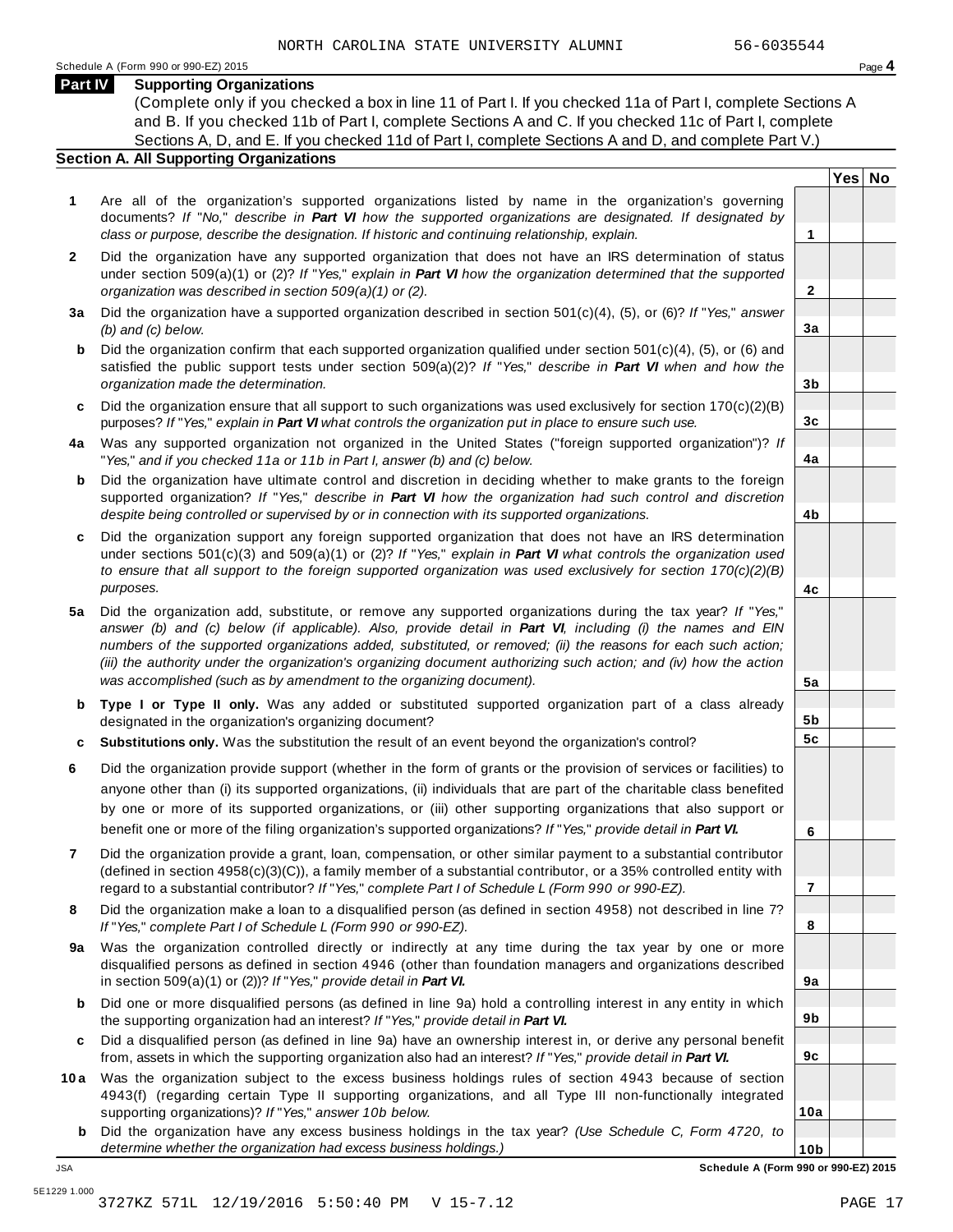**Yes No**

**2**

**3a**

**3b**

**3c**

**4a**

**4b**

**4c**

**5a**

**5b 5c**

**6**

**7**

**8**

**9a**

**9b**

**9c**

**10a**

#### **Part IV Supporting Organizations**

(Complete only if you checked a box in line 11 of Part I. If you checked 11a of Part I, complete Sections A and B. If you checked 11b of Part I, complete Sections A and C. If you checked 11c of Part I, complete Sections A, D, and E. If you checked 11d of Part I, complete Sections A and D, and complete Part V.)

#### **Section A. All Supporting Organizations**

- **1** Are all of the organization's supported organizations listed by name in the organization's governing documents? *If* "*No,*" *describe in Part VI how the supported organizations are designated. If designated by class or purpose, describe the designation. If historic and continuing relationship, explain.* **1**
- **2** Did the organization have any supported organization that does not have an IRS determination of status under section 509(a)(1) or (2)? *If*"*Yes,*" *explain in Part VI how the organization determined that the supported organization was described in section 509(a)(1) or (2).*
- **3 a** Did the organization have a supported organization described in section 501(c)(4), (5), or (6)? *If* "*Yes,*" *answer (b) and (c) below.*
- **b** Did the organization confirm that each supported organization qualified under section 501(c)(4), (5), or (6) and | satisfied the public support tests under section 509(a)(2)? *If* "*Yes,*" *describe in Part VI when and how the organization made the determination.*
- **c** Did the organization ensure that all support to such organizations was used exclusively for section 170(c)(2)(B) purposes? *If*"*Yes,*" *explain in Part VI what controls the organization put in place to ensure such use.*
- **4 a** Was any supported organization not organized in the United States ("foreign supported organization")? *If* "*Yes,*" *and if you checked 11a or 11b in Part I, answer (b) and (c) below.*
- **b** Did the organization have ultimate control and discretion in deciding whether to make grants to the foreign | supported organization? *If* "*Yes,*" *describe in Part VI how the organization had such control and discretion despite being controlled or supervised by or in connection with its supported organizations.*
- **c** Did the organization support any foreign supported organization that does not have an IRS determination | under sections 501(c)(3) and 509(a)(1) or (2)? *If* "*Yes,*" *explain in Part VI what controls the organization used to ensure that all support to the foreign supported organization was used exclusively for section 170(c)(2)(B) purposes.*
- **5 a** Did the organization add, substitute, or remove any supported organizations during the tax year? *If* "*Yes,*" answer (b) and (c) below (if applicable). Also, provide detail in Part VI, including (i) the names and EIN *numbers of the supported organizations added, substituted, or removed; (ii) the reasons for each such action;* (iii) the authority under the organization's organizing document authorizing such action; and (iv) how the action *was accomplished (such as by amendment to the organizing document).*
- **b** Type I or Type II only. Was any added or substituted supported organization part of a class already | designated in the organization's organizing document?
- **c Substitutions only.** Was the substitution the result of an event beyond the organization's control?
- **6** Did the organization provide support (whether in the form of grants or the provision of services or facilities) to anyone other than (i) its supported organizations, (ii) individuals that are part of the charitable class benefited by one or more of its supported organizations, or (iii) other supporting organizations that also support or benefit one or more of the filing organization's supported organizations? *If*"*Yes,*" *provide detail in Part VI.*
- **7** Did the organization provide a grant, loan, compensation, or other similar payment to a substantial contributor (defined in section 4958(c)(3)(C)), a family member of a substantial contributor, or a 35% controlled entity with regard to a substantial contributor? *If*"*Yes,*" *complete Part I of Schedule L (Form 990 or 990-EZ).*
- **8** Did the organization make a loan to a disqualified person (as defined in section 4958) not described in line 7? *If* "*Yes,*" *complete Part I of Schedule L (Form 990 or 990-EZ).*
- **a** Was the organization controlled directly or indirectly at any time during the tax year by one or more | **9** disqualified persons as defined in section 4946 (other than foundation managers and organizations described in section 509(a)(1) or (2))? *If*"*Yes,*" *provide detail in Part VI.*
- **b** Did one or more disqualified persons (as defined in line 9a) hold a controlling interest in any entity in which | the supporting organization had an interest? *If*"*Yes,*" *provide detail in Part VI.*
- **c** Did a disqualified person (as defined in line 9a) have an ownership interest in, or derive any personal benefit from, assets in which the supporting organization also had an interest? *If*"*Yes,*" *provide detail in Part VI.*
- **10a** Was the organization subject to the excess business holdings rules of section 4943 because of section | 4943(f) (regarding certain Type II supporting organizations, and all Type III non-functionally integrated supporting organizations)? *If*"*Yes,*" *answer 10b below.*
	- **b** Did the organization have any excess business holdings in the tax year? *(Use Schedule C, Form 4720, to determine whether the organization had excess business holdings.)*

**10b** JSA **Schedule A (Form 990 or 990-EZ) 2015**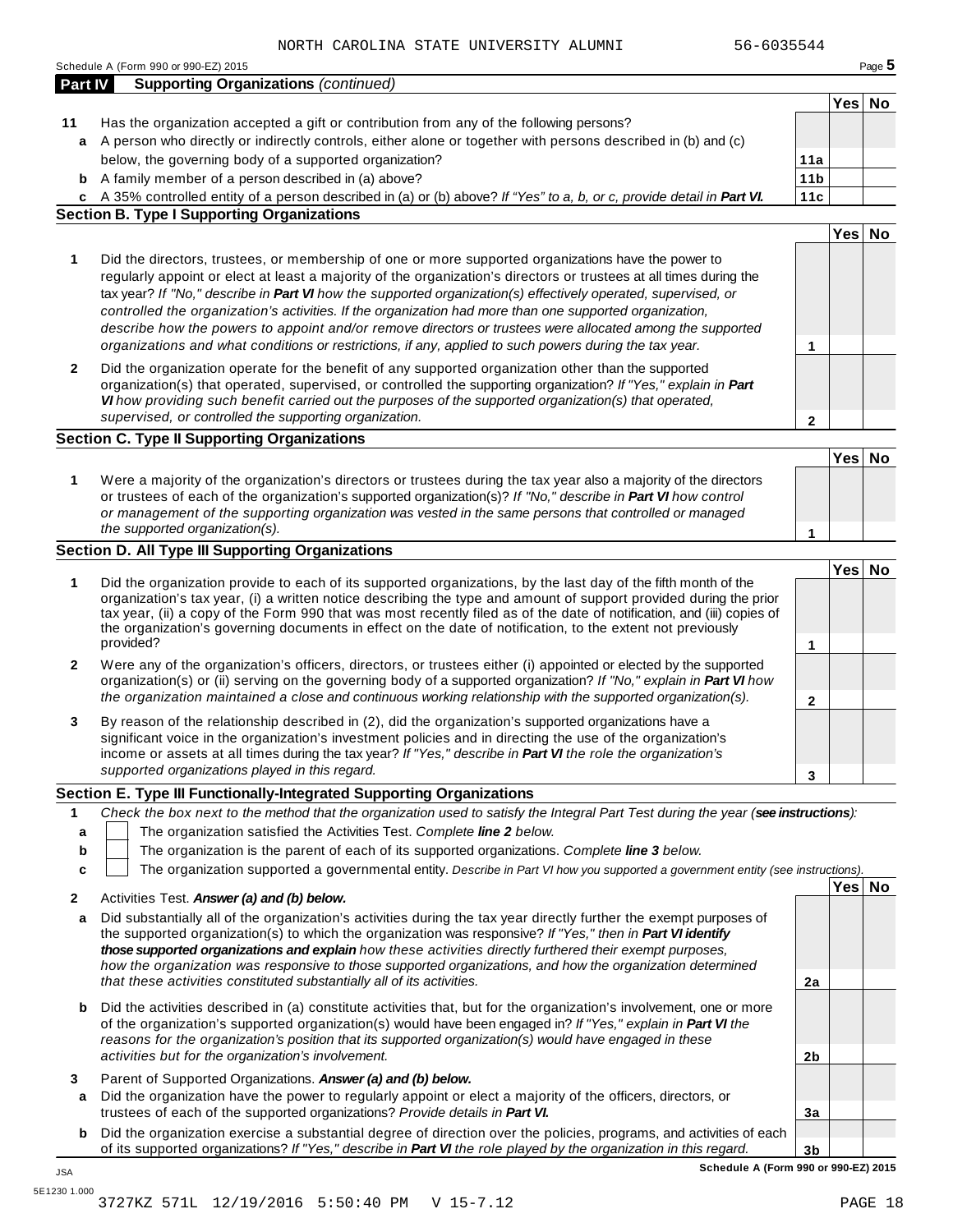|              |                                                                                                                                                                                                                                                                                                                                                                                                                                                                                                                                                                                                                                                                                                                                                                                                                                                                                                                                                                                                                                                                                                                                                                                                                                                                                                                                                                                                                                                                                                                                                                                                                                                                                                                                                                                                                                                                                                                                                                                                                                                                                                                                                                                                                                                                                                                                                                                                                                                                                                                                                                                                                                                                                                                                                                                                                                                                                                                                                                                                                                                                                                                                                                                                                                                                                                                                                                                                                                                                                                                                                                                                                                                                                                                                                                                                                                                                                                                                                                                                                                                                                                                                                                                                                                                                                                                                                                                                                                                                                                                                                                                                                                                                                                                                                                                                                                                                                                                                                                                                                                                                           |                 |        | Page 5 |
|--------------|---------------------------------------------------------------------------------------------------------------------------------------------------------------------------------------------------------------------------------------------------------------------------------------------------------------------------------------------------------------------------------------------------------------------------------------------------------------------------------------------------------------------------------------------------------------------------------------------------------------------------------------------------------------------------------------------------------------------------------------------------------------------------------------------------------------------------------------------------------------------------------------------------------------------------------------------------------------------------------------------------------------------------------------------------------------------------------------------------------------------------------------------------------------------------------------------------------------------------------------------------------------------------------------------------------------------------------------------------------------------------------------------------------------------------------------------------------------------------------------------------------------------------------------------------------------------------------------------------------------------------------------------------------------------------------------------------------------------------------------------------------------------------------------------------------------------------------------------------------------------------------------------------------------------------------------------------------------------------------------------------------------------------------------------------------------------------------------------------------------------------------------------------------------------------------------------------------------------------------------------------------------------------------------------------------------------------------------------------------------------------------------------------------------------------------------------------------------------------------------------------------------------------------------------------------------------------------------------------------------------------------------------------------------------------------------------------------------------------------------------------------------------------------------------------------------------------------------------------------------------------------------------------------------------------------------------------------------------------------------------------------------------------------------------------------------------------------------------------------------------------------------------------------------------------------------------------------------------------------------------------------------------------------------------------------------------------------------------------------------------------------------------------------------------------------------------------------------------------------------------------------------------------------------------------------------------------------------------------------------------------------------------------------------------------------------------------------------------------------------------------------------------------------------------------------------------------------------------------------------------------------------------------------------------------------------------------------------------------------------------------------------------------------------------------------------------------------------------------------------------------------------------------------------------------------------------------------------------------------------------------------------------------------------------------------------------------------------------------------------------------------------------------------------------------------------------------------------------------------------------------------------------------------------------------------------------------------------------------------------------------------------------------------------------------------------------------------------------------------------------------------------------------------------------------------------------------------------------------------------------------------------------------------------------------------------------------------------------------------------------------------------------------------------------------------------------------|-----------------|--------|--------|
| Part IV      |                                                                                                                                                                                                                                                                                                                                                                                                                                                                                                                                                                                                                                                                                                                                                                                                                                                                                                                                                                                                                                                                                                                                                                                                                                                                                                                                                                                                                                                                                                                                                                                                                                                                                                                                                                                                                                                                                                                                                                                                                                                                                                                                                                                                                                                                                                                                                                                                                                                                                                                                                                                                                                                                                                                                                                                                                                                                                                                                                                                                                                                                                                                                                                                                                                                                                                                                                                                                                                                                                                                                                                                                                                                                                                                                                                                                                                                                                                                                                                                                                                                                                                                                                                                                                                                                                                                                                                                                                                                                                                                                                                                                                                                                                                                                                                                                                                                                                                                                                                                                                                                                           |                 |        |        |
|              |                                                                                                                                                                                                                                                                                                                                                                                                                                                                                                                                                                                                                                                                                                                                                                                                                                                                                                                                                                                                                                                                                                                                                                                                                                                                                                                                                                                                                                                                                                                                                                                                                                                                                                                                                                                                                                                                                                                                                                                                                                                                                                                                                                                                                                                                                                                                                                                                                                                                                                                                                                                                                                                                                                                                                                                                                                                                                                                                                                                                                                                                                                                                                                                                                                                                                                                                                                                                                                                                                                                                                                                                                                                                                                                                                                                                                                                                                                                                                                                                                                                                                                                                                                                                                                                                                                                                                                                                                                                                                                                                                                                                                                                                                                                                                                                                                                                                                                                                                                                                                                                                           |                 | Yes No |        |
| 11           |                                                                                                                                                                                                                                                                                                                                                                                                                                                                                                                                                                                                                                                                                                                                                                                                                                                                                                                                                                                                                                                                                                                                                                                                                                                                                                                                                                                                                                                                                                                                                                                                                                                                                                                                                                                                                                                                                                                                                                                                                                                                                                                                                                                                                                                                                                                                                                                                                                                                                                                                                                                                                                                                                                                                                                                                                                                                                                                                                                                                                                                                                                                                                                                                                                                                                                                                                                                                                                                                                                                                                                                                                                                                                                                                                                                                                                                                                                                                                                                                                                                                                                                                                                                                                                                                                                                                                                                                                                                                                                                                                                                                                                                                                                                                                                                                                                                                                                                                                                                                                                                                           |                 |        |        |
|              | Schedule A (Form 990 or 990-EZ) 2015<br><b>Supporting Organizations (continued)</b><br>Has the organization accepted a gift or contribution from any of the following persons?<br>a A person who directly or indirectly controls, either alone or together with persons described in (b) and (c)<br>below, the governing body of a supported organization?<br>A family member of a person described in (a) above?<br>c A 35% controlled entity of a person described in (a) or (b) above? If "Yes" to a, b, or c, provide detail in Part VI.<br><b>Section B. Type I Supporting Organizations</b><br>Did the directors, trustees, or membership of one or more supported organizations have the power to<br>regularly appoint or elect at least a majority of the organization's directors or trustees at all times during the<br>tax year? If "No," describe in Part VI how the supported organization(s) effectively operated, supervised, or<br>controlled the organization's activities. If the organization had more than one supported organization,<br>describe how the powers to appoint and/or remove directors or trustees were allocated among the supported<br>organizations and what conditions or restrictions, if any, applied to such powers during the tax year.<br>Did the organization operate for the benefit of any supported organization other than the supported<br>organization(s) that operated, supervised, or controlled the supporting organization? If "Yes," explain in Part<br>VI how providing such benefit carried out the purposes of the supported organization(s) that operated,<br>supervised, or controlled the supporting organization.<br><b>Section C. Type II Supporting Organizations</b><br>Were a majority of the organization's directors or trustees during the tax year also a majority of the directors<br>or trustees of each of the organization's supported organization(s)? If "No," describe in Part VI how control<br>or management of the supporting organization was vested in the same persons that controlled or managed<br>the supported organization(s).<br>Section D. All Type III Supporting Organizations<br>Did the organization provide to each of its supported organizations, by the last day of the fifth month of the<br>organization's tax year, (i) a written notice describing the type and amount of support provided during the prior<br>tax year, (ii) a copy of the Form 990 that was most recently filed as of the date of notification, and (iii) copies of<br>the organization's governing documents in effect on the date of notification, to the extent not previously<br>provided?<br>Were any of the organization's officers, directors, or trustees either (i) appointed or elected by the supported<br>organization(s) or (ii) serving on the governing body of a supported organization? If "No," explain in Part VI how<br>the organization maintained a close and continuous working relationship with the supported organization(s).<br>By reason of the relationship described in (2), did the organization's supported organizations have a<br>significant voice in the organization's investment policies and in directing the use of the organization's<br>income or assets at all times during the tax year? If "Yes," describe in Part VI the role the organization's<br>supported organizations played in this regard.<br>Section E. Type III Functionally-Integrated Supporting Organizations<br>The organization satisfied the Activities Test. Complete line 2 below.<br>The organization is the parent of each of its supported organizations. Complete line 3 below.<br>The organization supported a governmental entity. Describe in Part VI how you supported a government entity (see instructions).<br>Activities Test. Answer (a) and (b) below.<br>Did substantially all of the organization's activities during the tax year directly further the exempt purposes of<br>the supported organization(s) to which the organization was responsive? If "Yes," then in Part VI identify<br>those supported organizations and explain how these activities directly furthered their exempt purposes,<br>how the organization was responsive to those supported organizations, and how the organization determined<br>that these activities constituted substantially all of its activities.<br>Did the activities described in (a) constitute activities that, but for the organization's involvement, one or more<br>of the organization's supported organization(s) would have been engaged in? If "Yes," explain in Part VI the<br>reasons for the organization's position that its supported organization(s) would have engaged in these<br>activities but for the organization's involvement.<br>Parent of Supported Organizations. Answer (a) and (b) below.<br>Did the organization have the power to regularly appoint or elect a majority of the officers, directors, or<br>trustees of each of the supported organizations? Provide details in Part VI. | 11a             |        |        |
| b            |                                                                                                                                                                                                                                                                                                                                                                                                                                                                                                                                                                                                                                                                                                                                                                                                                                                                                                                                                                                                                                                                                                                                                                                                                                                                                                                                                                                                                                                                                                                                                                                                                                                                                                                                                                                                                                                                                                                                                                                                                                                                                                                                                                                                                                                                                                                                                                                                                                                                                                                                                                                                                                                                                                                                                                                                                                                                                                                                                                                                                                                                                                                                                                                                                                                                                                                                                                                                                                                                                                                                                                                                                                                                                                                                                                                                                                                                                                                                                                                                                                                                                                                                                                                                                                                                                                                                                                                                                                                                                                                                                                                                                                                                                                                                                                                                                                                                                                                                                                                                                                                                           | 11 <sub>b</sub> |        |        |
|              |                                                                                                                                                                                                                                                                                                                                                                                                                                                                                                                                                                                                                                                                                                                                                                                                                                                                                                                                                                                                                                                                                                                                                                                                                                                                                                                                                                                                                                                                                                                                                                                                                                                                                                                                                                                                                                                                                                                                                                                                                                                                                                                                                                                                                                                                                                                                                                                                                                                                                                                                                                                                                                                                                                                                                                                                                                                                                                                                                                                                                                                                                                                                                                                                                                                                                                                                                                                                                                                                                                                                                                                                                                                                                                                                                                                                                                                                                                                                                                                                                                                                                                                                                                                                                                                                                                                                                                                                                                                                                                                                                                                                                                                                                                                                                                                                                                                                                                                                                                                                                                                                           | 11c             |        |        |
|              |                                                                                                                                                                                                                                                                                                                                                                                                                                                                                                                                                                                                                                                                                                                                                                                                                                                                                                                                                                                                                                                                                                                                                                                                                                                                                                                                                                                                                                                                                                                                                                                                                                                                                                                                                                                                                                                                                                                                                                                                                                                                                                                                                                                                                                                                                                                                                                                                                                                                                                                                                                                                                                                                                                                                                                                                                                                                                                                                                                                                                                                                                                                                                                                                                                                                                                                                                                                                                                                                                                                                                                                                                                                                                                                                                                                                                                                                                                                                                                                                                                                                                                                                                                                                                                                                                                                                                                                                                                                                                                                                                                                                                                                                                                                                                                                                                                                                                                                                                                                                                                                                           |                 |        |        |
|              |                                                                                                                                                                                                                                                                                                                                                                                                                                                                                                                                                                                                                                                                                                                                                                                                                                                                                                                                                                                                                                                                                                                                                                                                                                                                                                                                                                                                                                                                                                                                                                                                                                                                                                                                                                                                                                                                                                                                                                                                                                                                                                                                                                                                                                                                                                                                                                                                                                                                                                                                                                                                                                                                                                                                                                                                                                                                                                                                                                                                                                                                                                                                                                                                                                                                                                                                                                                                                                                                                                                                                                                                                                                                                                                                                                                                                                                                                                                                                                                                                                                                                                                                                                                                                                                                                                                                                                                                                                                                                                                                                                                                                                                                                                                                                                                                                                                                                                                                                                                                                                                                           |                 | Yes No |        |
| 1            |                                                                                                                                                                                                                                                                                                                                                                                                                                                                                                                                                                                                                                                                                                                                                                                                                                                                                                                                                                                                                                                                                                                                                                                                                                                                                                                                                                                                                                                                                                                                                                                                                                                                                                                                                                                                                                                                                                                                                                                                                                                                                                                                                                                                                                                                                                                                                                                                                                                                                                                                                                                                                                                                                                                                                                                                                                                                                                                                                                                                                                                                                                                                                                                                                                                                                                                                                                                                                                                                                                                                                                                                                                                                                                                                                                                                                                                                                                                                                                                                                                                                                                                                                                                                                                                                                                                                                                                                                                                                                                                                                                                                                                                                                                                                                                                                                                                                                                                                                                                                                                                                           | 1               |        |        |
| $\mathbf{2}$ |                                                                                                                                                                                                                                                                                                                                                                                                                                                                                                                                                                                                                                                                                                                                                                                                                                                                                                                                                                                                                                                                                                                                                                                                                                                                                                                                                                                                                                                                                                                                                                                                                                                                                                                                                                                                                                                                                                                                                                                                                                                                                                                                                                                                                                                                                                                                                                                                                                                                                                                                                                                                                                                                                                                                                                                                                                                                                                                                                                                                                                                                                                                                                                                                                                                                                                                                                                                                                                                                                                                                                                                                                                                                                                                                                                                                                                                                                                                                                                                                                                                                                                                                                                                                                                                                                                                                                                                                                                                                                                                                                                                                                                                                                                                                                                                                                                                                                                                                                                                                                                                                           | 2               |        |        |
|              |                                                                                                                                                                                                                                                                                                                                                                                                                                                                                                                                                                                                                                                                                                                                                                                                                                                                                                                                                                                                                                                                                                                                                                                                                                                                                                                                                                                                                                                                                                                                                                                                                                                                                                                                                                                                                                                                                                                                                                                                                                                                                                                                                                                                                                                                                                                                                                                                                                                                                                                                                                                                                                                                                                                                                                                                                                                                                                                                                                                                                                                                                                                                                                                                                                                                                                                                                                                                                                                                                                                                                                                                                                                                                                                                                                                                                                                                                                                                                                                                                                                                                                                                                                                                                                                                                                                                                                                                                                                                                                                                                                                                                                                                                                                                                                                                                                                                                                                                                                                                                                                                           |                 |        |        |
|              |                                                                                                                                                                                                                                                                                                                                                                                                                                                                                                                                                                                                                                                                                                                                                                                                                                                                                                                                                                                                                                                                                                                                                                                                                                                                                                                                                                                                                                                                                                                                                                                                                                                                                                                                                                                                                                                                                                                                                                                                                                                                                                                                                                                                                                                                                                                                                                                                                                                                                                                                                                                                                                                                                                                                                                                                                                                                                                                                                                                                                                                                                                                                                                                                                                                                                                                                                                                                                                                                                                                                                                                                                                                                                                                                                                                                                                                                                                                                                                                                                                                                                                                                                                                                                                                                                                                                                                                                                                                                                                                                                                                                                                                                                                                                                                                                                                                                                                                                                                                                                                                                           |                 | Yes No |        |
| 1            |                                                                                                                                                                                                                                                                                                                                                                                                                                                                                                                                                                                                                                                                                                                                                                                                                                                                                                                                                                                                                                                                                                                                                                                                                                                                                                                                                                                                                                                                                                                                                                                                                                                                                                                                                                                                                                                                                                                                                                                                                                                                                                                                                                                                                                                                                                                                                                                                                                                                                                                                                                                                                                                                                                                                                                                                                                                                                                                                                                                                                                                                                                                                                                                                                                                                                                                                                                                                                                                                                                                                                                                                                                                                                                                                                                                                                                                                                                                                                                                                                                                                                                                                                                                                                                                                                                                                                                                                                                                                                                                                                                                                                                                                                                                                                                                                                                                                                                                                                                                                                                                                           |                 |        |        |
|              |                                                                                                                                                                                                                                                                                                                                                                                                                                                                                                                                                                                                                                                                                                                                                                                                                                                                                                                                                                                                                                                                                                                                                                                                                                                                                                                                                                                                                                                                                                                                                                                                                                                                                                                                                                                                                                                                                                                                                                                                                                                                                                                                                                                                                                                                                                                                                                                                                                                                                                                                                                                                                                                                                                                                                                                                                                                                                                                                                                                                                                                                                                                                                                                                                                                                                                                                                                                                                                                                                                                                                                                                                                                                                                                                                                                                                                                                                                                                                                                                                                                                                                                                                                                                                                                                                                                                                                                                                                                                                                                                                                                                                                                                                                                                                                                                                                                                                                                                                                                                                                                                           |                 |        |        |
|              |                                                                                                                                                                                                                                                                                                                                                                                                                                                                                                                                                                                                                                                                                                                                                                                                                                                                                                                                                                                                                                                                                                                                                                                                                                                                                                                                                                                                                                                                                                                                                                                                                                                                                                                                                                                                                                                                                                                                                                                                                                                                                                                                                                                                                                                                                                                                                                                                                                                                                                                                                                                                                                                                                                                                                                                                                                                                                                                                                                                                                                                                                                                                                                                                                                                                                                                                                                                                                                                                                                                                                                                                                                                                                                                                                                                                                                                                                                                                                                                                                                                                                                                                                                                                                                                                                                                                                                                                                                                                                                                                                                                                                                                                                                                                                                                                                                                                                                                                                                                                                                                                           | 1               |        |        |
|              |                                                                                                                                                                                                                                                                                                                                                                                                                                                                                                                                                                                                                                                                                                                                                                                                                                                                                                                                                                                                                                                                                                                                                                                                                                                                                                                                                                                                                                                                                                                                                                                                                                                                                                                                                                                                                                                                                                                                                                                                                                                                                                                                                                                                                                                                                                                                                                                                                                                                                                                                                                                                                                                                                                                                                                                                                                                                                                                                                                                                                                                                                                                                                                                                                                                                                                                                                                                                                                                                                                                                                                                                                                                                                                                                                                                                                                                                                                                                                                                                                                                                                                                                                                                                                                                                                                                                                                                                                                                                                                                                                                                                                                                                                                                                                                                                                                                                                                                                                                                                                                                                           |                 |        |        |
|              |                                                                                                                                                                                                                                                                                                                                                                                                                                                                                                                                                                                                                                                                                                                                                                                                                                                                                                                                                                                                                                                                                                                                                                                                                                                                                                                                                                                                                                                                                                                                                                                                                                                                                                                                                                                                                                                                                                                                                                                                                                                                                                                                                                                                                                                                                                                                                                                                                                                                                                                                                                                                                                                                                                                                                                                                                                                                                                                                                                                                                                                                                                                                                                                                                                                                                                                                                                                                                                                                                                                                                                                                                                                                                                                                                                                                                                                                                                                                                                                                                                                                                                                                                                                                                                                                                                                                                                                                                                                                                                                                                                                                                                                                                                                                                                                                                                                                                                                                                                                                                                                                           |                 | Yes No |        |
| 1            |                                                                                                                                                                                                                                                                                                                                                                                                                                                                                                                                                                                                                                                                                                                                                                                                                                                                                                                                                                                                                                                                                                                                                                                                                                                                                                                                                                                                                                                                                                                                                                                                                                                                                                                                                                                                                                                                                                                                                                                                                                                                                                                                                                                                                                                                                                                                                                                                                                                                                                                                                                                                                                                                                                                                                                                                                                                                                                                                                                                                                                                                                                                                                                                                                                                                                                                                                                                                                                                                                                                                                                                                                                                                                                                                                                                                                                                                                                                                                                                                                                                                                                                                                                                                                                                                                                                                                                                                                                                                                                                                                                                                                                                                                                                                                                                                                                                                                                                                                                                                                                                                           |                 |        |        |
|              |                                                                                                                                                                                                                                                                                                                                                                                                                                                                                                                                                                                                                                                                                                                                                                                                                                                                                                                                                                                                                                                                                                                                                                                                                                                                                                                                                                                                                                                                                                                                                                                                                                                                                                                                                                                                                                                                                                                                                                                                                                                                                                                                                                                                                                                                                                                                                                                                                                                                                                                                                                                                                                                                                                                                                                                                                                                                                                                                                                                                                                                                                                                                                                                                                                                                                                                                                                                                                                                                                                                                                                                                                                                                                                                                                                                                                                                                                                                                                                                                                                                                                                                                                                                                                                                                                                                                                                                                                                                                                                                                                                                                                                                                                                                                                                                                                                                                                                                                                                                                                                                                           | 1               |        |        |
| 2            |                                                                                                                                                                                                                                                                                                                                                                                                                                                                                                                                                                                                                                                                                                                                                                                                                                                                                                                                                                                                                                                                                                                                                                                                                                                                                                                                                                                                                                                                                                                                                                                                                                                                                                                                                                                                                                                                                                                                                                                                                                                                                                                                                                                                                                                                                                                                                                                                                                                                                                                                                                                                                                                                                                                                                                                                                                                                                                                                                                                                                                                                                                                                                                                                                                                                                                                                                                                                                                                                                                                                                                                                                                                                                                                                                                                                                                                                                                                                                                                                                                                                                                                                                                                                                                                                                                                                                                                                                                                                                                                                                                                                                                                                                                                                                                                                                                                                                                                                                                                                                                                                           | 2               |        |        |
| 3            |                                                                                                                                                                                                                                                                                                                                                                                                                                                                                                                                                                                                                                                                                                                                                                                                                                                                                                                                                                                                                                                                                                                                                                                                                                                                                                                                                                                                                                                                                                                                                                                                                                                                                                                                                                                                                                                                                                                                                                                                                                                                                                                                                                                                                                                                                                                                                                                                                                                                                                                                                                                                                                                                                                                                                                                                                                                                                                                                                                                                                                                                                                                                                                                                                                                                                                                                                                                                                                                                                                                                                                                                                                                                                                                                                                                                                                                                                                                                                                                                                                                                                                                                                                                                                                                                                                                                                                                                                                                                                                                                                                                                                                                                                                                                                                                                                                                                                                                                                                                                                                                                           | 3               |        |        |
|              |                                                                                                                                                                                                                                                                                                                                                                                                                                                                                                                                                                                                                                                                                                                                                                                                                                                                                                                                                                                                                                                                                                                                                                                                                                                                                                                                                                                                                                                                                                                                                                                                                                                                                                                                                                                                                                                                                                                                                                                                                                                                                                                                                                                                                                                                                                                                                                                                                                                                                                                                                                                                                                                                                                                                                                                                                                                                                                                                                                                                                                                                                                                                                                                                                                                                                                                                                                                                                                                                                                                                                                                                                                                                                                                                                                                                                                                                                                                                                                                                                                                                                                                                                                                                                                                                                                                                                                                                                                                                                                                                                                                                                                                                                                                                                                                                                                                                                                                                                                                                                                                                           |                 |        |        |
| 1            | Check the box next to the method that the organization used to satisfy the Integral Part Test during the year (see instructions):                                                                                                                                                                                                                                                                                                                                                                                                                                                                                                                                                                                                                                                                                                                                                                                                                                                                                                                                                                                                                                                                                                                                                                                                                                                                                                                                                                                                                                                                                                                                                                                                                                                                                                                                                                                                                                                                                                                                                                                                                                                                                                                                                                                                                                                                                                                                                                                                                                                                                                                                                                                                                                                                                                                                                                                                                                                                                                                                                                                                                                                                                                                                                                                                                                                                                                                                                                                                                                                                                                                                                                                                                                                                                                                                                                                                                                                                                                                                                                                                                                                                                                                                                                                                                                                                                                                                                                                                                                                                                                                                                                                                                                                                                                                                                                                                                                                                                                                                         |                 |        |        |
| a            |                                                                                                                                                                                                                                                                                                                                                                                                                                                                                                                                                                                                                                                                                                                                                                                                                                                                                                                                                                                                                                                                                                                                                                                                                                                                                                                                                                                                                                                                                                                                                                                                                                                                                                                                                                                                                                                                                                                                                                                                                                                                                                                                                                                                                                                                                                                                                                                                                                                                                                                                                                                                                                                                                                                                                                                                                                                                                                                                                                                                                                                                                                                                                                                                                                                                                                                                                                                                                                                                                                                                                                                                                                                                                                                                                                                                                                                                                                                                                                                                                                                                                                                                                                                                                                                                                                                                                                                                                                                                                                                                                                                                                                                                                                                                                                                                                                                                                                                                                                                                                                                                           |                 |        |        |
| b            |                                                                                                                                                                                                                                                                                                                                                                                                                                                                                                                                                                                                                                                                                                                                                                                                                                                                                                                                                                                                                                                                                                                                                                                                                                                                                                                                                                                                                                                                                                                                                                                                                                                                                                                                                                                                                                                                                                                                                                                                                                                                                                                                                                                                                                                                                                                                                                                                                                                                                                                                                                                                                                                                                                                                                                                                                                                                                                                                                                                                                                                                                                                                                                                                                                                                                                                                                                                                                                                                                                                                                                                                                                                                                                                                                                                                                                                                                                                                                                                                                                                                                                                                                                                                                                                                                                                                                                                                                                                                                                                                                                                                                                                                                                                                                                                                                                                                                                                                                                                                                                                                           |                 |        |        |
| c            |                                                                                                                                                                                                                                                                                                                                                                                                                                                                                                                                                                                                                                                                                                                                                                                                                                                                                                                                                                                                                                                                                                                                                                                                                                                                                                                                                                                                                                                                                                                                                                                                                                                                                                                                                                                                                                                                                                                                                                                                                                                                                                                                                                                                                                                                                                                                                                                                                                                                                                                                                                                                                                                                                                                                                                                                                                                                                                                                                                                                                                                                                                                                                                                                                                                                                                                                                                                                                                                                                                                                                                                                                                                                                                                                                                                                                                                                                                                                                                                                                                                                                                                                                                                                                                                                                                                                                                                                                                                                                                                                                                                                                                                                                                                                                                                                                                                                                                                                                                                                                                                                           |                 |        |        |
| 2            |                                                                                                                                                                                                                                                                                                                                                                                                                                                                                                                                                                                                                                                                                                                                                                                                                                                                                                                                                                                                                                                                                                                                                                                                                                                                                                                                                                                                                                                                                                                                                                                                                                                                                                                                                                                                                                                                                                                                                                                                                                                                                                                                                                                                                                                                                                                                                                                                                                                                                                                                                                                                                                                                                                                                                                                                                                                                                                                                                                                                                                                                                                                                                                                                                                                                                                                                                                                                                                                                                                                                                                                                                                                                                                                                                                                                                                                                                                                                                                                                                                                                                                                                                                                                                                                                                                                                                                                                                                                                                                                                                                                                                                                                                                                                                                                                                                                                                                                                                                                                                                                                           |                 | Yes No |        |
| a            |                                                                                                                                                                                                                                                                                                                                                                                                                                                                                                                                                                                                                                                                                                                                                                                                                                                                                                                                                                                                                                                                                                                                                                                                                                                                                                                                                                                                                                                                                                                                                                                                                                                                                                                                                                                                                                                                                                                                                                                                                                                                                                                                                                                                                                                                                                                                                                                                                                                                                                                                                                                                                                                                                                                                                                                                                                                                                                                                                                                                                                                                                                                                                                                                                                                                                                                                                                                                                                                                                                                                                                                                                                                                                                                                                                                                                                                                                                                                                                                                                                                                                                                                                                                                                                                                                                                                                                                                                                                                                                                                                                                                                                                                                                                                                                                                                                                                                                                                                                                                                                                                           | 2a              |        |        |
| b            |                                                                                                                                                                                                                                                                                                                                                                                                                                                                                                                                                                                                                                                                                                                                                                                                                                                                                                                                                                                                                                                                                                                                                                                                                                                                                                                                                                                                                                                                                                                                                                                                                                                                                                                                                                                                                                                                                                                                                                                                                                                                                                                                                                                                                                                                                                                                                                                                                                                                                                                                                                                                                                                                                                                                                                                                                                                                                                                                                                                                                                                                                                                                                                                                                                                                                                                                                                                                                                                                                                                                                                                                                                                                                                                                                                                                                                                                                                                                                                                                                                                                                                                                                                                                                                                                                                                                                                                                                                                                                                                                                                                                                                                                                                                                                                                                                                                                                                                                                                                                                                                                           | 2 <sub>b</sub>  |        |        |
| 3            |                                                                                                                                                                                                                                                                                                                                                                                                                                                                                                                                                                                                                                                                                                                                                                                                                                                                                                                                                                                                                                                                                                                                                                                                                                                                                                                                                                                                                                                                                                                                                                                                                                                                                                                                                                                                                                                                                                                                                                                                                                                                                                                                                                                                                                                                                                                                                                                                                                                                                                                                                                                                                                                                                                                                                                                                                                                                                                                                                                                                                                                                                                                                                                                                                                                                                                                                                                                                                                                                                                                                                                                                                                                                                                                                                                                                                                                                                                                                                                                                                                                                                                                                                                                                                                                                                                                                                                                                                                                                                                                                                                                                                                                                                                                                                                                                                                                                                                                                                                                                                                                                           |                 |        |        |
| а            |                                                                                                                                                                                                                                                                                                                                                                                                                                                                                                                                                                                                                                                                                                                                                                                                                                                                                                                                                                                                                                                                                                                                                                                                                                                                                                                                                                                                                                                                                                                                                                                                                                                                                                                                                                                                                                                                                                                                                                                                                                                                                                                                                                                                                                                                                                                                                                                                                                                                                                                                                                                                                                                                                                                                                                                                                                                                                                                                                                                                                                                                                                                                                                                                                                                                                                                                                                                                                                                                                                                                                                                                                                                                                                                                                                                                                                                                                                                                                                                                                                                                                                                                                                                                                                                                                                                                                                                                                                                                                                                                                                                                                                                                                                                                                                                                                                                                                                                                                                                                                                                                           | 3a              |        |        |
| b            | Did the organization exercise a substantial degree of direction over the policies, programs, and activities of each                                                                                                                                                                                                                                                                                                                                                                                                                                                                                                                                                                                                                                                                                                                                                                                                                                                                                                                                                                                                                                                                                                                                                                                                                                                                                                                                                                                                                                                                                                                                                                                                                                                                                                                                                                                                                                                                                                                                                                                                                                                                                                                                                                                                                                                                                                                                                                                                                                                                                                                                                                                                                                                                                                                                                                                                                                                                                                                                                                                                                                                                                                                                                                                                                                                                                                                                                                                                                                                                                                                                                                                                                                                                                                                                                                                                                                                                                                                                                                                                                                                                                                                                                                                                                                                                                                                                                                                                                                                                                                                                                                                                                                                                                                                                                                                                                                                                                                                                                       |                 |        |        |
|              | of its supported organizations? If "Yes," describe in Part VI the role played by the organization in this regard.                                                                                                                                                                                                                                                                                                                                                                                                                                                                                                                                                                                                                                                                                                                                                                                                                                                                                                                                                                                                                                                                                                                                                                                                                                                                                                                                                                                                                                                                                                                                                                                                                                                                                                                                                                                                                                                                                                                                                                                                                                                                                                                                                                                                                                                                                                                                                                                                                                                                                                                                                                                                                                                                                                                                                                                                                                                                                                                                                                                                                                                                                                                                                                                                                                                                                                                                                                                                                                                                                                                                                                                                                                                                                                                                                                                                                                                                                                                                                                                                                                                                                                                                                                                                                                                                                                                                                                                                                                                                                                                                                                                                                                                                                                                                                                                                                                                                                                                                                         | 3 <sub>b</sub>  |        |        |

**Schedule A (Form 990 or 990-EZ) 2015**

JSA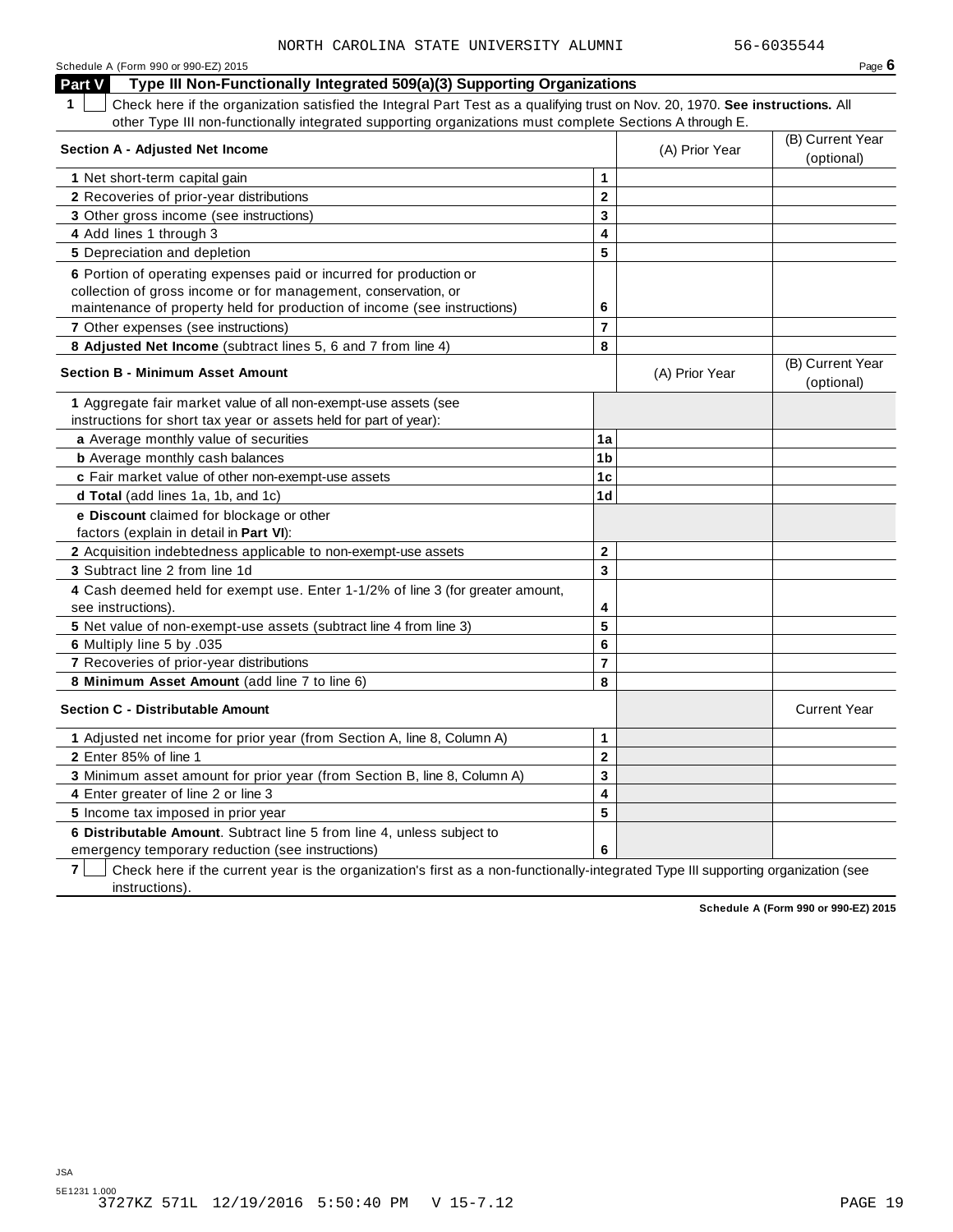| Schedule A (Form 990 or 990-EZ) 2015                                                                                                         |                |                | Page $6$                       |
|----------------------------------------------------------------------------------------------------------------------------------------------|----------------|----------------|--------------------------------|
| Type III Non-Functionally Integrated 509(a)(3) Supporting Organizations<br><b>Part V</b>                                                     |                |                |                                |
| $\mathbf 1$<br>Check here if the organization satisfied the Integral Part Test as a qualifying trust on Nov. 20, 1970. See instructions. All |                |                |                                |
| other Type III non-functionally integrated supporting organizations must complete Sections A through E.                                      |                |                |                                |
| <b>Section A - Adjusted Net Income</b>                                                                                                       |                |                | (B) Current Year               |
|                                                                                                                                              |                | (A) Prior Year | (optional)                     |
| 1 Net short-term capital gain                                                                                                                | $\mathbf{1}$   |                |                                |
| 2 Recoveries of prior-year distributions                                                                                                     | $\mathbf{2}$   |                |                                |
| 3 Other gross income (see instructions)                                                                                                      | 3              |                |                                |
| 4 Add lines 1 through 3                                                                                                                      | 4              |                |                                |
| 5 Depreciation and depletion                                                                                                                 | 5              |                |                                |
| 6 Portion of operating expenses paid or incurred for production or                                                                           |                |                |                                |
| collection of gross income or for management, conservation, or                                                                               |                |                |                                |
| maintenance of property held for production of income (see instructions)                                                                     | 6              |                |                                |
| <b>7</b> Other expenses (see instructions)                                                                                                   | $\overline{7}$ |                |                                |
| 8 Adjusted Net Income (subtract lines 5, 6 and 7 from line 4)                                                                                | 8              |                |                                |
| <b>Section B - Minimum Asset Amount</b>                                                                                                      |                | (A) Prior Year | (B) Current Year<br>(optional) |
| 1 Aggregate fair market value of all non-exempt-use assets (see                                                                              |                |                |                                |
| instructions for short tax year or assets held for part of year):                                                                            |                |                |                                |
| a Average monthly value of securities                                                                                                        | 1a             |                |                                |
| <b>b</b> Average monthly cash balances                                                                                                       | 1 <sub>b</sub> |                |                                |
| c Fair market value of other non-exempt-use assets                                                                                           | 1 <sub>c</sub> |                |                                |
| d Total (add lines 1a, 1b, and 1c)                                                                                                           | 1 <sub>d</sub> |                |                                |
| e Discount claimed for blockage or other<br>factors (explain in detail in Part VI):                                                          |                |                |                                |
| 2 Acquisition indebtedness applicable to non-exempt-use assets                                                                               | $\mathbf{2}$   |                |                                |
| 3 Subtract line 2 from line 1d                                                                                                               | 3              |                |                                |
| 4 Cash deemed held for exempt use. Enter 1-1/2% of line 3 (for greater amount,<br>see instructions).                                         | 4              |                |                                |
| 5 Net value of non-exempt-use assets (subtract line 4 from line 3)                                                                           | 5              |                |                                |
| 6 Multiply line 5 by .035                                                                                                                    | 6              |                |                                |
| 7 Recoveries of prior-year distributions                                                                                                     | $\overline{7}$ |                |                                |
| 8 Minimum Asset Amount (add line 7 to line 6)                                                                                                | 8              |                |                                |
| <b>Section C - Distributable Amount</b>                                                                                                      |                |                | <b>Current Year</b>            |
| 1 Adjusted net income for prior year (from Section A, line 8, Column A)                                                                      | $\mathbf{1}$   |                |                                |
| 2 Enter 85% of line 1                                                                                                                        | $\mathbf{2}$   |                |                                |
| 3 Minimum asset amount for prior year (from Section B, line 8, Column A)                                                                     | 3              |                |                                |
| 4 Enter greater of line 2 or line 3                                                                                                          | 4              |                |                                |
| 5 Income tax imposed in prior year                                                                                                           | 5              |                |                                |
| 6 Distributable Amount. Subtract line 5 from line 4, unless subject to                                                                       |                |                |                                |
| emergency temporary reduction (see instructions)                                                                                             | 6              |                |                                |

**7** | Check here if the current year is the organization's first as a non-functionally-integrated Type III supporting organization (see instructions).

**Schedule A (Form 990 or 990-EZ) 2015**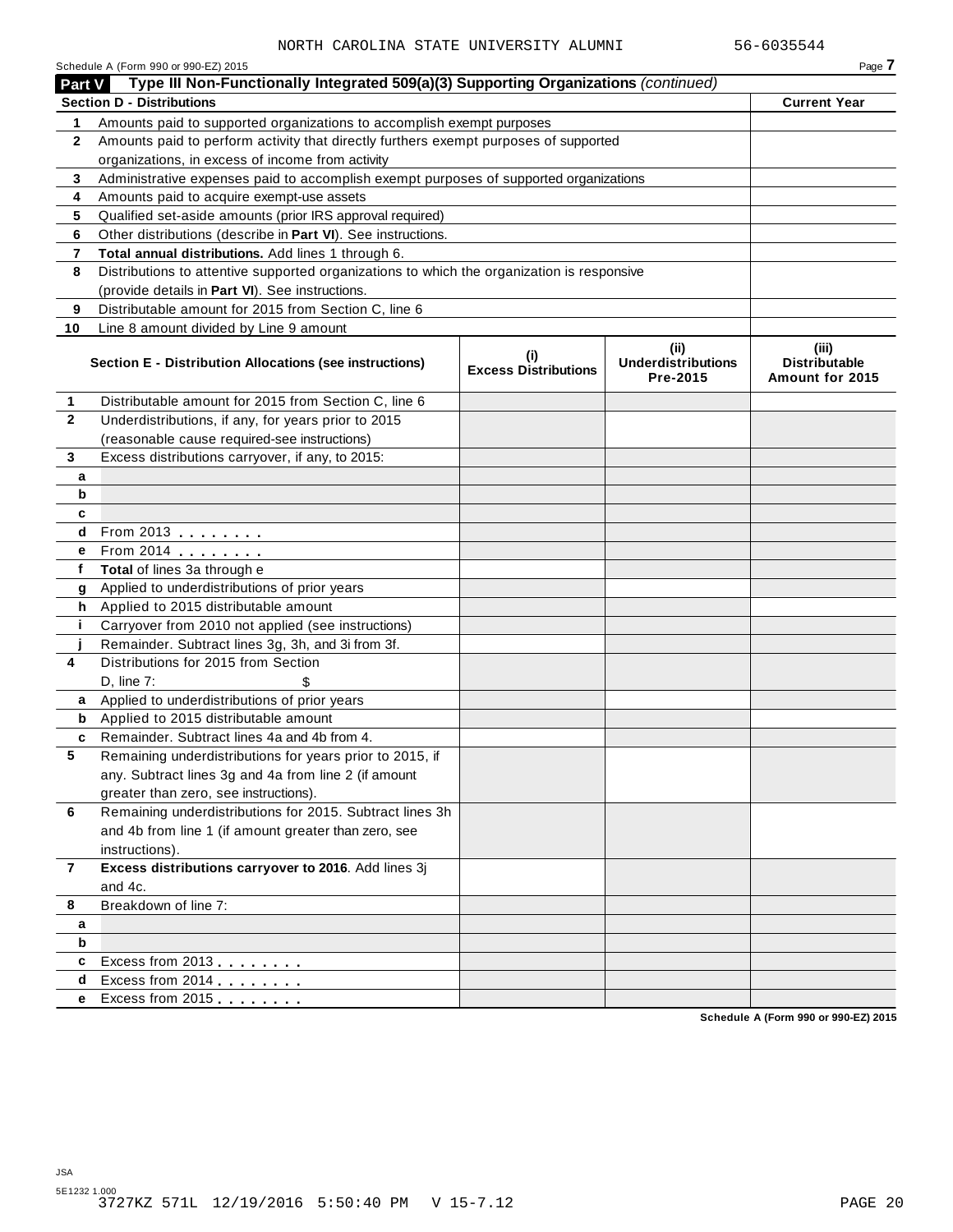|                 | NORTH CAROLINA STATE UNIVERSITY ALUMNI                                                     |                                             |                                       | 56-6035544                                     |
|-----------------|--------------------------------------------------------------------------------------------|---------------------------------------------|---------------------------------------|------------------------------------------------|
|                 | Schedule A (Form 990 or 990-EZ) 2015                                                       |                                             |                                       | Page 7                                         |
| <b>Part V</b>   | Type III Non-Functionally Integrated 509(a)(3) Supporting Organizations (continued)        |                                             |                                       |                                                |
|                 | <b>Section D - Distributions</b>                                                           |                                             |                                       | <b>Current Year</b>                            |
| 1               | Amounts paid to supported organizations to accomplish exempt purposes                      |                                             |                                       |                                                |
| $\mathbf{2}$    | Amounts paid to perform activity that directly furthers exempt purposes of supported       |                                             |                                       |                                                |
|                 | organizations, in excess of income from activity                                           |                                             |                                       |                                                |
| 3               | Administrative expenses paid to accomplish exempt purposes of supported organizations      |                                             |                                       |                                                |
| 4               | Amounts paid to acquire exempt-use assets                                                  |                                             |                                       |                                                |
| 5               | Qualified set-aside amounts (prior IRS approval required)                                  |                                             |                                       |                                                |
| 6               | Other distributions (describe in Part VI). See instructions.                               |                                             |                                       |                                                |
| 7               | Total annual distributions. Add lines 1 through 6.                                         |                                             |                                       |                                                |
| 8               | Distributions to attentive supported organizations to which the organization is responsive |                                             |                                       |                                                |
|                 | (provide details in Part VI). See instructions.                                            |                                             |                                       |                                                |
| 9               | Distributable amount for 2015 from Section C, line 6                                       |                                             |                                       |                                                |
| 10              | Line 8 amount divided by Line 9 amount                                                     |                                             |                                       |                                                |
|                 |                                                                                            |                                             | (ii)                                  | (iii)                                          |
|                 | Section E - Distribution Allocations (see instructions)                                    | $\mathbf{u}$<br><b>Excess Distributions</b> | <b>Underdistributions</b><br>Pre-2015 | <b>Distributable</b><br><b>Amount for 2015</b> |
| 1               | Distributable amount for 2015 from Section C, line 6                                       |                                             |                                       |                                                |
| $\mathbf{2}$    | Underdistributions, if any, for years prior to 2015                                        |                                             |                                       |                                                |
|                 | (reasonable cause required-see instructions)                                               |                                             |                                       |                                                |
| 3               | Excess distributions carryover, if any, to 2015:                                           |                                             |                                       |                                                |
| a               |                                                                                            |                                             |                                       |                                                |
| b               |                                                                                            |                                             |                                       |                                                |
| c               |                                                                                            |                                             |                                       |                                                |
| d               | From 2013                                                                                  |                                             |                                       |                                                |
| e               |                                                                                            |                                             |                                       |                                                |
| f               | Total of lines 3a through e                                                                |                                             |                                       |                                                |
| g               | Applied to underdistributions of prior years                                               |                                             |                                       |                                                |
| h               | Applied to 2015 distributable amount                                                       |                                             |                                       |                                                |
| j.              | Carryover from 2010 not applied (see instructions)                                         |                                             |                                       |                                                |
|                 | Remainder. Subtract lines 3g, 3h, and 3i from 3f.                                          |                                             |                                       |                                                |
| 4               | Distributions for 2015 from Section                                                        |                                             |                                       |                                                |
|                 | $D.$ line $7:$                                                                             |                                             |                                       |                                                |
| a               | Applied to underdistributions of prior years                                               |                                             |                                       |                                                |
| b               | Applied to 2015 distributable amount                                                       |                                             |                                       |                                                |
| c               | Remainder. Subtract lines 4a and 4b from 4.                                                |                                             |                                       |                                                |
| $5\phantom{.0}$ | Remaining underdistributions for years prior to 2015, if                                   |                                             |                                       |                                                |
|                 | any. Subtract lines 3g and 4a from line 2 (if amount                                       |                                             |                                       |                                                |
|                 | greater than zero, see instructions).                                                      |                                             |                                       |                                                |
| 6               | Remaining underdistributions for 2015. Subtract lines 3h                                   |                                             |                                       |                                                |
|                 | and 4b from line 1 (if amount greater than zero, see                                       |                                             |                                       |                                                |
|                 | instructions).                                                                             |                                             |                                       |                                                |
| $\overline{7}$  | Excess distributions carryover to 2016. Add lines 3j                                       |                                             |                                       |                                                |
|                 | and 4c.                                                                                    |                                             |                                       |                                                |
| 8               | Breakdown of line 7:                                                                       |                                             |                                       |                                                |
| а               |                                                                                            |                                             |                                       |                                                |
| b               |                                                                                            |                                             |                                       |                                                |
| c               | Excess from 2013                                                                           |                                             |                                       |                                                |
| d               | Excess from 2014                                                                           |                                             |                                       |                                                |
| e               | Excess from 2015                                                                           |                                             |                                       |                                                |
|                 |                                                                                            |                                             |                                       |                                                |

**Schedule A (Form 990 or 990-EZ) 2015**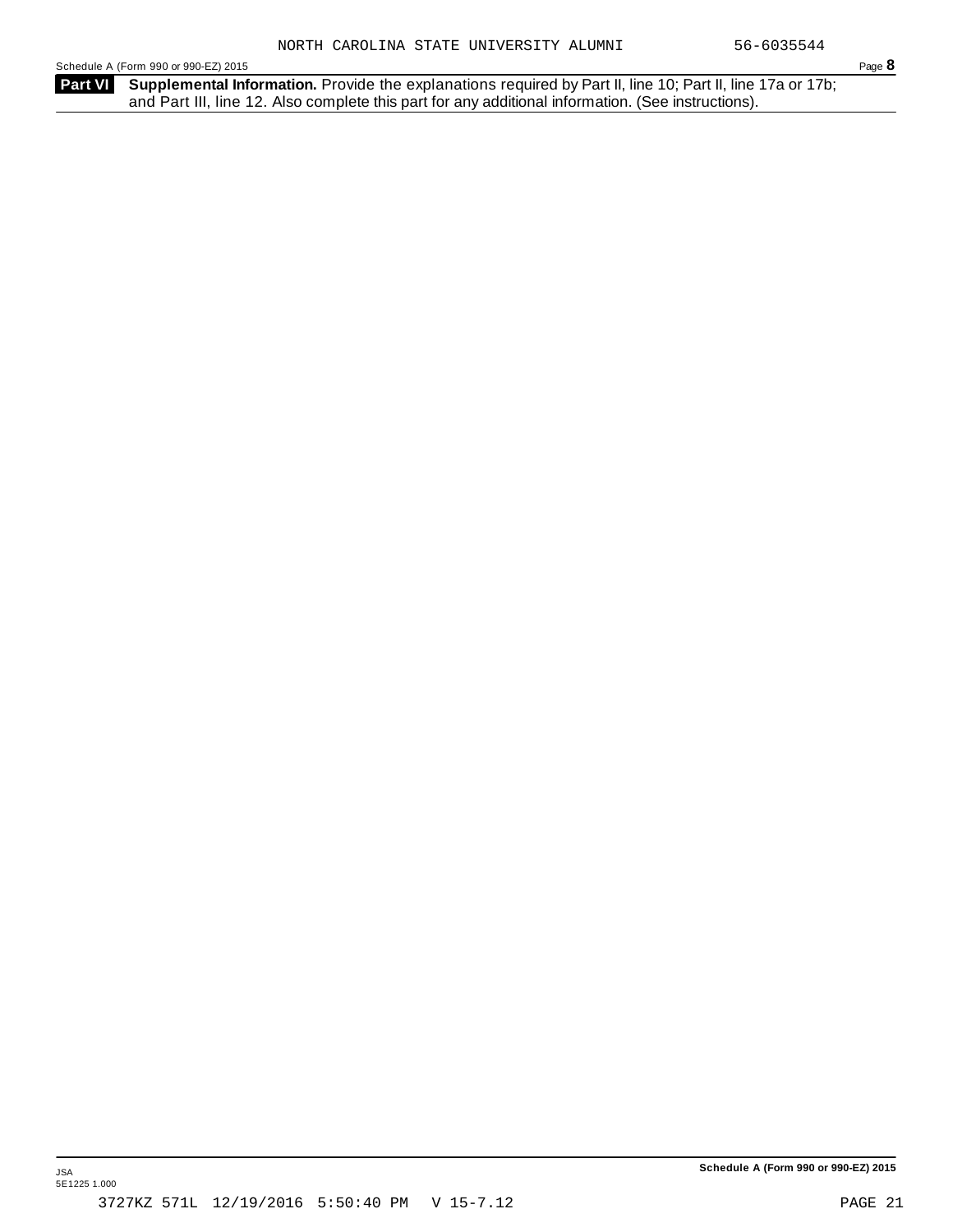Schedule <sup>A</sup> (Form <sup>990</sup> or 990-EZ) <sup>2015</sup> Page **8**

Part VI Supplemental Information. Provide the explanations required by Part II, line 10; Part II, line 17a or 17b; and Part III, line 12. Also complete this part for any additional information. (See instructions).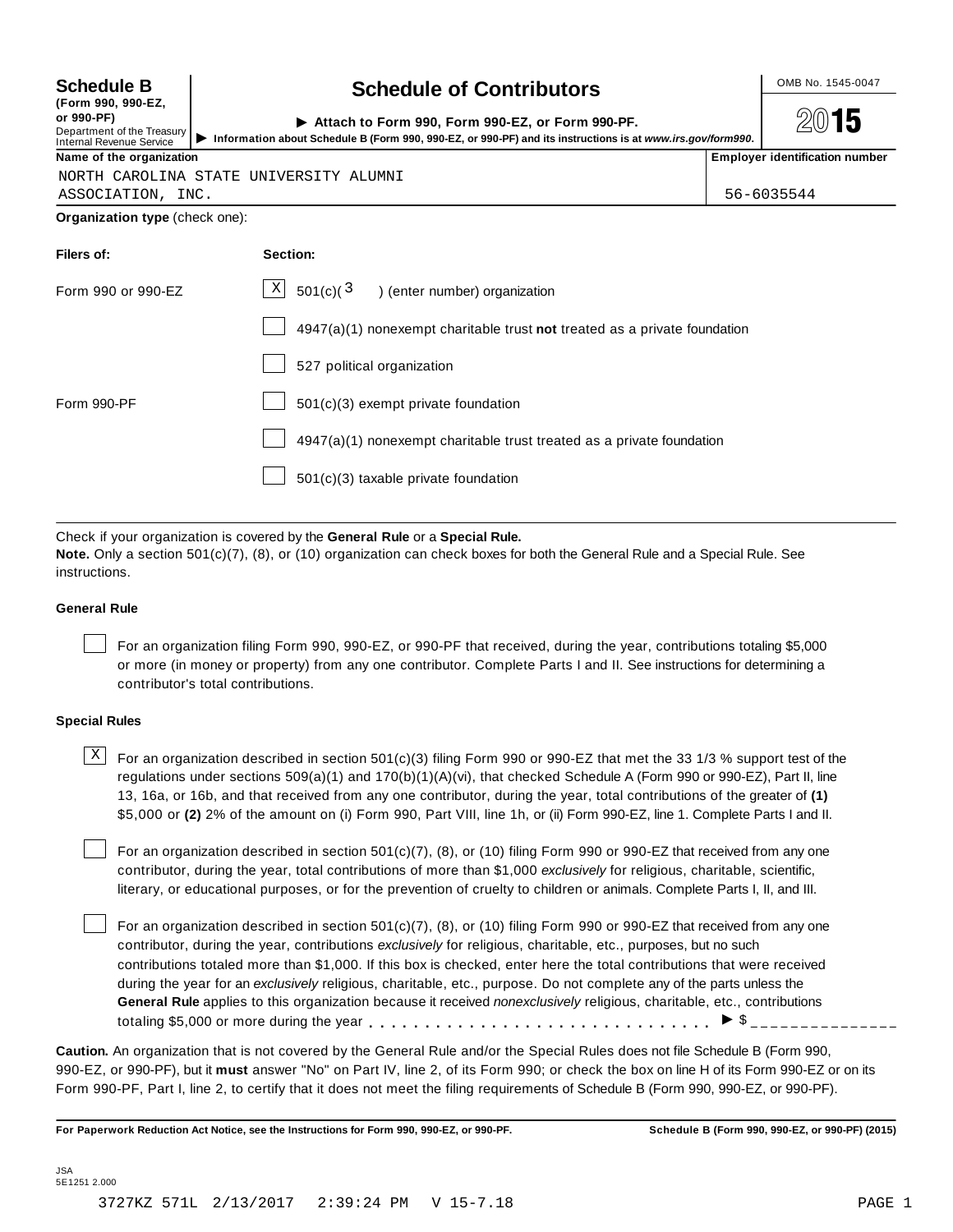| <b>Schedule B</b>                                                                          | <b>Schedule of Contributors</b>                                                                                                                                | OMB No. 1545-0047              |
|--------------------------------------------------------------------------------------------|----------------------------------------------------------------------------------------------------------------------------------------------------------------|--------------------------------|
| (Form 990, 990-EZ,<br>or 990-PF)<br>Department of the Treasury<br>Internal Revenue Service | Attach to Form 990, Form 990-EZ, or Form 990-PF.<br>Information about Schedule B (Form 990, 990-EZ, or 990-PF) and its instructions is at www.irs.gov/form990. | 15                             |
| Name of the organization                                                                   |                                                                                                                                                                | Employer identification number |
|                                                                                            | NORTH CAROLINA STATE UNIVERSITY ALUMNI                                                                                                                         |                                |
| ASSOCIATION, INC.                                                                          |                                                                                                                                                                | 56-6035544                     |
| Organization type (check one):                                                             |                                                                                                                                                                |                                |
| Filers of:                                                                                 | Section:                                                                                                                                                       |                                |
| Form 990 or 990-EZ                                                                         | $\mathbf{x}$<br>501(c)(3)<br>) (enter number) organization                                                                                                     |                                |
|                                                                                            | $4947(a)(1)$ nonexempt charitable trust not treated as a private foundation                                                                                    |                                |
|                                                                                            | 527 political organization                                                                                                                                     |                                |
| Form 990-PF                                                                                | $501(c)(3)$ exempt private foundation                                                                                                                          |                                |
|                                                                                            | $4947(a)(1)$ nonexempt charitable trust treated as a private foundation                                                                                        |                                |

501(c)(3) taxable private foundation

Check if your organization is covered by the **General Rule** or a **Special Rule.**

**Note.** Only a section 501(c)(7), (8), or (10) organization can check boxes for both the General Rule and a Special Rule. See instructions.

#### **General Rule**

For an organization filing Form 990, 990-EZ, or 990-PF that received, during the year, contributions totaling \$5,000 or more (in money or property) from any one contributor. Complete Parts I and II. See instructions for determining a contributor's total contributions.

#### **Special Rules**

 $\text{X}$  For an organization described in section 501(c)(3) filing Form 990 or 990-EZ that met the 33 1/3 % support test of the regulations under sections 509(a)(1) and 170(b)(1)(A)(vi), that checked Schedule A (Form 990 or 990-EZ), Part II, line 13, 16a, or 16b, and that received from any one contributor, during the year, total contributions of the greater of **(1)** \$5,000 or **(2)** 2% of the amount on (i) Form 990, Part VIII, line 1h, or (ii) Form 990-EZ, line 1. Complete Parts I and II.

For an organization described in section 501(c)(7), (8), or (10) filing Form 990 or 990-EZ that received from any one contributor, during the year, total contributions of more than \$1,000 *exclusively* for religious, charitable, scientific, literary, or educational purposes, or for the prevention of cruelty to children or animals. Complete Parts I, II, and III.

For an organization described in section 501(c)(7), (8), or (10) filing Form 990 or 990-EZ that received from any one contributor, during the year, contributions *exclusively* for religious, charitable, etc., purposes, but no such contributions totaled more than \$1,000. If this box is checked, enter here the total contributions that were received during the year for an *exclusively* religious, charitable, etc., purpose. Do not complete any of the parts unless the **General Rule** applies to this organization because it received *nonexclusively* religious, charitable, etc., contributions totaling \$5,000 or more during the year m, m, m, m, m, m, m, m, m, m, m, m, m m  $\frac{1}{2}$   $\frac{1}{2}$ 

**Caution.** An organization that is not covered by the General Rule and/or the Special Rules does not file Schedule B (Form 990, 990-EZ, or 990-PF), but it **must** answer "No" on Part IV, line 2, of its Form 990; or check the box on line H of its Form 990-EZ or on its Form 990-PF, Part I, line 2, to certify that it does not meet the filing requirements of Schedule B (Form 990, 990-EZ, or 990-PF).

For Paperwork Reduction Act Notice, see the Instructions for Form 990, 990-EZ, or 990-PF. Schedule B (Form 990, 990-EZ, or 990-PF) (2015)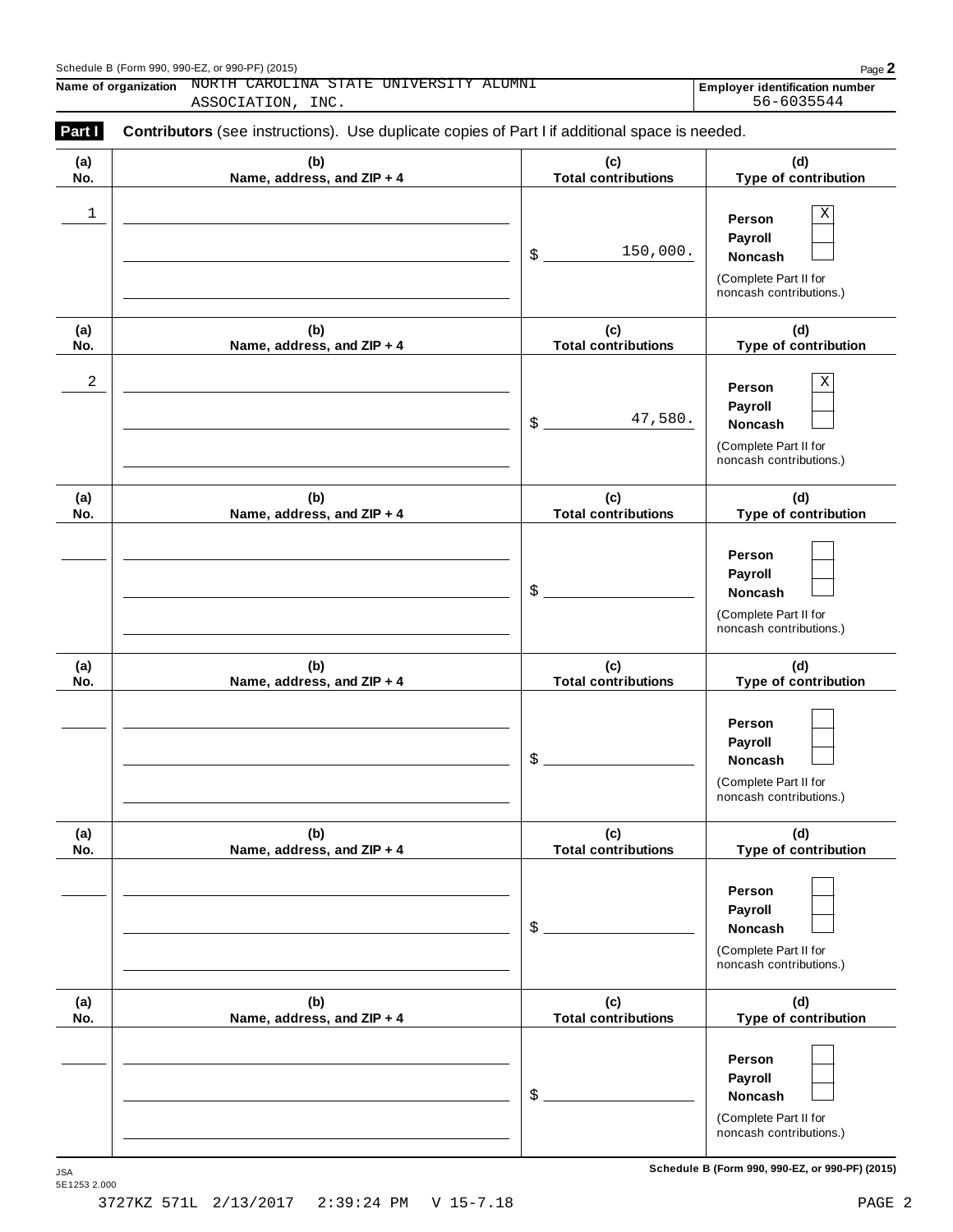| Schedule B (Form 990, 990-EZ, or 990-PF) (2015) | $P$ aqe $\blacktriangle$ |
|-------------------------------------------------|--------------------------|
|-------------------------------------------------|--------------------------|

**Name of organization NORTH CAROLINA STATE UNIVERSITY ALUMNI Employer identification number** ASSOCIATION, INC. 56-6035544

| (a) | (b)                        | (c)                        | (d)                                                                                          |
|-----|----------------------------|----------------------------|----------------------------------------------------------------------------------------------|
| No. | Name, address, and ZIP + 4 | <b>Total contributions</b> | Type of contribution                                                                         |
| 1   |                            | 150,000.<br>\$             | Χ<br>Person<br>Payroll<br>Noncash<br>(Complete Part II for<br>noncash contributions.)        |
| (a) | (b)                        | (c)                        | (d)                                                                                          |
| No. | Name, address, and ZIP + 4 | <b>Total contributions</b> | Type of contribution                                                                         |
| 2   |                            | 47,580.<br>\$              | Χ<br>Person<br>Payroll<br><b>Noncash</b><br>(Complete Part II for<br>noncash contributions.) |
| (a) | (b)                        | (c)                        | (d)                                                                                          |
| No. | Name, address, and ZIP + 4 | <b>Total contributions</b> | Type of contribution                                                                         |
|     |                            | \$                         | Person<br>Payroll<br>Noncash<br>(Complete Part II for<br>noncash contributions.)             |
| (a) | (b)                        | (c)                        | (d)                                                                                          |
| No. | Name, address, and ZIP + 4 | <b>Total contributions</b> | Type of contribution                                                                         |
|     |                            | \$                         | Person<br>Payroll<br>Noncash<br>(Complete Part II for<br>noncash contributions.)             |
| (a) | (b)                        | (c)                        | (d)                                                                                          |
| No. | Name, address, and ZIP + 4 | <b>Total contributions</b> | Type of contribution                                                                         |
|     |                            | \$                         | Person<br>Payroll<br>Noncash<br>(Complete Part II for<br>noncash contributions.)             |
| (a) | (b)                        | (c)                        | (d)                                                                                          |
| No. | Name, address, and ZIP + 4 | <b>Total contributions</b> | Type of contribution                                                                         |
|     |                            | \$                         | Person<br>Payroll<br>Noncash<br>(Complete Part II for<br>noncash contributions.)             |

 $S$ chedule B (Form 990, 990-EZ, or 990-PF) (2015)

JSA<br>5E1253 2.000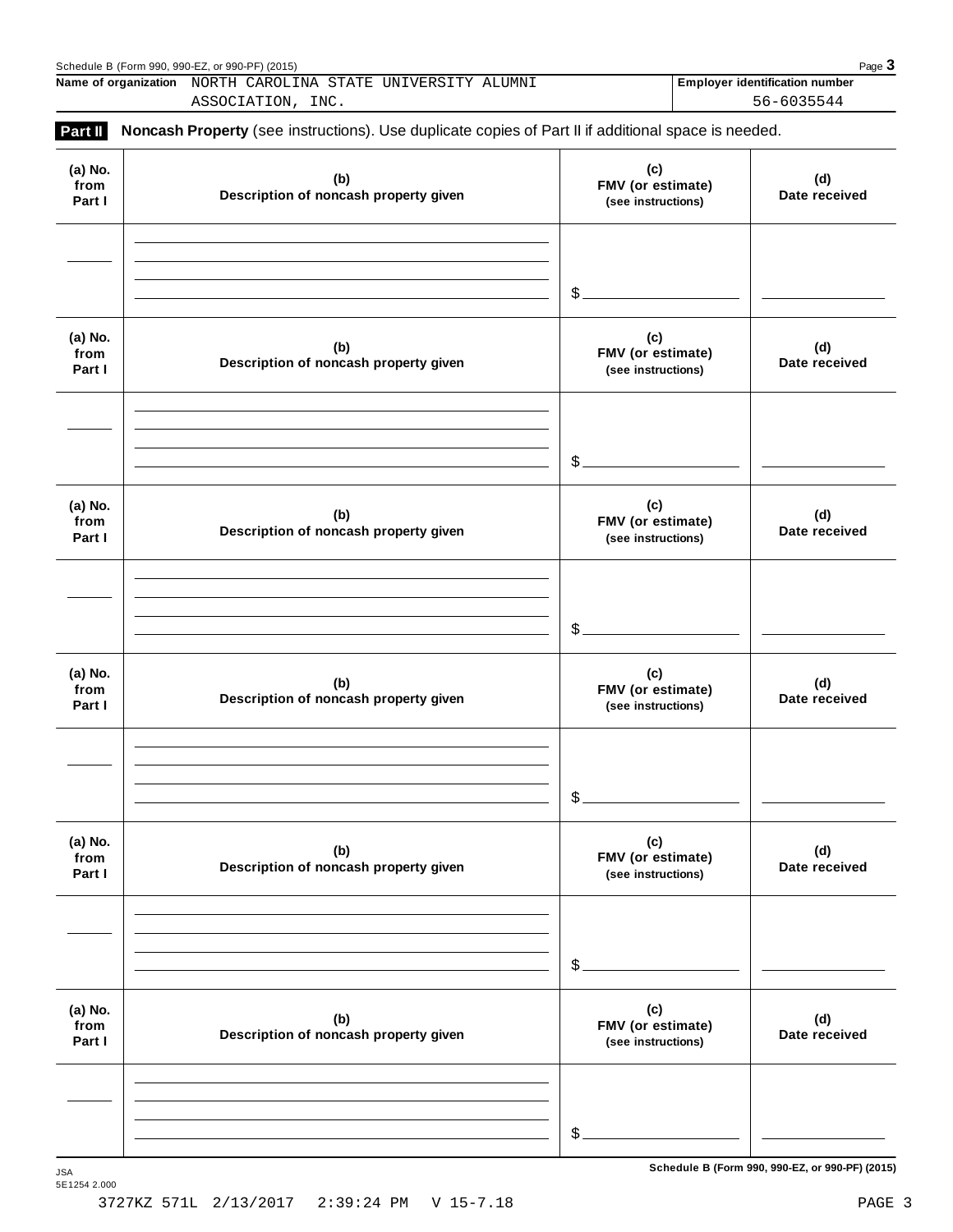|                           | Schedule B (Form 990, 990-EZ, or 990-PF) (2015)<br>Name of organization NORTH CAROLINA STATE UNIVERSITY ALUMNI |                                                | Page $3$                                            |
|---------------------------|----------------------------------------------------------------------------------------------------------------|------------------------------------------------|-----------------------------------------------------|
|                           | ASSOCIATION, INC.                                                                                              |                                                | <b>Employer identification number</b><br>56-6035544 |
| Part II                   | Noncash Property (see instructions). Use duplicate copies of Part II if additional space is needed.            |                                                |                                                     |
| (a) No.<br>from<br>Part I | (b)<br>Description of noncash property given                                                                   | (c)<br>FMV (or estimate)<br>(see instructions) | (d)<br>Date received                                |
|                           |                                                                                                                | \$                                             |                                                     |
| (a) No.<br>from<br>Part I | (b)<br>Description of noncash property given                                                                   | (c)<br>FMV (or estimate)<br>(see instructions) | (d)<br>Date received                                |
|                           |                                                                                                                | \$                                             |                                                     |
| (a) No.<br>from<br>Part I | (b)<br>Description of noncash property given                                                                   | (c)<br>FMV (or estimate)<br>(see instructions) | (d)<br>Date received                                |
|                           |                                                                                                                | \$                                             |                                                     |
| (a) No.<br>from<br>Part I | (b)<br>Description of noncash property given                                                                   | (c)<br>FMV (or estimate)<br>(see instructions) | (d)<br>Date received                                |
|                           |                                                                                                                | \$                                             |                                                     |
| (a) No.<br>from<br>Part I | (b)<br>Description of noncash property given                                                                   | (c)<br>FMV (or estimate)<br>(see instructions) | (d)<br>Date received                                |
|                           |                                                                                                                | \$                                             |                                                     |
| (a) No.<br>from<br>Part I | (b)<br>Description of noncash property given                                                                   | (c)<br>FMV (or estimate)<br>(see instructions) | (d)<br>Date received                                |
|                           |                                                                                                                |                                                |                                                     |
|                           |                                                                                                                | \$                                             |                                                     |

 $S$ chedule B (Form 990, 990-EZ, or 990-PF) (2015)

5E1254 2.000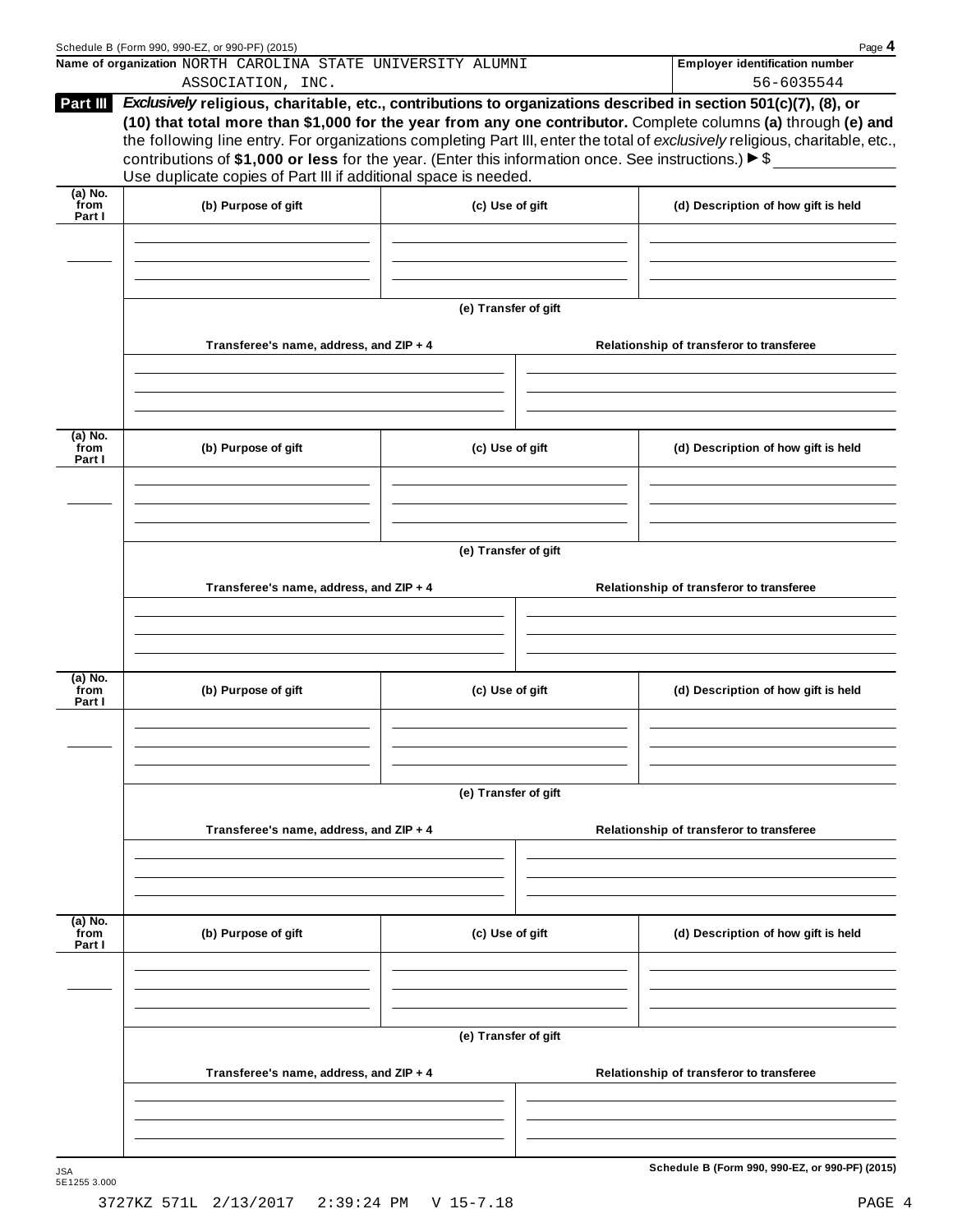| Name of organization NORTH CAROLINA STATE UNIVERSITY ALUMNI<br><b>Employer identification number</b><br>56-6035544<br>ASSOCIATION, INC.<br>Exclusively religious, charitable, etc., contributions to organizations described in section 501(c)(7), (8), or<br>Part III<br>(10) that total more than \$1,000 for the year from any one contributor. Complete columns (a) through (e) and<br>the following line entry. For organizations completing Part III, enter the total of exclusively religious, charitable, etc.,<br>contributions of \$1,000 or less for the year. (Enter this information once. See instructions.) $\triangleright$ \$<br>Use duplicate copies of Part III if additional space is needed.<br>$(a)$ No.<br>from<br>(b) Purpose of gift<br>(d) Description of how gift is held<br>(c) Use of gift<br>Part I<br>(e) Transfer of gift<br>Transferee's name, address, and ZIP + 4<br>Relationship of transferor to transferee<br>$(a)$ No.<br>from<br>(b) Purpose of gift<br>(c) Use of gift<br>(d) Description of how gift is held<br>Part I<br>(e) Transfer of gift<br>Transferee's name, address, and ZIP + 4<br>Relationship of transferor to transferee<br>(a) No.<br>from<br>(b) Purpose of gift<br>(c) Use of gift<br>(d) Description of how gift is held<br>Part I<br>(e) Transfer of gift<br>Transferee's name, address, and ZIP + 4<br>Relationship of transferor to transferee | Page 4 |
|--------------------------------------------------------------------------------------------------------------------------------------------------------------------------------------------------------------------------------------------------------------------------------------------------------------------------------------------------------------------------------------------------------------------------------------------------------------------------------------------------------------------------------------------------------------------------------------------------------------------------------------------------------------------------------------------------------------------------------------------------------------------------------------------------------------------------------------------------------------------------------------------------------------------------------------------------------------------------------------------------------------------------------------------------------------------------------------------------------------------------------------------------------------------------------------------------------------------------------------------------------------------------------------------------------------------------------------------------------------------------------------------------------------|--------|
|                                                                                                                                                                                                                                                                                                                                                                                                                                                                                                                                                                                                                                                                                                                                                                                                                                                                                                                                                                                                                                                                                                                                                                                                                                                                                                                                                                                                              |        |
|                                                                                                                                                                                                                                                                                                                                                                                                                                                                                                                                                                                                                                                                                                                                                                                                                                                                                                                                                                                                                                                                                                                                                                                                                                                                                                                                                                                                              |        |
|                                                                                                                                                                                                                                                                                                                                                                                                                                                                                                                                                                                                                                                                                                                                                                                                                                                                                                                                                                                                                                                                                                                                                                                                                                                                                                                                                                                                              |        |
|                                                                                                                                                                                                                                                                                                                                                                                                                                                                                                                                                                                                                                                                                                                                                                                                                                                                                                                                                                                                                                                                                                                                                                                                                                                                                                                                                                                                              |        |
|                                                                                                                                                                                                                                                                                                                                                                                                                                                                                                                                                                                                                                                                                                                                                                                                                                                                                                                                                                                                                                                                                                                                                                                                                                                                                                                                                                                                              |        |
|                                                                                                                                                                                                                                                                                                                                                                                                                                                                                                                                                                                                                                                                                                                                                                                                                                                                                                                                                                                                                                                                                                                                                                                                                                                                                                                                                                                                              |        |
|                                                                                                                                                                                                                                                                                                                                                                                                                                                                                                                                                                                                                                                                                                                                                                                                                                                                                                                                                                                                                                                                                                                                                                                                                                                                                                                                                                                                              |        |
|                                                                                                                                                                                                                                                                                                                                                                                                                                                                                                                                                                                                                                                                                                                                                                                                                                                                                                                                                                                                                                                                                                                                                                                                                                                                                                                                                                                                              |        |
|                                                                                                                                                                                                                                                                                                                                                                                                                                                                                                                                                                                                                                                                                                                                                                                                                                                                                                                                                                                                                                                                                                                                                                                                                                                                                                                                                                                                              |        |
|                                                                                                                                                                                                                                                                                                                                                                                                                                                                                                                                                                                                                                                                                                                                                                                                                                                                                                                                                                                                                                                                                                                                                                                                                                                                                                                                                                                                              |        |
|                                                                                                                                                                                                                                                                                                                                                                                                                                                                                                                                                                                                                                                                                                                                                                                                                                                                                                                                                                                                                                                                                                                                                                                                                                                                                                                                                                                                              |        |
|                                                                                                                                                                                                                                                                                                                                                                                                                                                                                                                                                                                                                                                                                                                                                                                                                                                                                                                                                                                                                                                                                                                                                                                                                                                                                                                                                                                                              |        |
|                                                                                                                                                                                                                                                                                                                                                                                                                                                                                                                                                                                                                                                                                                                                                                                                                                                                                                                                                                                                                                                                                                                                                                                                                                                                                                                                                                                                              |        |
|                                                                                                                                                                                                                                                                                                                                                                                                                                                                                                                                                                                                                                                                                                                                                                                                                                                                                                                                                                                                                                                                                                                                                                                                                                                                                                                                                                                                              |        |
| $(a)$ No.<br>from<br>(c) Use of gift<br>(b) Purpose of gift<br>(d) Description of how gift is held<br>Part I                                                                                                                                                                                                                                                                                                                                                                                                                                                                                                                                                                                                                                                                                                                                                                                                                                                                                                                                                                                                                                                                                                                                                                                                                                                                                                 |        |
|                                                                                                                                                                                                                                                                                                                                                                                                                                                                                                                                                                                                                                                                                                                                                                                                                                                                                                                                                                                                                                                                                                                                                                                                                                                                                                                                                                                                              |        |
| (e) Transfer of gift<br>Transferee's name, address, and ZIP + 4<br>Relationship of transferor to transferee                                                                                                                                                                                                                                                                                                                                                                                                                                                                                                                                                                                                                                                                                                                                                                                                                                                                                                                                                                                                                                                                                                                                                                                                                                                                                                  |        |
|                                                                                                                                                                                                                                                                                                                                                                                                                                                                                                                                                                                                                                                                                                                                                                                                                                                                                                                                                                                                                                                                                                                                                                                                                                                                                                                                                                                                              |        |
| Schedule B (Form 990, 990-EZ, or 990-PF) (2015)                                                                                                                                                                                                                                                                                                                                                                                                                                                                                                                                                                                                                                                                                                                                                                                                                                                                                                                                                                                                                                                                                                                                                                                                                                                                                                                                                              |        |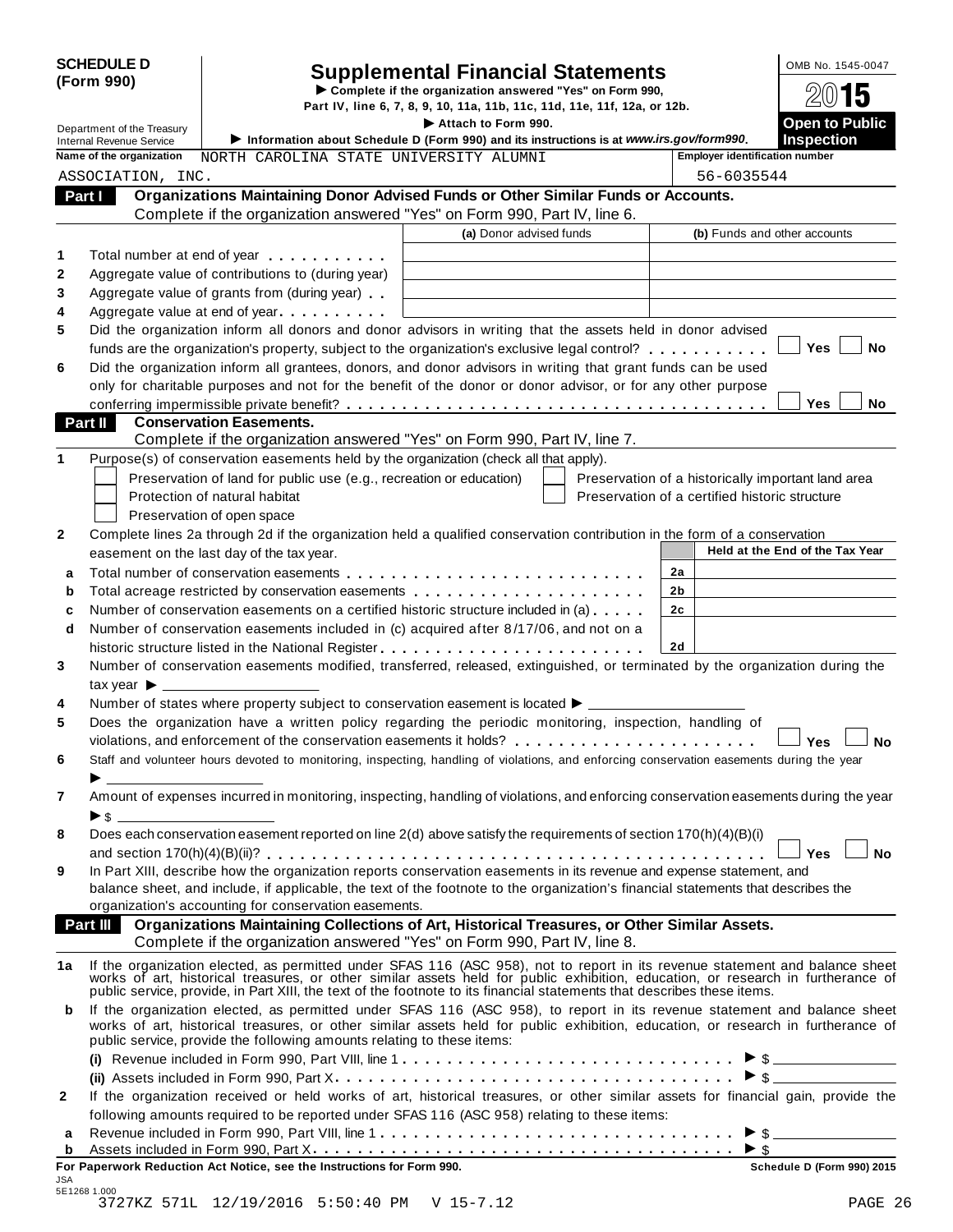| <b>SCHEDULE D</b> |  |
|-------------------|--|
| (Form 990)        |  |

# Supplemental Financial Statements<br>  $\triangleright$  Complete if the organization answered "Yes" on Form 990,<br>
Part IV, line 6, 7, 8, 9, 10, 11a, 11b, 11c, 11d, 11e, 11f, 12a, or 12b.<br>  $\bigotimes_{\text{ap} \text{A} \text{t}} N$

**Part IV, line 6, 7, 8, 9, 10, 11a, 11b, 11c, 11d, 11e, 11f, 12a, or 12b.**<br>Department of the Treasury **Part IV, line 6, 7, 8, 9, 10, 11a, 11b, 11c, 11d, 11e, 11f, 12a, or 12b.** 

| Department of the Treasury                                  |                                                                                                                | Attach to Form 990.                                                                                                                                                                                                             |                                                                                                      | <b>Open to Public</b><br><b>Inspection</b> |  |
|-------------------------------------------------------------|----------------------------------------------------------------------------------------------------------------|---------------------------------------------------------------------------------------------------------------------------------------------------------------------------------------------------------------------------------|------------------------------------------------------------------------------------------------------|--------------------------------------------|--|
| <b>Internal Revenue Service</b><br>Name of the organization |                                                                                                                | Information about Schedule D (Form 990) and its instructions is at www.irs.gov/form990.<br>NORTH CAROLINA STATE UNIVERSITY ALUMNI                                                                                               |                                                                                                      |                                            |  |
|                                                             |                                                                                                                |                                                                                                                                                                                                                                 | <b>Employer identification number</b>                                                                |                                            |  |
| ASSOCIATION, INC.                                           |                                                                                                                |                                                                                                                                                                                                                                 | 56-6035544                                                                                           |                                            |  |
| Part I                                                      |                                                                                                                | Organizations Maintaining Donor Advised Funds or Other Similar Funds or Accounts.                                                                                                                                               |                                                                                                      |                                            |  |
|                                                             |                                                                                                                | Complete if the organization answered "Yes" on Form 990, Part IV, line 6.<br>(a) Donor advised funds                                                                                                                            |                                                                                                      | (b) Funds and other accounts               |  |
|                                                             |                                                                                                                |                                                                                                                                                                                                                                 |                                                                                                      |                                            |  |
|                                                             | Total number at end of year example.                                                                           |                                                                                                                                                                                                                                 |                                                                                                      |                                            |  |
|                                                             | Aggregate value of contributions to (during year)                                                              |                                                                                                                                                                                                                                 |                                                                                                      |                                            |  |
|                                                             | Aggregate value of grants from (during year)                                                                   |                                                                                                                                                                                                                                 |                                                                                                      |                                            |  |
|                                                             | Aggregate value at end of year example and a set of the set of the set of the set of the set of the set of the |                                                                                                                                                                                                                                 |                                                                                                      |                                            |  |
|                                                             |                                                                                                                | Did the organization inform all donors and donor advisors in writing that the assets held in donor advised                                                                                                                      |                                                                                                      |                                            |  |
|                                                             |                                                                                                                | funds are the organization's property, subject to the organization's exclusive legal control?                                                                                                                                   |                                                                                                      | Yes<br>No                                  |  |
|                                                             |                                                                                                                | Did the organization inform all grantees, donors, and donor advisors in writing that grant funds can be used                                                                                                                    |                                                                                                      |                                            |  |
|                                                             |                                                                                                                | only for charitable purposes and not for the benefit of the donor or donor advisor, or for any other purpose                                                                                                                    |                                                                                                      |                                            |  |
|                                                             |                                                                                                                |                                                                                                                                                                                                                                 |                                                                                                      | Yes<br>No                                  |  |
| Part II                                                     | <b>Conservation Easements.</b>                                                                                 |                                                                                                                                                                                                                                 |                                                                                                      |                                            |  |
|                                                             |                                                                                                                | Complete if the organization answered "Yes" on Form 990, Part IV, line 7.                                                                                                                                                       |                                                                                                      |                                            |  |
|                                                             | Purpose(s) of conservation easements held by the organization (check all that apply).                          |                                                                                                                                                                                                                                 |                                                                                                      |                                            |  |
|                                                             | Preservation of land for public use (e.g., recreation or education)<br>Protection of natural habitat           |                                                                                                                                                                                                                                 | Preservation of a historically important land area<br>Preservation of a certified historic structure |                                            |  |
|                                                             |                                                                                                                |                                                                                                                                                                                                                                 |                                                                                                      |                                            |  |
|                                                             | Preservation of open space                                                                                     | Complete lines 2a through 2d if the organization held a qualified conservation contribution in the form of a conservation                                                                                                       |                                                                                                      |                                            |  |
|                                                             | easement on the last day of the tax year.                                                                      |                                                                                                                                                                                                                                 |                                                                                                      | Held at the End of the Tax Year            |  |
|                                                             |                                                                                                                |                                                                                                                                                                                                                                 | 2a                                                                                                   |                                            |  |
|                                                             |                                                                                                                |                                                                                                                                                                                                                                 | 2 <sub>b</sub>                                                                                       |                                            |  |
|                                                             |                                                                                                                | Number of conservation easements on a certified historic structure included in (a)                                                                                                                                              | 2c                                                                                                   |                                            |  |
|                                                             |                                                                                                                |                                                                                                                                                                                                                                 |                                                                                                      |                                            |  |
| d                                                           |                                                                                                                | Number of conservation easements included in (c) acquired after 8/17/06, and not on a                                                                                                                                           | 2d                                                                                                   |                                            |  |
|                                                             |                                                                                                                |                                                                                                                                                                                                                                 |                                                                                                      |                                            |  |
|                                                             |                                                                                                                | Number of conservation easements modified, transferred, released, extinguished, or terminated by the organization during the                                                                                                    |                                                                                                      |                                            |  |
| $\mathsf{tax}$ year $\blacktriangleright$ _________         |                                                                                                                |                                                                                                                                                                                                                                 |                                                                                                      |                                            |  |
|                                                             |                                                                                                                | Number of states where property subject to conservation easement is located $\blacktriangleright$                                                                                                                               |                                                                                                      |                                            |  |
|                                                             |                                                                                                                | Does the organization have a written policy regarding the periodic monitoring, inspection, handling of<br>violations, and enforcement of the conservation easements it holds?                                                   |                                                                                                      |                                            |  |
|                                                             |                                                                                                                |                                                                                                                                                                                                                                 |                                                                                                      | <b>No</b><br><b>Yes</b>                    |  |
|                                                             |                                                                                                                | Staff and volunteer hours devoted to monitoring, inspecting, handling of violations, and enforcing conservation easements during the year                                                                                       |                                                                                                      |                                            |  |
|                                                             |                                                                                                                | Amount of expenses incurred in monitoring, inspecting, handling of violations, and enforcing conservation easements during the year                                                                                             |                                                                                                      |                                            |  |
| ▶\$                                                         |                                                                                                                |                                                                                                                                                                                                                                 |                                                                                                      |                                            |  |
|                                                             |                                                                                                                | Does each conservation easement reported on line 2(d) above satisfy the requirements of section 170(h)(4)(B)(i)                                                                                                                 |                                                                                                      |                                            |  |
|                                                             |                                                                                                                |                                                                                                                                                                                                                                 |                                                                                                      | <b>No</b><br>Yes l                         |  |
|                                                             |                                                                                                                | In Part XIII, describe how the organization reports conservation easements in its revenue and expense statement, and                                                                                                            |                                                                                                      |                                            |  |
|                                                             |                                                                                                                | balance sheet, and include, if applicable, the text of the footnote to the organization's financial statements that describes the                                                                                               |                                                                                                      |                                            |  |
|                                                             | organization's accounting for conservation easements.                                                          |                                                                                                                                                                                                                                 |                                                                                                      |                                            |  |
| Part III                                                    |                                                                                                                | Organizations Maintaining Collections of Art, Historical Treasures, or Other Similar Assets.                                                                                                                                    |                                                                                                      |                                            |  |
|                                                             |                                                                                                                | Complete if the organization answered "Yes" on Form 990, Part IV, line 8.                                                                                                                                                       |                                                                                                      |                                            |  |
| 1a                                                          |                                                                                                                | If the organization elected, as permitted under SFAS 116 (ASC 958), not to report in its revenue statement and balance sheet                                                                                                    |                                                                                                      |                                            |  |
|                                                             |                                                                                                                | works of art, historical treasures, or other similar assets held for public exhibition, education, or research in furtherance of                                                                                                |                                                                                                      |                                            |  |
|                                                             |                                                                                                                | public service, provide, in Part XIII, the text of the footnote to its financial statements that describes these items.                                                                                                         |                                                                                                      |                                            |  |
| b                                                           |                                                                                                                | If the organization elected, as permitted under SFAS 116 (ASC 958), to report in its revenue statement and balance sheet                                                                                                        |                                                                                                      |                                            |  |
|                                                             | public service, provide the following amounts relating to these items:                                         | works of art, historical treasures, or other similar assets held for public exhibition, education, or research in furtherance of                                                                                                |                                                                                                      |                                            |  |
|                                                             |                                                                                                                |                                                                                                                                                                                                                                 |                                                                                                      |                                            |  |
|                                                             |                                                                                                                |                                                                                                                                                                                                                                 |                                                                                                      | $\triangleright$ \$                        |  |
|                                                             |                                                                                                                |                                                                                                                                                                                                                                 |                                                                                                      |                                            |  |
|                                                             |                                                                                                                | If the organization received or held works of art, historical treasures, or other similar assets for financial gain, provide the<br>following amounts required to be reported under SFAS 116 (ASC 958) relating to these items: |                                                                                                      |                                            |  |
|                                                             |                                                                                                                |                                                                                                                                                                                                                                 |                                                                                                      |                                            |  |
|                                                             |                                                                                                                |                                                                                                                                                                                                                                 |                                                                                                      |                                            |  |
| а<br>b                                                      |                                                                                                                |                                                                                                                                                                                                                                 |                                                                                                      |                                            |  |

JSA 5E1268 1.000 3727KZ 571L 12/19/2016 5:50:40 PM V 15-7.12 PAGE 26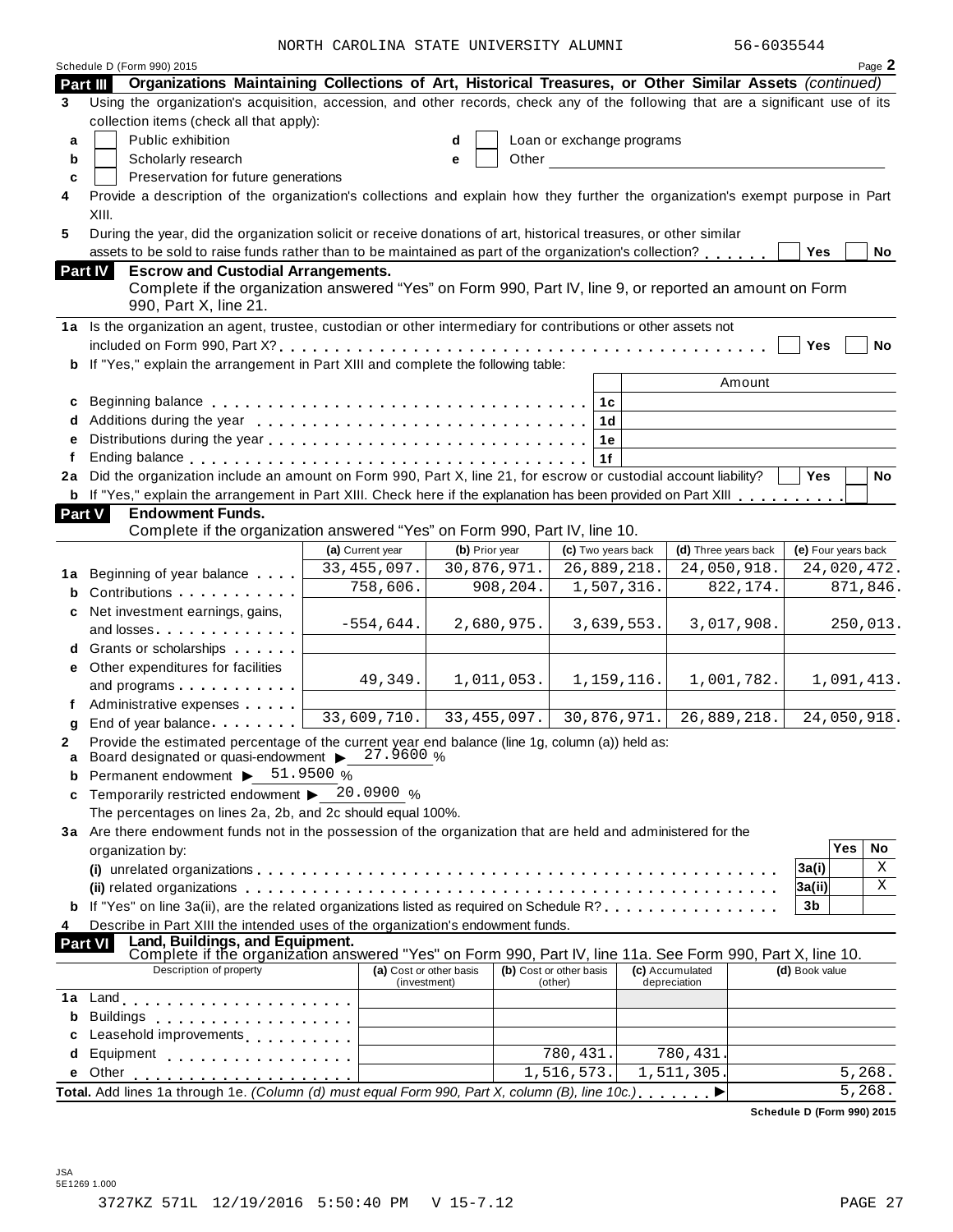NORTH CAROLINA STATE UNIVERSITY ALUMNI 56-6035544

|          | Schedule D (Form 990) 2015                                                                                                                                                                                                     |                         |                |             |                           |            |                        |                            |                     |            | Page 2     |
|----------|--------------------------------------------------------------------------------------------------------------------------------------------------------------------------------------------------------------------------------|-------------------------|----------------|-------------|---------------------------|------------|------------------------|----------------------------|---------------------|------------|------------|
| Part III | Organizations Maintaining Collections of Art, Historical Treasures, or Other Similar Assets (continued)                                                                                                                        |                         |                |             |                           |            |                        |                            |                     |            |            |
| 3        | Using the organization's acquisition, accession, and other records, check any of the following that are a significant use of its                                                                                               |                         |                |             |                           |            |                        |                            |                     |            |            |
|          | collection items (check all that apply):                                                                                                                                                                                       |                         |                |             |                           |            |                        |                            |                     |            |            |
| a        | Public exhibition                                                                                                                                                                                                              |                         | d              |             | Loan or exchange programs |            |                        |                            |                     |            |            |
| b        | Scholarly research                                                                                                                                                                                                             |                         | е              | Other       |                           |            |                        |                            |                     |            |            |
| C        | Preservation for future generations                                                                                                                                                                                            |                         |                |             |                           |            |                        |                            |                     |            |            |
| 4        | Provide a description of the organization's collections and explain how they further the organization's exempt purpose in Part                                                                                                 |                         |                |             |                           |            |                        |                            |                     |            |            |
|          | XIII.                                                                                                                                                                                                                          |                         |                |             |                           |            |                        |                            |                     |            |            |
| 5        | During the year, did the organization solicit or receive donations of art, historical treasures, or other similar                                                                                                              |                         |                |             |                           |            |                        |                            |                     |            |            |
|          | assets to be sold to raise funds rather than to be maintained as part of the organization's collection?                                                                                                                        |                         |                |             |                           |            |                        |                            | Yes                 |            | No         |
|          | Part IV<br><b>Escrow and Custodial Arrangements.</b><br>Complete if the organization answered "Yes" on Form 990, Part IV, line 9, or reported an amount on Form                                                                |                         |                |             |                           |            |                        |                            |                     |            |            |
|          | 990, Part X, line 21.                                                                                                                                                                                                          |                         |                |             |                           |            |                        |                            |                     |            |            |
|          | 1a Is the organization an agent, trustee, custodian or other intermediary for contributions or other assets not                                                                                                                |                         |                |             |                           |            |                        |                            |                     |            |            |
|          |                                                                                                                                                                                                                                |                         |                |             |                           |            |                        |                            | Yes                 |            | <b>No</b>  |
|          | b If "Yes," explain the arrangement in Part XIII and complete the following table:                                                                                                                                             |                         |                |             |                           |            |                        |                            |                     |            |            |
|          |                                                                                                                                                                                                                                |                         |                |             |                           |            | Amount                 |                            |                     |            |            |
| c        |                                                                                                                                                                                                                                |                         |                |             | 1c                        |            |                        |                            |                     |            |            |
| d        |                                                                                                                                                                                                                                |                         |                |             | 1 <sub>d</sub>            |            |                        |                            |                     |            |            |
| e        |                                                                                                                                                                                                                                |                         |                |             | 1e                        |            |                        |                            |                     |            |            |
| f        | 2a Did the organization include an amount on Form 990, Part X, line 21, for escrow or custodial account liability?                                                                                                             |                         |                |             | 1f                        |            |                        |                            | <b>Yes</b>          |            | No         |
|          | <b>b</b> If "Yes," explain the arrangement in Part XIII. Check here if the explanation has been provided on Part XIII                                                                                                          |                         |                |             |                           |            |                        |                            |                     |            |            |
|          | Part V<br><b>Endowment Funds.</b>                                                                                                                                                                                              |                         |                |             |                           |            |                        |                            |                     |            |            |
|          | Complete if the organization answered "Yes" on Form 990, Part IV, line 10.                                                                                                                                                     |                         |                |             |                           |            |                        |                            |                     |            |            |
|          |                                                                                                                                                                                                                                | (a) Current year        | (b) Prior year |             | (c) Two years back        |            | (d) Three years back   |                            | (e) Four years back |            |            |
|          |                                                                                                                                                                                                                                | 33, 455, 097.           |                | 30,876,971. | 26,889,218.               |            | 24,050,918.            |                            | 24,020,472.         |            |            |
|          | 1a Beginning of year balance                                                                                                                                                                                                   | 758,606.                |                | 908,204.    |                           | 1,507,316. | 822, 174.              |                            |                     |            | 871,846.   |
| b        | Contributions                                                                                                                                                                                                                  |                         |                |             |                           |            |                        |                            |                     |            |            |
|          | c Net investment earnings, gains,                                                                                                                                                                                              | $-554,644.$             |                | 2,680,975.  |                           | 3,639,553. | 3,017,908.             |                            |                     |            | 250,013.   |
|          | and losses                                                                                                                                                                                                                     |                         |                |             |                           |            |                        |                            |                     |            |            |
|          | Other expenditures for facilities                                                                                                                                                                                              |                         |                |             |                           |            |                        |                            |                     |            |            |
| е        | and programs                                                                                                                                                                                                                   | 49,349.                 |                | 1,011,053.  |                           | 1,159,116. | 1,001,782.             |                            |                     |            | 1,091,413. |
|          | Administrative expenses <b>Administrative</b>                                                                                                                                                                                  |                         |                |             |                           |            |                        |                            |                     |            |            |
| g        | End of year balance                                                                                                                                                                                                            | 33,609,710.             |                | 33,455,097. | 30,876,971.               |            | 26,889,218.            |                            | 24,050,918.         |            |            |
| 2        | Provide the estimated percentage of the current year end balance (line 1g, column (a)) held as:                                                                                                                                |                         |                |             |                           |            |                        |                            |                     |            |            |
| a        | Board designated or quasi-endowment > 27.9600 %                                                                                                                                                                                |                         |                |             |                           |            |                        |                            |                     |            |            |
| b        | Permanent endowment ▶ 51.9500 %                                                                                                                                                                                                |                         |                |             |                           |            |                        |                            |                     |            |            |
| c        | Temporarily restricted endowment > 20.0900 %                                                                                                                                                                                   |                         |                |             |                           |            |                        |                            |                     |            |            |
|          | The percentages on lines 2a, 2b, and 2c should equal 100%.                                                                                                                                                                     |                         |                |             |                           |            |                        |                            |                     |            |            |
|          | 3a Are there endowment funds not in the possession of the organization that are held and administered for the                                                                                                                  |                         |                |             |                           |            |                        |                            |                     |            |            |
|          | organization by:                                                                                                                                                                                                               |                         |                |             |                           |            |                        |                            |                     | <b>Yes</b> | No         |
|          |                                                                                                                                                                                                                                |                         |                |             |                           |            |                        |                            | 3a(i)               |            | Χ          |
|          |                                                                                                                                                                                                                                |                         |                |             |                           |            |                        |                            | 3a(ii)              |            | Χ          |
| b        | If "Yes" on line 3a(ii), are the related organizations listed as required on Schedule R?, , , , ,                                                                                                                              |                         |                |             |                           |            |                        |                            | 3 <sub>b</sub>      |            |            |
| 4        | Describe in Part XIII the intended uses of the organization's endowment funds.                                                                                                                                                 |                         |                |             |                           |            |                        |                            |                     |            |            |
|          | Land, Buildings, and Equipment.<br><b>Part VI</b><br>Complete if the organization answered "Yes" on Form 990, Part IV, line 11a. See Form 990, Part X, line 10.                                                                |                         |                |             |                           |            |                        |                            |                     |            |            |
|          | Description of property                                                                                                                                                                                                        | (a) Cost or other basis |                |             | (b) Cost or other basis   |            | (c) Accumulated        |                            | (d) Book value      |            |            |
|          |                                                                                                                                                                                                                                | (investment)            |                |             | (other)                   |            | depreciation           |                            |                     |            |            |
| 1a       | Land experience and the set of the set of the set of the set of the set of the set of the set of the set of th                                                                                                                 |                         |                |             |                           |            |                        |                            |                     |            |            |
| b        | Buildings                                                                                                                                                                                                                      |                         |                |             |                           |            |                        |                            |                     |            |            |
| C        | Leasehold improvements [1, 1, 1, 1, 1, 1]                                                                                                                                                                                      |                         |                |             |                           |            |                        |                            |                     |            |            |
| d        | Equipment experience and the set of the set of the set of the set of the set of the set of the set of the set of the set of the set of the set of the set of the set of the set of the set of the set of the set of the set of |                         |                |             | 780, 431.<br>1,516,573.   |            | 780,431.<br>1,511,305. |                            |                     |            |            |
|          | e Other<br>Total. Add lines 1a through 1e. (Column (d) must equal Form 990, Part X, column (B), line 10c.)                                                                                                                     |                         |                |             |                           |            |                        |                            |                     | 5,268.     | 5,268.     |
|          |                                                                                                                                                                                                                                |                         |                |             |                           |            |                        | Schedule D (Form 990) 2015 |                     |            |            |

**Schedule D (Form 990) 2015**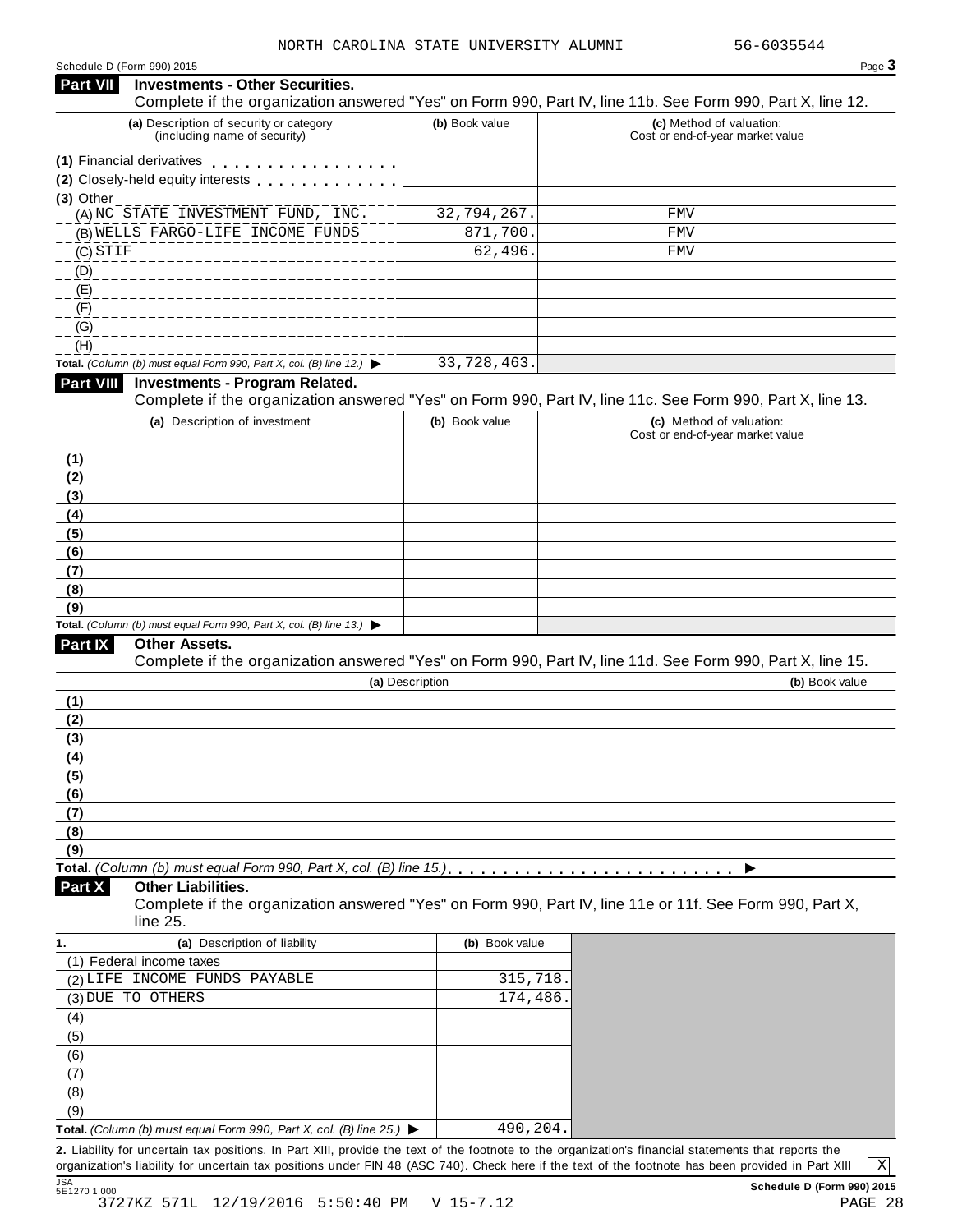#### Schedule <sup>D</sup> (Form 990) <sup>2015</sup> Page **3 Investments - Other Securities. Part VII** Investments - Other Securities.<br>Complete if the organization answered "Yes" on Form 990, Part IV, line 11b. See Form 990, Part X, line 12. **(a)** Description of security or category (including name of security) **(b)** Book value **(c)** Method of valuation: Cost or end-of-year market value **(1)** Financial derivatives m m m m m m m m m m m m m m m m m **(2)** Closely-held equity interests m m m m m m m m m m m m m **(3)** Other (A) NC STATE INVESTMENT FUND, INC. 32,794,267. FMV (B) WELLS FARGO-LIFE INCOME FUNDS 871,700. FMV (C) (D) (E) (F) (G)  $(H)$ **Total.** *(Column (b) must equal Form 990, Part X, col. (B) line 12.)* I **Investments - Program Related.** Complete if the organization answered "Yes" on Form 990, Part IV, line 11c. See Form 990, Part X, line 13. **(a)** Description of investment **(b)** Book value **(c)** Method of valuation: Cost or end-of-year market value **(1) (2) (3) (4) (5) (6) (7) (8) (9) Total.** *(Column (b) must equal Form 990, Part X, col. (B) line 13.)* I **Other Assets.** Complete if the organization answered "Yes" on Form 990, Part IV, line 11d. See Form 990, Part X, line 15. **(a)** Description **(b)** Book value **(1) (2) (3) (4) (5) (6) (7) (8) (9)**  $\blacksquare$   $\blacksquare$   $\blacksquare$   $\blacksquare$   $\lozenge$   $\lozenge$   $\blacksquare$   $\blacksquare$   $\blacksquare$   $\blacksquare$   $\blacksquare$   $\blacksquare$   $\blacksquare$   $\blacksquare$   $\blacksquare$   $\blacksquare$   $\blacksquare$   $\blacksquare$   $\blacksquare$   $\blacksquare$   $\blacksquare$   $\blacksquare$   $\blacksquare$   $\blacksquare$   $\blacksquare$   $\blacksquare$   $\blacksquare$   $\blacksquare$   $\blacksquare$   $\blacksquare$   $\blacksquare$   $\blacks$ **Other Liabilities.** Complete if the organization answered "Yes" on Form 990, Part IV, line 11e or 11f. See Form 990, Part X, line 25. **Part X 1. (a)** Description of liability **(b)** Book value (1) Federal income taxes (2) LIFE INCOME FUNDS PAYABLE 315,718. (3) DUE TO OTHERS 2008 174,486. (4) (5) (6) (7) (8) (9) **Total.** *(Column (b) must equal Form 990, Part X, col. (B) line 25.)* I  $STIF$  FMV 33,728,463. 490,204.

**2.** Liability for uncertain tax positions. In Part XIII, provide the text of the footnote to the organization's financial statements that reports the organization's liability for uncertain tax positions under FIN 48 (ASC 740). Check here if the text of the footnote has been provided in Part XIII JSA<br>5E1270 1.000

X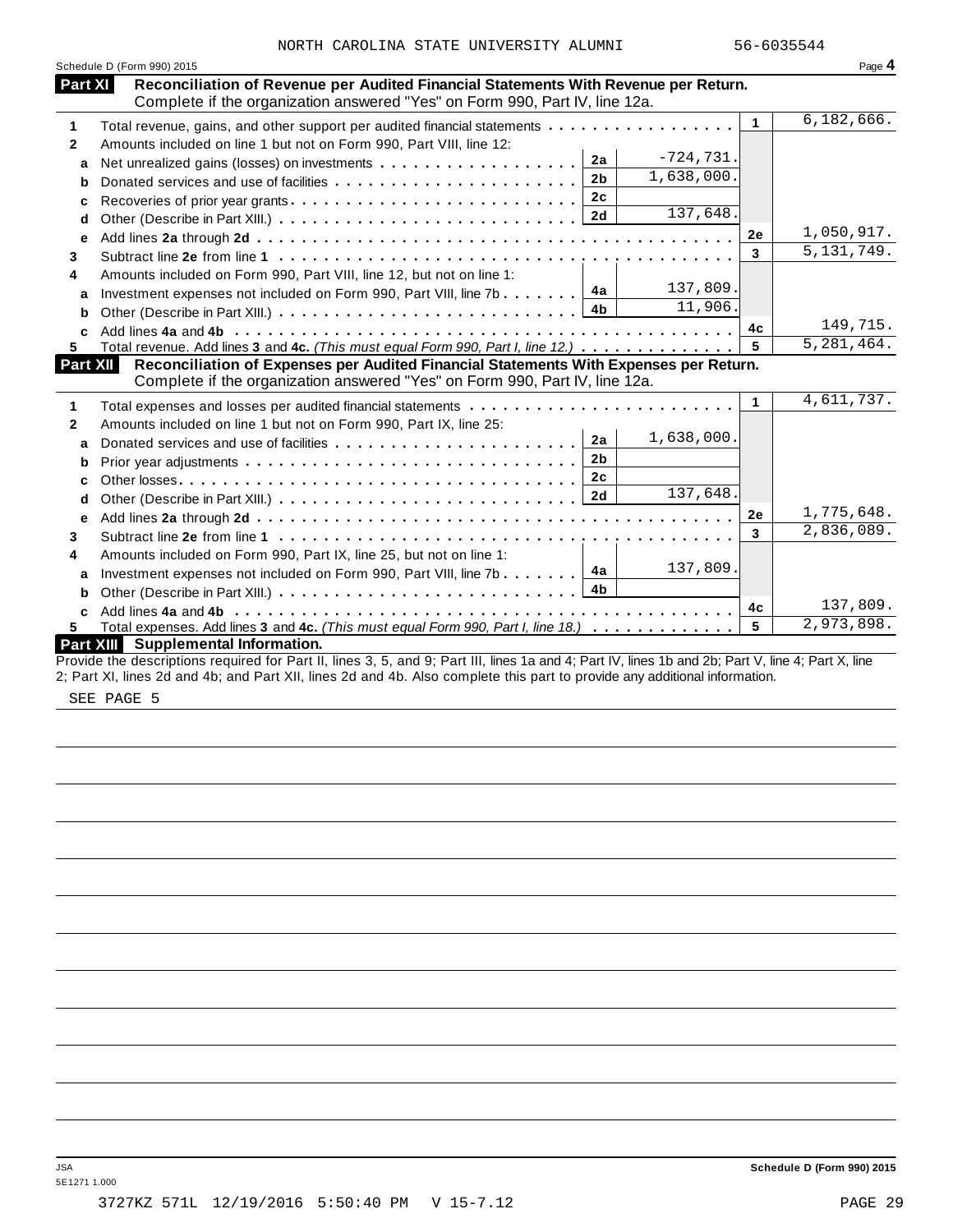| Reconciliation of Revenue per Audited Financial Statements With Revenue per Return.<br>Complete if the organization answered "Yes" on Form 990, Part IV, line 12a.<br>Total revenue, gains, and other support per audited financial statements<br>Amounts included on line 1 but not on Form 990, Part VIII, line 12:<br>Donated services and use of facilities<br>Recoveries of prior year grants | 2a<br>2 <sub>b</sub><br>2c | $-724,731.$<br>1,638,000. | $\mathbf{1}$ | 6, 182, 666.                                                                           |
|----------------------------------------------------------------------------------------------------------------------------------------------------------------------------------------------------------------------------------------------------------------------------------------------------------------------------------------------------------------------------------------------------|----------------------------|---------------------------|--------------|----------------------------------------------------------------------------------------|
|                                                                                                                                                                                                                                                                                                                                                                                                    |                            |                           |              |                                                                                        |
|                                                                                                                                                                                                                                                                                                                                                                                                    |                            |                           |              |                                                                                        |
|                                                                                                                                                                                                                                                                                                                                                                                                    |                            |                           |              |                                                                                        |
|                                                                                                                                                                                                                                                                                                                                                                                                    |                            |                           |              |                                                                                        |
|                                                                                                                                                                                                                                                                                                                                                                                                    |                            |                           |              |                                                                                        |
|                                                                                                                                                                                                                                                                                                                                                                                                    |                            |                           |              |                                                                                        |
|                                                                                                                                                                                                                                                                                                                                                                                                    |                            | 137,648.                  |              |                                                                                        |
|                                                                                                                                                                                                                                                                                                                                                                                                    |                            |                           | 2e           | 1,050,917.                                                                             |
|                                                                                                                                                                                                                                                                                                                                                                                                    |                            |                           | 3            | 5, 131, 749.                                                                           |
| Amounts included on Form 990, Part VIII, line 12, but not on line 1:                                                                                                                                                                                                                                                                                                                               |                            |                           |              |                                                                                        |
| Investment expenses not included on Form 990, Part VIII, line 7b                                                                                                                                                                                                                                                                                                                                   | 4a                         | 137,809.                  |              |                                                                                        |
|                                                                                                                                                                                                                                                                                                                                                                                                    | 4b                         | 11,906.                   |              |                                                                                        |
|                                                                                                                                                                                                                                                                                                                                                                                                    |                            |                           | 4c           | 149,715.                                                                               |
| Total revenue. Add lines 3 and 4c. (This must equal Form 990, Part I, line 12.)                                                                                                                                                                                                                                                                                                                    |                            |                           | 5            | 5, 281, 464.                                                                           |
| Reconciliation of Expenses per Audited Financial Statements With Expenses per Return.<br>Complete if the organization answered "Yes" on Form 990, Part IV, line 12a.                                                                                                                                                                                                                               |                            |                           |              |                                                                                        |
|                                                                                                                                                                                                                                                                                                                                                                                                    |                            |                           | $\mathbf{1}$ | 4,611,737.                                                                             |
| Amounts included on line 1 but not on Form 990, Part IX, line 25:                                                                                                                                                                                                                                                                                                                                  |                            |                           |              |                                                                                        |
| Donated services and use of facilities                                                                                                                                                                                                                                                                                                                                                             | 2a                         | 1,638,000.                |              |                                                                                        |
|                                                                                                                                                                                                                                                                                                                                                                                                    | 2 <sub>b</sub>             |                           |              |                                                                                        |
|                                                                                                                                                                                                                                                                                                                                                                                                    | 2 <sub>c</sub>             |                           |              |                                                                                        |
|                                                                                                                                                                                                                                                                                                                                                                                                    | 2d                         | 137,648.                  |              |                                                                                        |
|                                                                                                                                                                                                                                                                                                                                                                                                    |                            |                           | 2e           | 1,775,648.                                                                             |
|                                                                                                                                                                                                                                                                                                                                                                                                    |                            |                           | 3            | 2,836,089.                                                                             |
| Amounts included on Form 990, Part IX, line 25, but not on line 1:                                                                                                                                                                                                                                                                                                                                 |                            |                           |              |                                                                                        |
| Investment expenses not included on Form 990, Part VIII, line 7b                                                                                                                                                                                                                                                                                                                                   | 4a                         | 137,809.                  |              |                                                                                        |
|                                                                                                                                                                                                                                                                                                                                                                                                    | 4 <sub>b</sub>             |                           |              |                                                                                        |
|                                                                                                                                                                                                                                                                                                                                                                                                    |                            |                           |              | 137,809.                                                                               |
|                                                                                                                                                                                                                                                                                                                                                                                                    |                            |                           | 5            | 2,973,898.                                                                             |
|                                                                                                                                                                                                                                                                                                                                                                                                    |                            |                           |              |                                                                                        |
|                                                                                                                                                                                                                                                                                                                                                                                                    |                            |                           |              | 4с<br>Total expenses. Add lines 3 and 4c. (This must equal Form 990, Part I, line 18.) |

SEE PAGE 5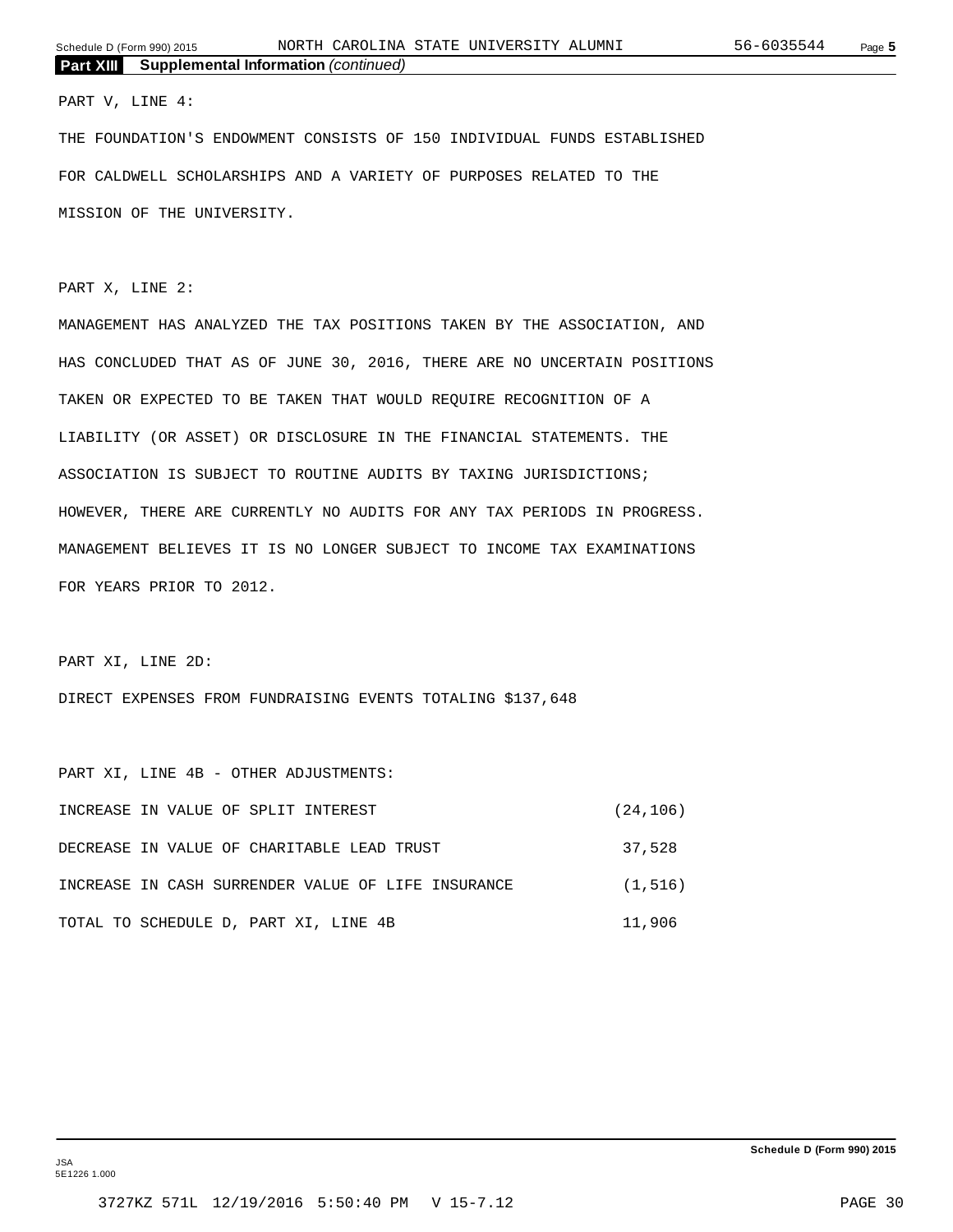#### PART V, LINE 4:

THE FOUNDATION'S ENDOWMENT CONSISTS OF 150 INDIVIDUAL FUNDS ESTABLISHED FOR CALDWELL SCHOLARSHIPS AND A VARIETY OF PURPOSES RELATED TO THE MISSION OF THE UNIVERSITY.

PART X, LINE 2:

MANAGEMENT HAS ANALYZED THE TAX POSITIONS TAKEN BY THE ASSOCIATION, AND HAS CONCLUDED THAT AS OF JUNE 30, 2016, THERE ARE NO UNCERTAIN POSITIONS TAKEN OR EXPECTED TO BE TAKEN THAT WOULD REQUIRE RECOGNITION OF A LIABILITY (OR ASSET) OR DISCLOSURE IN THE FINANCIAL STATEMENTS. THE ASSOCIATION IS SUBJECT TO ROUTINE AUDITS BY TAXING JURISDICTIONS; HOWEVER, THERE ARE CURRENTLY NO AUDITS FOR ANY TAX PERIODS IN PROGRESS. MANAGEMENT BELIEVES IT IS NO LONGER SUBJECT TO INCOME TAX EXAMINATIONS FOR YEARS PRIOR TO 2012.

PART XI, LINE 2D:

DIRECT EXPENSES FROM FUNDRAISING EVENTS TOTALING \$137,648

PART XI, LINE 4B - OTHER ADJUSTMENTS: INCREASE IN VALUE OF SPLIT INTEREST (24,106) DECREASE IN VALUE OF CHARITABLE LEAD TRUST 37,528 INCREASE IN CASH SURRENDER VALUE OF LIFE INSURANCE (1,516) TOTAL TO SCHEDULE D, PART XI, LINE 4B 11,906

JSA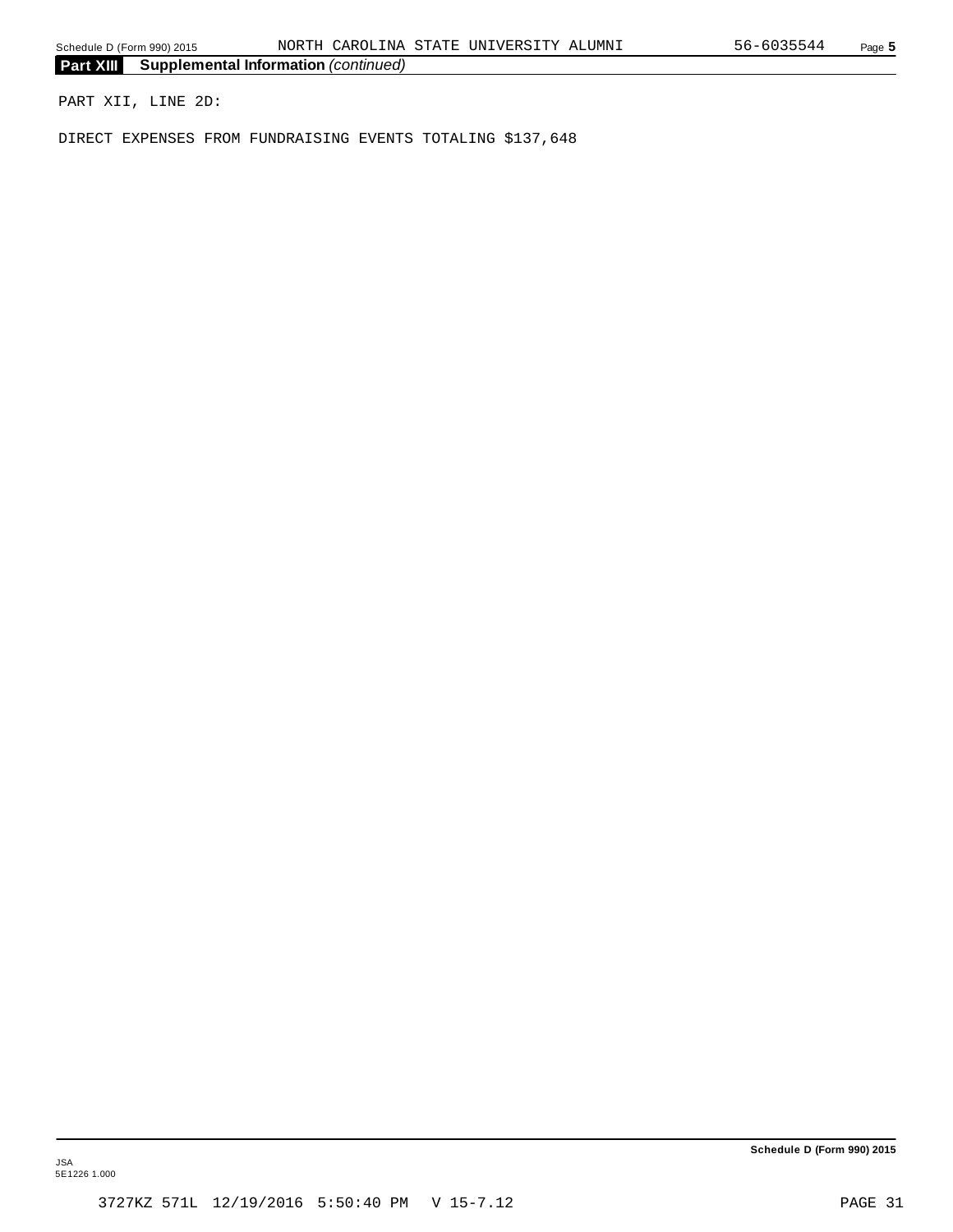PART XII, LINE 2D:

DIRECT EXPENSES FROM FUNDRAISING EVENTS TOTALING \$137,648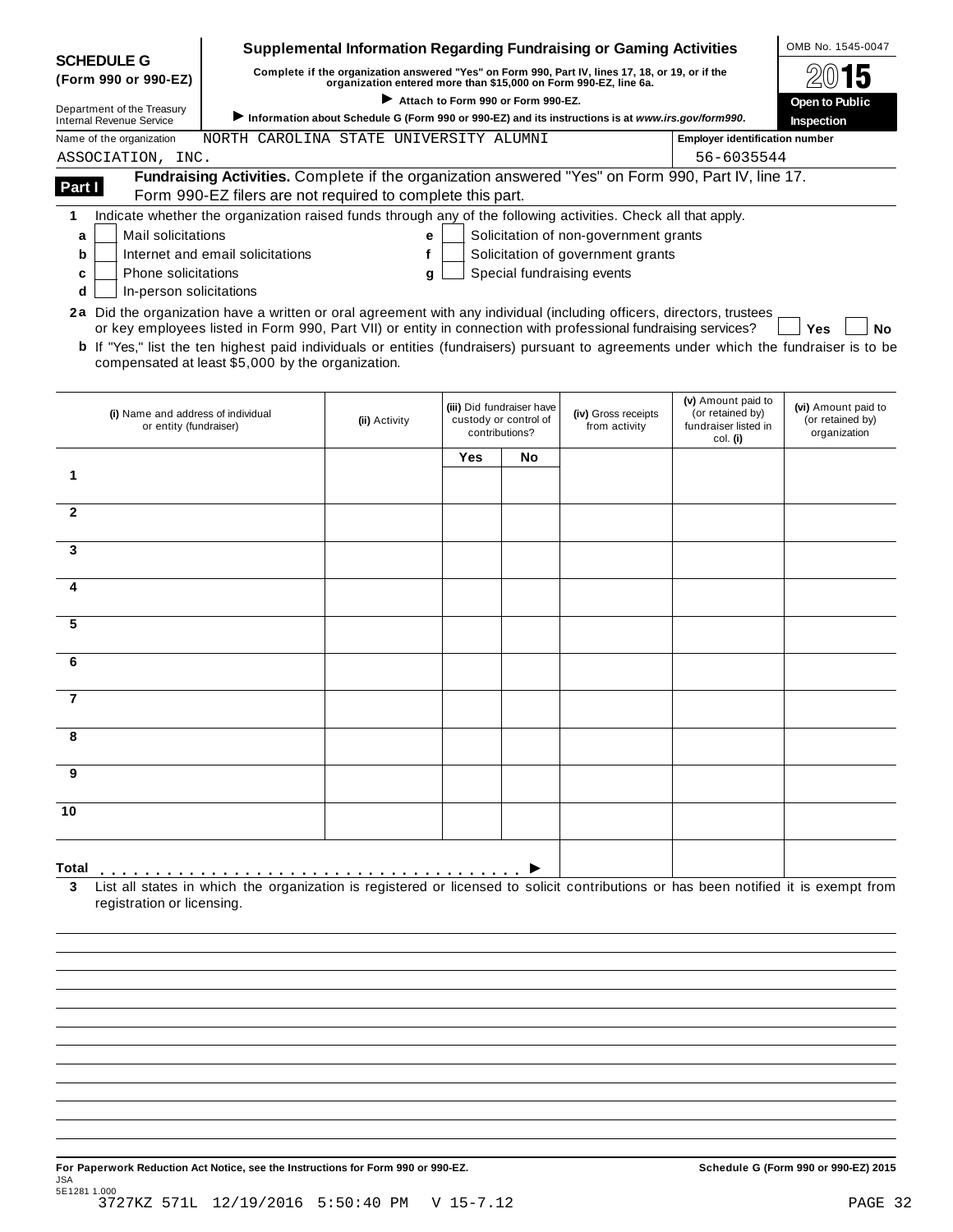|                                                                                                                       |                                                                                                                                                                  |                                                                  |                       |                                                                      | <b>Supplemental Information Regarding Fundraising or Gaming Activities</b>                        |                                                                            | OMB No. 1545-0047                                       |
|-----------------------------------------------------------------------------------------------------------------------|------------------------------------------------------------------------------------------------------------------------------------------------------------------|------------------------------------------------------------------|-----------------------|----------------------------------------------------------------------|---------------------------------------------------------------------------------------------------|----------------------------------------------------------------------------|---------------------------------------------------------|
| <b>SCHEDULE G</b><br>(Form 990 or 990-EZ)                                                                             |                                                                                                                                                                  | organization entered more than \$15,000 on Form 990-EZ, line 6a. |                       |                                                                      | Complete if the organization answered "Yes" on Form 990, Part IV, lines 17, 18, or 19, or if the  |                                                                            |                                                         |
| Department of the Treasury                                                                                            |                                                                                                                                                                  |                                                                  | <b>Open to Public</b> |                                                                      |                                                                                                   |                                                                            |                                                         |
| <b>Internal Revenue Service</b>                                                                                       |                                                                                                                                                                  |                                                                  |                       |                                                                      | Information about Schedule G (Form 990 or 990-EZ) and its instructions is at www.irs.gov/form990. |                                                                            | Inspection                                              |
| Name of the organization                                                                                              | NORTH CAROLINA STATE UNIVERSITY ALUMNI                                                                                                                           |                                                                  |                       |                                                                      |                                                                                                   | <b>Employer identification number</b>                                      |                                                         |
| ASSOCIATION, INC.                                                                                                     |                                                                                                                                                                  |                                                                  |                       |                                                                      |                                                                                                   | 56-6035544                                                                 |                                                         |
| Part I                                                                                                                | Fundraising Activities. Complete if the organization answered "Yes" on Form 990, Part IV, line 17.<br>Form 990-EZ filers are not required to complete this part. |                                                                  |                       |                                                                      |                                                                                                   |                                                                            |                                                         |
| 1                                                                                                                     | Indicate whether the organization raised funds through any of the following activities. Check all that apply.                                                    |                                                                  |                       |                                                                      |                                                                                                   |                                                                            |                                                         |
| Mail solicitations<br>a                                                                                               |                                                                                                                                                                  | е                                                                |                       |                                                                      | Solicitation of non-government grants                                                             |                                                                            |                                                         |
| b                                                                                                                     | Internet and email solicitations                                                                                                                                 | f                                                                |                       |                                                                      | Solicitation of government grants                                                                 |                                                                            |                                                         |
| <b>Phone solicitations</b><br>c                                                                                       |                                                                                                                                                                  | g                                                                |                       |                                                                      | Special fundraising events                                                                        |                                                                            |                                                         |
| In-person solicitations<br>d                                                                                          |                                                                                                                                                                  |                                                                  |                       |                                                                      |                                                                                                   |                                                                            |                                                         |
| 2a Did the organization have a written or oral agreement with any individual (including officers, directors, trustees |                                                                                                                                                                  |                                                                  |                       |                                                                      |                                                                                                   |                                                                            |                                                         |
|                                                                                                                       | or key employees listed in Form 990, Part VII) or entity in connection with professional fundraising services?                                                   |                                                                  |                       |                                                                      |                                                                                                   |                                                                            | Yes<br>No                                               |
|                                                                                                                       | <b>b</b> If "Yes," list the ten highest paid individuals or entities (fundraisers) pursuant to agreements under which the fundraiser is to be                    |                                                                  |                       |                                                                      |                                                                                                   |                                                                            |                                                         |
|                                                                                                                       | compensated at least \$5,000 by the organization.                                                                                                                |                                                                  |                       |                                                                      |                                                                                                   |                                                                            |                                                         |
|                                                                                                                       |                                                                                                                                                                  |                                                                  |                       |                                                                      |                                                                                                   |                                                                            |                                                         |
| (i) Name and address of individual<br>or entity (fundraiser)                                                          |                                                                                                                                                                  | (ii) Activity                                                    |                       | (iii) Did fundraiser have<br>custody or control of<br>contributions? | (iv) Gross receipts<br>from activity                                                              | (v) Amount paid to<br>(or retained by)<br>fundraiser listed in<br>col. (i) | (vi) Amount paid to<br>(or retained by)<br>organization |
|                                                                                                                       |                                                                                                                                                                  |                                                                  | Yes                   | No                                                                   |                                                                                                   |                                                                            |                                                         |
| 1                                                                                                                     |                                                                                                                                                                  |                                                                  |                       |                                                                      |                                                                                                   |                                                                            |                                                         |
|                                                                                                                       |                                                                                                                                                                  |                                                                  |                       |                                                                      |                                                                                                   |                                                                            |                                                         |
| $\mathbf{2}$                                                                                                          |                                                                                                                                                                  |                                                                  |                       |                                                                      |                                                                                                   |                                                                            |                                                         |
|                                                                                                                       |                                                                                                                                                                  |                                                                  |                       |                                                                      |                                                                                                   |                                                                            |                                                         |
| 3                                                                                                                     |                                                                                                                                                                  |                                                                  |                       |                                                                      |                                                                                                   |                                                                            |                                                         |
| 4                                                                                                                     |                                                                                                                                                                  |                                                                  |                       |                                                                      |                                                                                                   |                                                                            |                                                         |
|                                                                                                                       |                                                                                                                                                                  |                                                                  |                       |                                                                      |                                                                                                   |                                                                            |                                                         |
| 5                                                                                                                     |                                                                                                                                                                  |                                                                  |                       |                                                                      |                                                                                                   |                                                                            |                                                         |
| 6                                                                                                                     |                                                                                                                                                                  |                                                                  |                       |                                                                      |                                                                                                   |                                                                            |                                                         |
|                                                                                                                       |                                                                                                                                                                  |                                                                  |                       |                                                                      |                                                                                                   |                                                                            |                                                         |
| 7                                                                                                                     |                                                                                                                                                                  |                                                                  |                       |                                                                      |                                                                                                   |                                                                            |                                                         |
|                                                                                                                       |                                                                                                                                                                  |                                                                  |                       |                                                                      |                                                                                                   |                                                                            |                                                         |
|                                                                                                                       |                                                                                                                                                                  |                                                                  |                       |                                                                      |                                                                                                   |                                                                            |                                                         |
| 9                                                                                                                     |                                                                                                                                                                  |                                                                  |                       |                                                                      |                                                                                                   |                                                                            |                                                         |
| 10                                                                                                                    |                                                                                                                                                                  |                                                                  |                       |                                                                      |                                                                                                   |                                                                            |                                                         |
|                                                                                                                       |                                                                                                                                                                  |                                                                  |                       |                                                                      |                                                                                                   |                                                                            |                                                         |
|                                                                                                                       |                                                                                                                                                                  |                                                                  |                       |                                                                      |                                                                                                   |                                                                            |                                                         |
| Total                                                                                                                 |                                                                                                                                                                  |                                                                  |                       |                                                                      |                                                                                                   |                                                                            |                                                         |
| 3<br>registration or licensing.                                                                                       | List all states in which the organization is registered or licensed to solicit contributions or has been notified it is exempt from                              |                                                                  |                       |                                                                      |                                                                                                   |                                                                            |                                                         |
|                                                                                                                       |                                                                                                                                                                  |                                                                  |                       |                                                                      |                                                                                                   |                                                                            |                                                         |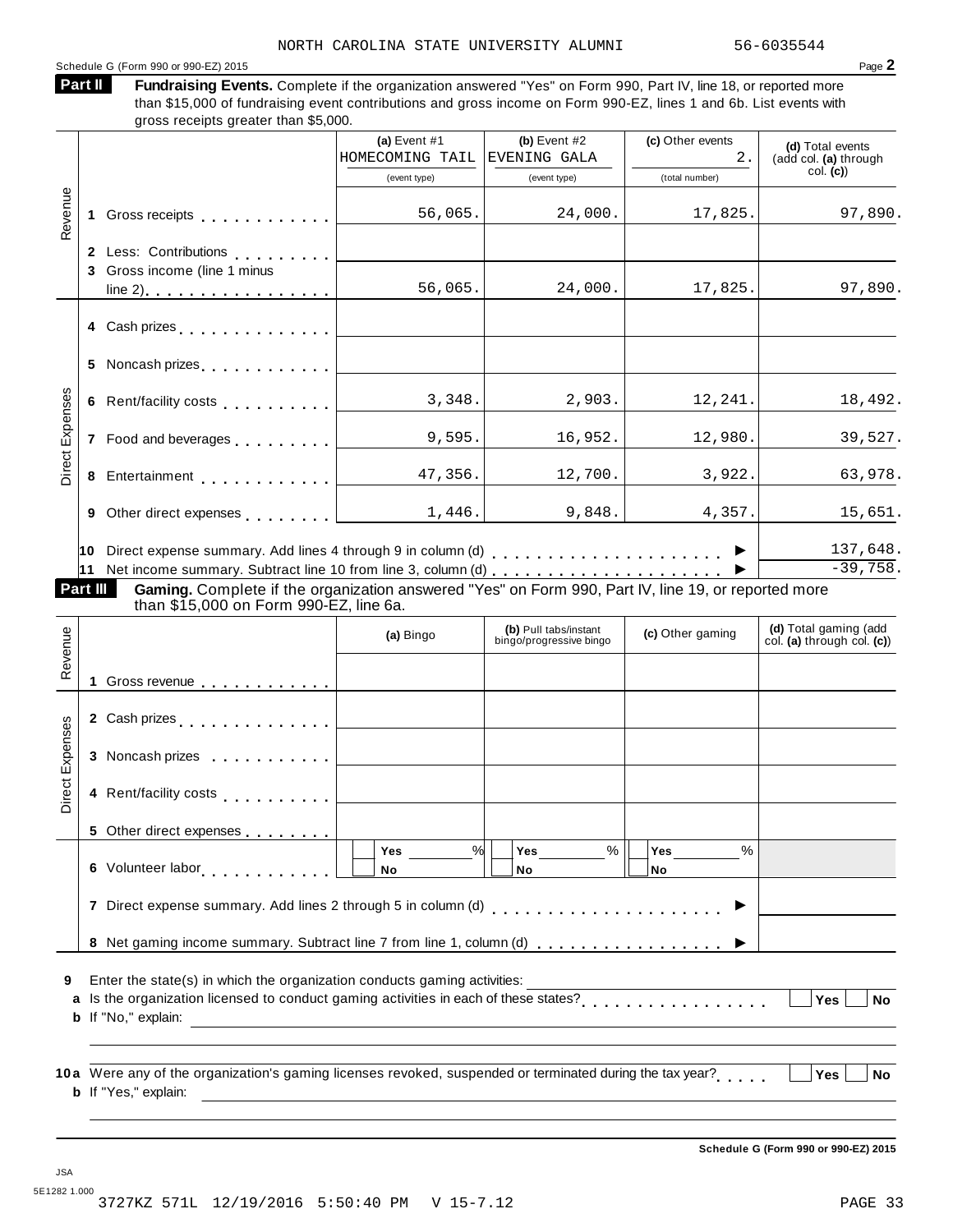#### Schedule <sup>G</sup> (Form <sup>990</sup> or 990-EZ) <sup>2015</sup> Page **2**

**Part II**

Fundraising Events. Complete if the organization answered "Yes" on Form 990, Part IV, line 18, or reported more than \$15,000 of fundraising event contributions and gross income on Form 990-EZ, lines 1 and 6b. List events with

|                 |          | gross receipts greater than \$5,000.                                                                                                                                                                                             |                                                           |                                                  |                        |                                                      |
|-----------------|----------|----------------------------------------------------------------------------------------------------------------------------------------------------------------------------------------------------------------------------------|-----------------------------------------------------------|--------------------------------------------------|------------------------|------------------------------------------------------|
|                 |          |                                                                                                                                                                                                                                  | (a) Event $#1$<br>HOMECOMING TAIL                         | (b) Event $#2$<br>EVENING GALA                   | (c) Other events<br>2. | (d) Total events<br>(add col. (a) through            |
|                 |          |                                                                                                                                                                                                                                  | (event type)                                              | (event type)                                     | (total number)         | col. (c)                                             |
| Revenue         |          |                                                                                                                                                                                                                                  | 56,065.                                                   | 24,000.                                          | 17,825.                | 97,890.                                              |
|                 |          | 2 Less: Contributions [19]                                                                                                                                                                                                       |                                                           |                                                  |                        |                                                      |
|                 |          | 3 Gross income (line 1 minus                                                                                                                                                                                                     |                                                           |                                                  |                        |                                                      |
|                 |          |                                                                                                                                                                                                                                  | 56,065.                                                   | 24,000.                                          | 17,825.                | 97,890.                                              |
|                 |          | 4 Cash prizes <u>  _ _ _ _ _ _ _ _ _ _ _ _ _</u>                                                                                                                                                                                 |                                                           |                                                  |                        |                                                      |
|                 |          | 5 Noncash prizes <u>  _ _ _ _ _ _ _ _ _ _ _ _ _</u>                                                                                                                                                                              |                                                           |                                                  |                        |                                                      |
|                 |          | 6 Rent/facility costs experience of the set of the set of the set of the set of the set of the set of the set of the set of the set of the set of the set of the set of the set of the set of the set of the set of the set of   | 3,348.                                                    | 2,903.                                           | 12, 241.               | 18,492.                                              |
| Direct Expenses |          | 7 Food and beverages [1, 1, 1, 1, 1]                                                                                                                                                                                             | 9,595.                                                    | 16,952.                                          | 12,980.                | 39,527.                                              |
|                 |          | 8 Entertainment <u>47,3</u> 56.                                                                                                                                                                                                  |                                                           | 12,700.                                          | 3,922.                 | 63,978.                                              |
|                 | 9        | Other direct expenses <b>contained contained contained a set of the set of the set of the set of the set of the set of the set of the set of the set of the set of the set of the set of the set of the set of the set of th</b> | 1,446.                                                    | 9,848.                                           | 4,357.                 | 15,651.                                              |
|                 | Part III | Gaming. Complete if the organization answered "Yes" on Form 990, Part IV, line 19, or reported more<br>than \$15,000 on Form 990-EZ, line 6a.                                                                                    |                                                           |                                                  |                        | 137,648.<br>$-39,758.$                               |
| Revenue         |          |                                                                                                                                                                                                                                  | (a) Bingo                                                 | (b) Pull tabs/instant<br>bingo/progressive bingo | (c) Other gaming       | (d) Total gaming (add<br>col. (a) through col. $(c)$ |
|                 |          | 1 Gross revenue                                                                                                                                                                                                                  |                                                           |                                                  |                        |                                                      |
|                 |          |                                                                                                                                                                                                                                  |                                                           |                                                  |                        |                                                      |
|                 |          | 3 Noncash prizes                                                                                                                                                                                                                 |                                                           |                                                  |                        |                                                      |
| Direct Expenses |          | 4 Rent/facility costs                                                                                                                                                                                                            |                                                           |                                                  |                        |                                                      |
|                 |          | 5 Other direct expenses                                                                                                                                                                                                          |                                                           |                                                  |                        |                                                      |
|                 |          | 6 Volunteer labor <b>6 Volunteer</b> labor                                                                                                                                                                                       | %<br>Yes<br>No                                            | $\%$<br>Yes<br>No                                | %<br>Yes<br>No         |                                                      |
|                 |          |                                                                                                                                                                                                                                  |                                                           |                                                  |                        |                                                      |
|                 |          | 8 Net gaming income summary. Subtract line 7 from line 1, column (d)                                                                                                                                                             |                                                           |                                                  |                        |                                                      |
| 9<br>a          |          | Enter the state(s) in which the organization conducts gaming activities:<br>Is the organization licensed to conduct gaming activities in each of these states?                                                                   |                                                           |                                                  |                        | Yes<br><b>No</b>                                     |
|                 |          | <b>b</b> If "No," explain:                                                                                                                                                                                                       | <u> 1989 - John Stein, Amerikaansk politiker (* 1908)</u> |                                                  |                        |                                                      |
|                 |          | 10a Were any of the organization's gaming licenses revoked, suspended or terminated during the tax year?<br><b>b</b> If "Yes," explain:                                                                                          |                                                           |                                                  |                        | <b>Yes</b><br>No                                     |

JSA 5E1282 1.000 3727KZ 571L 12/19/2016 5:50:40 PM V 15-7.12 PAGE 33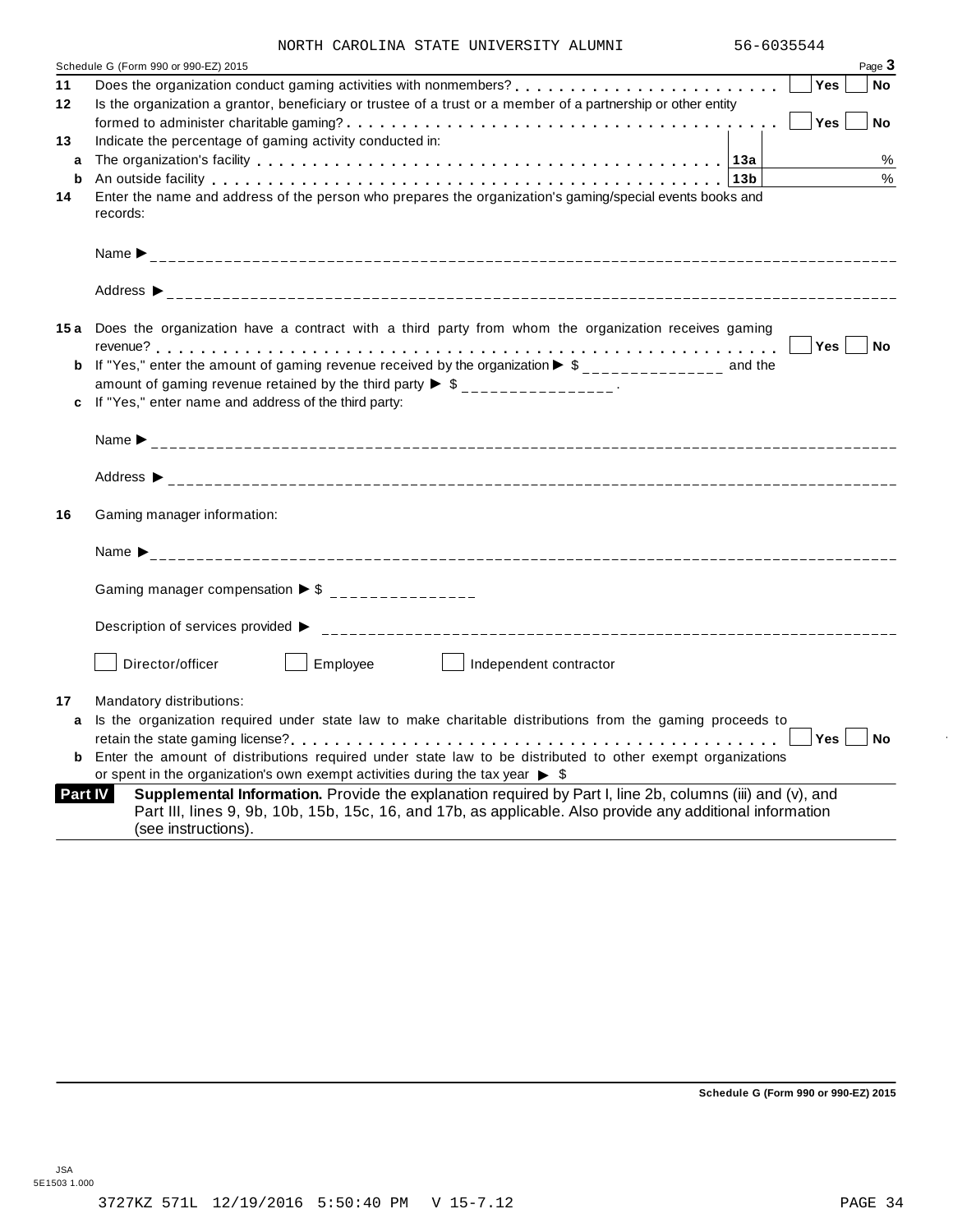| NORTH CAROLINA STATE UNIVERSITY ALUMNI | 56-6035544 |
|----------------------------------------|------------|

|         | Page 3<br>Schedule G (Form 990 or 990-EZ) 2015                                                                                                                                                                                                                  |
|---------|-----------------------------------------------------------------------------------------------------------------------------------------------------------------------------------------------------------------------------------------------------------------|
| 11      | <b>Yes</b><br>No                                                                                                                                                                                                                                                |
| $12 \,$ | Is the organization a grantor, beneficiary or trustee of a trust or a member of a partnership or other entity                                                                                                                                                   |
|         | Yes<br><b>No</b>                                                                                                                                                                                                                                                |
| 13      | Indicate the percentage of gaming activity conducted in:                                                                                                                                                                                                        |
| a       | %                                                                                                                                                                                                                                                               |
| b       | %<br>An outside facility enterpreteration of the control of the control of the control of the control of the control of the control of the control of the control of the control of the control of the control of the control of th                             |
| 14      | Enter the name and address of the person who prepares the organization's gaming/special events books and                                                                                                                                                        |
|         | records:                                                                                                                                                                                                                                                        |
|         |                                                                                                                                                                                                                                                                 |
|         |                                                                                                                                                                                                                                                                 |
|         | 15a Does the organization have a contract with a third party from whom the organization receives gaming                                                                                                                                                         |
|         | Yes No                                                                                                                                                                                                                                                          |
| b       | If "Yes," enter the amount of gaming revenue received by the organization $\blacktriangleright$ \$______________ and the                                                                                                                                        |
|         | amount of gaming revenue retained by the third party $\triangleright$ \$ _______________.                                                                                                                                                                       |
|         | If "Yes," enter name and address of the third party:                                                                                                                                                                                                            |
|         |                                                                                                                                                                                                                                                                 |
|         |                                                                                                                                                                                                                                                                 |
| 16      | Gaming manager information:                                                                                                                                                                                                                                     |
|         |                                                                                                                                                                                                                                                                 |
|         | Gaming manager compensation $\triangleright$ \$ ________________                                                                                                                                                                                                |
|         | Description of services provided ▶                                                                                                                                                                                                                              |
|         | Director/officer<br>Employee<br>$\vert$   Independent contractor                                                                                                                                                                                                |
| 17      | Mandatory distributions:                                                                                                                                                                                                                                        |
| a       | Is the organization required under state law to make charitable distributions from the gaming proceeds to                                                                                                                                                       |
|         | Yes<br><b>No</b>                                                                                                                                                                                                                                                |
| b       | Enter the amount of distributions required under state law to be distributed to other exempt organizations                                                                                                                                                      |
|         | or spent in the organization's own exempt activities during the tax year $\triangleright$ \$                                                                                                                                                                    |
|         | Supplemental Information. Provide the explanation required by Part I, line 2b, columns (iii) and (v), and<br><b>Part IV</b><br>Part III, lines 9, 9b, 10b, 15b, 15c, 16, and 17b, as applicable. Also provide any additional information<br>(see instructions). |

**Schedule G (Form 990 or 990-EZ) 2015**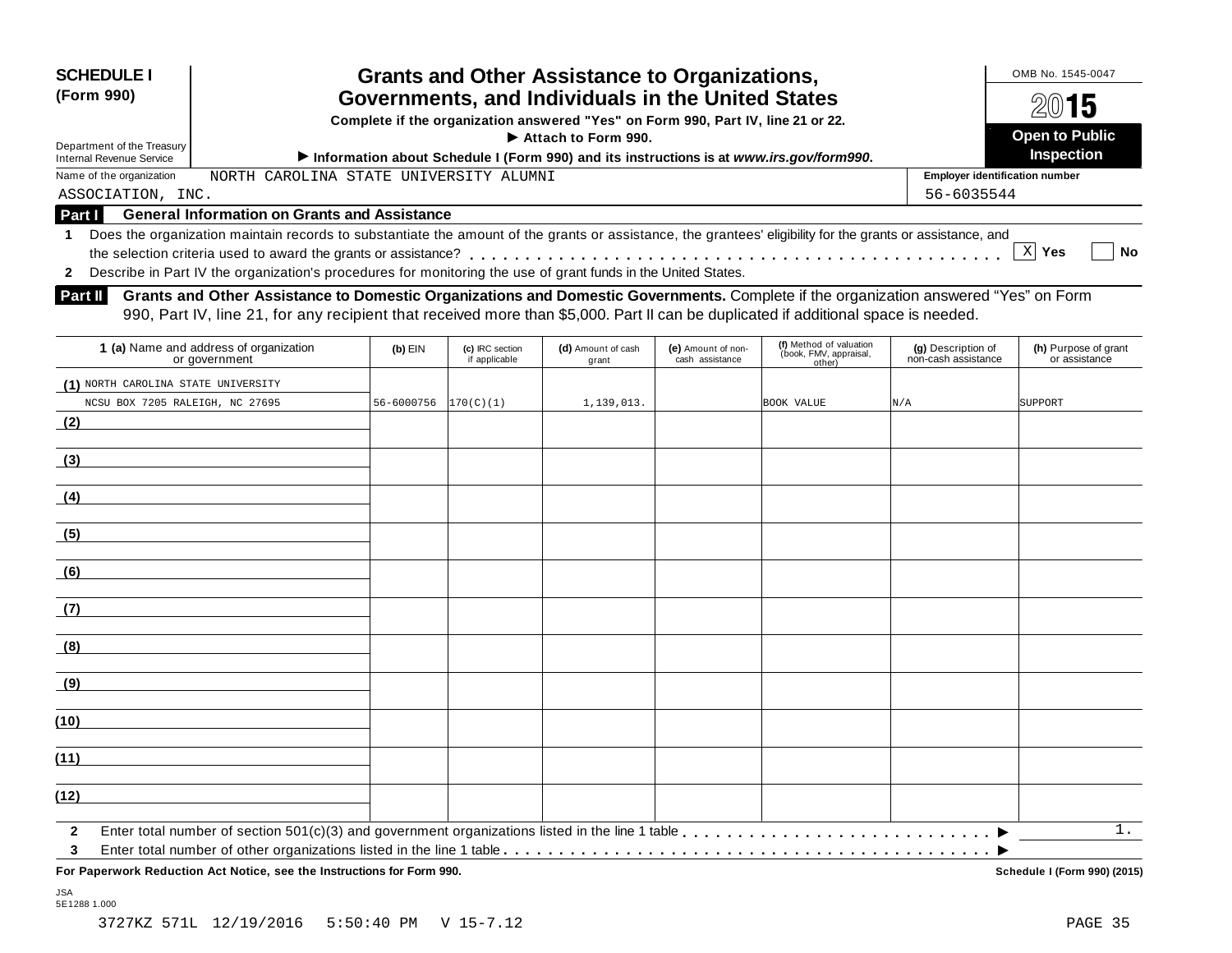| <b>SCHEDULE I</b><br>(Form 990)<br>Department of the Treasury<br><b>Internal Revenue Service</b> | <b>Grants and Other Assistance to Organizations,</b><br>Governments, and Individuals in the United States<br>Complete if the organization answered "Yes" on Form 990, Part IV, line 21 or 22.<br>Attach to Form 990.<br>Information about Schedule I (Form 990) and its instructions is at www.irs.gov/form990. | OMB No. 1545-0047<br>2015<br><b>Open to Public</b><br><b>Inspection</b> |
|--------------------------------------------------------------------------------------------------|-----------------------------------------------------------------------------------------------------------------------------------------------------------------------------------------------------------------------------------------------------------------------------------------------------------------|-------------------------------------------------------------------------|
| Name of the organization                                                                         | NORTH CAROLINA STATE UNIVERSITY ALUMNI                                                                                                                                                                                                                                                                          | <b>Employer identification number</b>                                   |
| ASSOCIATION, INC.                                                                                |                                                                                                                                                                                                                                                                                                                 | 56-6035544                                                              |
| <b>Part I</b>                                                                                    | <b>General Information on Grants and Assistance</b>                                                                                                                                                                                                                                                             |                                                                         |
|                                                                                                  | Does the organization maintain records to substantiate the amount of the grants or assistance, the grantees' eligibility for the grants or assistance, and                                                                                                                                                      |                                                                         |
|                                                                                                  |                                                                                                                                                                                                                                                                                                                 | $X$ Yes<br><b>No</b>                                                    |
|                                                                                                  | Describe in Part IV the organization's procedures for monitoring the use of grant funds in the United States.                                                                                                                                                                                                   |                                                                         |

**Grants and Other Assistance to Domestic Organizations and Domestic Governments.** Complete if the organization answered "Yes" on Form 990, Part IV, line 21, for any recipient that received more than \$5,000. Part II can be duplicated if additional space is needed. **Part II**

| 1 (a) Name and address of organization<br>or government                                          | $(b)$ EIN  | (c) IRC section<br>if applicable | (d) Amount of cash<br>grant | (e) Amount of non-<br>cash assistance | (f) Method of valuation<br>(book, FMV, appraisal,<br>other) | (g) Description of<br>non-cash assistance | (h) Purpose of grant<br>or assistance |
|--------------------------------------------------------------------------------------------------|------------|----------------------------------|-----------------------------|---------------------------------------|-------------------------------------------------------------|-------------------------------------------|---------------------------------------|
| (1) NORTH CAROLINA STATE UNIVERSITY                                                              |            |                                  |                             |                                       |                                                             |                                           |                                       |
| NCSU BOX 7205 RALEIGH, NC 27695                                                                  | 56-6000756 | 170(C)(1)                        | 1,139,013.                  |                                       | <b>BOOK VALUE</b>                                           | N/A                                       | SUPPORT                               |
| (2)<br>the control of the control of the control of                                              |            |                                  |                             |                                       |                                                             |                                           |                                       |
| (3)                                                                                              |            |                                  |                             |                                       |                                                             |                                           |                                       |
| (4)<br>the control of the control of the control of the control of the control of the control of |            |                                  |                             |                                       |                                                             |                                           |                                       |
| (5)                                                                                              |            |                                  |                             |                                       |                                                             |                                           |                                       |
| (6)                                                                                              |            |                                  |                             |                                       |                                                             |                                           |                                       |
| (7)                                                                                              |            |                                  |                             |                                       |                                                             |                                           |                                       |
| (8)                                                                                              |            |                                  |                             |                                       |                                                             |                                           |                                       |
| (9)<br>the contract of the contract of the contract of the contract of the contract of           |            |                                  |                             |                                       |                                                             |                                           |                                       |
| (10)                                                                                             |            |                                  |                             |                                       |                                                             |                                           |                                       |
| (11)                                                                                             |            |                                  |                             |                                       |                                                             |                                           |                                       |
| (12)                                                                                             |            |                                  |                             |                                       |                                                             |                                           |                                       |
| $\mathbf{2}$<br>$\mathbf{3}$                                                                     |            |                                  |                             |                                       |                                                             |                                           | $1$ .                                 |

**For Paperwork Reduction Act Notice, see the Instructions for Form 990. Schedule I (Form 990) (2015)**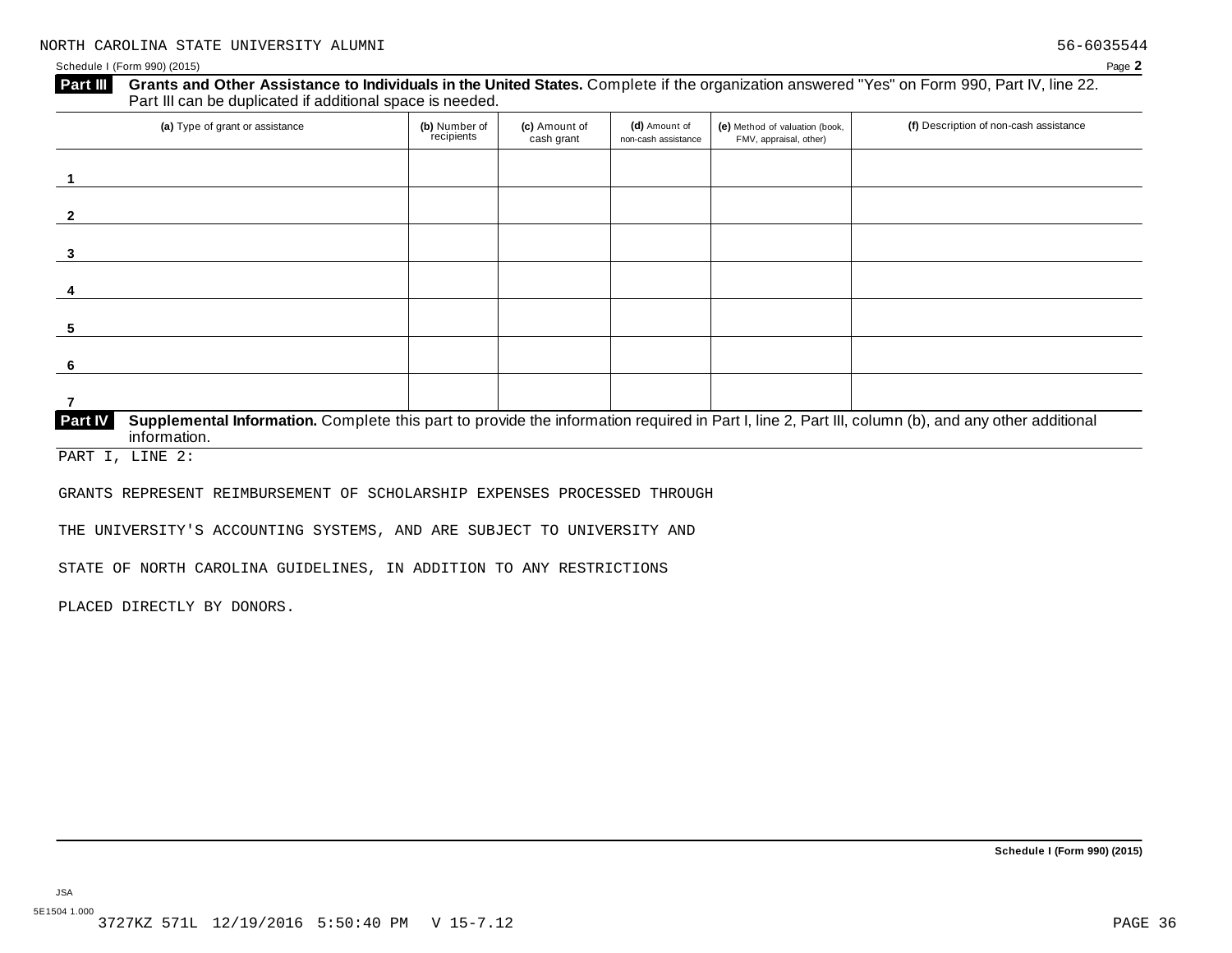| (a) Type of grant or assistance | (b) Number of<br>recipients | (c) Amount of<br>cash grant | (d) Amount of<br>non-cash assistance | (e) Method of valuation (book,<br>FMV, appraisal, other) | (f) Description of non-cash assistance |
|---------------------------------|-----------------------------|-----------------------------|--------------------------------------|----------------------------------------------------------|----------------------------------------|
|                                 |                             |                             |                                      |                                                          |                                        |
|                                 |                             |                             |                                      |                                                          |                                        |
|                                 |                             |                             |                                      |                                                          |                                        |
|                                 |                             |                             |                                      |                                                          |                                        |
|                                 |                             |                             |                                      |                                                          |                                        |
|                                 |                             |                             |                                      |                                                          |                                        |
|                                 |                             |                             |                                      |                                                          |                                        |

PART I, LINE 2:

GRANTS REPRESENT REIMBURSEMENT OF SCHOLARSHIP EXPENSES PROCESSED THROUGH

THE UNIVERSITY'S ACCOUNTING SYSTEMS, AND ARE SUBJECT TO UNIVERSITY AND

STATE OF NORTH CAROLINA GUIDELINES, IN ADDITION TO ANY RESTRICTIONS

PLACED DIRECTLY BY DONORS.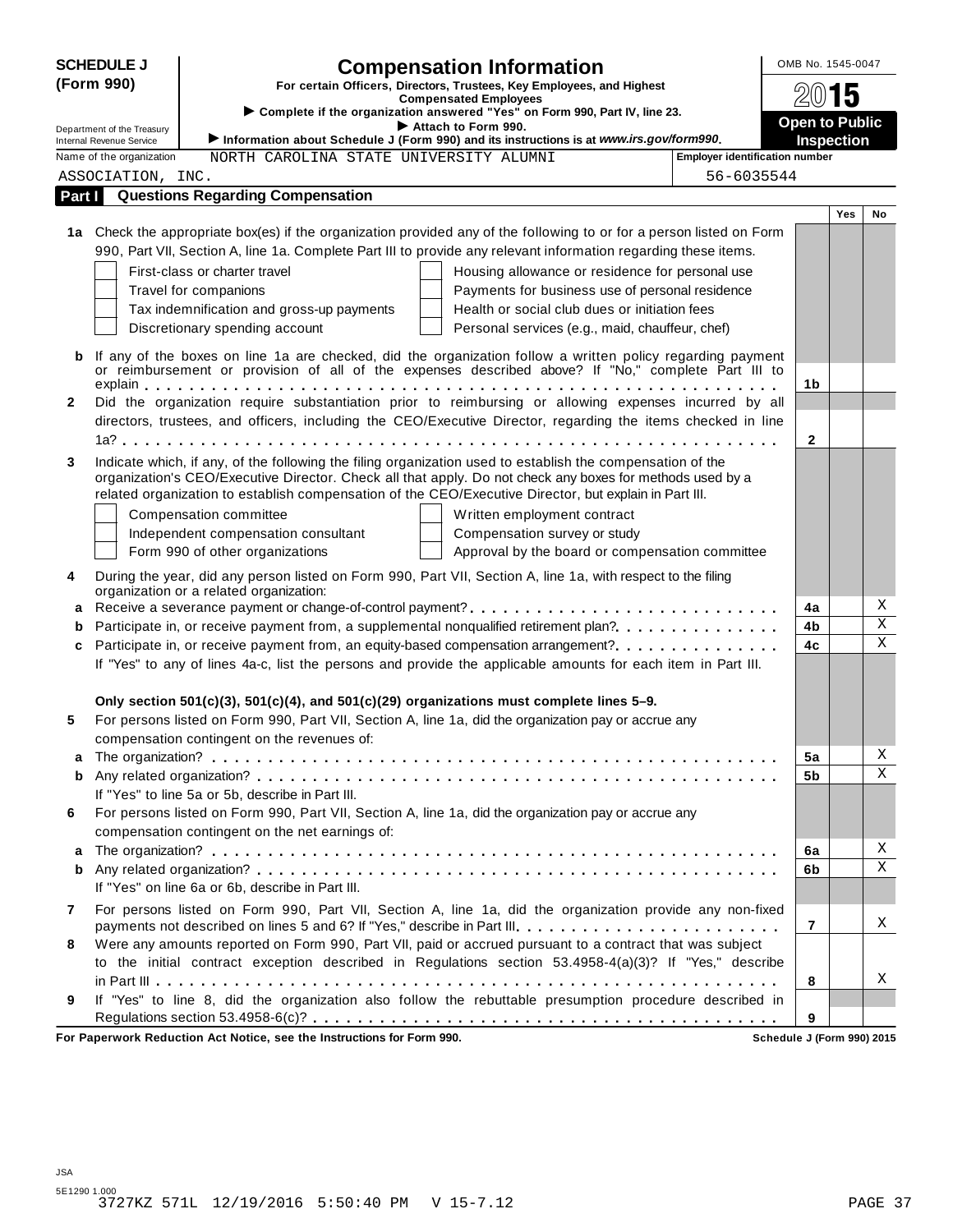|              | <b>SCHEDULE J</b>                                           | <b>Compensation Information</b>                                                                                                                                                                                     | OMB No. 1545-0047     |                   |             |
|--------------|-------------------------------------------------------------|---------------------------------------------------------------------------------------------------------------------------------------------------------------------------------------------------------------------|-----------------------|-------------------|-------------|
|              | (Form 990)                                                  | For certain Officers, Directors, Trustees, Key Employees, and Highest                                                                                                                                               |                       |                   |             |
|              |                                                             | <b>Compensated Employees</b><br>Complete if the organization answered "Yes" on Form 990, Part IV, line 23.                                                                                                          | 2015                  |                   |             |
|              | Department of the Treasury                                  | Attach to Form 990.                                                                                                                                                                                                 | <b>Open to Public</b> |                   |             |
|              | <b>Internal Revenue Service</b><br>Name of the organization | Information about Schedule J (Form 990) and its instructions is at www.irs.gov/form990.<br><b>Employer identification number</b><br>NORTH CAROLINA STATE UNIVERSITY ALUMNI                                          |                       | <b>Inspection</b> |             |
|              | ASSOCIATION, INC.                                           | 56-6035544                                                                                                                                                                                                          |                       |                   |             |
| Part I       |                                                             | <b>Questions Regarding Compensation</b>                                                                                                                                                                             |                       |                   |             |
|              |                                                             |                                                                                                                                                                                                                     |                       | <b>Yes</b>        | No          |
|              |                                                             | 1a Check the appropriate box(es) if the organization provided any of the following to or for a person listed on Form                                                                                                |                       |                   |             |
|              |                                                             | 990, Part VII, Section A, line 1a. Complete Part III to provide any relevant information regarding these items.                                                                                                     |                       |                   |             |
|              |                                                             | First-class or charter travel<br>Housing allowance or residence for personal use                                                                                                                                    |                       |                   |             |
|              |                                                             | Payments for business use of personal residence<br>Travel for companions                                                                                                                                            |                       |                   |             |
|              |                                                             | Health or social club dues or initiation fees<br>Tax indemnification and gross-up payments                                                                                                                          |                       |                   |             |
|              |                                                             | Discretionary spending account<br>Personal services (e.g., maid, chauffeur, chef)                                                                                                                                   |                       |                   |             |
| b            |                                                             | If any of the boxes on line 1a are checked, did the organization follow a written policy regarding payment                                                                                                          |                       |                   |             |
|              |                                                             | or reimbursement or provision of all of the expenses described above? If "No," complete Part III to                                                                                                                 |                       |                   |             |
|              |                                                             |                                                                                                                                                                                                                     | 1b                    |                   |             |
| $\mathbf{2}$ |                                                             | Did the organization require substantiation prior to reimbursing or allowing expenses incurred by all                                                                                                               |                       |                   |             |
|              |                                                             | directors, trustees, and officers, including the CEO/Executive Director, regarding the items checked in line                                                                                                        |                       |                   |             |
|              |                                                             |                                                                                                                                                                                                                     | $\mathbf{2}$          |                   |             |
| 3            |                                                             | Indicate which, if any, of the following the filing organization used to establish the compensation of the                                                                                                          |                       |                   |             |
|              |                                                             | organization's CEO/Executive Director. Check all that apply. Do not check any boxes for methods used by a<br>related organization to establish compensation of the CEO/Executive Director, but explain in Part III. |                       |                   |             |
|              |                                                             | Compensation committee<br>Written employment contract                                                                                                                                                               |                       |                   |             |
|              |                                                             | Independent compensation consultant<br>Compensation survey or study                                                                                                                                                 |                       |                   |             |
|              |                                                             | Form 990 of other organizations<br>Approval by the board or compensation committee                                                                                                                                  |                       |                   |             |
|              |                                                             |                                                                                                                                                                                                                     |                       |                   |             |
| 4            |                                                             | During the year, did any person listed on Form 990, Part VII, Section A, line 1a, with respect to the filing<br>organization or a related organization:                                                             |                       |                   |             |
| а            |                                                             | Receive a severance payment or change-of-control payment?                                                                                                                                                           | 4a                    |                   | Χ           |
| b            |                                                             | Participate in, or receive payment from, a supplemental nonqualified retirement plan?.                                                                                                                              | 4b                    |                   | Χ           |
| c            |                                                             | Participate in, or receive payment from, an equity-based compensation arrangement?                                                                                                                                  | 4c                    |                   | $\mathbf X$ |
|              |                                                             | If "Yes" to any of lines 4a-c, list the persons and provide the applicable amounts for each item in Part III.                                                                                                       |                       |                   |             |
|              |                                                             |                                                                                                                                                                                                                     |                       |                   |             |
|              |                                                             | Only section $501(c)(3)$ , $501(c)(4)$ , and $501(c)(29)$ organizations must complete lines 5-9.                                                                                                                    |                       |                   |             |
| 5            |                                                             | For persons listed on Form 990, Part VII, Section A, line 1a, did the organization pay or accrue any                                                                                                                |                       |                   |             |
|              |                                                             | compensation contingent on the revenues of:                                                                                                                                                                         |                       |                   |             |
| a            |                                                             |                                                                                                                                                                                                                     | 5a                    |                   | Χ<br>Χ      |
| b            |                                                             | If "Yes" to line 5a or 5b, describe in Part III.                                                                                                                                                                    | 5b                    |                   |             |
| 6            |                                                             | For persons listed on Form 990, Part VII, Section A, line 1a, did the organization pay or accrue any                                                                                                                |                       |                   |             |
|              |                                                             | compensation contingent on the net earnings of:                                                                                                                                                                     |                       |                   |             |
| a            |                                                             |                                                                                                                                                                                                                     | 6a                    |                   | Χ           |
| b            |                                                             |                                                                                                                                                                                                                     | 6b                    |                   | X           |
|              |                                                             | If "Yes" on line 6a or 6b, describe in Part III.                                                                                                                                                                    |                       |                   |             |
| 7            |                                                             | For persons listed on Form 990, Part VII, Section A, line 1a, did the organization provide any non-fixed                                                                                                            |                       |                   |             |
|              |                                                             | payments not described on lines 5 and 6? If "Yes," describe in Part III.                                                                                                                                            | 7                     |                   | X           |
| 8            |                                                             | Were any amounts reported on Form 990, Part VII, paid or accrued pursuant to a contract that was subject                                                                                                            |                       |                   |             |
|              |                                                             | to the initial contract exception described in Regulations section 53.4958-4(a)(3)? If "Yes," describe                                                                                                              |                       |                   |             |
|              |                                                             |                                                                                                                                                                                                                     | 8                     |                   | Χ           |
| 9            |                                                             | If "Yes" to line 8, did the organization also follow the rebuttable presumption procedure described in                                                                                                              |                       |                   |             |
|              |                                                             |                                                                                                                                                                                                                     | 9                     |                   |             |

**For Paperwork Reduction Act Notice, see the Instructions for Form 990. Schedule J (Form 990) 2015**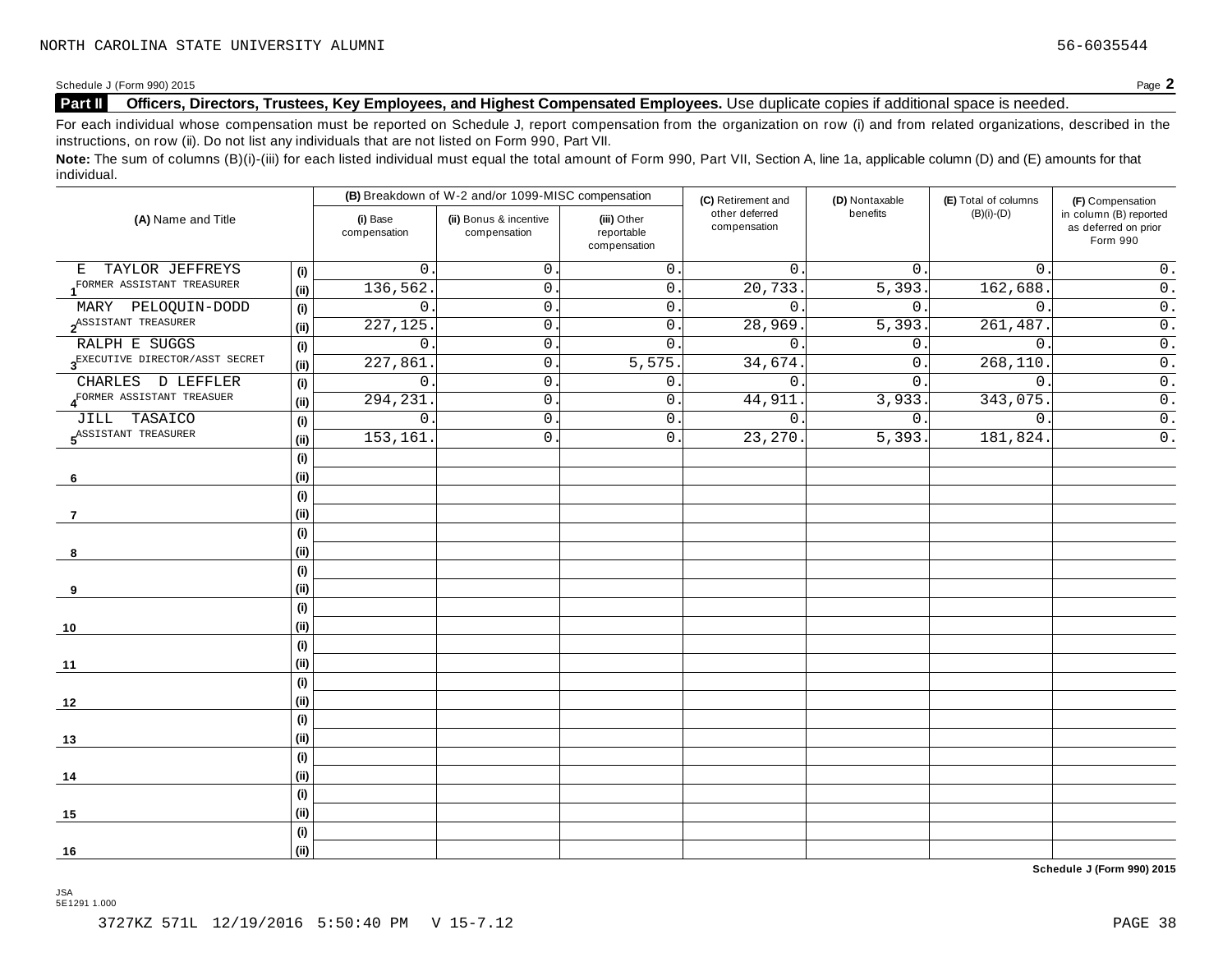Schedule <sup>J</sup> (Form 990) <sup>2015</sup> Page **2**

#### **Part II Officers, Directors, Trustees, Key Employees, and Highest Compensated Employees.** Use duplicate copies ifadditional space is needed.

For each individual whose compensation must be reported on Schedule J, report compensation from the organization on row (i) and from related organizations, described in the instructions, on row (ii). Do not list any individuals that are not listed on Form 990, Part VII.

Note: The sum of columns (B)(i)-(iii) for each listed individual must equal the total amount of Form 990, Part VII, Section A, line 1a, applicable column (D) and (E) amounts for that individual.

|                                             |     |                          | (B) Breakdown of W-2 and/or 1099-MISC compensation |                                           | (C) Retirement and             | (D) Nontaxable   | (E) Total of columns | (F) Compensation                                           |
|---------------------------------------------|-----|--------------------------|----------------------------------------------------|-------------------------------------------|--------------------------------|------------------|----------------------|------------------------------------------------------------|
| (A) Name and Title                          |     | (i) Base<br>compensation | (ii) Bonus & incentive<br>compensation             | (iii) Other<br>reportable<br>compensation | other deferred<br>compensation | benefits         | $(B)(i)-(D)$         | in column (B) reported<br>as deferred on prior<br>Form 990 |
| E TAYLOR JEFFREYS                           | (i) | $\mathbf 0$              | $\mathbf 0$                                        | $\mathsf 0$ .                             | $\mathbf{0}$ .                 | 0.               | $\mathbf{0}$ .       | $0$ .                                                      |
| FORMER ASSISTANT TREASURER                  | (i) | 136, 562                 | $0\,$ .                                            | $\overline{0}$ .                          | 20, 733.                       | 5,393.           | 162,688              | $\overline{0}$ .                                           |
| MARY PELOQUIN-DODD                          | (i) | $\mathbf 0$              | $\mathbf 0$                                        | 0.                                        | $\mathbf{0}$ .                 | $\mathsf{0}$ .   | $\mathbf{0}$ .       | $\overline{\overline{\mathbf{0}}}$ .                       |
| 2 <sup>ASSISTANT</sup> TREASURER            | (i) | 227, 125                 | $\mathsf{O}$ .                                     | 0.                                        | 28,969                         | 5,393.           | 261,487.             | $\overline{0}$ .                                           |
| RALPH E SUGGS                               | (i) | $\mathbf 0$              | $\mathbf 0$                                        | $\mathbf{0}$ .                            | $\mathbf 0$                    | 0.               | $\mathbf{0}$ .       | $\overline{0}$ .                                           |
| 3 <sup>EXECUTIVE</sup> DIRECTOR/ASST SECRET | (i) | 227,861                  | $\mathsf{O}$ .                                     | 5,575.                                    | 34,674.                        | $\overline{0}$ . | 268,110.             | $\overline{0}$ .                                           |
| CHARLES D LEFFLER                           | (i) | $\mathsf{O}$             | $\mathsf{O}$ .                                     | $0$ .                                     | $\mathsf{O}$ .                 | $\overline{0}$ . | $\mathbf 0$          | $\overline{0}$ .                                           |
| 4 <sup>FORMER</sup> ASSISTANT TREASUER      | (i) | 294,231                  | 0                                                  | 0.                                        | 44,911                         | 3,933.           | 343,075              | $\overline{\overline{\mathbf{0}}}$ .                       |
| JILL TASAICO                                | (i) | $\mathbf 0$              | $\mathsf{O}$ .                                     | $\overline{0}$ .                          | 0.                             | 0.               | $\mathbf{0}$ .       | $\overline{0}$ .                                           |
| ASSISTANT TREASURER                         | (i) | 153, 161                 | $\mathsf{O}$ .                                     | 0.                                        | $\overline{23,270}$ .          | 5,393.           | 181,824.             | $\overline{\overline{\mathfrak{o}}\hspace{0.5pt}}$ .       |
|                                             | (i) |                          |                                                    |                                           |                                |                  |                      |                                                            |
| 6                                           | (i) |                          |                                                    |                                           |                                |                  |                      |                                                            |
|                                             | (i) |                          |                                                    |                                           |                                |                  |                      |                                                            |
| 7                                           | (i) |                          |                                                    |                                           |                                |                  |                      |                                                            |
|                                             | (i) |                          |                                                    |                                           |                                |                  |                      |                                                            |
| 8                                           | (i) |                          |                                                    |                                           |                                |                  |                      |                                                            |
|                                             | (i) |                          |                                                    |                                           |                                |                  |                      |                                                            |
| 9                                           | (i) |                          |                                                    |                                           |                                |                  |                      |                                                            |
|                                             | (i) |                          |                                                    |                                           |                                |                  |                      |                                                            |
| 10                                          | (i) |                          |                                                    |                                           |                                |                  |                      |                                                            |
|                                             | (i) |                          |                                                    |                                           |                                |                  |                      |                                                            |
| 11                                          | (i) |                          |                                                    |                                           |                                |                  |                      |                                                            |
|                                             | (i) |                          |                                                    |                                           |                                |                  |                      |                                                            |
| 12                                          | (i) |                          |                                                    |                                           |                                |                  |                      |                                                            |
|                                             | (i) |                          |                                                    |                                           |                                |                  |                      |                                                            |
| 13                                          | (i) |                          |                                                    |                                           |                                |                  |                      |                                                            |
|                                             | (i) |                          |                                                    |                                           |                                |                  |                      |                                                            |
| 14                                          | (i) |                          |                                                    |                                           |                                |                  |                      |                                                            |
|                                             | (i) |                          |                                                    |                                           |                                |                  |                      |                                                            |
| 15                                          | (i) |                          |                                                    |                                           |                                |                  |                      |                                                            |
|                                             | (i) |                          |                                                    |                                           |                                |                  |                      |                                                            |
| 16                                          | (i) |                          |                                                    |                                           |                                |                  |                      |                                                            |

**Schedule J (Form 990) 2015**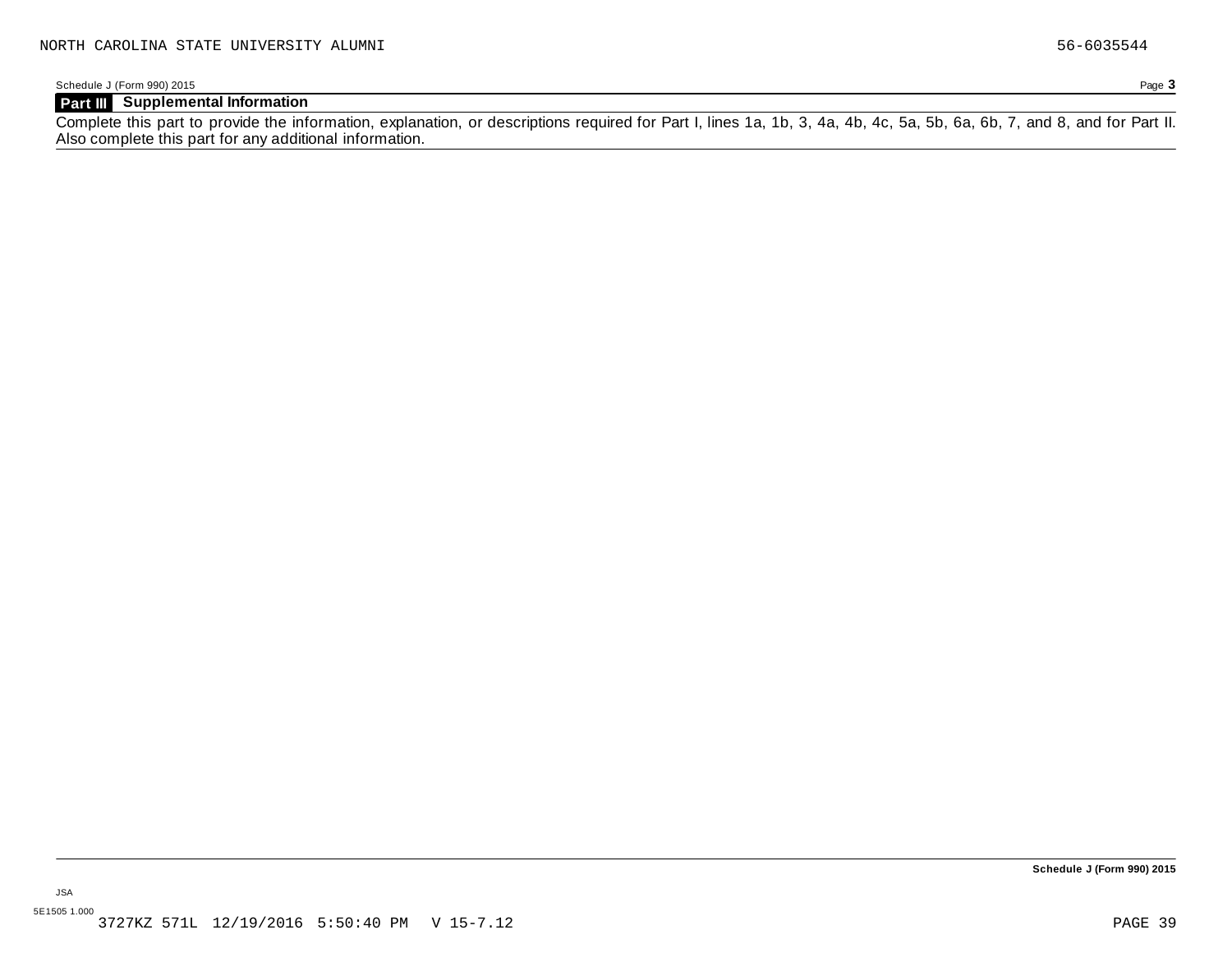Schedule J (Form 990) 2015 Page **3**

#### **Part III Supplemental Information**

Complete this part to provide the information, explanation, or descriptions required for Part I, lines 1a, 1b, 3, 4a, 4b, 4c, 5a, 5b, 6a, 6b, 7, and 8, and for Part II. Also complete this part for any additional information.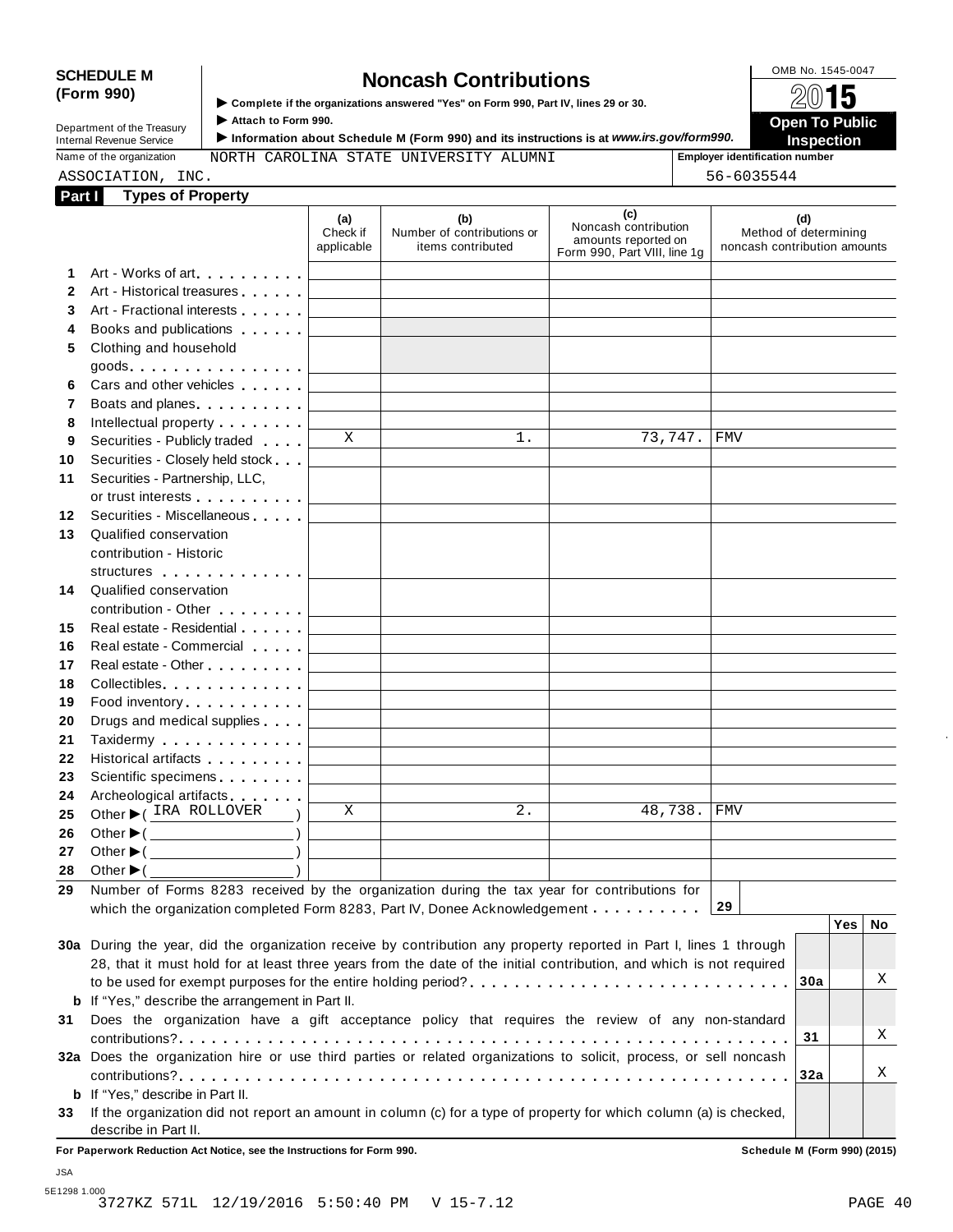# SCHEDULE M<br> **SCHEDULE** M **SCHEDULE M SCHEDULE M SCHEDULE M SCHEDULE SCHEDUCE SCHEDUCE M SCHEDUCE Complete** if the organizations answered "Yes" on Form 990, Part IV, lines 29 or 30.

**(Form 990)** I **Complete if the organizations answered "Yes" on Form 990, Part IV, lines <sup>29</sup> or 30.** À¾µ¹

|                            | $\blacktriangleright$ Complete if the organizations answered "Yes" on Form 990. Part IV. lines 29 or 30. | 6V IV                                 |
|----------------------------|----------------------------------------------------------------------------------------------------------|---------------------------------------|
| Department of the Treasury | Attach to Form 990.                                                                                      | Open To Public                        |
| Internal Revenue Service   | トInformation about Schedule M (Form 990) and its instructions is at www.irs.gov⁄form990.                 | $\equiv$ Inspection                   |
| Name of the organization   | NORTH CAROLINA STATE UNIVERSITY ALUMNI                                                                   | <b>Employer identification number</b> |

|  | Name or the organization |  |
|--|--------------------------|--|
|  | $7.7.2.777$ $-7.77$      |  |

Name of the organization **MORTH CAROLINA STATE UNIVERSITY ALUMNI Employer identification number** 

|              | ASSOCIATION, INC.                                                                                                                                                                                                              |                               |                                                        |                                                                                    | 56-6035544                                            |     |            |    |
|--------------|--------------------------------------------------------------------------------------------------------------------------------------------------------------------------------------------------------------------------------|-------------------------------|--------------------------------------------------------|------------------------------------------------------------------------------------|-------------------------------------------------------|-----|------------|----|
| Part I       | <b>Types of Property</b>                                                                                                                                                                                                       |                               |                                                        |                                                                                    |                                                       |     |            |    |
|              |                                                                                                                                                                                                                                | (a)<br>Check if<br>applicable | (b)<br>Number of contributions or<br>items contributed | (c)<br>Noncash contribution<br>amounts reported on<br>Form 990, Part VIII, line 1g | Method of determining<br>noncash contribution amounts | (d) |            |    |
| 1.           | Art - Works of art                                                                                                                                                                                                             |                               |                                                        |                                                                                    |                                                       |     |            |    |
| $\mathbf{2}$ | Art - Historical treasures                                                                                                                                                                                                     |                               |                                                        |                                                                                    |                                                       |     |            |    |
| 3            | Art - Fractional interests                                                                                                                                                                                                     |                               |                                                        |                                                                                    |                                                       |     |            |    |
| 4            | Books and publications <b>Solutions</b>                                                                                                                                                                                        |                               |                                                        |                                                                                    |                                                       |     |            |    |
| 5            | Clothing and household                                                                                                                                                                                                         |                               |                                                        |                                                                                    |                                                       |     |            |    |
|              | $goods$ .                                                                                                                                                                                                                      |                               |                                                        |                                                                                    |                                                       |     |            |    |
| 6            | Cars and other vehicles <b>Cars</b>                                                                                                                                                                                            |                               |                                                        |                                                                                    |                                                       |     |            |    |
| 7            | Boats and planes <b>Exercise 2.1 Fig. 1.1</b>                                                                                                                                                                                  |                               |                                                        |                                                                                    |                                                       |     |            |    |
| 8            | Intellectual property <b>Algebra</b>                                                                                                                                                                                           |                               |                                                        |                                                                                    |                                                       |     |            |    |
| 9            | Securities - Publicly traded                                                                                                                                                                                                   | X                             | 1.                                                     |                                                                                    | 73,747. FMV                                           |     |            |    |
| 10           | Securities - Closely held stock                                                                                                                                                                                                |                               |                                                        |                                                                                    |                                                       |     |            |    |
| 11           | Securities - Partnership, LLC,                                                                                                                                                                                                 |                               |                                                        |                                                                                    |                                                       |     |            |    |
|              | or trust interests experience that the set of the set of the set of the set of the set of the set of the set of the set of the set of the set of the set of the set of the set of the set of the set of the set of the set of  |                               |                                                        |                                                                                    |                                                       |     |            |    |
| 12           | Securities - Miscellaneous                                                                                                                                                                                                     |                               |                                                        |                                                                                    |                                                       |     |            |    |
| 13           | Qualified conservation                                                                                                                                                                                                         |                               |                                                        |                                                                                    |                                                       |     |            |    |
|              | contribution - Historic                                                                                                                                                                                                        |                               |                                                        |                                                                                    |                                                       |     |            |    |
|              | structures                                                                                                                                                                                                                     |                               |                                                        |                                                                                    |                                                       |     |            |    |
| 14           | Qualified conservation                                                                                                                                                                                                         |                               |                                                        |                                                                                    |                                                       |     |            |    |
|              | contribution - Other <b>Contribution</b>                                                                                                                                                                                       |                               |                                                        |                                                                                    |                                                       |     |            |    |
| 15           | Real estate - Residential                                                                                                                                                                                                      |                               |                                                        |                                                                                    |                                                       |     |            |    |
| 16           | Real estate - Commercial                                                                                                                                                                                                       |                               |                                                        |                                                                                    |                                                       |     |            |    |
| 17           | Real estate - Other <b>Called Accord Principles</b>                                                                                                                                                                            |                               |                                                        |                                                                                    |                                                       |     |            |    |
| 18           | Collectibles                                                                                                                                                                                                                   |                               |                                                        |                                                                                    |                                                       |     |            |    |
| 19           | Food inventory entertainment of the state of the state of the state of the state of the state of the state of the state of the state of the state of the state of the state of the state of the state of the state of the stat |                               |                                                        |                                                                                    |                                                       |     |            |    |
| 20<br>21     | Drugs and medical supplies<br>Taxidermy                                                                                                                                                                                        |                               |                                                        |                                                                                    |                                                       |     |            |    |
| 22           | Historical artifacts <b>All Accords</b>                                                                                                                                                                                        |                               |                                                        |                                                                                    |                                                       |     |            |    |
| 23           | Scientific specimens <b>Scientific specimens</b>                                                                                                                                                                               |                               |                                                        |                                                                                    |                                                       |     |            |    |
| 24           | Archeological artifacts                                                                                                                                                                                                        |                               |                                                        |                                                                                    |                                                       |     |            |    |
| 25           | Other C IRA ROLLOVER                                                                                                                                                                                                           | Χ                             | $2$ .                                                  |                                                                                    | 48,738. FMV                                           |     |            |    |
| 26           | Other $\blacktriangleright$ ( $\_\_\_\_\_\_\_\_$ )                                                                                                                                                                             |                               |                                                        |                                                                                    |                                                       |     |            |    |
| 27           | Other $\blacktriangleright$ (                                                                                                                                                                                                  |                               |                                                        |                                                                                    |                                                       |     |            |    |
| 28           | Other $\blacktriangleright$ (                                                                                                                                                                                                  |                               |                                                        |                                                                                    |                                                       |     |            |    |
| 29           | Number of Forms 8283 received by the organization during the tax year for contributions for                                                                                                                                    |                               |                                                        |                                                                                    |                                                       |     |            |    |
|              | which the organization completed Form 8283, Part IV, Donee Acknowledgement                                                                                                                                                     |                               |                                                        |                                                                                    | 29                                                    |     |            |    |
|              |                                                                                                                                                                                                                                |                               |                                                        |                                                                                    |                                                       |     | <b>Yes</b> | No |
|              | 30a During the year, did the organization receive by contribution any property reported in Part I, lines 1 through                                                                                                             |                               |                                                        |                                                                                    |                                                       |     |            |    |
|              | 28, that it must hold for at least three years from the date of the initial contribution, and which is not required                                                                                                            |                               |                                                        |                                                                                    |                                                       |     |            |    |
|              |                                                                                                                                                                                                                                |                               |                                                        |                                                                                    |                                                       | 30a |            | Χ  |
|              | <b>b</b> If "Yes," describe the arrangement in Part II.                                                                                                                                                                        |                               |                                                        |                                                                                    |                                                       |     |            |    |
| 31           | Does the organization have a gift acceptance policy that requires the review of any non-standard                                                                                                                               |                               |                                                        |                                                                                    |                                                       |     |            |    |
|              |                                                                                                                                                                                                                                |                               |                                                        |                                                                                    |                                                       | 31  |            | Χ  |
|              | 32a Does the organization hire or use third parties or related organizations to solicit, process, or sell noncash                                                                                                              |                               |                                                        |                                                                                    |                                                       |     |            |    |
|              |                                                                                                                                                                                                                                |                               |                                                        |                                                                                    |                                                       | 32a |            | X  |
|              | <b>b</b> If "Yes," describe in Part II.                                                                                                                                                                                        |                               |                                                        |                                                                                    |                                                       |     |            |    |

**33** If the organization did not report an amount in column (c) for a type of property for which column (a) is checked, describe in Part II.

**For Paperwork Reduction Act Notice, see the Instructions for Form 990. Schedule M (Form 990) (2015)**

JSA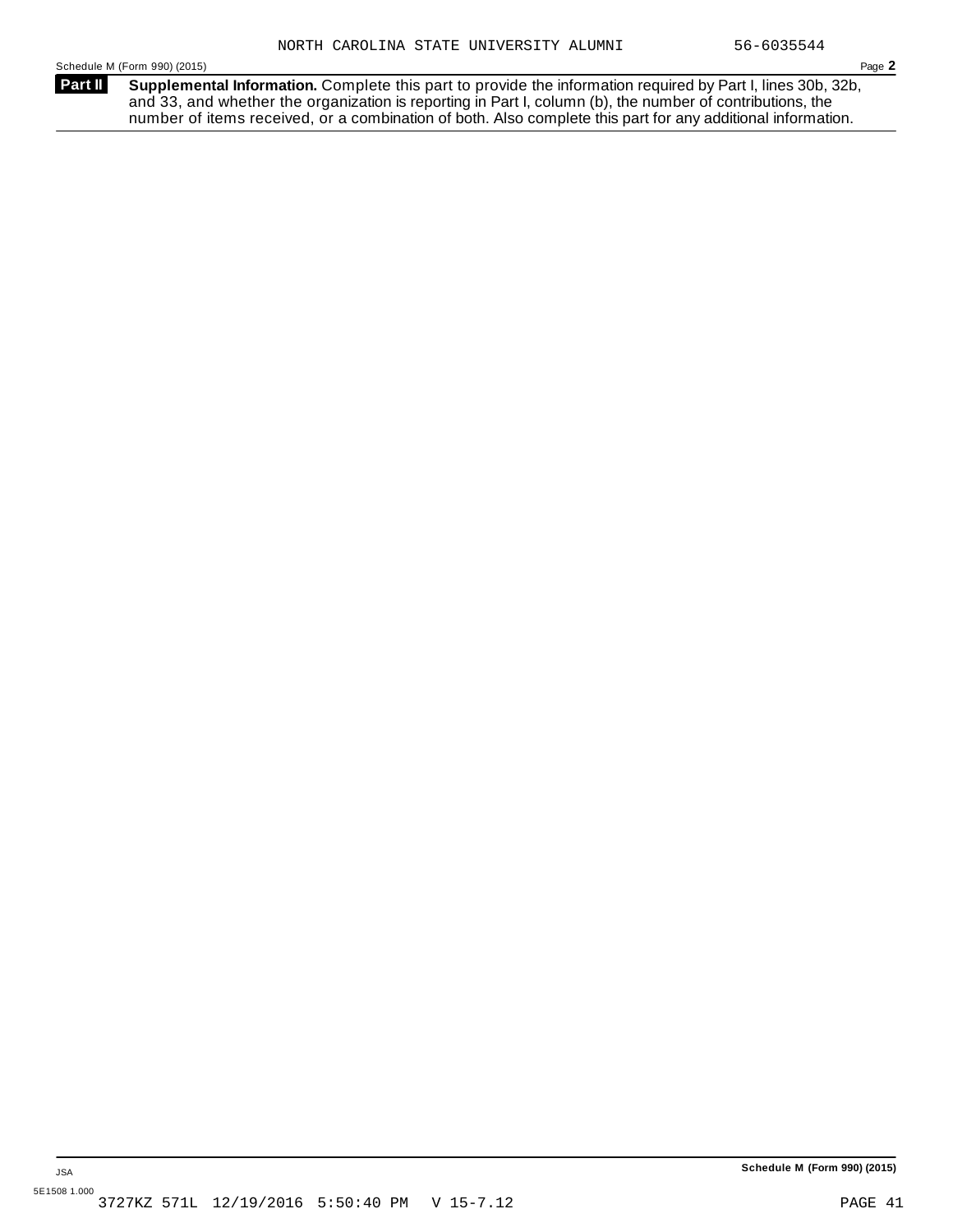**Supplemental Information.** Complete this part to provide the information required by Part I, lines 30b, 32b, and 33, and whether the organization is reporting in Part I, column (b), the number of contributions, the number of items received, or a combination of both. Also complete this part for any additional information. **Part II**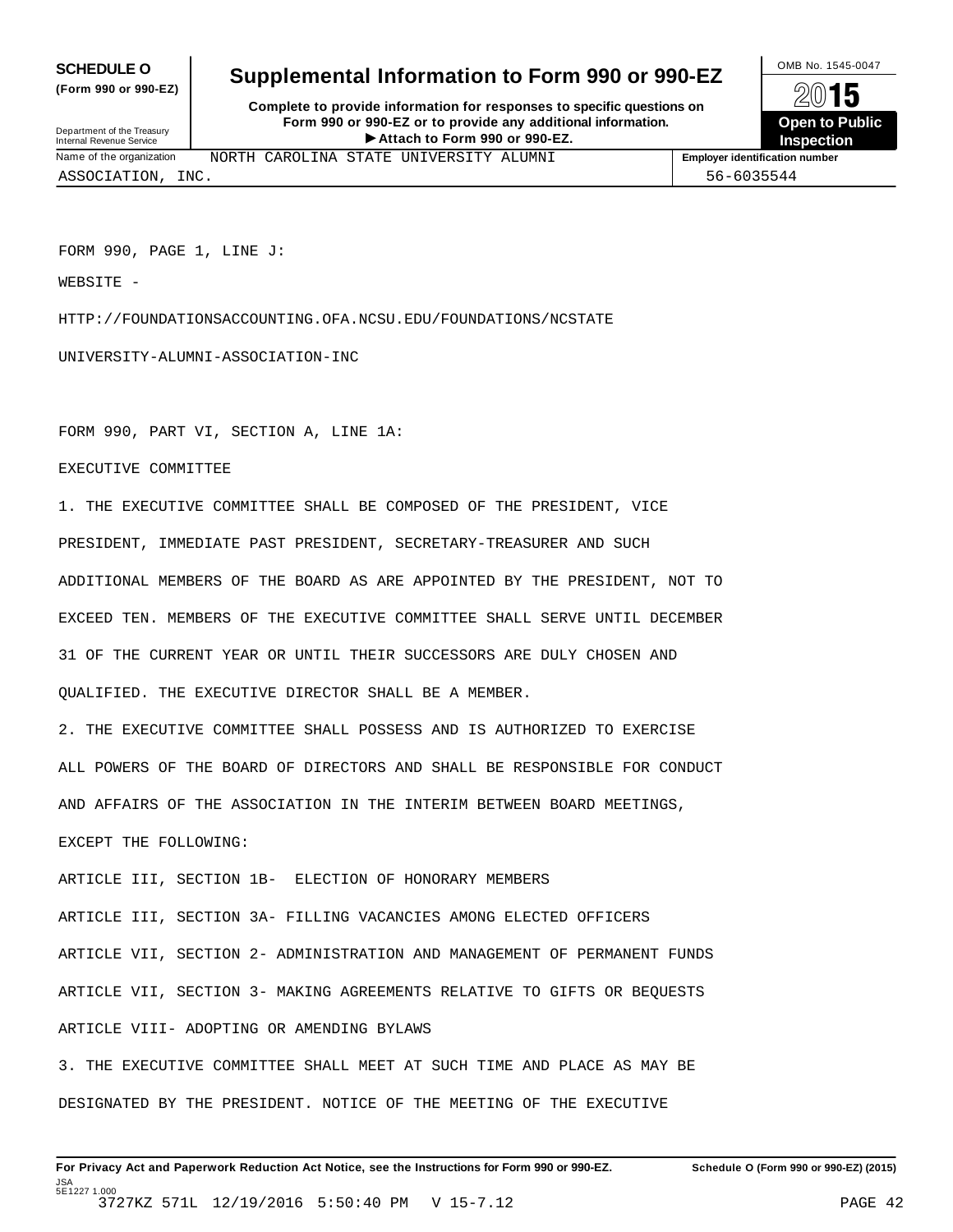**(Form 990 or 990-EZ)**

## **SCHEDULE O** Supplemental Information to Form 990 or 990-EZ  $\frac{100\text{dB No. }1545-0047}{\text{O}}$

**Complete to provide information for responses to specific questions on Form 990 or 990-EZ or to provide any additional information.** Fristen **Attach to Form 1990** or 990-EZ.<br>
Attach to Form 990 or 990-EZ.<br>
Attach to Form 990 or 990-EZ.<br> **Attach to Form 990 or 990-EZ.** Department of the Treasury Internal Revenue Service I

**Open to Public Inspection**

Name of the organization **MORTH CAROLINA STATE UNIVERSITY ALUMNI Employer identification number** 

ASSOCIATION, INC. 56-6035544

FORM 990, PAGE 1, LINE J:

WEBSITE -

HTTP://FOUNDATIONSACCOUNTING.OFA.NCSU.EDU/FOUNDATIONS/NCSTATE

UNIVERSITY-ALUMNI-ASSOCIATION-INC

FORM 990, PART VI, SECTION A, LINE 1A:

EXECUTIVE COMMITTEE

1. THE EXECUTIVE COMMITTEE SHALL BE COMPOSED OF THE PRESIDENT, VICE PRESIDENT, IMMEDIATE PAST PRESIDENT, SECRETARY-TREASURER AND SUCH ADDITIONAL MEMBERS OF THE BOARD AS ARE APPOINTED BY THE PRESIDENT, NOT TO EXCEED TEN. MEMBERS OF THE EXECUTIVE COMMITTEE SHALL SERVE UNTIL DECEMBER 31 OF THE CURRENT YEAR OR UNTIL THEIR SUCCESSORS ARE DULY CHOSEN AND QUALIFIED. THE EXECUTIVE DIRECTOR SHALL BE A MEMBER.

2. THE EXECUTIVE COMMITTEE SHALL POSSESS AND IS AUTHORIZED TO EXERCISE ALL POWERS OF THE BOARD OF DIRECTORS AND SHALL BE RESPONSIBLE FOR CONDUCT AND AFFAIRS OF THE ASSOCIATION IN THE INTERIM BETWEEN BOARD MEETINGS,

EXCEPT THE FOLLOWING:

ARTICLE III, SECTION 1B- ELECTION OF HONORARY MEMBERS

ARTICLE III, SECTION 3A- FILLING VACANCIES AMONG ELECTED OFFICERS ARTICLE VII, SECTION 2- ADMINISTRATION AND MANAGEMENT OF PERMANENT FUNDS ARTICLE VII, SECTION 3- MAKING AGREEMENTS RELATIVE TO GIFTS OR BEQUESTS ARTICLE VIII- ADOPTING OR AMENDING BYLAWS

3. THE EXECUTIVE COMMITTEE SHALL MEET AT SUCH TIME AND PLACE AS MAY BE DESIGNATED BY THE PRESIDENT. NOTICE OF THE MEETING OF THE EXECUTIVE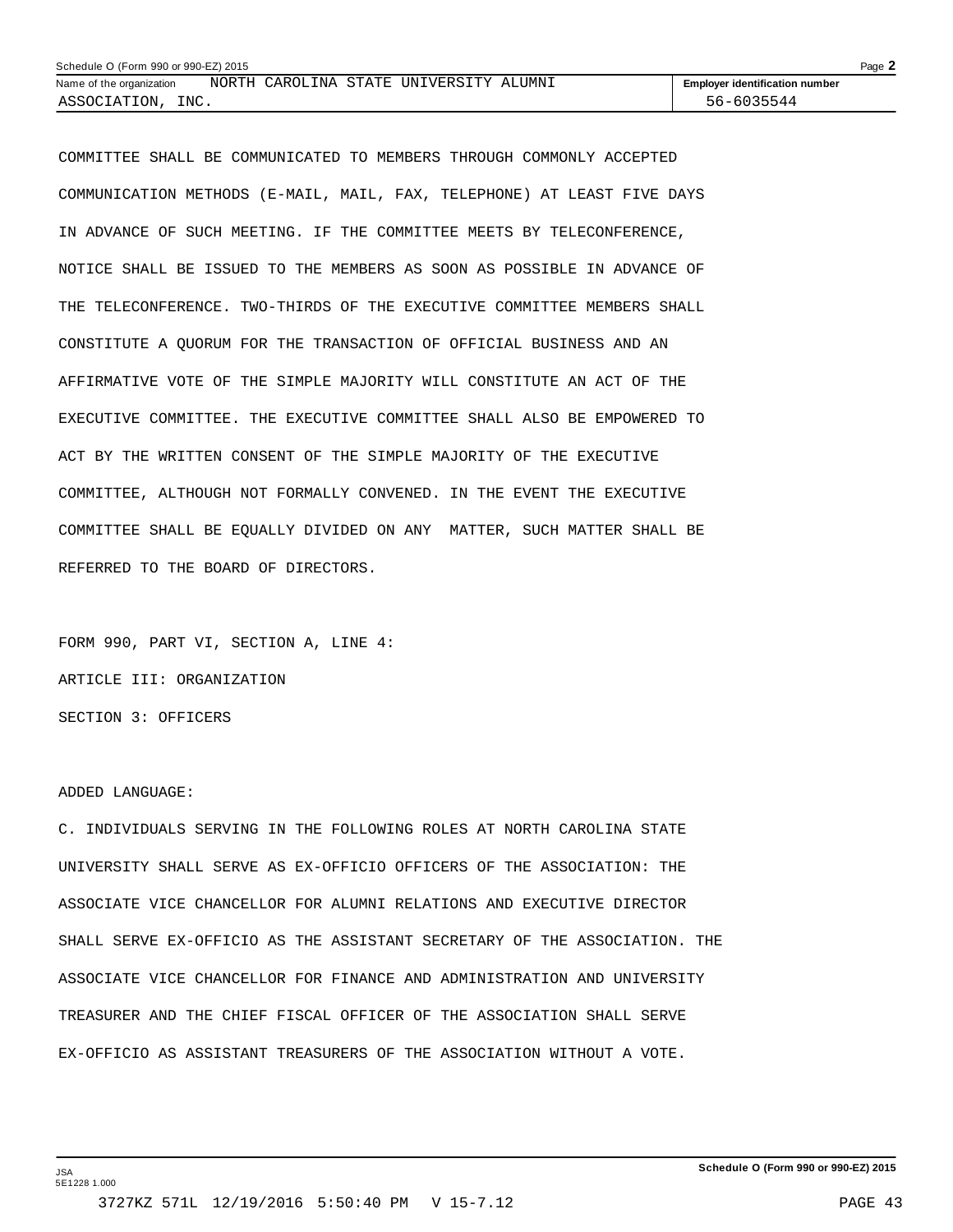| Schedule O (Form 990 or 990-EZ) 2015 |  |                                        |                                       | Page $\lambda$ |
|--------------------------------------|--|----------------------------------------|---------------------------------------|----------------|
| Name of the organization             |  | NORTH CAROLINA STATE UNIVERSITY ALUMNI | <b>Employer identification number</b> |                |
| ASSOCIATION,<br>INC.                 |  |                                        | 56-6035544                            |                |

COMMITTEE SHALL BE COMMUNICATED TO MEMBERS THROUGH COMMONLY ACCEPTED COMMUNICATION METHODS (E-MAIL, MAIL, FAX, TELEPHONE) AT LEAST FIVE DAYS IN ADVANCE OF SUCH MEETING. IF THE COMMITTEE MEETS BY TELECONFERENCE, NOTICE SHALL BE ISSUED TO THE MEMBERS AS SOON AS POSSIBLE IN ADVANCE OF THE TELECONFERENCE. TWO-THIRDS OF THE EXECUTIVE COMMITTEE MEMBERS SHALL CONSTITUTE A QUORUM FOR THE TRANSACTION OF OFFICIAL BUSINESS AND AN AFFIRMATIVE VOTE OF THE SIMPLE MAJORITY WILL CONSTITUTE AN ACT OF THE EXECUTIVE COMMITTEE. THE EXECUTIVE COMMITTEE SHALL ALSO BE EMPOWERED TO ACT BY THE WRITTEN CONSENT OF THE SIMPLE MAJORITY OF THE EXECUTIVE COMMITTEE, ALTHOUGH NOT FORMALLY CONVENED. IN THE EVENT THE EXECUTIVE COMMITTEE SHALL BE EQUALLY DIVIDED ON ANY MATTER, SUCH MATTER SHALL BE REFERRED TO THE BOARD OF DIRECTORS.

FORM 990, PART VI, SECTION A, LINE 4: ARTICLE III: ORGANIZATION SECTION 3: OFFICERS

#### ADDED LANGUAGE:

C. INDIVIDUALS SERVING IN THE FOLLOWING ROLES AT NORTH CAROLINA STATE UNIVERSITY SHALL SERVE AS EX-OFFICIO OFFICERS OF THE ASSOCIATION: THE ASSOCIATE VICE CHANCELLOR FOR ALUMNI RELATIONS AND EXECUTIVE DIRECTOR SHALL SERVE EX-OFFICIO AS THE ASSISTANT SECRETARY OF THE ASSOCIATION. THE ASSOCIATE VICE CHANCELLOR FOR FINANCE AND ADMINISTRATION AND UNIVERSITY TREASURER AND THE CHIEF FISCAL OFFICER OF THE ASSOCIATION SHALL SERVE EX-OFFICIO AS ASSISTANT TREASURERS OF THE ASSOCIATION WITHOUT A VOTE.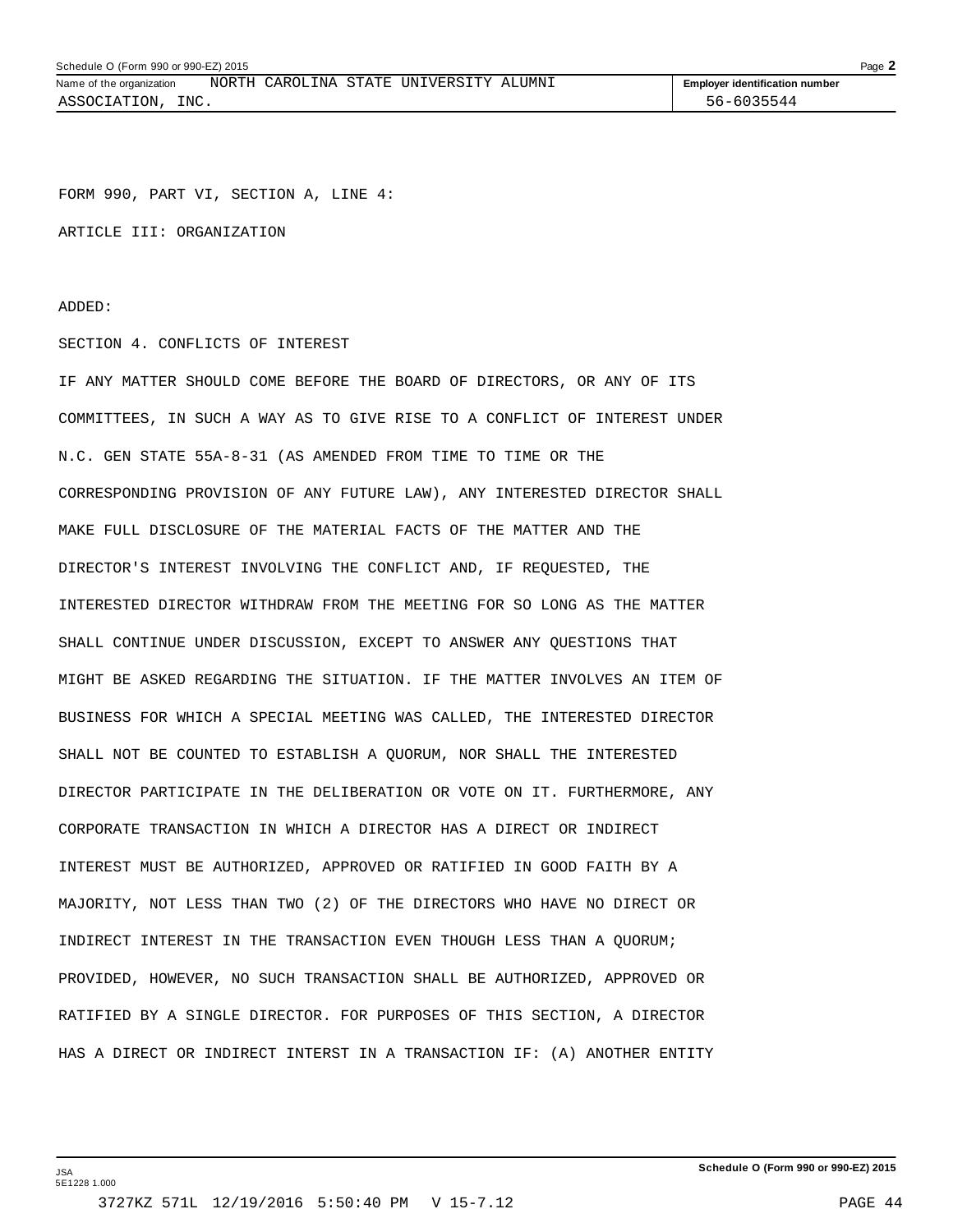FORM 990, PART VI, SECTION A, LINE 4:

ARTICLE III: ORGANIZATION

ADDED:

#### SECTION 4. CONFLICTS OF INTEREST

IF ANY MATTER SHOULD COME BEFORE THE BOARD OF DIRECTORS, OR ANY OF ITS COMMITTEES, IN SUCH A WAY AS TO GIVE RISE TO A CONFLICT OF INTEREST UNDER N.C. GEN STATE 55A-8-31 (AS AMENDED FROM TIME TO TIME OR THE CORRESPONDING PROVISION OF ANY FUTURE LAW), ANY INTERESTED DIRECTOR SHALL MAKE FULL DISCLOSURE OF THE MATERIAL FACTS OF THE MATTER AND THE DIRECTOR'S INTEREST INVOLVING THE CONFLICT AND, IF REQUESTED, THE INTERESTED DIRECTOR WITHDRAW FROM THE MEETING FOR SO LONG AS THE MATTER SHALL CONTINUE UNDER DISCUSSION, EXCEPT TO ANSWER ANY QUESTIONS THAT MIGHT BE ASKED REGARDING THE SITUATION. IF THE MATTER INVOLVES AN ITEM OF BUSINESS FOR WHICH A SPECIAL MEETING WAS CALLED, THE INTERESTED DIRECTOR SHALL NOT BE COUNTED TO ESTABLISH A QUORUM, NOR SHALL THE INTERESTED DIRECTOR PARTICIPATE IN THE DELIBERATION OR VOTE ON IT. FURTHERMORE, ANY CORPORATE TRANSACTION IN WHICH A DIRECTOR HAS A DIRECT OR INDIRECT INTEREST MUST BE AUTHORIZED, APPROVED OR RATIFIED IN GOOD FAITH BY A MAJORITY, NOT LESS THAN TWO (2) OF THE DIRECTORS WHO HAVE NO DIRECT OR INDIRECT INTEREST IN THE TRANSACTION EVEN THOUGH LESS THAN A QUORUM; PROVIDED, HOWEVER, NO SUCH TRANSACTION SHALL BE AUTHORIZED, APPROVED OR RATIFIED BY A SINGLE DIRECTOR. FOR PURPOSES OF THIS SECTION, A DIRECTOR HAS A DIRECT OR INDIRECT INTERST IN A TRANSACTION IF: (A) ANOTHER ENTITY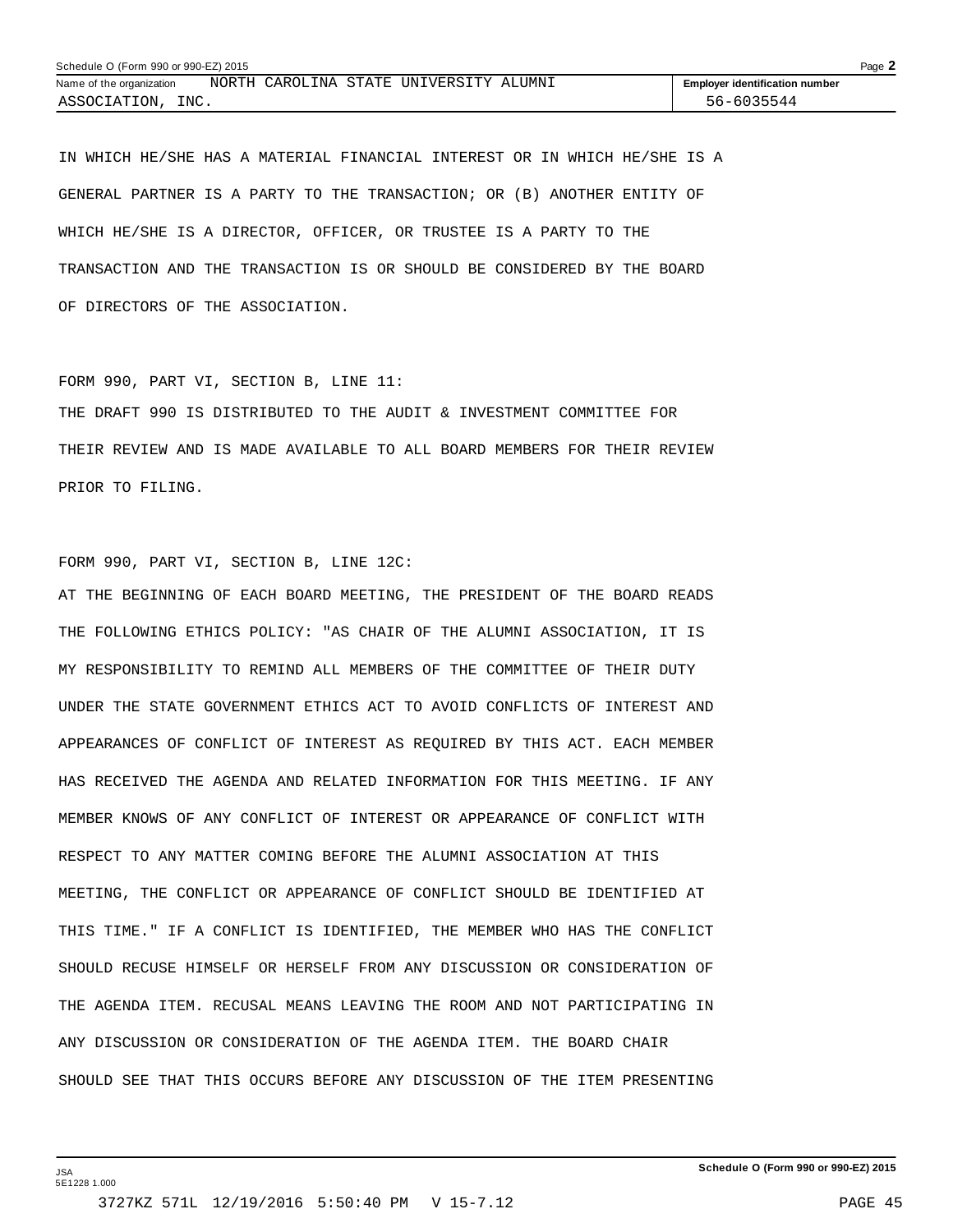| Schedule O (Form 990 or 990-EZ) 2015 |  |                                        |                                       | Page $\blacktriangle$ |
|--------------------------------------|--|----------------------------------------|---------------------------------------|-----------------------|
| Name of the organization             |  | NORTH CAROLINA STATE UNIVERSITY ALUMNI | <b>Employer identification number</b> |                       |
| INC.<br>ASSOCIATION,                 |  |                                        | 56-6035544                            |                       |

IN WHICH HE/SHE HAS A MATERIAL FINANCIAL INTEREST OR IN WHICH HE/SHE IS A GENERAL PARTNER IS A PARTY TO THE TRANSACTION; OR (B) ANOTHER ENTITY OF WHICH HE/SHE IS A DIRECTOR, OFFICER, OR TRUSTEE IS A PARTY TO THE TRANSACTION AND THE TRANSACTION IS OR SHOULD BE CONSIDERED BY THE BOARD OF DIRECTORS OF THE ASSOCIATION.

FORM 990, PART VI, SECTION B, LINE 11: THE DRAFT 990 IS DISTRIBUTED TO THE AUDIT & INVESTMENT COMMITTEE FOR THEIR REVIEW AND IS MADE AVAILABLE TO ALL BOARD MEMBERS FOR THEIR REVIEW PRIOR TO FILING.

```
FORM 990, PART VI, SECTION B, LINE 12C:
```
JSA 5E1228 1.000

AT THE BEGINNING OF EACH BOARD MEETING, THE PRESIDENT OF THE BOARD READS THE FOLLOWING ETHICS POLICY: "AS CHAIR OF THE ALUMNI ASSOCIATION, IT IS MY RESPONSIBILITY TO REMIND ALL MEMBERS OF THE COMMITTEE OF THEIR DUTY UNDER THE STATE GOVERNMENT ETHICS ACT TO AVOID CONFLICTS OF INTEREST AND APPEARANCES OF CONFLICT OF INTEREST AS REQUIRED BY THIS ACT. EACH MEMBER HAS RECEIVED THE AGENDA AND RELATED INFORMATION FOR THIS MEETING. IF ANY MEMBER KNOWS OF ANY CONFLICT OF INTEREST OR APPEARANCE OF CONFLICT WITH RESPECT TO ANY MATTER COMING BEFORE THE ALUMNI ASSOCIATION AT THIS MEETING, THE CONFLICT OR APPEARANCE OF CONFLICT SHOULD BE IDENTIFIED AT THIS TIME." IF A CONFLICT IS IDENTIFIED, THE MEMBER WHO HAS THE CONFLICT SHOULD RECUSE HIMSELF OR HERSELF FROM ANY DISCUSSION OR CONSIDERATION OF THE AGENDA ITEM. RECUSAL MEANS LEAVING THE ROOM AND NOT PARTICIPATING IN ANY DISCUSSION OR CONSIDERATION OF THE AGENDA ITEM. THE BOARD CHAIR SHOULD SEE THAT THIS OCCURS BEFORE ANY DISCUSSION OF THE ITEM PRESENTING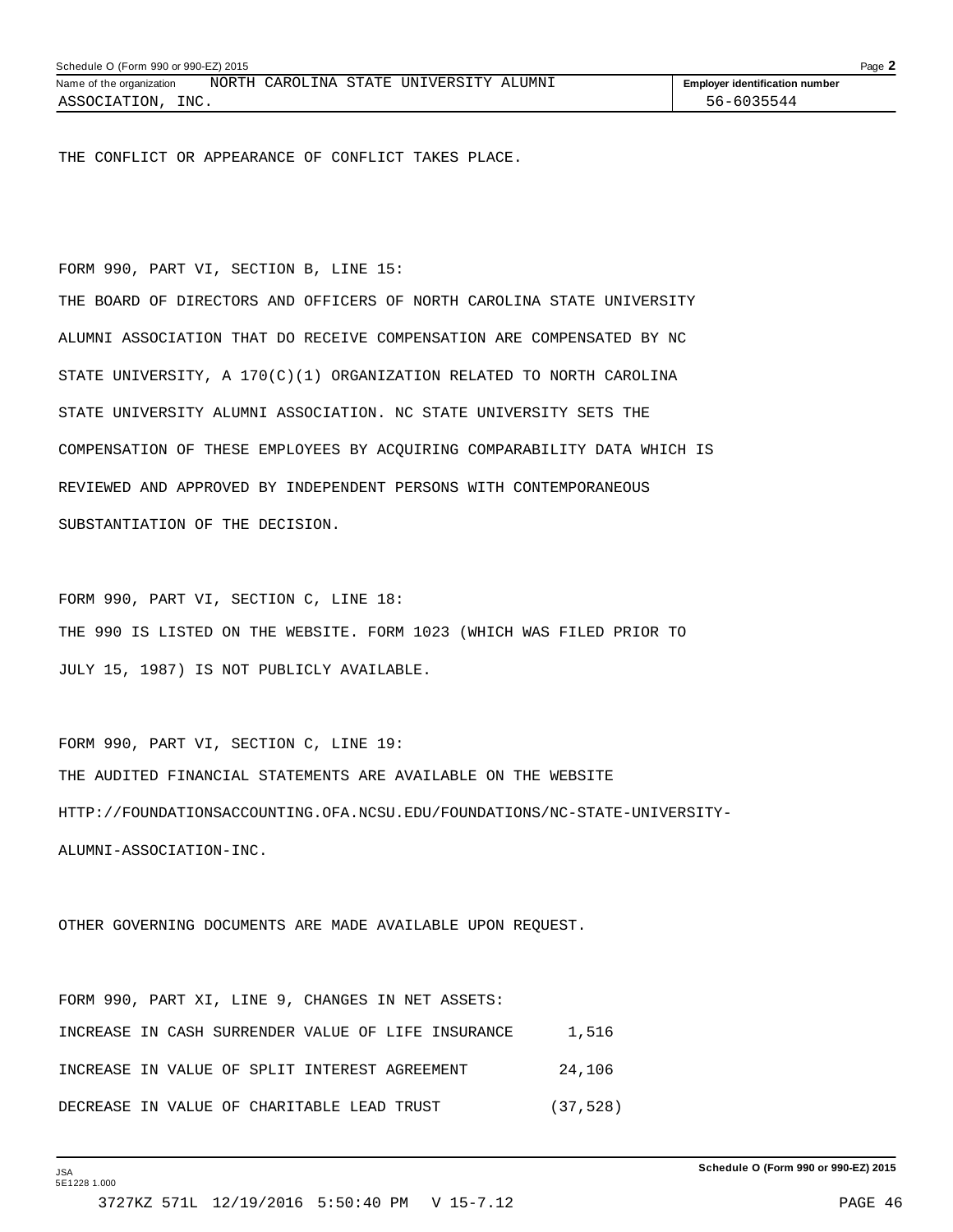THE CONFLICT OR APPEARANCE OF CONFLICT TAKES PLACE.

FORM 990, PART VI, SECTION B, LINE 15: THE BOARD OF DIRECTORS AND OFFICERS OF NORTH CAROLINA STATE UNIVERSITY ALUMNI ASSOCIATION THAT DO RECEIVE COMPENSATION ARE COMPENSATED BY NC STATE UNIVERSITY, A 170(C)(1) ORGANIZATION RELATED TO NORTH CAROLINA STATE UNIVERSITY ALUMNI ASSOCIATION. NC STATE UNIVERSITY SETS THE COMPENSATION OF THESE EMPLOYEES BY ACQUIRING COMPARABILITY DATA WHICH IS REVIEWED AND APPROVED BY INDEPENDENT PERSONS WITH CONTEMPORANEOUS SUBSTANTIATION OF THE DECISION.

FORM 990, PART VI, SECTION C, LINE 18: THE 990 IS LISTED ON THE WEBSITE. FORM 1023 (WHICH WAS FILED PRIOR TO JULY 15, 1987) IS NOT PUBLICLY AVAILABLE.

FORM 990, PART VI, SECTION C, LINE 19: THE AUDITED FINANCIAL STATEMENTS ARE AVAILABLE ON THE WEBSITE HTTP://FOUNDATIONSACCOUNTING.OFA.NCSU.EDU/FOUNDATIONS/NC-STATE-UNIVERSITY-ALUMNI-ASSOCIATION-INC.

OTHER GOVERNING DOCUMENTS ARE MADE AVAILABLE UPON REQUEST.

| FORM 990, PART XI, LINE 9, CHANGES IN NET ASSETS:  |           |
|----------------------------------------------------|-----------|
| INCREASE IN CASH SURRENDER VALUE OF LIFE INSURANCE | 1,516     |
| INCREASE IN VALUE OF SPLIT INTEREST AGREEMENT      | 24,106    |
| DECREASE IN VALUE OF CHARITABLE LEAD TRUST         | (37, 528) |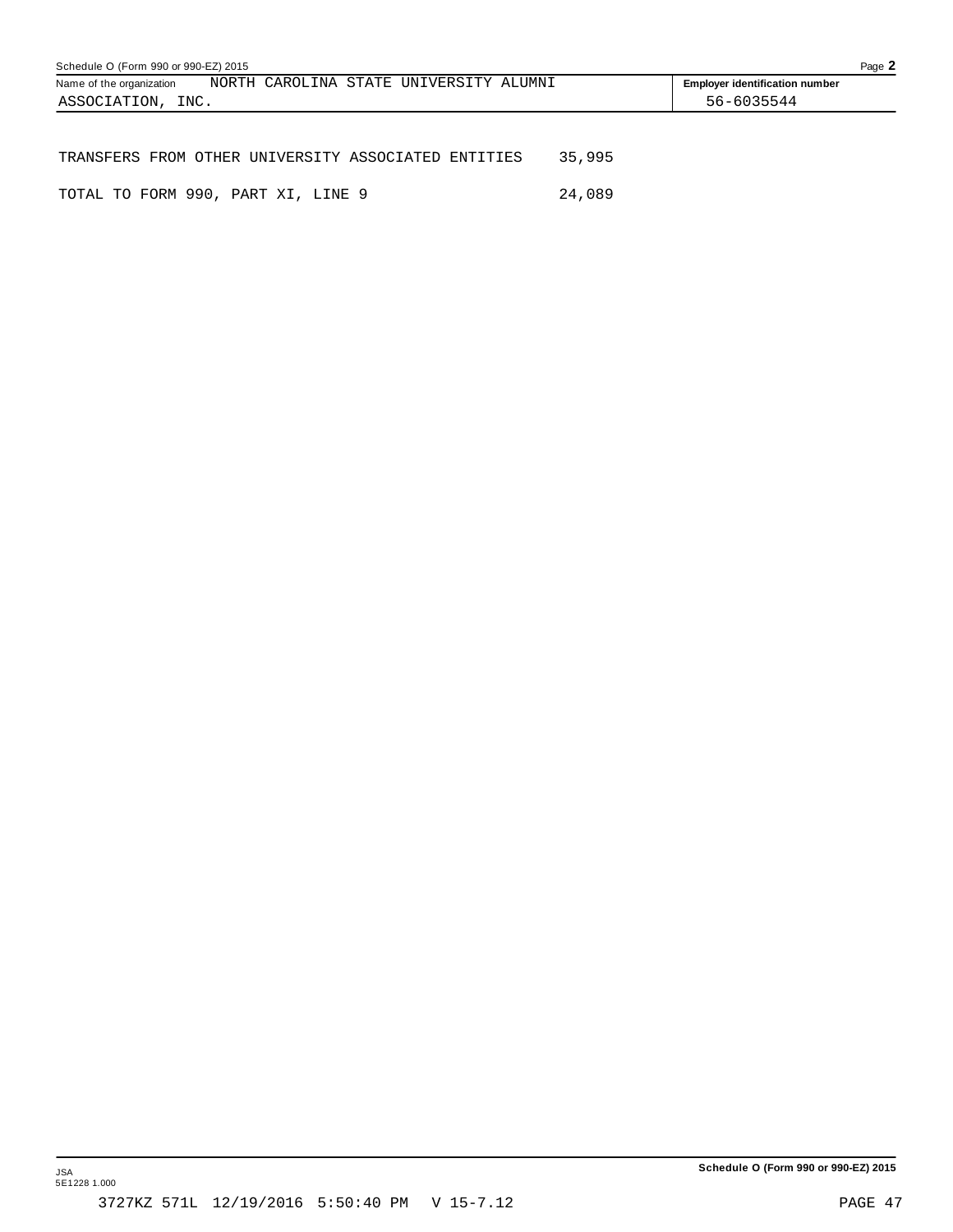| Schedule O (Form 990 or 990-EZ) 2015                |                                        |  |  |        |                                       | Page 2 |
|-----------------------------------------------------|----------------------------------------|--|--|--------|---------------------------------------|--------|
| Name of the organization                            | NORTH CAROLINA STATE UNIVERSITY ALUMNI |  |  |        | <b>Employer identification number</b> |        |
| ASSOCIATION, INC.                                   |                                        |  |  |        | 56-6035544                            |        |
|                                                     |                                        |  |  |        |                                       |        |
|                                                     |                                        |  |  |        |                                       |        |
| TRANSFERS FROM OTHER UNIVERSITY ASSOCIATED ENTITIES |                                        |  |  | 35,995 |                                       |        |

TOTAL TO FORM 990, PART XI, LINE 9 24,089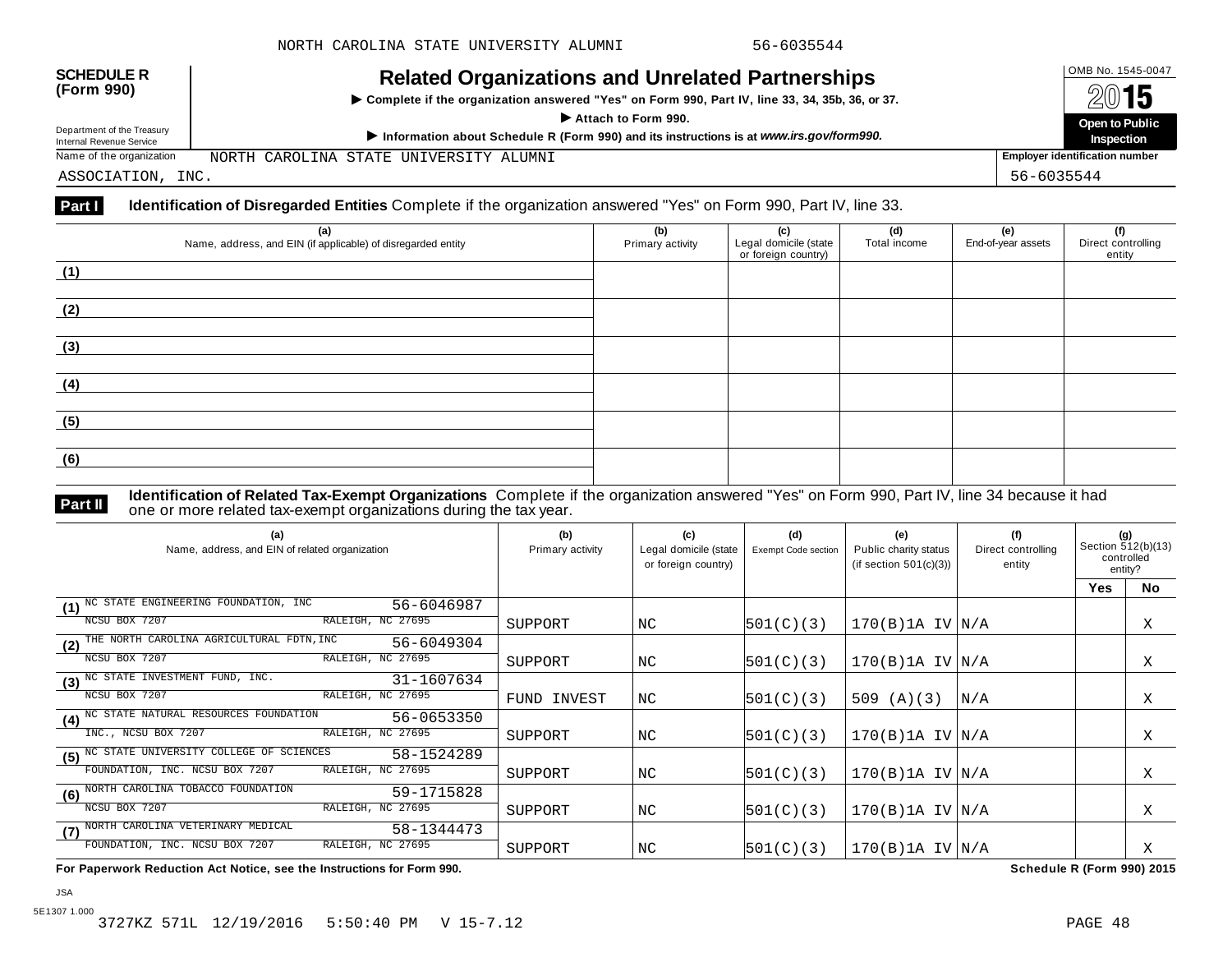| <b>SCHEDULE R</b><br>(Form 990)<br>Department of the Treasury<br>Internal Revenue Service | <b>Related Organizations and Unrelated Partnerships</b><br>> Complete if the organization answered "Yes" on Form 990, Part IV, line 33, 34, 35b, 36, or 37.<br>Attach to Form 990.<br>Information about Schedule R (Form 990) and its instructions is at www.irs.gov/form990. | OMB No. 1545-0047<br>2015<br>Open to Public<br>Inspection |
|-------------------------------------------------------------------------------------------|-------------------------------------------------------------------------------------------------------------------------------------------------------------------------------------------------------------------------------------------------------------------------------|-----------------------------------------------------------|
| Name of the organization                                                                  | NORTH CAROLINA STATE UNIVERSITY ALUMNI                                                                                                                                                                                                                                        | <b>Employer identification number</b>                     |
| ASSOCIATION, INC.                                                                         |                                                                                                                                                                                                                                                                               | 56-6035544                                                |

#### **Part I Identification of Disregarded Entities** Complete if the organization answered "Yes" on Form 990, Part IV, line 33.

| (a)<br>Name, address, and EIN (if applicable) of disregarded entity | (b)<br>Primary activity | (c)<br>Legal domicile (state<br>or foreign country) | (d)<br>Total income | (e)<br>End-of-year assets | (f)<br>Direct controlling<br>entity |
|---------------------------------------------------------------------|-------------------------|-----------------------------------------------------|---------------------|---------------------------|-------------------------------------|
| (1)                                                                 |                         |                                                     |                     |                           |                                     |
| (2)                                                                 |                         |                                                     |                     |                           |                                     |
| (3)                                                                 |                         |                                                     |                     |                           |                                     |
| (4)                                                                 |                         |                                                     |                     |                           |                                     |
| (5)                                                                 |                         |                                                     |                     |                           |                                     |
| (6)                                                                 |                         |                                                     |                     |                           |                                     |

**Identification of Related Tax-Exempt Organizations** Complete if the organization answered "Yes" on Form 990, Part IV, line 34 because it had **Part II** one or more related tax-exempt organizations during the tax year.

| (a)<br>Name, address, and EIN of related organization          | (b)<br>Primary activity | (c)<br>Legal domicile (state<br>or foreign country) | (d)<br><b>Exempt Code section</b> | (e)<br>Public charity status<br>(if section $501(c)(3)$ ) | (f)<br>Direct controlling<br>entity | (g)<br>Section 512(b)(13)<br>controlled<br>entity? |           |
|----------------------------------------------------------------|-------------------------|-----------------------------------------------------|-----------------------------------|-----------------------------------------------------------|-------------------------------------|----------------------------------------------------|-----------|
|                                                                |                         |                                                     |                                   |                                                           |                                     | <b>Yes</b>                                         | <b>No</b> |
| NC STATE ENGINEERING FOUNDATION, INC<br>56-6046987<br>(1)      |                         |                                                     |                                   |                                                           |                                     |                                                    |           |
| NCSU BOX 7207<br>RALEIGH, NC 27695                             | SUPPORT                 | NC                                                  | 501(C)(3)                         | $170(B)$ 1A IV $ N/A$                                     |                                     |                                                    | Χ         |
| THE NORTH CAROLINA AGRICULTURAL FDTN, INC<br>56-6049304<br>(2) |                         |                                                     |                                   |                                                           |                                     |                                                    |           |
| RALEIGH, NC 27695<br>NCSU BOX 7207                             | SUPPORT                 | NC                                                  | 501(C)(3)                         | $170(B)$ 1A IV $N/A$                                      |                                     |                                                    | X         |
| $(3)$ NC STATE INVESTMENT FUND, INC.<br>31-1607634             |                         |                                                     |                                   |                                                           |                                     |                                                    |           |
| RALEIGH, NC 27695<br>NCSU BOX 7207                             | FUND INVEST             | NC.                                                 | 501(C)(3)                         | 509 $(A)(3)$                                              | N/A                                 |                                                    | X         |
| (4) NC STATE NATURAL RESOURCES FOUNDATION<br>56-0653350        |                         |                                                     |                                   |                                                           |                                     |                                                    |           |
| RALEIGH, NC 27695<br>INC., NCSU BOX 7207                       | SUPPORT                 | NC                                                  | 501(C)(3)                         | $170(B)$ 1A IV $ N/A$                                     |                                     |                                                    | Χ         |
| NC STATE UNIVERSITY COLLEGE OF SCIENCES<br>58-1524289<br>(5)   |                         |                                                     |                                   |                                                           |                                     |                                                    |           |
| FOUNDATION, INC. NCSU BOX 7207<br>RALEIGH, NC 27695            | SUPPORT                 | NC                                                  | 501(C)(3)                         | $170(B)$ 1A IV $N/A$                                      |                                     |                                                    | X         |
| (6) NORTH CAROLINA TOBACCO FOUNDATION<br>59-1715828            |                         |                                                     |                                   |                                                           |                                     |                                                    |           |
| NCSU BOX 7207<br>RALEIGH, NC 27695                             | SUPPORT                 | NC                                                  | 501(C)(3)                         | $170(B)$ 1A IV $ N/A$                                     |                                     |                                                    | Χ         |
| (7) NORTH CAROLINA VETERINARY MEDICAL<br>58-1344473            |                         |                                                     |                                   |                                                           |                                     |                                                    |           |
| RALEIGH, NC 27695<br>FOUNDATION, INC. NCSU BOX 7207            | SUPPORT                 | NC                                                  | 501(C)(3)                         | $170(B)$ 1A IV $ N/A$                                     |                                     |                                                    | X         |

**For Paperwork Reduction Act Notice, see the Instructions for Form 990. Schedule R (Form 990) 2015**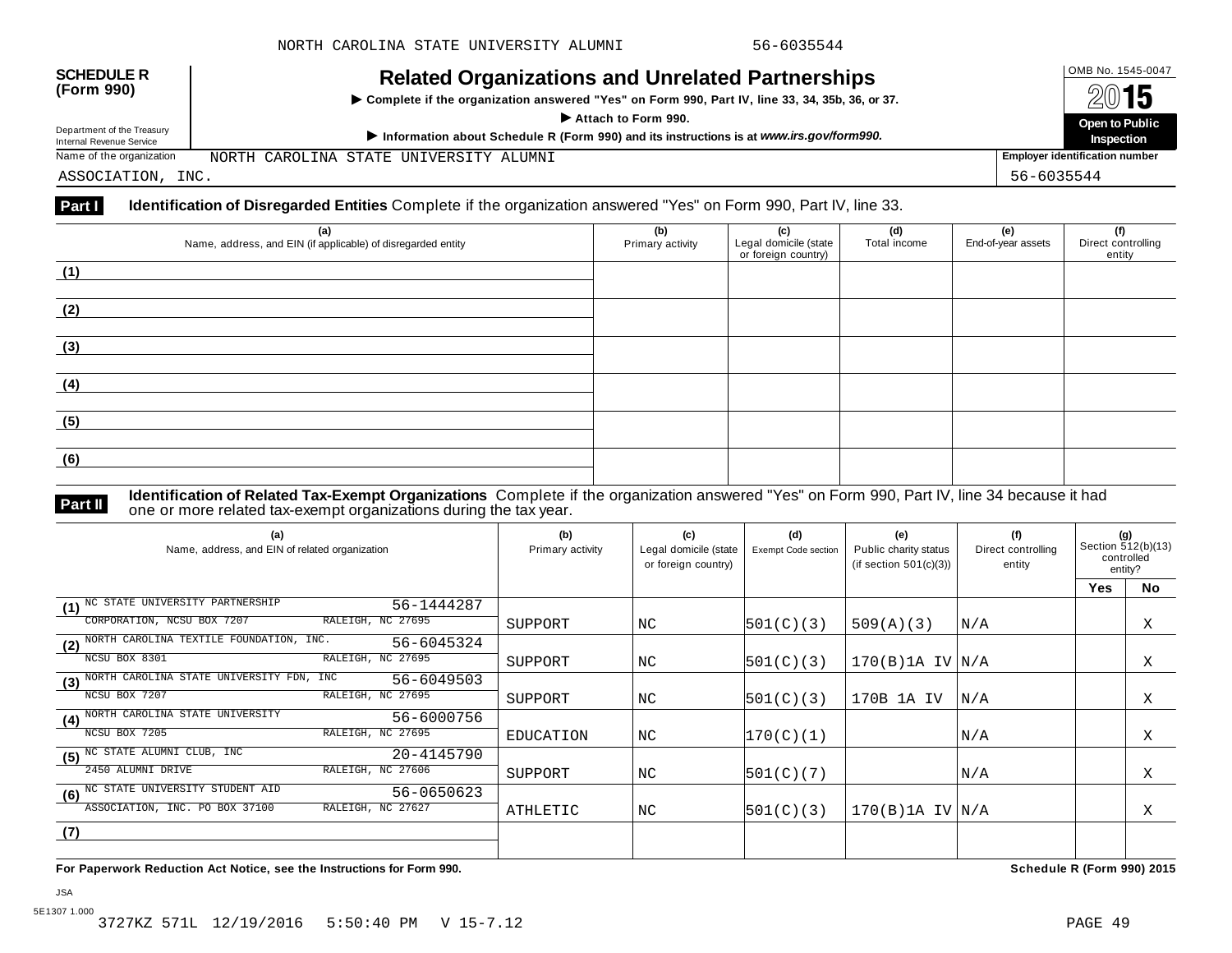| <b>SCHEDULE R</b><br>(Form 990)<br>Department of the Treasury<br>Internal Revenue Service | <b>Related Organizations and Unrelated Partnerships</b><br>Complete if the organization answered "Yes" on Form 990, Part IV, line 33, 34, 35b, 36, or 37.<br>Attach to Form 990.<br>Information about Schedule R (Form 990) and its instructions is at www.irs.gov/form990. | OMB No. 1545-0047<br>2015<br>Open to Public<br>Inspection |
|-------------------------------------------------------------------------------------------|-----------------------------------------------------------------------------------------------------------------------------------------------------------------------------------------------------------------------------------------------------------------------------|-----------------------------------------------------------|
| Name of the organization                                                                  | NORTH CAROLINA STATE UNIVERSITY ALUMNI                                                                                                                                                                                                                                      | <b>Employer identification number</b>                     |
| ASSOCIATION, INC.                                                                         |                                                                                                                                                                                                                                                                             | 56-6035544                                                |

#### **Part I Identification of Disregarded Entities** Complete if the organization answered "Yes" on Form 990, Part IV, line 33.

| (a)                                                          | (b)              | (c)                                          | (d)          | (e)                | (f)                          |
|--------------------------------------------------------------|------------------|----------------------------------------------|--------------|--------------------|------------------------------|
| Name, address, and EIN (if applicable) of disregarded entity | Primary activity | Legal domicile (state<br>or foreign country) | Total income | End-of-year assets | Direct controlling<br>entity |
| (1)                                                          |                  |                                              |              |                    |                              |
| (2)                                                          |                  |                                              |              |                    |                              |
|                                                              |                  |                                              |              |                    |                              |
| (3)                                                          |                  |                                              |              |                    |                              |
| (4)                                                          |                  |                                              |              |                    |                              |
| (5)                                                          |                  |                                              |              |                    |                              |
| (6)                                                          |                  |                                              |              |                    |                              |
|                                                              |                  |                                              |              |                    |                              |

**Part II Identification of Related Tax-Exempt Organizations** Complete if the organization answered "Yes" on Form 990, Part IV, line 34 because it had<br>The one or more related tax-exempt organizations during the tax year.

| (a)<br>Name, address, and EIN of related organization        | (b)<br>Primary activity | (c)<br>Legal domicile (state<br>or foreign country) | (d)<br>Exempt Code section | (e)<br>Public charity status<br>(if section $501(c)(3)$ ) | (f)<br>Direct controlling<br>entity | (g)<br>Section 512(b)(13)<br>controlled<br>entity? |           |
|--------------------------------------------------------------|-------------------------|-----------------------------------------------------|----------------------------|-----------------------------------------------------------|-------------------------------------|----------------------------------------------------|-----------|
|                                                              |                         |                                                     |                            |                                                           |                                     | <b>Yes</b>                                         | <b>No</b> |
| NC STATE UNIVERSITY PARTNERSHIP<br>56-1444287<br>(1)         |                         |                                                     |                            |                                                           |                                     |                                                    |           |
| RALEIGH, NC 27695<br>CORPORATION, NCSU BOX 7207              | SUPPORT                 | NC                                                  | 501(C)(3)                  | 509(A)(3)                                                 | N/A                                 |                                                    | Χ         |
| (2) NORTH CAROLINA TEXTILE FOUNDATION, INC.<br>56-6045324    |                         |                                                     |                            |                                                           |                                     |                                                    |           |
| RALEIGH, NC 27695<br>NCSU BOX 8301                           | SUPPORT                 | NC                                                  | 501(C)(3)                  | 170(B)1A IV N/A                                           |                                     |                                                    | Χ         |
| (3) NORTH CAROLINA STATE UNIVERSITY FDN, INC<br>56-6049503   |                         |                                                     |                            |                                                           |                                     |                                                    |           |
| RALEIGH, NC 27695<br>NCSU BOX 7207                           | SUPPORT                 | NC                                                  | 501(C)(3)                  | 170B 1A IV                                                | N/A                                 |                                                    | Χ         |
| NORTH CAROLINA STATE UNIVERSITY<br>56-6000756<br>(4)         |                         |                                                     |                            |                                                           |                                     |                                                    |           |
| NCSU BOX 7205<br>RALEIGH, NC 27695                           | EDUCATION               | NC                                                  | 170(C)(1)                  |                                                           | N/A                                 |                                                    | Χ         |
| (5) <sup>NC</sup> STATE ALUMNI CLUB, INC<br>20-4145790       |                         |                                                     |                            |                                                           |                                     |                                                    |           |
| RALEIGH, NC 27606<br>2450 ALUMNI DRIVE                       | SUPPORT                 | NC                                                  | 501(C)(7)                  |                                                           | N/A                                 |                                                    | Χ         |
| (6) <sup>NC</sup> STATE UNIVERSITY STUDENT AID<br>56-0650623 |                         |                                                     |                            |                                                           |                                     |                                                    |           |
| RALEIGH, NC 27627<br>ASSOCIATION, INC. PO BOX 37100          | ATHLETIC                | NC                                                  | 501(C)(3)                  | $170(B)$ 1A IV $ N/A$                                     |                                     |                                                    | Χ         |
| (7)                                                          |                         |                                                     |                            |                                                           |                                     |                                                    |           |
|                                                              |                         |                                                     |                            |                                                           |                                     |                                                    |           |

**For Paperwork Reduction Act Notice, see the Instructions for Form 990. Schedule R (Form 990) 2015**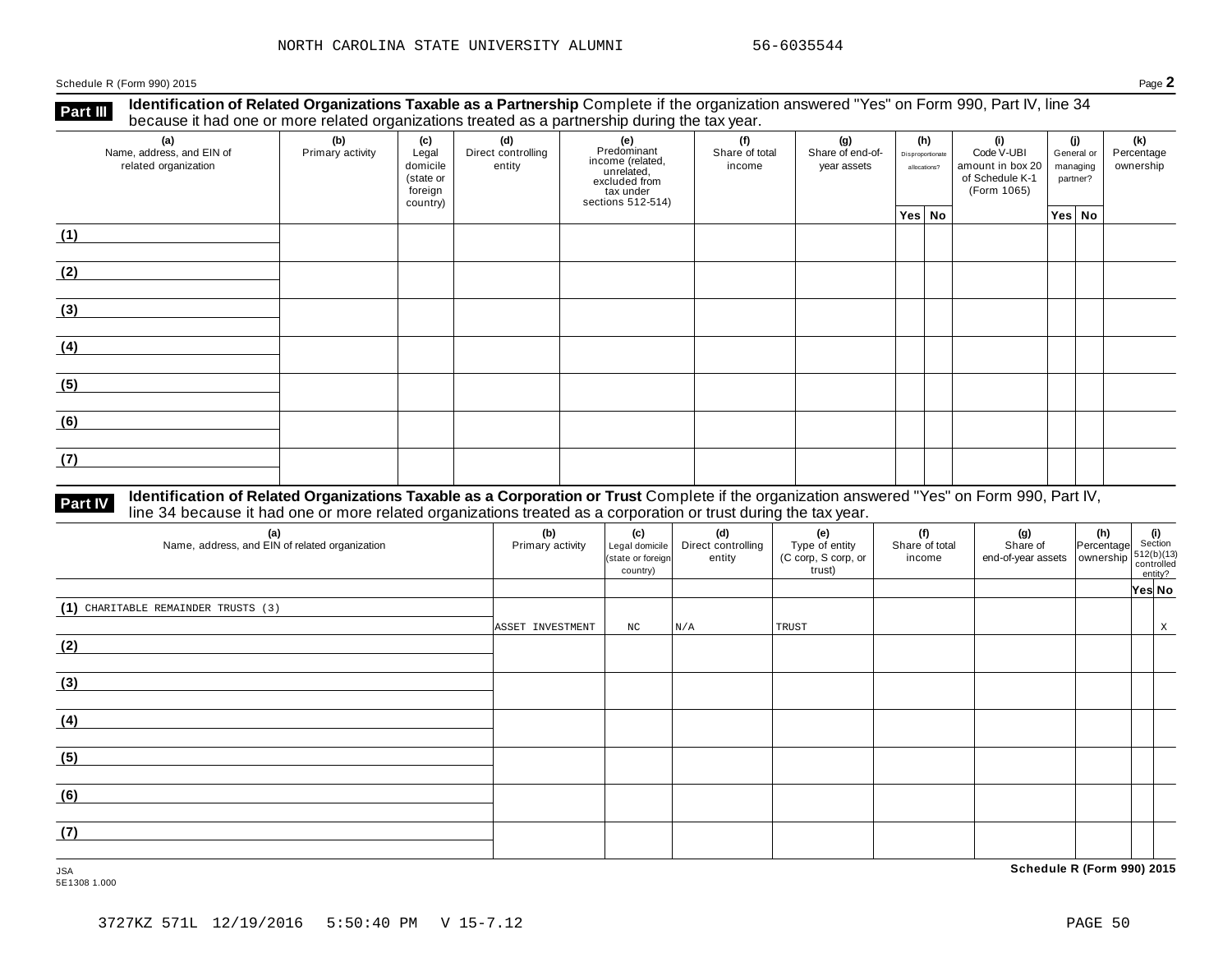Schedule <sup>R</sup> (Form 990) <sup>2015</sup> Page **2**

**Identification of Related Organizations Taxable as a Partnership** Complete if the organization answered "Yes" on Form 990, Part IV, line 34 **because it had one or more related organizations Taxable as a Partnership** Complete if the organization of more related organizations treated as a partnership during the tax year.

| (a)<br>Name, address, and EIN of<br>related organization | (b)<br>Primary activity | (c)<br>Legal<br>domicile<br>(state or<br>foreign<br>country) | (d)<br>Direct controlling<br>entity | (e)<br>Predominant<br>From (related,<br>income (related,<br>excluded from<br>tax under<br>sections 512-514) | (f)<br>Share of total<br>income | (g)<br>Share of end-of-<br>year assets | (h)<br>Disproportionate<br>allocations? | (i)<br>Code V-UBI<br>amount in box 20<br>of Schedule K-1<br>(Form 1065) | (j)<br>managing<br>partner? | General or | (k)<br>Percentage<br>ownership |
|----------------------------------------------------------|-------------------------|--------------------------------------------------------------|-------------------------------------|-------------------------------------------------------------------------------------------------------------|---------------------------------|----------------------------------------|-----------------------------------------|-------------------------------------------------------------------------|-----------------------------|------------|--------------------------------|
|                                                          |                         |                                                              |                                     |                                                                                                             |                                 |                                        | Yes No                                  |                                                                         | Yes   No                    |            |                                |
| (1)                                                      |                         |                                                              |                                     |                                                                                                             |                                 |                                        |                                         |                                                                         |                             |            |                                |
| (2)                                                      |                         |                                                              |                                     |                                                                                                             |                                 |                                        |                                         |                                                                         |                             |            |                                |
| (3)                                                      |                         |                                                              |                                     |                                                                                                             |                                 |                                        |                                         |                                                                         |                             |            |                                |
| (4)                                                      |                         |                                                              |                                     |                                                                                                             |                                 |                                        |                                         |                                                                         |                             |            |                                |
| (5)                                                      |                         |                                                              |                                     |                                                                                                             |                                 |                                        |                                         |                                                                         |                             |            |                                |
| (6)                                                      |                         |                                                              |                                     |                                                                                                             |                                 |                                        |                                         |                                                                         |                             |            |                                |
| (7)                                                      |                         |                                                              |                                     |                                                                                                             |                                 |                                        |                                         |                                                                         |                             |            |                                |

## **Part IV** Identification of Related Organizations Taxable as a Corporation or Trust Complete if the organization answered "Yes" on Form 990, Part IV,<br>line 34 because it had one or more related organizations treated as a co

| (a)<br>Name, address, and EIN of related organization | (b)<br>Primary activity | (c)<br>Legal domicile<br>(state or foreign<br>country) | (d)<br>Direct controlling<br>entity | (e)<br>Type of entity<br>(C corp, S corp, or<br>trust) | (f)<br>Share of total<br>income | (g)<br>Share of<br>$\left  \begin{array}{c} 0.1816 \text{ N} \\ \text{end-of-year assets} \end{array} \right  \left  \begin{array}{c} 0.00116 \text{ N} \\ \text{ownership} \\ \text{controlled} \end{array} \right  \left  \begin{array}{c} 512(b)(13) \\ \text{controlled} \end{array} \right $ | (h) (i)<br>Percentage Section | entity? |   |
|-------------------------------------------------------|-------------------------|--------------------------------------------------------|-------------------------------------|--------------------------------------------------------|---------------------------------|---------------------------------------------------------------------------------------------------------------------------------------------------------------------------------------------------------------------------------------------------------------------------------------------------|-------------------------------|---------|---|
|                                                       |                         |                                                        |                                     |                                                        |                                 |                                                                                                                                                                                                                                                                                                   |                               | Yes No  |   |
| (1) CHARITABLE REMAINDER TRUSTS (3)                   | ASSET INVESTMENT        | NC                                                     | N/A                                 | TRUST                                                  |                                 |                                                                                                                                                                                                                                                                                                   |                               |         | X |
| (2)                                                   |                         |                                                        |                                     |                                                        |                                 |                                                                                                                                                                                                                                                                                                   |                               |         |   |
| (3)                                                   |                         |                                                        |                                     |                                                        |                                 |                                                                                                                                                                                                                                                                                                   |                               |         |   |
| (4)                                                   |                         |                                                        |                                     |                                                        |                                 |                                                                                                                                                                                                                                                                                                   |                               |         |   |
| (5)                                                   |                         |                                                        |                                     |                                                        |                                 |                                                                                                                                                                                                                                                                                                   |                               |         |   |
| (6)                                                   |                         |                                                        |                                     |                                                        |                                 |                                                                                                                                                                                                                                                                                                   |                               |         |   |
| (7)                                                   |                         |                                                        |                                     |                                                        |                                 |                                                                                                                                                                                                                                                                                                   |                               |         |   |

5E1308 1.000

JSA **Schedule R (Form 990) 2015**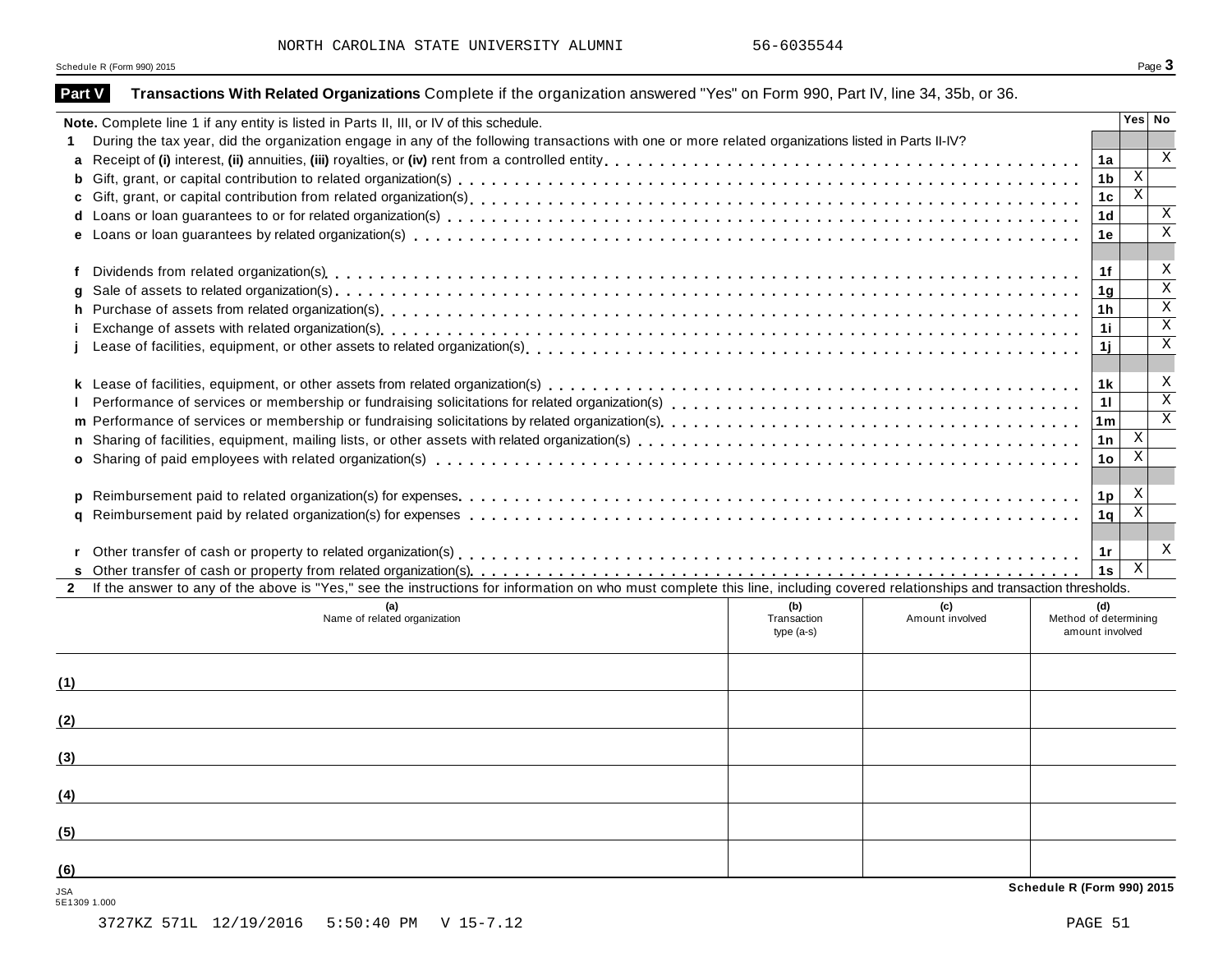Schedule <sup>R</sup> (Form 990) <sup>2015</sup> Page **3**

| Part V                     | Transactions With Related Organizations Complete if the organization answered "Yes" on Form 990, Part IV, line 34, 35b, or 36.                                                                                                 |              |                 |                                          |                              |
|----------------------------|--------------------------------------------------------------------------------------------------------------------------------------------------------------------------------------------------------------------------------|--------------|-----------------|------------------------------------------|------------------------------|
|                            | Note. Complete line 1 if any entity is listed in Parts II, III, or IV of this schedule.                                                                                                                                        |              |                 |                                          | Yes No                       |
|                            | During the tax year, did the organization engage in any of the following transactions with one or more related organizations listed in Parts II-IV?                                                                            |              |                 |                                          |                              |
|                            |                                                                                                                                                                                                                                |              |                 | 1a                                       | $\mathbf x$                  |
|                            |                                                                                                                                                                                                                                |              |                 | 1 <sub>b</sub>                           | $\mathbf{X}$                 |
|                            |                                                                                                                                                                                                                                |              |                 | 1 <sub>c</sub>                           | $\overline{\mathbf{x}}$      |
|                            |                                                                                                                                                                                                                                |              |                 | 1 <sub>d</sub>                           | $\mathbf X$                  |
|                            |                                                                                                                                                                                                                                |              |                 | 1е                                       | $\overline{\mathbf{x}}$      |
|                            |                                                                                                                                                                                                                                |              |                 |                                          |                              |
| f                          |                                                                                                                                                                                                                                |              |                 | 1f                                       | X<br>$\overline{\mathbf{x}}$ |
| g                          | Sale of assets to related organization(s) et also exercised as a content of the content of a content of a content of a content of a content of a content of a content of a content of a content of a content of a content of a |              |                 | 1 <sub>q</sub>                           | $\overline{X}$               |
|                            |                                                                                                                                                                                                                                |              |                 | 1 <sub>h</sub>                           | $\overline{\mathbf{x}}$      |
|                            |                                                                                                                                                                                                                                |              |                 | 1i.                                      | $\mathbf X$                  |
|                            |                                                                                                                                                                                                                                |              |                 | 1j                                       |                              |
|                            |                                                                                                                                                                                                                                |              |                 | 1 <sub>k</sub>                           | X                            |
|                            |                                                                                                                                                                                                                                |              |                 |                                          | $\overline{\mathbf{x}}$      |
|                            |                                                                                                                                                                                                                                |              |                 | 11                                       | $\mathbf X$                  |
|                            |                                                                                                                                                                                                                                |              |                 | 1 <sub>m</sub>                           | $\boldsymbol{\mathrm{X}}$    |
|                            |                                                                                                                                                                                                                                |              |                 | 1n                                       | $\overline{X}$               |
|                            |                                                                                                                                                                                                                                |              |                 | 1 <sub>o</sub>                           |                              |
|                            |                                                                                                                                                                                                                                |              |                 |                                          | X                            |
|                            |                                                                                                                                                                                                                                |              |                 | 1 <sub>p</sub><br>1 <sub>q</sub>         | $\overline{\mathbf{x}}$      |
|                            |                                                                                                                                                                                                                                |              |                 |                                          |                              |
|                            |                                                                                                                                                                                                                                |              |                 | 1r                                       | X                            |
|                            |                                                                                                                                                                                                                                |              |                 | 1s                                       | $\overline{X}$               |
| $\mathbf{2}$               | If the answer to any of the above is "Yes," see the instructions for information on who must complete this line, including covered relationships and transaction thresholds.                                                   |              |                 |                                          |                              |
|                            | (a)                                                                                                                                                                                                                            | (b)          | (c)             | (d)                                      |                              |
|                            | Name of related organization                                                                                                                                                                                                   | Transaction  | Amount involved | Method of determining<br>amount involved |                              |
|                            |                                                                                                                                                                                                                                | type $(a-s)$ |                 |                                          |                              |
|                            |                                                                                                                                                                                                                                |              |                 |                                          |                              |
| (1)                        |                                                                                                                                                                                                                                |              |                 |                                          |                              |
|                            |                                                                                                                                                                                                                                |              |                 |                                          |                              |
| (2)                        |                                                                                                                                                                                                                                |              |                 |                                          |                              |
| (3)                        |                                                                                                                                                                                                                                |              |                 |                                          |                              |
|                            |                                                                                                                                                                                                                                |              |                 |                                          |                              |
| (4)                        |                                                                                                                                                                                                                                |              |                 |                                          |                              |
| (5)                        |                                                                                                                                                                                                                                |              |                 |                                          |                              |
| (6)                        |                                                                                                                                                                                                                                |              |                 |                                          |                              |
|                            |                                                                                                                                                                                                                                |              |                 | Schedule R (Form 990) 2015               |                              |
| <b>JSA</b><br>5E1309 1.000 |                                                                                                                                                                                                                                |              |                 |                                          |                              |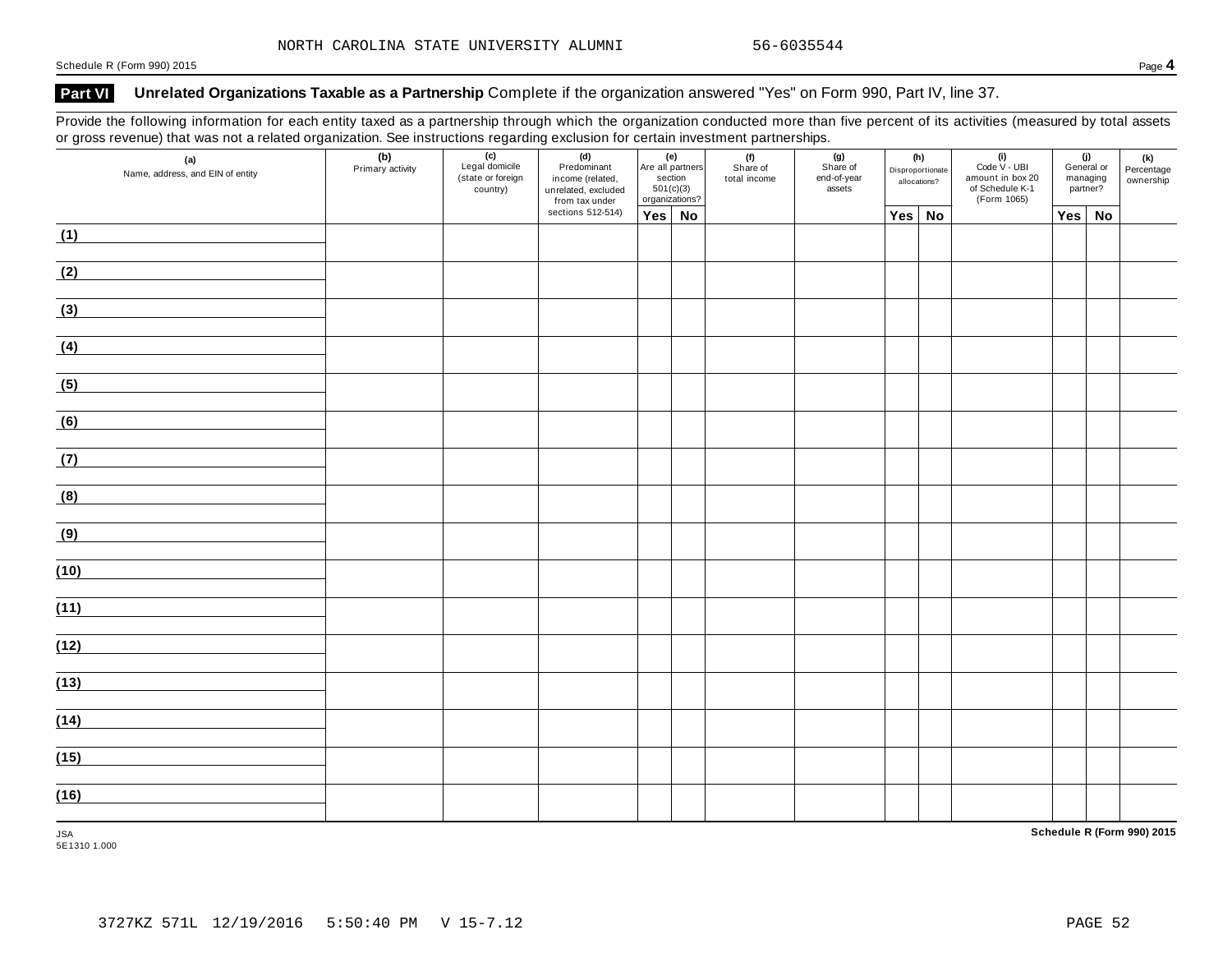#### **Part VI Unrelated Organizations Taxable as a Partnership** Complete if the organization answered "Yes" on Form 990, Part IV, line 37.

Provide the following information for each entity taxed as a partnership through which the organization conducted more than five percent of its activities (measured by total assets or gross revenue) that was not a related organization. See instructions regarding exclusion for certain investment partnerships.

| (a)<br>Name, address, and EIN of entity | (b)<br>Primary activity | $\overline{(c)}$<br>Legal domicile<br>(state or foreign<br>country) | (d)<br>Predominant<br>income (related,<br>unrelated, excluded<br>from tax under |               | $\begin{array}{ c c }\n\hline\n\text{Are all partners}\n\end{array}$<br>section<br>501(c)(3)<br>organizations? | (f)<br>Share of<br>total income | (g)<br>Share of<br>end-of-year<br>assets |        | (h)<br>Disproportionate<br>allocations? | $\begin{array}{c} \textbf{(i)} \\ \textbf{Code V - UBI} \end{array}$<br>amount in box 20<br>of Schedule K-1<br>(Form 1065) |     | (j)<br>General or<br>managing<br>partner? | (k)<br>Percentage<br>ownership |
|-----------------------------------------|-------------------------|---------------------------------------------------------------------|---------------------------------------------------------------------------------|---------------|----------------------------------------------------------------------------------------------------------------|---------------------------------|------------------------------------------|--------|-----------------------------------------|----------------------------------------------------------------------------------------------------------------------------|-----|-------------------------------------------|--------------------------------|
|                                         |                         |                                                                     | sections 512-514)                                                               | $Yes \mid No$ |                                                                                                                |                                 |                                          | Yes No |                                         |                                                                                                                            | Yes | <b>No</b>                                 |                                |
| (1)                                     |                         |                                                                     |                                                                                 |               |                                                                                                                |                                 |                                          |        |                                         |                                                                                                                            |     |                                           |                                |
| (2)                                     |                         |                                                                     |                                                                                 |               |                                                                                                                |                                 |                                          |        |                                         |                                                                                                                            |     |                                           |                                |
| (3)                                     |                         |                                                                     |                                                                                 |               |                                                                                                                |                                 |                                          |        |                                         |                                                                                                                            |     |                                           |                                |
| (4)                                     |                         |                                                                     |                                                                                 |               |                                                                                                                |                                 |                                          |        |                                         |                                                                                                                            |     |                                           |                                |
| (5)                                     |                         |                                                                     |                                                                                 |               |                                                                                                                |                                 |                                          |        |                                         |                                                                                                                            |     |                                           |                                |
| (6)                                     |                         |                                                                     |                                                                                 |               |                                                                                                                |                                 |                                          |        |                                         |                                                                                                                            |     |                                           |                                |
| (7)                                     |                         |                                                                     |                                                                                 |               |                                                                                                                |                                 |                                          |        |                                         |                                                                                                                            |     |                                           |                                |
| (8)                                     |                         |                                                                     |                                                                                 |               |                                                                                                                |                                 |                                          |        |                                         |                                                                                                                            |     |                                           |                                |
| (9)                                     |                         |                                                                     |                                                                                 |               |                                                                                                                |                                 |                                          |        |                                         |                                                                                                                            |     |                                           |                                |
| (10)                                    |                         |                                                                     |                                                                                 |               |                                                                                                                |                                 |                                          |        |                                         |                                                                                                                            |     |                                           |                                |
| (11)                                    |                         |                                                                     |                                                                                 |               |                                                                                                                |                                 |                                          |        |                                         |                                                                                                                            |     |                                           |                                |
| (12)                                    |                         |                                                                     |                                                                                 |               |                                                                                                                |                                 |                                          |        |                                         |                                                                                                                            |     |                                           |                                |
| (13)                                    |                         |                                                                     |                                                                                 |               |                                                                                                                |                                 |                                          |        |                                         |                                                                                                                            |     |                                           |                                |
| (14)                                    |                         |                                                                     |                                                                                 |               |                                                                                                                |                                 |                                          |        |                                         |                                                                                                                            |     |                                           |                                |
| (15)                                    |                         |                                                                     |                                                                                 |               |                                                                                                                |                                 |                                          |        |                                         |                                                                                                                            |     |                                           |                                |
| (16)                                    |                         |                                                                     |                                                                                 |               |                                                                                                                |                                 |                                          |        |                                         |                                                                                                                            |     |                                           |                                |
| <b>JSA</b>                              |                         |                                                                     |                                                                                 |               |                                                                                                                |                                 |                                          |        |                                         |                                                                                                                            |     |                                           | Schedule R (Form 990) 2015     |

5E1310 1.000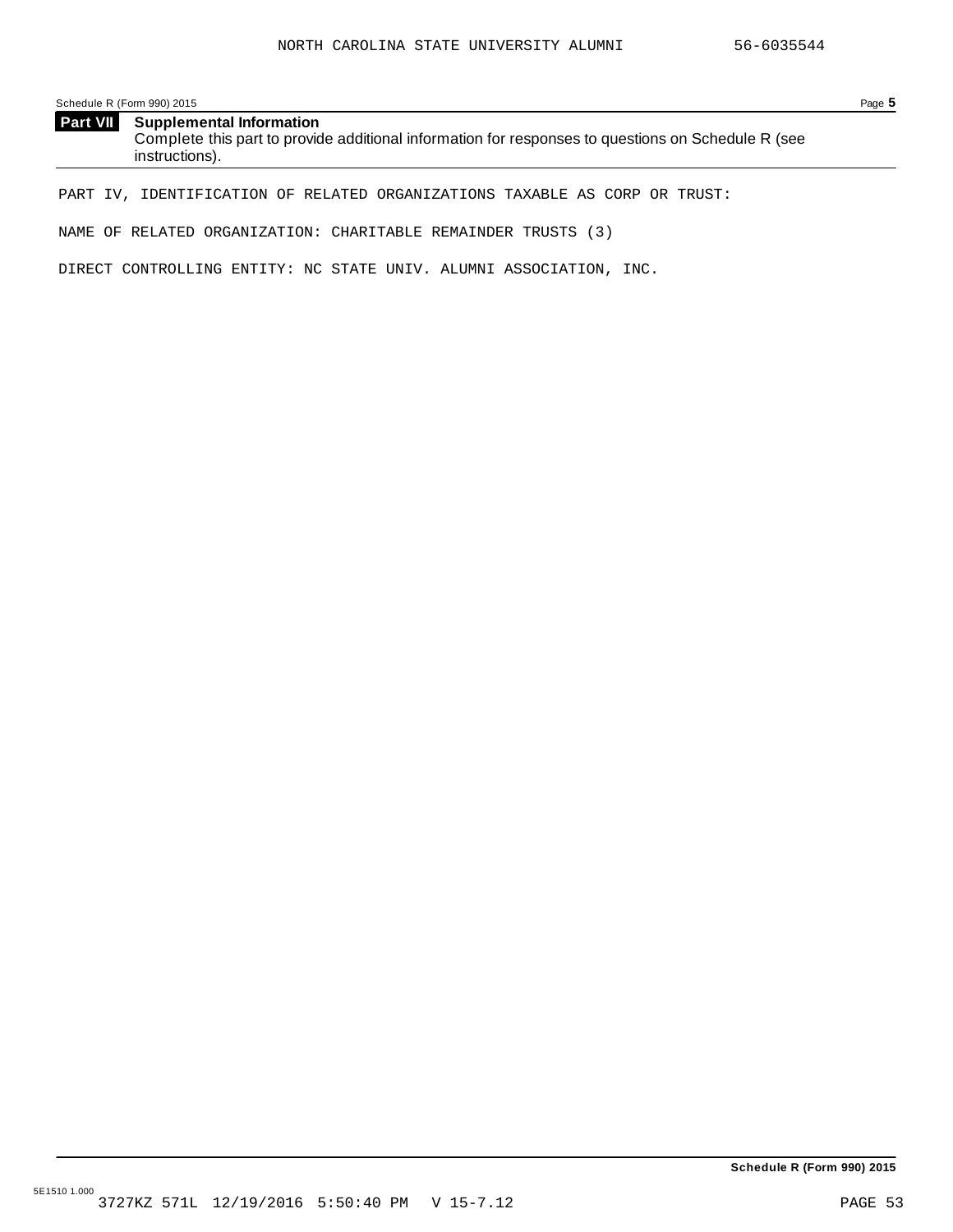Schedule R (Form 990) 2015 Page **5**

| <b>Part VII</b> Supplemental Information                                                           |
|----------------------------------------------------------------------------------------------------|
| Complete this part to provide additional information for responses to questions on Schedule R (see |
| instructions).                                                                                     |

PART IV, IDENTIFICATION OF RELATED ORGANIZATIONS TAXABLE AS CORP OR TRUST:

NAME OF RELATED ORGANIZATION: CHARITABLE REMAINDER TRUSTS (3)

DIRECT CONTROLLING ENTITY: NC STATE UNIV. ALUMNI ASSOCIATION, INC.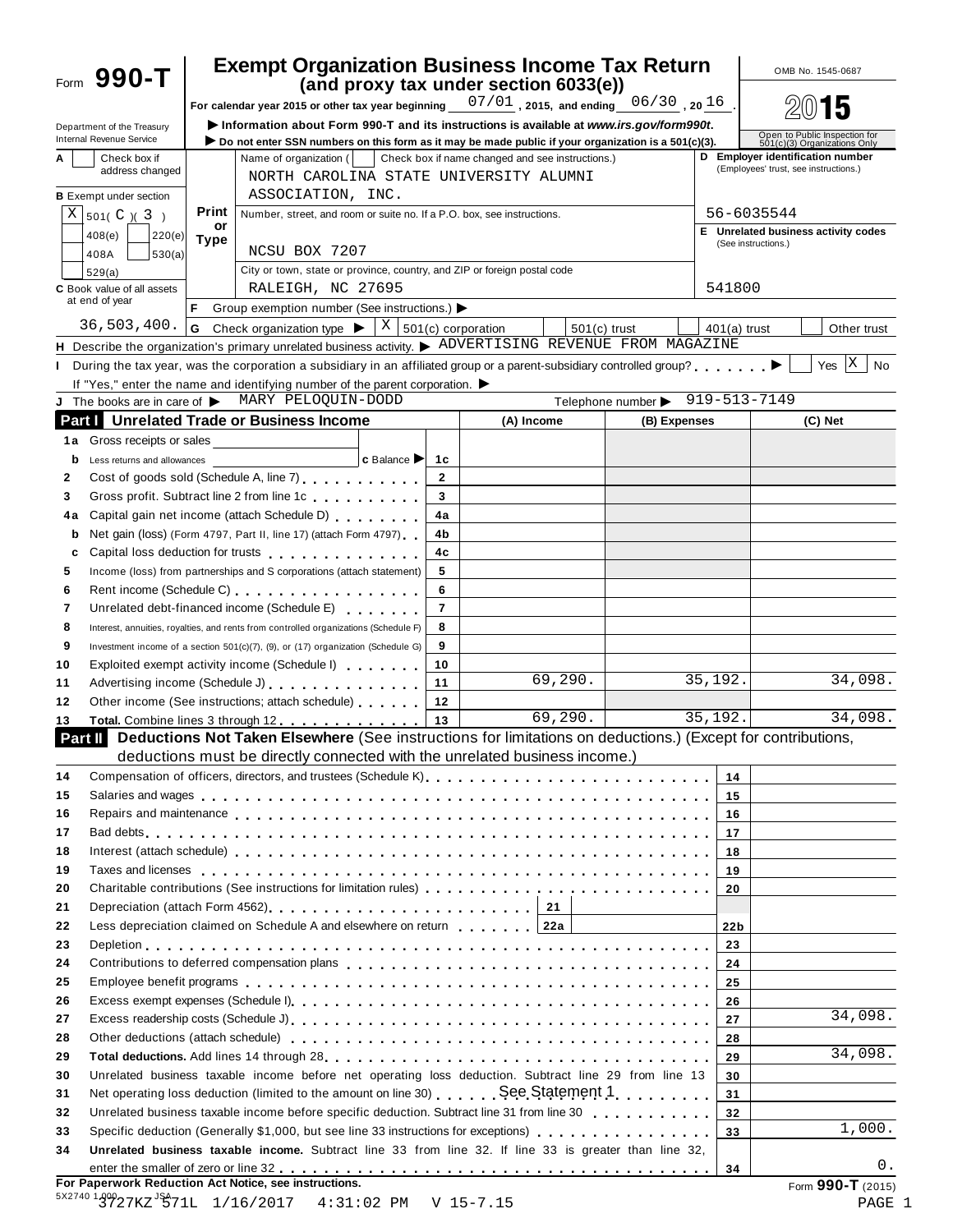| Form 990-T                           |                                                                                                                                                                                                                                |                                                                          |                | <b>Exempt Organization Business Income Tax Return</b><br>(and proxy tax under section 6033(e))                                                                                                                                 |                                                     |                 | OMB No. 1545-0687                                                         |
|--------------------------------------|--------------------------------------------------------------------------------------------------------------------------------------------------------------------------------------------------------------------------------|--------------------------------------------------------------------------|----------------|--------------------------------------------------------------------------------------------------------------------------------------------------------------------------------------------------------------------------------|-----------------------------------------------------|-----------------|---------------------------------------------------------------------------|
|                                      |                                                                                                                                                                                                                                |                                                                          |                | For calendar year 2015 or other tax year beginning $\frac{07/01}{2}$ , 2015, and ending $\frac{06/30}{20}$ , 20 $16$                                                                                                           |                                                     |                 |                                                                           |
| Department of the Treasury           |                                                                                                                                                                                                                                |                                                                          |                | Information about Form 990-T and its instructions is available at www.irs.gov/form990t.                                                                                                                                        |                                                     |                 |                                                                           |
| Internal Revenue Service             |                                                                                                                                                                                                                                |                                                                          |                | Do not enter SSN numbers on this form as it may be made public if your organization is a 501(c)(3).                                                                                                                            |                                                     |                 | Open to Public Inspection for<br>501(c)(3) Organizations Only             |
| Check box if<br>A<br>address changed | Name of organization (                                                                                                                                                                                                         |                                                                          |                | Check box if name changed and see instructions.)                                                                                                                                                                               |                                                     |                 | D Employer identification number<br>(Employees' trust, see instructions.) |
|                                      |                                                                                                                                                                                                                                |                                                                          |                | NORTH CAROLINA STATE UNIVERSITY ALUMNI                                                                                                                                                                                         |                                                     |                 |                                                                           |
| <b>B</b> Exempt under section        | Print                                                                                                                                                                                                                          | ASSOCIATION, INC.                                                        |                |                                                                                                                                                                                                                                |                                                     |                 | 56-6035544                                                                |
| $X \mid 501(C) (3)$                  | or                                                                                                                                                                                                                             | Number, street, and room or suite no. If a P.O. box, see instructions.   |                |                                                                                                                                                                                                                                |                                                     |                 | E Unrelated business activity codes                                       |
| 408(e)<br>220(e)                     | <b>Type</b><br>NCSU BOX 7207                                                                                                                                                                                                   |                                                                          |                |                                                                                                                                                                                                                                |                                                     |                 | (See instructions.)                                                       |
| 408A<br>530(a)                       |                                                                                                                                                                                                                                | City or town, state or province, country, and ZIP or foreign postal code |                |                                                                                                                                                                                                                                |                                                     |                 |                                                                           |
| 529(a)<br>C Book value of all assets |                                                                                                                                                                                                                                | RALEIGH, NC 27695                                                        |                |                                                                                                                                                                                                                                |                                                     | 541800          |                                                                           |
| at end of year                       |                                                                                                                                                                                                                                | Group exemption number (See instructions.) ▶                             |                |                                                                                                                                                                                                                                |                                                     |                 |                                                                           |
| 36,503,400.                          | Check organization type $\blacktriangleright$<br>G                                                                                                                                                                             | $X \mid 501(c)$ corporation                                              |                | $501(c)$ trust                                                                                                                                                                                                                 |                                                     | $401(a)$ trust  | Other trust                                                               |
|                                      |                                                                                                                                                                                                                                |                                                                          |                | H Describe the organization's primary unrelated business activity. > ADVERTISING REVENUE FROM MAGAZINE                                                                                                                         |                                                     |                 |                                                                           |
| $\mathbf{L}$                         |                                                                                                                                                                                                                                |                                                                          |                | During the tax year, was the corporation a subsidiary in an affiliated group or a parent-subsidiary controlled group? $\blacktriangleright$                                                                                    |                                                     |                 | X<br>Yes<br><b>No</b>                                                     |
|                                      | If "Yes," enter the name and identifying number of the parent corporation. $\blacktriangleright$                                                                                                                               |                                                                          |                |                                                                                                                                                                                                                                |                                                     |                 |                                                                           |
|                                      | J The books are in care of > MARY PELOQUIN-DODD                                                                                                                                                                                |                                                                          |                |                                                                                                                                                                                                                                | Telephone number $\triangleright$ 919-513-7149      |                 |                                                                           |
|                                      | <b>Part   Unrelated Trade or Business Income</b>                                                                                                                                                                               |                                                                          |                | (A) Income                                                                                                                                                                                                                     | (B) Expenses                                        |                 | (C) Net                                                                   |
| 1a Gross receipts or sales           |                                                                                                                                                                                                                                |                                                                          |                |                                                                                                                                                                                                                                |                                                     |                 |                                                                           |
| Less returns and allowances<br>b     |                                                                                                                                                                                                                                | c Balance                                                                | 1c             |                                                                                                                                                                                                                                |                                                     |                 |                                                                           |
| 2                                    | Cost of goods sold (Schedule A, line 7) Cost of goods sold (Schedule A, line 7)                                                                                                                                                |                                                                          | $\overline{2}$ |                                                                                                                                                                                                                                |                                                     |                 |                                                                           |
| 3                                    | Gross profit. Subtract line 2 from line 1c                                                                                                                                                                                     |                                                                          | 3              |                                                                                                                                                                                                                                |                                                     |                 |                                                                           |
| 4a                                   | Capital gain net income (attach Schedule D) [100]                                                                                                                                                                              |                                                                          | 4a             |                                                                                                                                                                                                                                |                                                     |                 |                                                                           |
| b                                    | Net gain (loss) (Form 4797, Part II, line 17) (attach Form 4797)                                                                                                                                                               |                                                                          | 4b             |                                                                                                                                                                                                                                |                                                     |                 |                                                                           |
| c                                    | Capital loss deduction for trusts entitled and an article of the set of the capital loss deduction for trusts                                                                                                                  |                                                                          | 4c             |                                                                                                                                                                                                                                |                                                     |                 |                                                                           |
| 5                                    | Income (loss) from partnerships and S corporations (attach statement)                                                                                                                                                          |                                                                          | 5              |                                                                                                                                                                                                                                |                                                     |                 |                                                                           |
| 6                                    |                                                                                                                                                                                                                                |                                                                          | 6              |                                                                                                                                                                                                                                |                                                     |                 |                                                                           |
| 7                                    | Unrelated debt-financed income (Schedule E)                                                                                                                                                                                    |                                                                          | $\overline{7}$ |                                                                                                                                                                                                                                |                                                     |                 |                                                                           |
| 8                                    | Interest, annuities, royalties, and rents from controlled organizations (Schedule F)                                                                                                                                           |                                                                          | 8              |                                                                                                                                                                                                                                |                                                     |                 |                                                                           |
| 9                                    | Investment income of a section 501(c)(7), (9), or (17) organization (Schedule G)                                                                                                                                               |                                                                          | 9              |                                                                                                                                                                                                                                |                                                     |                 |                                                                           |
| 10                                   | Exploited exempt activity income (Schedule I)                                                                                                                                                                                  |                                                                          | 10             |                                                                                                                                                                                                                                |                                                     |                 |                                                                           |
| 11                                   | Advertising income (Schedule J) example and the set of the set of the set of the set of the set of the set of the set of the set of the set of the set of the set of the set of the set of the set of the set of the set of th |                                                                          | 11             | 69, 290.                                                                                                                                                                                                                       |                                                     | 35,192.         | 34,098.                                                                   |
| 12                                   | Other income (See instructions; attach schedule)                                                                                                                                                                               |                                                                          | 12             |                                                                                                                                                                                                                                |                                                     |                 |                                                                           |
| 13                                   | Total. Combine lines 3 through 12                                                                                                                                                                                              |                                                                          | 13             | 69,290.                                                                                                                                                                                                                        |                                                     | 35,192.         | 34,098.                                                                   |
| Part II                              |                                                                                                                                                                                                                                |                                                                          |                | Deductions Not Taken Elsewhere (See instructions for limitations on deductions.) (Except for contributions,                                                                                                                    |                                                     |                 |                                                                           |
|                                      |                                                                                                                                                                                                                                |                                                                          |                | deductions must be directly connected with the unrelated business income.)                                                                                                                                                     |                                                     |                 |                                                                           |
| 14                                   |                                                                                                                                                                                                                                |                                                                          |                |                                                                                                                                                                                                                                |                                                     | 14              |                                                                           |
| 15                                   |                                                                                                                                                                                                                                |                                                                          |                | Salaries and wages enterpreteration of the series of the series of the series and wages and vages of the series of the series of the series and vages of the series of the series of the series of the series and vages of the |                                                     | 15              |                                                                           |
| 16                                   |                                                                                                                                                                                                                                |                                                                          |                | Repairs and maintenance enterpretation of the state of the state of the state of the state of the state of the state of the state of the state of the state of the state of the state of the state of the state of the state o |                                                     | 16              |                                                                           |
| 17                                   |                                                                                                                                                                                                                                |                                                                          |                |                                                                                                                                                                                                                                |                                                     | 17              |                                                                           |
| 18                                   |                                                                                                                                                                                                                                |                                                                          |                | Interest (attach schedule) entries respectively and the contract of the contract of the contract of the contract of the contract of the contract of the contract of the contract of the contract of the contract of the contra |                                                     | 18              |                                                                           |
| 19                                   |                                                                                                                                                                                                                                |                                                                          |                | Taxes and licenses enterpreteration of the contract of the contract of the contract of the contract of the contract of the contract of the contract of the contract of the contract of the contract of the contract of the con |                                                     | 19              |                                                                           |
| 20                                   |                                                                                                                                                                                                                                |                                                                          |                |                                                                                                                                                                                                                                |                                                     | 20              |                                                                           |
| 21                                   |                                                                                                                                                                                                                                |                                                                          |                |                                                                                                                                                                                                                                | <u> 1989 - Andrea Station Barbara, amerikan per</u> |                 |                                                                           |
| 22                                   | Less depreciation claimed on Schedule A and elsewhere on return   122a                                                                                                                                                         |                                                                          |                |                                                                                                                                                                                                                                |                                                     | 22 <sub>b</sub> |                                                                           |
| 23                                   |                                                                                                                                                                                                                                |                                                                          |                |                                                                                                                                                                                                                                |                                                     | 23              |                                                                           |
| 24                                   |                                                                                                                                                                                                                                |                                                                          |                |                                                                                                                                                                                                                                |                                                     | 24              |                                                                           |
| 25                                   |                                                                                                                                                                                                                                |                                                                          |                | Employee benefit programs enterpreed to contact the contract of the contract of the contract of the contract of                                                                                                                |                                                     | 25              |                                                                           |
| 26                                   |                                                                                                                                                                                                                                |                                                                          |                |                                                                                                                                                                                                                                |                                                     | 26              |                                                                           |
| 27                                   |                                                                                                                                                                                                                                |                                                                          |                |                                                                                                                                                                                                                                |                                                     | 27              | 34,098.                                                                   |
| 28                                   |                                                                                                                                                                                                                                |                                                                          |                | Other deductions (attach schedule) enterpretation of the set of the contract of the deductions (attach schedule)                                                                                                               |                                                     | 28              |                                                                           |
| 29                                   |                                                                                                                                                                                                                                |                                                                          |                |                                                                                                                                                                                                                                |                                                     | 29              | 34,098.                                                                   |
| 30                                   |                                                                                                                                                                                                                                |                                                                          |                | Unrelated business taxable income before net operating loss deduction. Subtract line 29 from line 13                                                                                                                           |                                                     | 30              |                                                                           |
| 31                                   |                                                                                                                                                                                                                                |                                                                          |                |                                                                                                                                                                                                                                |                                                     | 31              |                                                                           |
| 32                                   |                                                                                                                                                                                                                                |                                                                          |                |                                                                                                                                                                                                                                |                                                     | 32 <sub>2</sub> | 1,000.                                                                    |
| 33                                   |                                                                                                                                                                                                                                |                                                                          |                | Specific deduction (Generally \$1,000, but see line 33 instructions for exceptions)                                                                                                                                            |                                                     | 33              |                                                                           |
| 34                                   |                                                                                                                                                                                                                                |                                                                          |                | Unrelated business taxable income. Subtract line 33 from line 32. If line 33 is greater than line 32,                                                                                                                          |                                                     |                 | 0.                                                                        |
|                                      | For Paperwork Reduction Act Notice, see instructions.                                                                                                                                                                          |                                                                          |                |                                                                                                                                                                                                                                |                                                     | 34              | Form 990-T (2015)                                                         |
|                                      | 5X2740 1999 27KZ JSA71L 1/16/2017 4:31:02 PM V 15-7.15                                                                                                                                                                         |                                                                          |                |                                                                                                                                                                                                                                |                                                     |                 | PAGE 1                                                                    |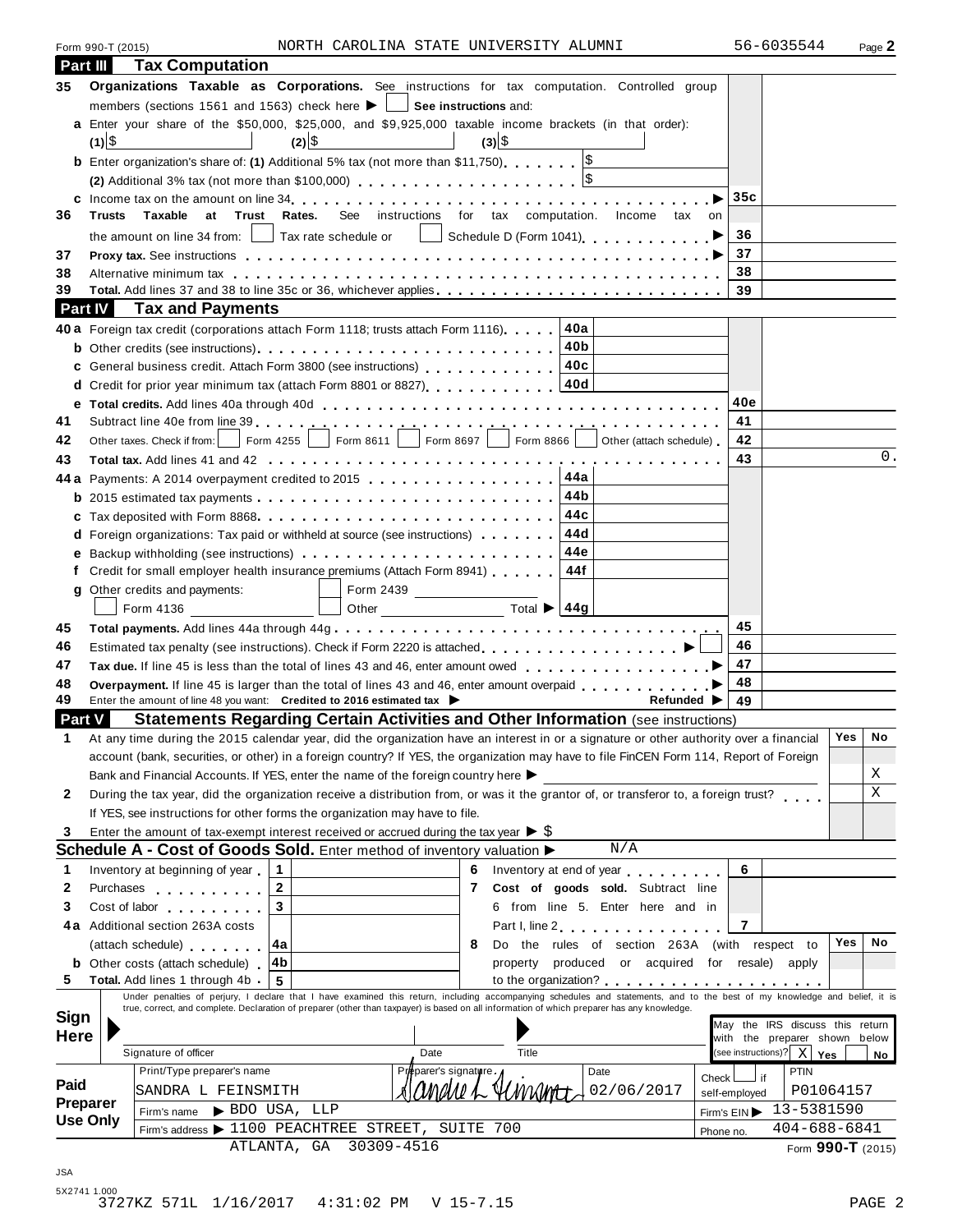|                                    | Form 990-T (2015)                                                                                                                                                             |                            |                                         | NORTH CAROLINA STATE UNIVERSITY ALUMNI            |                       |                                     |            |                                                                                                                                                                                                                                |               | 56-6035544                                                       | Page 2      |
|------------------------------------|-------------------------------------------------------------------------------------------------------------------------------------------------------------------------------|----------------------------|-----------------------------------------|---------------------------------------------------|-----------------------|-------------------------------------|------------|--------------------------------------------------------------------------------------------------------------------------------------------------------------------------------------------------------------------------------|---------------|------------------------------------------------------------------|-------------|
| Part III                           |                                                                                                                                                                               | <b>Tax Computation</b>     |                                         |                                                   |                       |                                     |            |                                                                                                                                                                                                                                |               |                                                                  |             |
| 35                                 |                                                                                                                                                                               |                            |                                         |                                                   |                       |                                     |            | Organizations Taxable as Corporations. See instructions for tax computation. Controlled group                                                                                                                                  |               |                                                                  |             |
|                                    | members (sections 1561 and 1563) check here $\blacktriangleright \hspace{0.1cm} \square$ See instructions and:                                                                |                            |                                         |                                                   |                       |                                     |            |                                                                                                                                                                                                                                |               |                                                                  |             |
|                                    | a Enter your share of the \$50,000, \$25,000, and \$9,925,000 taxable income brackets (in that order):                                                                        |                            |                                         |                                                   |                       |                                     |            |                                                                                                                                                                                                                                |               |                                                                  |             |
|                                    | $(1) $ \$                                                                                                                                                                     |                            | $(2) $ \$                               |                                                   |                       | $(3) \$                             |            |                                                                                                                                                                                                                                |               |                                                                  |             |
|                                    | <b>b</b> Enter organization's share of: (1) Additional 5% tax (not more than \$11,750)                                                                                        |                            |                                         |                                                   |                       |                                     |            |                                                                                                                                                                                                                                |               |                                                                  |             |
|                                    | (2) Additional 3% tax (not more than \$100,000) $\ldots \ldots \ldots \ldots \ldots \ldots$                                                                                   |                            |                                         |                                                   |                       |                                     |            |                                                                                                                                                                                                                                |               |                                                                  |             |
| 36                                 | Taxable<br><b>Trusts</b>                                                                                                                                                      |                            |                                         |                                                   |                       |                                     |            | See instructions for tax computation. Income tax on                                                                                                                                                                            | 35c           |                                                                  |             |
|                                    |                                                                                                                                                                               | at<br>Trust Rates.         |                                         |                                                   |                       |                                     |            |                                                                                                                                                                                                                                | 36            |                                                                  |             |
| 37                                 |                                                                                                                                                                               |                            |                                         |                                                   |                       |                                     |            | the amount on line 34 from: $\Box$ Tax rate schedule or $\Box$ Schedule D (Form 1041) $\Box$<br>Proxy tax. See instructions enterpreeding respectively respectively respectively respectively respectively respectively        | 37            |                                                                  |             |
| 38                                 |                                                                                                                                                                               |                            |                                         |                                                   |                       |                                     |            | Alternative minimum tax enterpreened and the series of the series of the series are series and the series of the series of the series of the series of the series of the series of the series of the series of the series of t | 38            |                                                                  |             |
| 39                                 |                                                                                                                                                                               |                            |                                         |                                                   |                       |                                     |            | Total. Add lines 37 and 38 to line 35c or 36, whichever applies                                                                                                                                                                | 39            |                                                                  |             |
|                                    | <b>Part IV</b>                                                                                                                                                                | <b>Tax and Payments</b>    |                                         |                                                   |                       |                                     |            |                                                                                                                                                                                                                                |               |                                                                  |             |
|                                    | 40a Foreign tax credit (corporations attach Form 1118; trusts attach Form 1116). 40a                                                                                          |                            |                                         |                                                   |                       |                                     |            |                                                                                                                                                                                                                                |               |                                                                  |             |
|                                    |                                                                                                                                                                               |                            |                                         |                                                   |                       |                                     |            |                                                                                                                                                                                                                                |               |                                                                  |             |
|                                    |                                                                                                                                                                               |                            |                                         |                                                   |                       |                                     |            |                                                                                                                                                                                                                                |               |                                                                  |             |
|                                    |                                                                                                                                                                               |                            |                                         |                                                   |                       |                                     |            |                                                                                                                                                                                                                                |               |                                                                  |             |
| е                                  |                                                                                                                                                                               |                            |                                         |                                                   |                       |                                     |            |                                                                                                                                                                                                                                | 40e           |                                                                  |             |
| 41                                 |                                                                                                                                                                               |                            |                                         |                                                   |                       |                                     |            |                                                                                                                                                                                                                                | 41            |                                                                  |             |
| 42                                 |                                                                                                                                                                               |                            |                                         |                                                   |                       |                                     |            | Other taxes. Check if from: Form 4255 Form 8611 Form 8697 Form 8866 Other (attach schedule)                                                                                                                                    | 42            |                                                                  |             |
| 43                                 |                                                                                                                                                                               |                            |                                         |                                                   |                       |                                     |            |                                                                                                                                                                                                                                | 43            |                                                                  | 0.          |
|                                    | 44 a Payments: A 2014 overpayment credited to 2015                                                                                                                            |                            |                                         |                                                   |                       |                                     | 44a        |                                                                                                                                                                                                                                |               |                                                                  |             |
|                                    |                                                                                                                                                                               |                            |                                         |                                                   |                       |                                     | 44b        |                                                                                                                                                                                                                                |               |                                                                  |             |
|                                    |                                                                                                                                                                               |                            |                                         |                                                   |                       |                                     | 44c        |                                                                                                                                                                                                                                |               |                                                                  |             |
|                                    | <b>d</b> Foreign organizations: Tax paid or withheld at source (see instructions) $\ldots$ ,,,,                                                                               |                            |                                         |                                                   |                       |                                     | 44d<br>44e |                                                                                                                                                                                                                                |               |                                                                  |             |
|                                    | Credit for small employer health insurance premiums (Attach Form 8941)                                                                                                        |                            |                                         |                                                   |                       |                                     | 44f        |                                                                                                                                                                                                                                |               |                                                                  |             |
| g                                  | Other credits and payments:                                                                                                                                                   |                            |                                         |                                                   |                       |                                     |            |                                                                                                                                                                                                                                |               |                                                                  |             |
|                                    | Form 4136                                                                                                                                                                     |                            |                                         |                                                   |                       |                                     |            |                                                                                                                                                                                                                                |               |                                                                  |             |
| 45                                 |                                                                                                                                                                               |                            |                                         |                                                   |                       |                                     |            |                                                                                                                                                                                                                                | 45            |                                                                  |             |
| 46                                 |                                                                                                                                                                               |                            |                                         |                                                   |                       |                                     |            |                                                                                                                                                                                                                                | 46            |                                                                  |             |
| 47                                 |                                                                                                                                                                               |                            |                                         |                                                   |                       |                                     |            |                                                                                                                                                                                                                                | 47            |                                                                  |             |
| 48                                 |                                                                                                                                                                               |                            |                                         |                                                   |                       |                                     |            | Overpayment. If line 45 is larger than the total of lines 43 and 46, enter amount overpaid                                                                                                                                     | 48            |                                                                  |             |
| 49                                 | Enter the amount of line 48 you want: Credited to 2016 estimated tax                                                                                                          |                            |                                         |                                                   |                       |                                     |            | <b>Refunded</b> ▶                                                                                                                                                                                                              | 49            |                                                                  |             |
| <b>Part V</b>                      |                                                                                                                                                                               |                            |                                         |                                                   |                       |                                     |            | <b>Statements Regarding Certain Activities and Other Information (see instructions)</b>                                                                                                                                        |               |                                                                  |             |
|                                    |                                                                                                                                                                               |                            |                                         |                                                   |                       |                                     |            | At any time during the 2015 calendar year, did the organization have an interest in or a signature or other authority over a financial   Yes   No                                                                              |               |                                                                  |             |
|                                    |                                                                                                                                                                               |                            |                                         |                                                   |                       |                                     |            | account (bank, securities, or other) in a foreign country? If YES, the organization may have to file FinCEN Form 114, Report of Foreign                                                                                        |               |                                                                  |             |
|                                    | Bank and Financial Accounts. If YES, enter the name of the foreign country here >                                                                                             |                            |                                         |                                                   |                       |                                     |            |                                                                                                                                                                                                                                |               |                                                                  | Χ           |
| 2                                  |                                                                                                                                                                               |                            |                                         |                                                   |                       |                                     |            | During the tax year, did the organization receive a distribution from, or was it the grantor of, or transferor to, a foreign trust?                                                                                            |               |                                                                  | $\mathbf X$ |
|                                    | If YES, see instructions for other forms the organization may have to file.                                                                                                   |                            |                                         |                                                   |                       |                                     |            |                                                                                                                                                                                                                                |               |                                                                  |             |
| 3                                  | Enter the amount of tax-exempt interest received or accrued during the tax year $\triangleright$ \$<br>Schedule A - Cost of Goods Sold. Enter method of inventory valuation > |                            |                                         |                                                   |                       |                                     |            | N/A                                                                                                                                                                                                                            |               |                                                                  |             |
|                                    |                                                                                                                                                                               |                            | $\mathbf{1}$                            |                                                   |                       |                                     |            | 6 Inventory at end of year                                                                                                                                                                                                     | 6             |                                                                  |             |
|                                    |                                                                                                                                                                               |                            |                                         |                                                   |                       |                                     |            |                                                                                                                                                                                                                                |               |                                                                  |             |
|                                    | Inventory at beginning of year                                                                                                                                                |                            |                                         |                                                   |                       |                                     |            |                                                                                                                                                                                                                                |               |                                                                  |             |
|                                    | Purchases <b>Container and Container</b>                                                                                                                                      |                            | $\mathbf{2}$<br>$\overline{\mathbf{3}}$ |                                                   |                       | 7 Cost of goods sold. Subtract line |            |                                                                                                                                                                                                                                |               |                                                                  |             |
|                                    | Cost of labor the cost of labor<br>4a Additional section 263A costs                                                                                                           |                            |                                         |                                                   |                       |                                     |            | 6 from line 5. Enter here and in                                                                                                                                                                                               | 7             |                                                                  |             |
| 1<br>2<br>3                        |                                                                                                                                                                               |                            | ∣4a                                     |                                                   |                       | 8                                   |            | Part I, line 2<br>Do the rules of section 263A (with respect to                                                                                                                                                                |               |                                                                  | Yes<br>No   |
|                                    | (attach schedule)<br><b>b</b> Other costs (attach schedule)                                                                                                                   |                            | ∣4b                                     |                                                   |                       |                                     |            | property produced or acquired for resale)                                                                                                                                                                                      |               | apply                                                            |             |
|                                    | Total. Add lines 1 through 4b.                                                                                                                                                |                            | 5                                       |                                                   |                       |                                     |            |                                                                                                                                                                                                                                |               |                                                                  |             |
|                                    |                                                                                                                                                                               |                            |                                         |                                                   |                       |                                     |            | Under penalties of perjury, I declare that I have examined this return, including accompanying schedules and statements, and to the best of my knowledge and belief, it is                                                     |               |                                                                  |             |
|                                    |                                                                                                                                                                               |                            |                                         |                                                   |                       |                                     |            | true, correct, and complete. Declaration of preparer (other than taxpayer) is based on all information of which preparer has any knowledge.                                                                                    |               |                                                                  |             |
|                                    |                                                                                                                                                                               |                            |                                         |                                                   |                       |                                     |            |                                                                                                                                                                                                                                |               | May the IRS discuss this return<br>with the preparer shown below |             |
|                                    | Signature of officer                                                                                                                                                          |                            |                                         |                                                   | Date                  | Title                               |            |                                                                                                                                                                                                                                |               | (see instructions)? $X \mid Y$ es                                | No          |
|                                    |                                                                                                                                                                               | Print/Type preparer's name |                                         |                                                   | Preparer's signature. |                                     |            | Date                                                                                                                                                                                                                           | Check L       | PTIN<br>if                                                       |             |
| 5<br>Sign<br><b>Here</b><br>Paid   |                                                                                                                                                                               | SANDRA L FEINSMITH         |                                         |                                                   | andue L               | YUMUME                              |            | 02/06/2017                                                                                                                                                                                                                     | self-employed | P01064157                                                        |             |
| <b>Preparer</b><br><b>Use Only</b> | Firm's name                                                                                                                                                                   |                            | BDO USA, LLP                            | Firm's address > 1100 PEACHTREE STREET, SUITE 700 |                       |                                     |            |                                                                                                                                                                                                                                | Firm's EIN    | 13-5381590<br>$404 - 688 - 6841$                                 |             |

JSA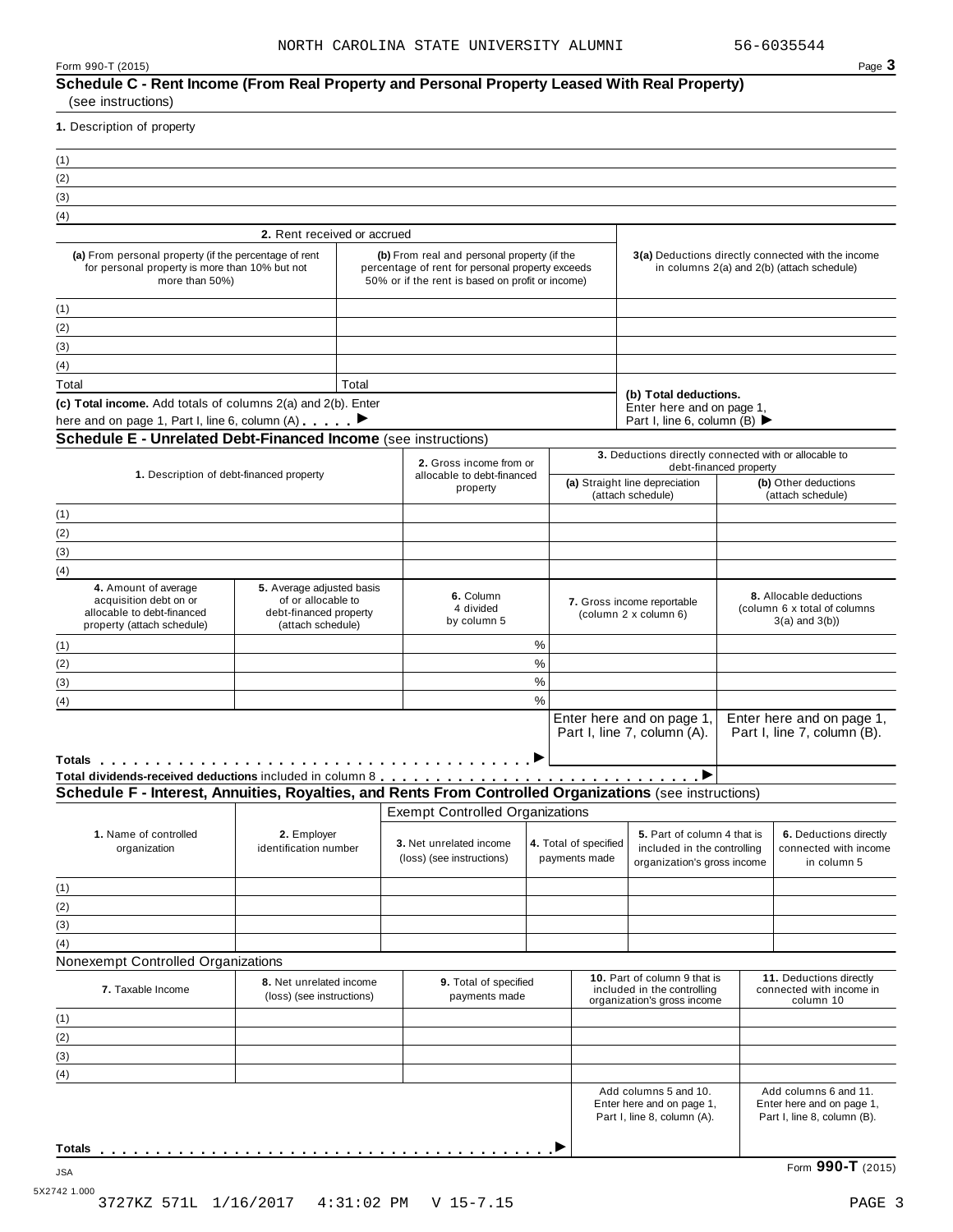| Form 990-T (2015) | Page $\bullet$ |
|-------------------|----------------|
|-------------------|----------------|

| (1)<br>(2)<br>(3)<br>(4)<br>(a) From personal property (if the percentage of rent<br>for personal property is more than 10% but not<br>more than 50%)                                                                                                                                                                                    |                                                                                                |       |                                                                                                                                                     |               |                                        |                                                                                            |                                                                                                  |
|------------------------------------------------------------------------------------------------------------------------------------------------------------------------------------------------------------------------------------------------------------------------------------------------------------------------------------------|------------------------------------------------------------------------------------------------|-------|-----------------------------------------------------------------------------------------------------------------------------------------------------|---------------|----------------------------------------|--------------------------------------------------------------------------------------------|--------------------------------------------------------------------------------------------------|
|                                                                                                                                                                                                                                                                                                                                          |                                                                                                |       |                                                                                                                                                     |               |                                        |                                                                                            |                                                                                                  |
|                                                                                                                                                                                                                                                                                                                                          |                                                                                                |       |                                                                                                                                                     |               |                                        |                                                                                            |                                                                                                  |
|                                                                                                                                                                                                                                                                                                                                          |                                                                                                |       |                                                                                                                                                     |               |                                        |                                                                                            |                                                                                                  |
|                                                                                                                                                                                                                                                                                                                                          |                                                                                                |       |                                                                                                                                                     |               |                                        |                                                                                            |                                                                                                  |
|                                                                                                                                                                                                                                                                                                                                          | 2. Rent received or accrued                                                                    |       |                                                                                                                                                     |               |                                        |                                                                                            |                                                                                                  |
|                                                                                                                                                                                                                                                                                                                                          |                                                                                                |       | (b) From real and personal property (if the<br>percentage of rent for personal property exceeds<br>50% or if the rent is based on profit or income) |               |                                        |                                                                                            | 3(a) Deductions directly connected with the income<br>in columns 2(a) and 2(b) (attach schedule) |
| (1)                                                                                                                                                                                                                                                                                                                                      |                                                                                                |       |                                                                                                                                                     |               |                                        |                                                                                            |                                                                                                  |
| (2)                                                                                                                                                                                                                                                                                                                                      |                                                                                                |       |                                                                                                                                                     |               |                                        |                                                                                            |                                                                                                  |
|                                                                                                                                                                                                                                                                                                                                          |                                                                                                |       |                                                                                                                                                     |               |                                        |                                                                                            |                                                                                                  |
| (3)                                                                                                                                                                                                                                                                                                                                      |                                                                                                |       |                                                                                                                                                     |               |                                        |                                                                                            |                                                                                                  |
| (4)                                                                                                                                                                                                                                                                                                                                      |                                                                                                |       |                                                                                                                                                     |               |                                        |                                                                                            |                                                                                                  |
| Total                                                                                                                                                                                                                                                                                                                                    |                                                                                                | Total |                                                                                                                                                     |               |                                        | (b) Total deductions.                                                                      |                                                                                                  |
| (c) Total income. Add totals of columns 2(a) and 2(b). Enter                                                                                                                                                                                                                                                                             |                                                                                                |       |                                                                                                                                                     |               |                                        | Enter here and on page 1,                                                                  |                                                                                                  |
| here and on page 1, Part I, line 6, column (A)                                                                                                                                                                                                                                                                                           |                                                                                                |       |                                                                                                                                                     |               |                                        | Part I, line 6, column (B) ▶                                                               |                                                                                                  |
| <b>Schedule E - Unrelated Debt-Financed Income (see instructions)</b>                                                                                                                                                                                                                                                                    |                                                                                                |       |                                                                                                                                                     |               |                                        |                                                                                            |                                                                                                  |
|                                                                                                                                                                                                                                                                                                                                          |                                                                                                |       | 2. Gross income from or                                                                                                                             |               |                                        | 3. Deductions directly connected with or allocable to<br>debt-financed property            |                                                                                                  |
| 1. Description of debt-financed property                                                                                                                                                                                                                                                                                                 |                                                                                                |       | allocable to debt-financed                                                                                                                          |               |                                        | (a) Straight line depreciation                                                             | (b) Other deductions                                                                             |
|                                                                                                                                                                                                                                                                                                                                          |                                                                                                |       | property                                                                                                                                            |               |                                        | (attach schedule)                                                                          | (attach schedule)                                                                                |
| (1)                                                                                                                                                                                                                                                                                                                                      |                                                                                                |       |                                                                                                                                                     |               |                                        |                                                                                            |                                                                                                  |
| (2)                                                                                                                                                                                                                                                                                                                                      |                                                                                                |       |                                                                                                                                                     |               |                                        |                                                                                            |                                                                                                  |
| (3)                                                                                                                                                                                                                                                                                                                                      |                                                                                                |       |                                                                                                                                                     |               |                                        |                                                                                            |                                                                                                  |
| (4)                                                                                                                                                                                                                                                                                                                                      |                                                                                                |       |                                                                                                                                                     |               |                                        |                                                                                            |                                                                                                  |
| 4. Amount of average<br>acquisition debt on or<br>allocable to debt-financed<br>property (attach schedule)                                                                                                                                                                                                                               | 5. Average adjusted basis<br>of or allocable to<br>debt-financed property<br>(attach schedule) |       | 6. Column<br>7. Gross income reportable<br>4 divided<br>(column 2 x column 6)<br>by column 5                                                        |               |                                        | 8. Allocable deductions<br>(column 6 x total of columns<br>$3(a)$ and $3(b)$ )             |                                                                                                  |
| (1)                                                                                                                                                                                                                                                                                                                                      |                                                                                                |       |                                                                                                                                                     | $\%$          |                                        |                                                                                            |                                                                                                  |
| (2)                                                                                                                                                                                                                                                                                                                                      |                                                                                                |       |                                                                                                                                                     | $\%$          |                                        |                                                                                            |                                                                                                  |
| (3)                                                                                                                                                                                                                                                                                                                                      |                                                                                                |       |                                                                                                                                                     | $\%$          |                                        |                                                                                            |                                                                                                  |
| (4)                                                                                                                                                                                                                                                                                                                                      |                                                                                                |       |                                                                                                                                                     | $\frac{0}{0}$ |                                        |                                                                                            |                                                                                                  |
| Totals <b>The Communist Communist Communist Communist Communist Communist Communist Communist Communist Communist</b><br>Total dividends-received deductions included in column 8 <mark>..............................</mark><br>Schedule F - Interest, Annuities, Royalties, and Rents From Controlled Organizations (see instructions) |                                                                                                |       |                                                                                                                                                     |               |                                        | Enter here and on page 1,<br>Part I, line 7, column (A).<br>►                              | Enter here and on page 1,<br>Part I, line 7, column (B).                                         |
|                                                                                                                                                                                                                                                                                                                                          |                                                                                                |       |                                                                                                                                                     |               |                                        |                                                                                            |                                                                                                  |
|                                                                                                                                                                                                                                                                                                                                          |                                                                                                |       | <b>Exempt Controlled Organizations</b>                                                                                                              |               |                                        |                                                                                            |                                                                                                  |
| 1. Name of controlled<br>organization                                                                                                                                                                                                                                                                                                    | 2. Employer<br>identification number                                                           |       | 3. Net unrelated income<br>(loss) (see instructions)                                                                                                |               | 4. Total of specified<br>payments made | 5. Part of column 4 that is<br>included in the controlling<br>organization's gross income  | 6. Deductions directly<br>connected with income<br>in column 5                                   |
| (1)                                                                                                                                                                                                                                                                                                                                      |                                                                                                |       |                                                                                                                                                     |               |                                        |                                                                                            |                                                                                                  |
| (2)                                                                                                                                                                                                                                                                                                                                      |                                                                                                |       |                                                                                                                                                     |               |                                        |                                                                                            |                                                                                                  |
| (3)                                                                                                                                                                                                                                                                                                                                      |                                                                                                |       |                                                                                                                                                     |               |                                        |                                                                                            |                                                                                                  |
| (4)                                                                                                                                                                                                                                                                                                                                      |                                                                                                |       |                                                                                                                                                     |               |                                        |                                                                                            |                                                                                                  |
| Nonexempt Controlled Organizations                                                                                                                                                                                                                                                                                                       |                                                                                                |       |                                                                                                                                                     |               |                                        |                                                                                            |                                                                                                  |
| 7. Taxable Income                                                                                                                                                                                                                                                                                                                        | 8. Net unrelated income<br>(loss) (see instructions)                                           |       | 9. Total of specified<br>payments made                                                                                                              |               |                                        | 10. Part of column 9 that is<br>included in the controlling<br>organization's gross income | 11. Deductions directly<br>connected with income in<br>column 10                                 |
| (1)                                                                                                                                                                                                                                                                                                                                      |                                                                                                |       |                                                                                                                                                     |               |                                        |                                                                                            |                                                                                                  |
| (2)                                                                                                                                                                                                                                                                                                                                      |                                                                                                |       |                                                                                                                                                     |               |                                        |                                                                                            |                                                                                                  |
| (3)                                                                                                                                                                                                                                                                                                                                      |                                                                                                |       |                                                                                                                                                     |               |                                        |                                                                                            |                                                                                                  |
| (4)                                                                                                                                                                                                                                                                                                                                      |                                                                                                |       |                                                                                                                                                     |               |                                        |                                                                                            |                                                                                                  |
|                                                                                                                                                                                                                                                                                                                                          |                                                                                                |       |                                                                                                                                                     |               |                                        | Add columns 5 and 10.<br>Enter here and on page 1,<br>Part I, line 8, column (A).          | Add columns 6 and 11.<br>Enter here and on page 1,<br>Part I, line 8, column (B).                |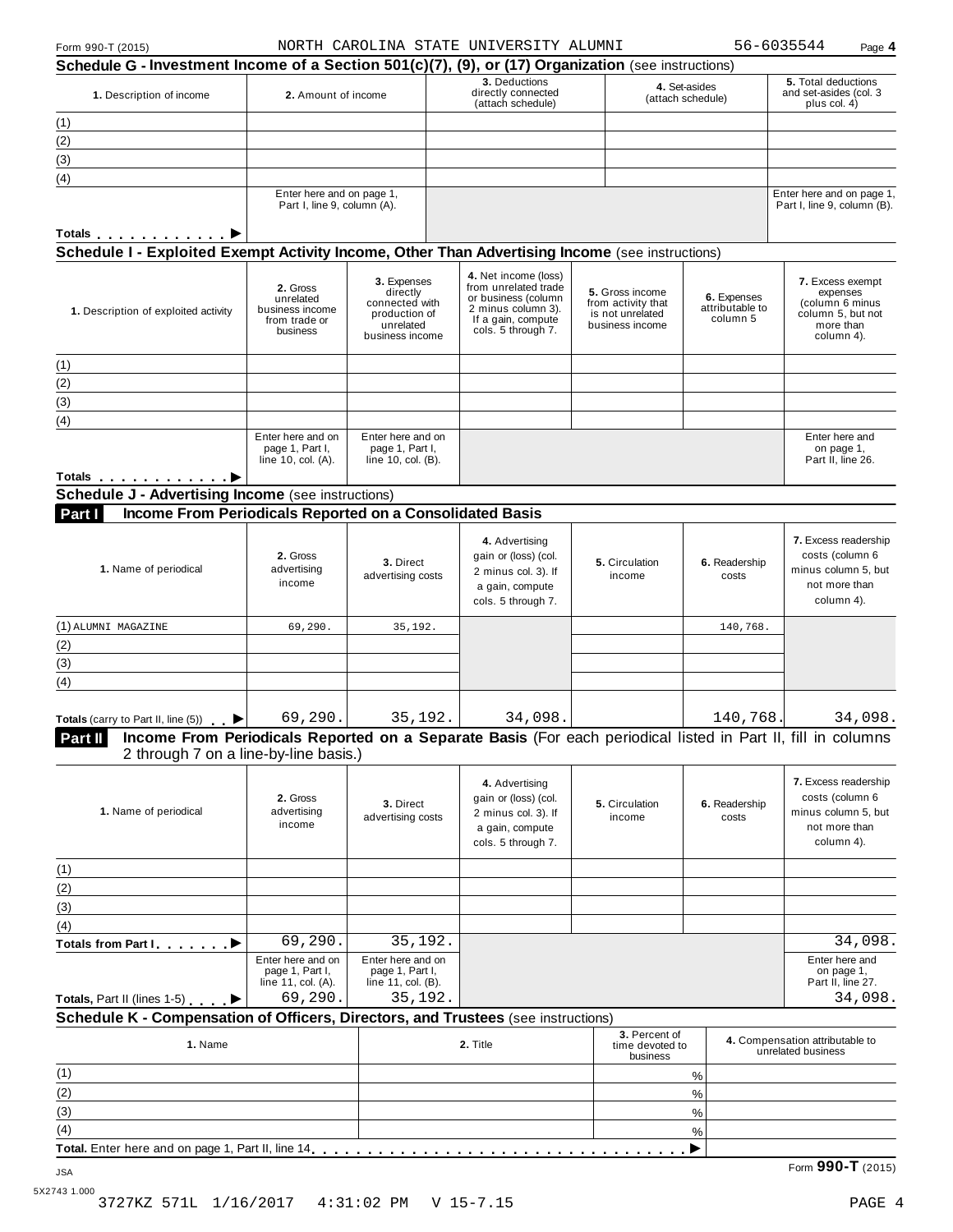|  | Form 990-T (2015) |  |
|--|-------------------|--|
|--|-------------------|--|

Form 990-T (2015) Page **4** NORTH CAROLINA STATE UNIVERSITY ALUMNI 56-6035544

| 3. Deductions<br>5. Total deductions<br>4. Set-asides<br>directly connected<br>1. Description of income<br>2. Amount of income<br>(attach schedule)<br>(attach schedule)<br>plus col. 4)<br>(1)<br>(2)<br>(3)<br>(4)<br>Enter here and on page 1,<br>Part I, line 9, column (A).<br>Totals $\ldots$ $\ldots$ $\ldots$ $\blacktriangleright$<br>Schedule I - Exploited Exempt Activity Income, Other Than Advertising Income (see instructions)<br>4. Net income (loss)<br>3. Expenses<br>from unrelated trade<br>2. Gross<br>directly<br>5. Gross income<br>expenses<br>6. Expenses<br>unrelated<br>or business (column<br>connected with<br>from activity that<br>attributable to<br>2 minus column 3).<br>business income<br>1. Description of exploited activity<br>production of<br>is not unrelated<br>If a gain, compute<br>column 5<br>from trade or<br>unrelated<br>business income<br>more than<br>cols. 5 through 7.<br>business<br>business income<br>column 4).<br>Enter here and on<br>Enter here and on<br>Enter here and<br>page 1, Part I,<br>page 1, Part I,<br>on page 1,<br>Part II, line 26.<br>line 10, col. (A).<br>line 10, col. (B).<br>Income From Periodicals Reported on a Consolidated Basis<br>Part I<br>4. Advertising<br>2. Gross<br>gain or (loss) (col.<br>3. Direct<br>5. Circulation<br>6. Readership<br>1. Name of periodical<br>advertising<br>2 minus col. 3). If<br>advertising costs<br>income<br>costs<br>income<br>not more than<br>a gain, compute<br>column 4).<br>cols. 5 through 7.<br>(1) ALUMNI MAGAZINE<br>69,290.<br>35,192.<br>140,768.<br>69,290.<br>35,192.<br>34,098.<br>140,768.<br>Income From Periodicals Reported on a Separate Basis (For each periodical listed in Part II, fill in columns<br>2 through 7 on a line-by-line basis.)<br>4. Advertising<br>2. Gross<br>gain or (loss) (col.<br>3. Direct<br>6. Readership<br>5. Circulation<br>1. Name of periodical<br>advertising<br>2 minus col. 3). If<br>advertising costs<br>income<br>costs<br>income<br>not more than<br>a gain, compute<br>column 4).<br>cols. 5 through 7.<br>69,290.<br>35,192.<br>Enter here and on<br>Enter here and on<br>Enter here and<br>page 1, Part I,<br>page 1, Part I,<br>on page 1,<br>line 11, col. (A).<br>line 11, col. (B).<br>Part II, line 27.<br>69,290.<br>35,192.<br>3. Percent of<br>4. Compensation attributable to<br>1. Name<br>2. Title<br>time devoted to<br>unrelated business<br>business<br>$\%$<br>$\%$<br>$\%$<br>%<br>▶ | Schedule G - Investment Income of a Section 501(c)(7), (9), or (17) Organization (see instructions) |  |  |  |  |  |                        | . ~ 9° .                                                       |
|------------------------------------------------------------------------------------------------------------------------------------------------------------------------------------------------------------------------------------------------------------------------------------------------------------------------------------------------------------------------------------------------------------------------------------------------------------------------------------------------------------------------------------------------------------------------------------------------------------------------------------------------------------------------------------------------------------------------------------------------------------------------------------------------------------------------------------------------------------------------------------------------------------------------------------------------------------------------------------------------------------------------------------------------------------------------------------------------------------------------------------------------------------------------------------------------------------------------------------------------------------------------------------------------------------------------------------------------------------------------------------------------------------------------------------------------------------------------------------------------------------------------------------------------------------------------------------------------------------------------------------------------------------------------------------------------------------------------------------------------------------------------------------------------------------------------------------------------------------------------------------------------------------------------------------------------------------------------------------------------------------------------------------------------------------------------------------------------------------------------------------------------------------------------------------------------------------------------------------------------------------------------------------------------------------------------------------------------------------------------------------------------------------------------------------------------------------------------------------------------|-----------------------------------------------------------------------------------------------------|--|--|--|--|--|------------------------|----------------------------------------------------------------|
|                                                                                                                                                                                                                                                                                                                                                                                                                                                                                                                                                                                                                                                                                                                                                                                                                                                                                                                                                                                                                                                                                                                                                                                                                                                                                                                                                                                                                                                                                                                                                                                                                                                                                                                                                                                                                                                                                                                                                                                                                                                                                                                                                                                                                                                                                                                                                                                                                                                                                                |                                                                                                     |  |  |  |  |  | and set-asides (col. 3 |                                                                |
|                                                                                                                                                                                                                                                                                                                                                                                                                                                                                                                                                                                                                                                                                                                                                                                                                                                                                                                                                                                                                                                                                                                                                                                                                                                                                                                                                                                                                                                                                                                                                                                                                                                                                                                                                                                                                                                                                                                                                                                                                                                                                                                                                                                                                                                                                                                                                                                                                                                                                                |                                                                                                     |  |  |  |  |  |                        |                                                                |
|                                                                                                                                                                                                                                                                                                                                                                                                                                                                                                                                                                                                                                                                                                                                                                                                                                                                                                                                                                                                                                                                                                                                                                                                                                                                                                                                                                                                                                                                                                                                                                                                                                                                                                                                                                                                                                                                                                                                                                                                                                                                                                                                                                                                                                                                                                                                                                                                                                                                                                |                                                                                                     |  |  |  |  |  |                        |                                                                |
|                                                                                                                                                                                                                                                                                                                                                                                                                                                                                                                                                                                                                                                                                                                                                                                                                                                                                                                                                                                                                                                                                                                                                                                                                                                                                                                                                                                                                                                                                                                                                                                                                                                                                                                                                                                                                                                                                                                                                                                                                                                                                                                                                                                                                                                                                                                                                                                                                                                                                                |                                                                                                     |  |  |  |  |  |                        |                                                                |
|                                                                                                                                                                                                                                                                                                                                                                                                                                                                                                                                                                                                                                                                                                                                                                                                                                                                                                                                                                                                                                                                                                                                                                                                                                                                                                                                                                                                                                                                                                                                                                                                                                                                                                                                                                                                                                                                                                                                                                                                                                                                                                                                                                                                                                                                                                                                                                                                                                                                                                |                                                                                                     |  |  |  |  |  |                        |                                                                |
|                                                                                                                                                                                                                                                                                                                                                                                                                                                                                                                                                                                                                                                                                                                                                                                                                                                                                                                                                                                                                                                                                                                                                                                                                                                                                                                                                                                                                                                                                                                                                                                                                                                                                                                                                                                                                                                                                                                                                                                                                                                                                                                                                                                                                                                                                                                                                                                                                                                                                                |                                                                                                     |  |  |  |  |  |                        | Enter here and on page 1,<br>Part I, line 9, column (B).       |
|                                                                                                                                                                                                                                                                                                                                                                                                                                                                                                                                                                                                                                                                                                                                                                                                                                                                                                                                                                                                                                                                                                                                                                                                                                                                                                                                                                                                                                                                                                                                                                                                                                                                                                                                                                                                                                                                                                                                                                                                                                                                                                                                                                                                                                                                                                                                                                                                                                                                                                |                                                                                                     |  |  |  |  |  |                        |                                                                |
|                                                                                                                                                                                                                                                                                                                                                                                                                                                                                                                                                                                                                                                                                                                                                                                                                                                                                                                                                                                                                                                                                                                                                                                                                                                                                                                                                                                                                                                                                                                                                                                                                                                                                                                                                                                                                                                                                                                                                                                                                                                                                                                                                                                                                                                                                                                                                                                                                                                                                                |                                                                                                     |  |  |  |  |  |                        |                                                                |
| (1)<br>(2)<br>(3)<br>(4)<br>Totals <b>P</b><br><b>Schedule J - Advertising Income (see instructions)</b><br>(2)<br>(3)<br>Part II                                                                                                                                                                                                                                                                                                                                                                                                                                                                                                                                                                                                                                                                                                                                                                                                                                                                                                                                                                                                                                                                                                                                                                                                                                                                                                                                                                                                                                                                                                                                                                                                                                                                                                                                                                                                                                                                                                                                                                                                                                                                                                                                                                                                                                                                                                                                                              |                                                                                                     |  |  |  |  |  |                        | 7. Excess exempt<br>(column 6 minus<br>column 5, but not       |
|                                                                                                                                                                                                                                                                                                                                                                                                                                                                                                                                                                                                                                                                                                                                                                                                                                                                                                                                                                                                                                                                                                                                                                                                                                                                                                                                                                                                                                                                                                                                                                                                                                                                                                                                                                                                                                                                                                                                                                                                                                                                                                                                                                                                                                                                                                                                                                                                                                                                                                |                                                                                                     |  |  |  |  |  |                        |                                                                |
|                                                                                                                                                                                                                                                                                                                                                                                                                                                                                                                                                                                                                                                                                                                                                                                                                                                                                                                                                                                                                                                                                                                                                                                                                                                                                                                                                                                                                                                                                                                                                                                                                                                                                                                                                                                                                                                                                                                                                                                                                                                                                                                                                                                                                                                                                                                                                                                                                                                                                                |                                                                                                     |  |  |  |  |  |                        |                                                                |
|                                                                                                                                                                                                                                                                                                                                                                                                                                                                                                                                                                                                                                                                                                                                                                                                                                                                                                                                                                                                                                                                                                                                                                                                                                                                                                                                                                                                                                                                                                                                                                                                                                                                                                                                                                                                                                                                                                                                                                                                                                                                                                                                                                                                                                                                                                                                                                                                                                                                                                |                                                                                                     |  |  |  |  |  |                        |                                                                |
|                                                                                                                                                                                                                                                                                                                                                                                                                                                                                                                                                                                                                                                                                                                                                                                                                                                                                                                                                                                                                                                                                                                                                                                                                                                                                                                                                                                                                                                                                                                                                                                                                                                                                                                                                                                                                                                                                                                                                                                                                                                                                                                                                                                                                                                                                                                                                                                                                                                                                                |                                                                                                     |  |  |  |  |  |                        |                                                                |
|                                                                                                                                                                                                                                                                                                                                                                                                                                                                                                                                                                                                                                                                                                                                                                                                                                                                                                                                                                                                                                                                                                                                                                                                                                                                                                                                                                                                                                                                                                                                                                                                                                                                                                                                                                                                                                                                                                                                                                                                                                                                                                                                                                                                                                                                                                                                                                                                                                                                                                |                                                                                                     |  |  |  |  |  |                        |                                                                |
| (4)<br><b>Totals</b> (carry to Part II, line $(5)$ )                                                                                                                                                                                                                                                                                                                                                                                                                                                                                                                                                                                                                                                                                                                                                                                                                                                                                                                                                                                                                                                                                                                                                                                                                                                                                                                                                                                                                                                                                                                                                                                                                                                                                                                                                                                                                                                                                                                                                                                                                                                                                                                                                                                                                                                                                                                                                                                                                                           |                                                                                                     |  |  |  |  |  |                        |                                                                |
|                                                                                                                                                                                                                                                                                                                                                                                                                                                                                                                                                                                                                                                                                                                                                                                                                                                                                                                                                                                                                                                                                                                                                                                                                                                                                                                                                                                                                                                                                                                                                                                                                                                                                                                                                                                                                                                                                                                                                                                                                                                                                                                                                                                                                                                                                                                                                                                                                                                                                                |                                                                                                     |  |  |  |  |  |                        |                                                                |
|                                                                                                                                                                                                                                                                                                                                                                                                                                                                                                                                                                                                                                                                                                                                                                                                                                                                                                                                                                                                                                                                                                                                                                                                                                                                                                                                                                                                                                                                                                                                                                                                                                                                                                                                                                                                                                                                                                                                                                                                                                                                                                                                                                                                                                                                                                                                                                                                                                                                                                |                                                                                                     |  |  |  |  |  |                        |                                                                |
|                                                                                                                                                                                                                                                                                                                                                                                                                                                                                                                                                                                                                                                                                                                                                                                                                                                                                                                                                                                                                                                                                                                                                                                                                                                                                                                                                                                                                                                                                                                                                                                                                                                                                                                                                                                                                                                                                                                                                                                                                                                                                                                                                                                                                                                                                                                                                                                                                                                                                                |                                                                                                     |  |  |  |  |  |                        | 7. Excess readership<br>costs (column 6<br>minus column 5, but |
|                                                                                                                                                                                                                                                                                                                                                                                                                                                                                                                                                                                                                                                                                                                                                                                                                                                                                                                                                                                                                                                                                                                                                                                                                                                                                                                                                                                                                                                                                                                                                                                                                                                                                                                                                                                                                                                                                                                                                                                                                                                                                                                                                                                                                                                                                                                                                                                                                                                                                                |                                                                                                     |  |  |  |  |  |                        |                                                                |
|                                                                                                                                                                                                                                                                                                                                                                                                                                                                                                                                                                                                                                                                                                                                                                                                                                                                                                                                                                                                                                                                                                                                                                                                                                                                                                                                                                                                                                                                                                                                                                                                                                                                                                                                                                                                                                                                                                                                                                                                                                                                                                                                                                                                                                                                                                                                                                                                                                                                                                |                                                                                                     |  |  |  |  |  |                        |                                                                |
|                                                                                                                                                                                                                                                                                                                                                                                                                                                                                                                                                                                                                                                                                                                                                                                                                                                                                                                                                                                                                                                                                                                                                                                                                                                                                                                                                                                                                                                                                                                                                                                                                                                                                                                                                                                                                                                                                                                                                                                                                                                                                                                                                                                                                                                                                                                                                                                                                                                                                                |                                                                                                     |  |  |  |  |  |                        |                                                                |
|                                                                                                                                                                                                                                                                                                                                                                                                                                                                                                                                                                                                                                                                                                                                                                                                                                                                                                                                                                                                                                                                                                                                                                                                                                                                                                                                                                                                                                                                                                                                                                                                                                                                                                                                                                                                                                                                                                                                                                                                                                                                                                                                                                                                                                                                                                                                                                                                                                                                                                |                                                                                                     |  |  |  |  |  |                        |                                                                |
|                                                                                                                                                                                                                                                                                                                                                                                                                                                                                                                                                                                                                                                                                                                                                                                                                                                                                                                                                                                                                                                                                                                                                                                                                                                                                                                                                                                                                                                                                                                                                                                                                                                                                                                                                                                                                                                                                                                                                                                                                                                                                                                                                                                                                                                                                                                                                                                                                                                                                                |                                                                                                     |  |  |  |  |  |                        |                                                                |
|                                                                                                                                                                                                                                                                                                                                                                                                                                                                                                                                                                                                                                                                                                                                                                                                                                                                                                                                                                                                                                                                                                                                                                                                                                                                                                                                                                                                                                                                                                                                                                                                                                                                                                                                                                                                                                                                                                                                                                                                                                                                                                                                                                                                                                                                                                                                                                                                                                                                                                |                                                                                                     |  |  |  |  |  |                        | 34,098.                                                        |
|                                                                                                                                                                                                                                                                                                                                                                                                                                                                                                                                                                                                                                                                                                                                                                                                                                                                                                                                                                                                                                                                                                                                                                                                                                                                                                                                                                                                                                                                                                                                                                                                                                                                                                                                                                                                                                                                                                                                                                                                                                                                                                                                                                                                                                                                                                                                                                                                                                                                                                |                                                                                                     |  |  |  |  |  |                        |                                                                |
| (1)<br>(2)<br>(3)<br>(4)<br>Totals from Part Ⅰ<br>Totals, Part II (lines 1-5)<br>Schedule K - Compensation of Officers, Directors, and Trustees (see instructions)<br>(1)<br>(2)<br>(3)<br>(4)                                                                                                                                                                                                                                                                                                                                                                                                                                                                                                                                                                                                                                                                                                                                                                                                                                                                                                                                                                                                                                                                                                                                                                                                                                                                                                                                                                                                                                                                                                                                                                                                                                                                                                                                                                                                                                                                                                                                                                                                                                                                                                                                                                                                                                                                                                 |                                                                                                     |  |  |  |  |  |                        | 7. Excess readership<br>costs (column 6<br>minus column 5, but |
|                                                                                                                                                                                                                                                                                                                                                                                                                                                                                                                                                                                                                                                                                                                                                                                                                                                                                                                                                                                                                                                                                                                                                                                                                                                                                                                                                                                                                                                                                                                                                                                                                                                                                                                                                                                                                                                                                                                                                                                                                                                                                                                                                                                                                                                                                                                                                                                                                                                                                                |                                                                                                     |  |  |  |  |  |                        |                                                                |
|                                                                                                                                                                                                                                                                                                                                                                                                                                                                                                                                                                                                                                                                                                                                                                                                                                                                                                                                                                                                                                                                                                                                                                                                                                                                                                                                                                                                                                                                                                                                                                                                                                                                                                                                                                                                                                                                                                                                                                                                                                                                                                                                                                                                                                                                                                                                                                                                                                                                                                |                                                                                                     |  |  |  |  |  |                        |                                                                |
|                                                                                                                                                                                                                                                                                                                                                                                                                                                                                                                                                                                                                                                                                                                                                                                                                                                                                                                                                                                                                                                                                                                                                                                                                                                                                                                                                                                                                                                                                                                                                                                                                                                                                                                                                                                                                                                                                                                                                                                                                                                                                                                                                                                                                                                                                                                                                                                                                                                                                                |                                                                                                     |  |  |  |  |  |                        |                                                                |
|                                                                                                                                                                                                                                                                                                                                                                                                                                                                                                                                                                                                                                                                                                                                                                                                                                                                                                                                                                                                                                                                                                                                                                                                                                                                                                                                                                                                                                                                                                                                                                                                                                                                                                                                                                                                                                                                                                                                                                                                                                                                                                                                                                                                                                                                                                                                                                                                                                                                                                |                                                                                                     |  |  |  |  |  |                        |                                                                |
|                                                                                                                                                                                                                                                                                                                                                                                                                                                                                                                                                                                                                                                                                                                                                                                                                                                                                                                                                                                                                                                                                                                                                                                                                                                                                                                                                                                                                                                                                                                                                                                                                                                                                                                                                                                                                                                                                                                                                                                                                                                                                                                                                                                                                                                                                                                                                                                                                                                                                                |                                                                                                     |  |  |  |  |  |                        | 34,098.                                                        |
|                                                                                                                                                                                                                                                                                                                                                                                                                                                                                                                                                                                                                                                                                                                                                                                                                                                                                                                                                                                                                                                                                                                                                                                                                                                                                                                                                                                                                                                                                                                                                                                                                                                                                                                                                                                                                                                                                                                                                                                                                                                                                                                                                                                                                                                                                                                                                                                                                                                                                                |                                                                                                     |  |  |  |  |  |                        |                                                                |
|                                                                                                                                                                                                                                                                                                                                                                                                                                                                                                                                                                                                                                                                                                                                                                                                                                                                                                                                                                                                                                                                                                                                                                                                                                                                                                                                                                                                                                                                                                                                                                                                                                                                                                                                                                                                                                                                                                                                                                                                                                                                                                                                                                                                                                                                                                                                                                                                                                                                                                |                                                                                                     |  |  |  |  |  |                        | 34,098.                                                        |
|                                                                                                                                                                                                                                                                                                                                                                                                                                                                                                                                                                                                                                                                                                                                                                                                                                                                                                                                                                                                                                                                                                                                                                                                                                                                                                                                                                                                                                                                                                                                                                                                                                                                                                                                                                                                                                                                                                                                                                                                                                                                                                                                                                                                                                                                                                                                                                                                                                                                                                |                                                                                                     |  |  |  |  |  |                        |                                                                |
|                                                                                                                                                                                                                                                                                                                                                                                                                                                                                                                                                                                                                                                                                                                                                                                                                                                                                                                                                                                                                                                                                                                                                                                                                                                                                                                                                                                                                                                                                                                                                                                                                                                                                                                                                                                                                                                                                                                                                                                                                                                                                                                                                                                                                                                                                                                                                                                                                                                                                                |                                                                                                     |  |  |  |  |  |                        |                                                                |
|                                                                                                                                                                                                                                                                                                                                                                                                                                                                                                                                                                                                                                                                                                                                                                                                                                                                                                                                                                                                                                                                                                                                                                                                                                                                                                                                                                                                                                                                                                                                                                                                                                                                                                                                                                                                                                                                                                                                                                                                                                                                                                                                                                                                                                                                                                                                                                                                                                                                                                |                                                                                                     |  |  |  |  |  |                        |                                                                |
|                                                                                                                                                                                                                                                                                                                                                                                                                                                                                                                                                                                                                                                                                                                                                                                                                                                                                                                                                                                                                                                                                                                                                                                                                                                                                                                                                                                                                                                                                                                                                                                                                                                                                                                                                                                                                                                                                                                                                                                                                                                                                                                                                                                                                                                                                                                                                                                                                                                                                                |                                                                                                     |  |  |  |  |  |                        |                                                                |
|                                                                                                                                                                                                                                                                                                                                                                                                                                                                                                                                                                                                                                                                                                                                                                                                                                                                                                                                                                                                                                                                                                                                                                                                                                                                                                                                                                                                                                                                                                                                                                                                                                                                                                                                                                                                                                                                                                                                                                                                                                                                                                                                                                                                                                                                                                                                                                                                                                                                                                |                                                                                                     |  |  |  |  |  |                        |                                                                |
|                                                                                                                                                                                                                                                                                                                                                                                                                                                                                                                                                                                                                                                                                                                                                                                                                                                                                                                                                                                                                                                                                                                                                                                                                                                                                                                                                                                                                                                                                                                                                                                                                                                                                                                                                                                                                                                                                                                                                                                                                                                                                                                                                                                                                                                                                                                                                                                                                                                                                                |                                                                                                     |  |  |  |  |  |                        |                                                                |
|                                                                                                                                                                                                                                                                                                                                                                                                                                                                                                                                                                                                                                                                                                                                                                                                                                                                                                                                                                                                                                                                                                                                                                                                                                                                                                                                                                                                                                                                                                                                                                                                                                                                                                                                                                                                                                                                                                                                                                                                                                                                                                                                                                                                                                                                                                                                                                                                                                                                                                |                                                                                                     |  |  |  |  |  |                        | Form 990-T (2015)                                              |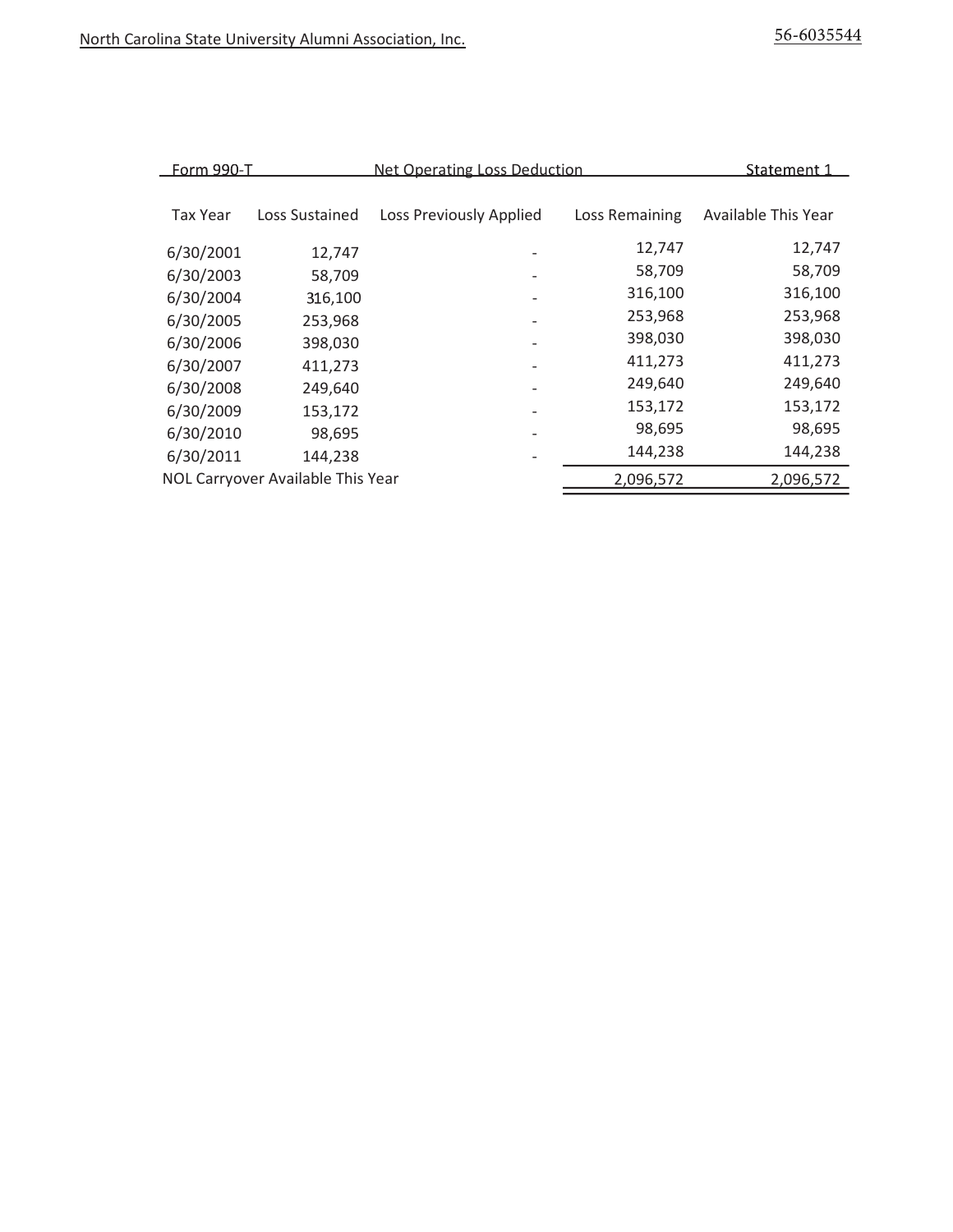| Form 990-T      |                                   | <b>Net Operating Loss Deduction</b> |                | Statement 1         |
|-----------------|-----------------------------------|-------------------------------------|----------------|---------------------|
|                 |                                   |                                     |                |                     |
| <b>Tax Year</b> | Loss Sustained                    | Loss Previously Applied             | Loss Remaining | Available This Year |
| 6/30/2001       | 12,747                            |                                     | 12,747         | 12,747              |
| 6/30/2003       | 58,709                            |                                     | 58,709         | 58,709              |
| 6/30/2004       | 316,100                           |                                     | 316,100        | 316,100             |
| 6/30/2005       | 253,968                           |                                     | 253,968        | 253,968             |
| 6/30/2006       | 398,030                           | $\overline{\phantom{a}}$            | 398,030        | 398,030             |
| 6/30/2007       | 411,273                           | $\overline{\phantom{a}}$            | 411,273        | 411,273             |
| 6/30/2008       | 249,640                           | $\overline{\phantom{a}}$            | 249,640        | 249,640             |
| 6/30/2009       | 153,172                           |                                     | 153,172        | 153,172             |
| 6/30/2010       | 98,695                            | $\overline{\phantom{a}}$            | 98,695         | 98,695              |
| 6/30/2011       | 144,238                           | $\overline{\phantom{a}}$            | 144,238        | 144,238             |
|                 | NOL Carryover Available This Year |                                     | 2,096,572      | 2,096,572           |